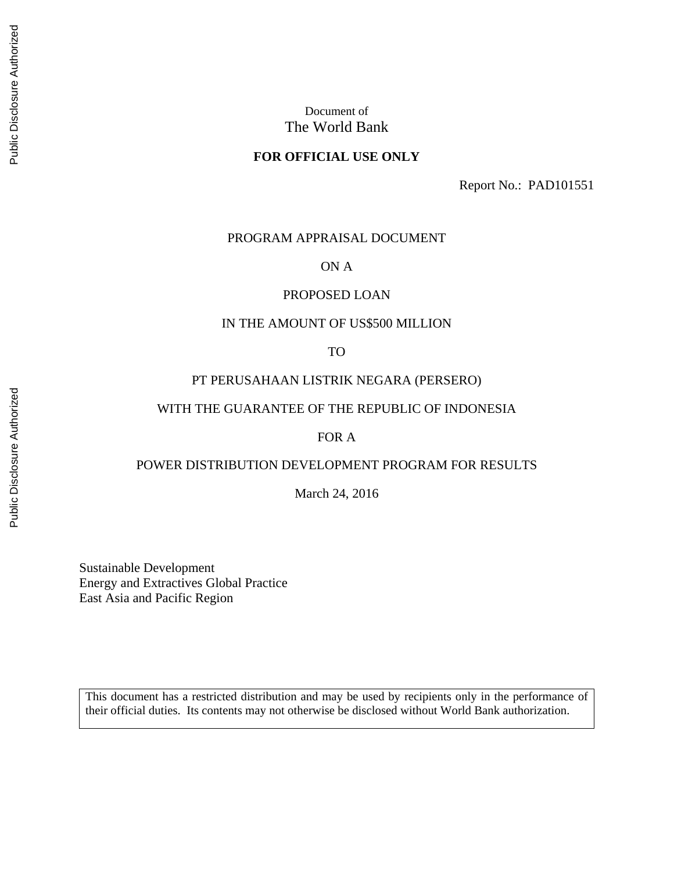#### **FOR OFFICIAL USE ONLY**

Report No.: PAD101551

#### PROGRAM APPRAISAL DOCUMENT

#### ON A

#### PROPOSED LOAN

#### IN THE AMOUNT OF US\$500 MILLION

TO

#### PT PERUSAHAAN LISTRIK NEGARA (PERSERO)

#### WITH THE GUARANTEE OF THE REPUBLIC OF INDONESIA

#### FOR A

#### POWER DISTRIBUTION DEVELOPMENT PROGRAM FOR RESULTS

March 24, 2016

Sustainable Development Energy and Extractives Global Practice East Asia and Pacific Region

This document has a restricted distribution and may be used by recipients only in the performance of their official duties. Its contents may not otherwise be disclosed without World Bank authorization.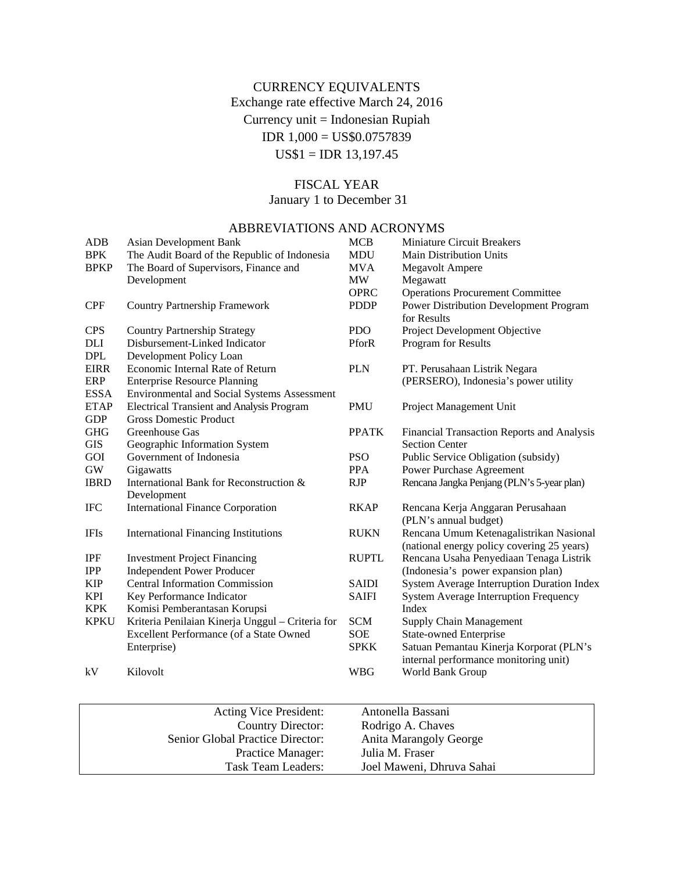# CURRENCY EQUIVALENTS Exchange rate effective March 24, 2016 Currency unit = Indonesian Rupiah IDR 1,000 = US\$0.0757839 US\$1 = IDR 13,197.45

# FISCAL YEAR

January 1 to December 31

# ABBREVIATIONS AND ACRONYMS

| <b>ADB</b>  | <b>Asian Development Bank</b>                      | <b>MCB</b>   | <b>Miniature Circuit Breakers</b>            |
|-------------|----------------------------------------------------|--------------|----------------------------------------------|
| <b>BPK</b>  | The Audit Board of the Republic of Indonesia       | <b>MDU</b>   | <b>Main Distribution Units</b>               |
| <b>BPKP</b> | The Board of Supervisors, Finance and              | <b>MVA</b>   | <b>Megavolt Ampere</b>                       |
|             | Development                                        | <b>MW</b>    | Megawatt                                     |
|             |                                                    | <b>OPRC</b>  | <b>Operations Procurement Committee</b>      |
| <b>CPF</b>  | <b>Country Partnership Framework</b>               | <b>PDDP</b>  | Power Distribution Development Program       |
|             |                                                    |              | for Results                                  |
| <b>CPS</b>  | <b>Country Partnership Strategy</b>                | <b>PDO</b>   | Project Development Objective                |
| DLI         | Disbursement-Linked Indicator                      | PforR        | Program for Results                          |
| <b>DPL</b>  | Development Policy Loan                            |              |                                              |
| <b>EIRR</b> | Economic Internal Rate of Return                   | <b>PLN</b>   | PT. Perusahaan Listrik Negara                |
| ERP         | <b>Enterprise Resource Planning</b>                |              | (PERSERO), Indonesia's power utility         |
| <b>ESSA</b> | <b>Environmental and Social Systems Assessment</b> |              |                                              |
| <b>ETAP</b> | <b>Electrical Transient and Analysis Program</b>   | <b>PMU</b>   | Project Management Unit                      |
| <b>GDP</b>  | <b>Gross Domestic Product</b>                      |              |                                              |
| <b>GHG</b>  | Greenhouse Gas                                     | <b>PPATK</b> | Financial Transaction Reports and Analysis   |
| <b>GIS</b>  | Geographic Information System                      |              | <b>Section Center</b>                        |
| GOI         | Government of Indonesia                            | <b>PSO</b>   | Public Service Obligation (subsidy)          |
| GW          | Gigawatts                                          | <b>PPA</b>   | Power Purchase Agreement                     |
| <b>IBRD</b> | International Bank for Reconstruction &            | <b>RJP</b>   | Rencana Jangka Penjang (PLN's 5-year plan)   |
|             | Development                                        |              |                                              |
| <b>IFC</b>  | <b>International Finance Corporation</b>           | <b>RKAP</b>  | Rencana Kerja Anggaran Perusahaan            |
|             |                                                    |              | (PLN's annual budget)                        |
| <b>IFIs</b> | <b>International Financing Institutions</b>        | <b>RUKN</b>  | Rencana Umum Ketenagalistrikan Nasional      |
|             |                                                    |              | (national energy policy covering 25 years)   |
| <b>IPF</b>  | <b>Investment Project Financing</b>                | <b>RUPTL</b> | Rencana Usaha Penyediaan Tenaga Listrik      |
| <b>IPP</b>  | <b>Independent Power Producer</b>                  |              | (Indonesia's power expansion plan)           |
| <b>KIP</b>  | <b>Central Information Commission</b>              | <b>SAIDI</b> | System Average Interruption Duration Index   |
| <b>KPI</b>  | Key Performance Indicator                          | <b>SAIFI</b> | <b>System Average Interruption Frequency</b> |
| <b>KPK</b>  | Komisi Pemberantasan Korupsi                       |              | Index                                        |
| <b>KPKU</b> | Kriteria Penilaian Kinerja Unggul - Criteria for   | <b>SCM</b>   | <b>Supply Chain Management</b>               |
|             | Excellent Performance (of a State Owned            | <b>SOE</b>   | <b>State-owned Enterprise</b>                |
|             | Enterprise)                                        | <b>SPKK</b>  | Satuan Pemantau Kinerja Korporat (PLN's      |
|             |                                                    |              | internal performance monitoring unit)        |
| kV          | Kilovolt                                           | <b>WBG</b>   | World Bank Group                             |
|             |                                                    |              |                                              |

| Acting Vice President:           | Antonella Bassani             |
|----------------------------------|-------------------------------|
| Country Director:                | Rodrigo A. Chaves             |
| Senior Global Practice Director: | <b>Anita Marangoly George</b> |
| Practice Manager:                | Julia M. Fraser               |
| Task Team Leaders:               | Joel Maweni, Dhruva Sahai     |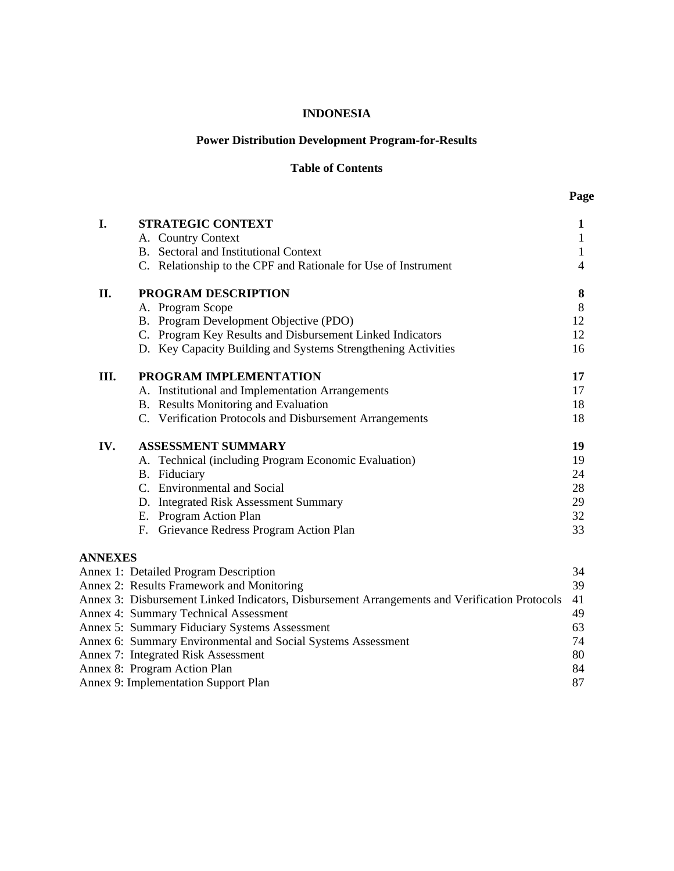#### **INDONESIA**

### **Power Distribution Development Program-for-Results**

#### **Table of Contents**

| I.             | <b>STRATEGIC CONTEXT</b>                                                                      | $\mathbf{1}$     |
|----------------|-----------------------------------------------------------------------------------------------|------------------|
|                | A. Country Context                                                                            | $\mathbf{1}$     |
|                | B. Sectoral and Institutional Context                                                         | $\mathbf{1}$     |
|                | C. Relationship to the CPF and Rationale for Use of Instrument                                | 4                |
| II.            | PROGRAM DESCRIPTION                                                                           | 8                |
|                | A. Program Scope                                                                              | $8\,$            |
|                | B. Program Development Objective (PDO)                                                        | 12               |
|                | C. Program Key Results and Disbursement Linked Indicators                                     | 12               |
|                | D. Key Capacity Building and Systems Strengthening Activities                                 | 16               |
| Ш.             | PROGRAM IMPLEMENTATION                                                                        | 17               |
|                | A. Institutional and Implementation Arrangements                                              | 17               |
|                | B. Results Monitoring and Evaluation                                                          | 18               |
|                | C. Verification Protocols and Disbursement Arrangements                                       | 18               |
| IV.            | <b>ASSESSMENT SUMMARY</b>                                                                     | 19               |
|                | A. Technical (including Program Economic Evaluation)                                          | 19               |
|                | B. Fiduciary                                                                                  | 24               |
|                | C. Environmental and Social                                                                   | 28               |
|                | D. Integrated Risk Assessment Summary                                                         | 29               |
|                | E. Program Action Plan                                                                        | 32               |
|                | F. Grievance Redress Program Action Plan                                                      | 33               |
| <b>ANNEXES</b> |                                                                                               |                  |
|                | Annex 1: Detailed Program Description                                                         | 34               |
|                | Annex 2: Results Framework and Monitoring                                                     | 39               |
|                | Annex 3: Disbursement Linked Indicators, Disbursement Arrangements and Verification Protocols | 41               |
|                | Annex 4: Summary Technical Assessment                                                         | 49               |
|                | Annex 5: Summary Fiduciary Systems Assessment                                                 | 63               |
|                | $\zeta$ a $\Gamma$ is the set of $\Gamma$ in the set of $\zeta$                               | $\sim$ $\lambda$ |

| Annex 6: Summary Environmental and Social Systems Assessment                        | 74     |
|-------------------------------------------------------------------------------------|--------|
| Annex 7: Integrated Risk Assessment                                                 | 80     |
| Annex 8: Program Action Plan                                                        | 84     |
| $\lambda$ $\alpha$ $\mathbf{r}$ $\mathbf{1}$ $\mathbf{r}$ $\mathbf{r}$ $\mathbf{r}$ | $\sim$ |

Annex 9: Implementation Support Plan 87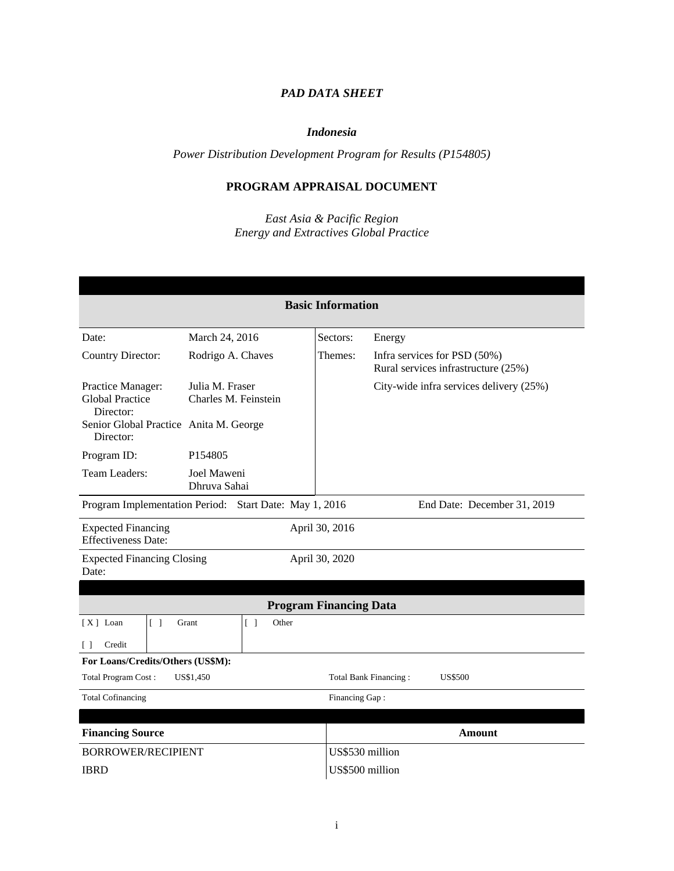# *PAD DATA SHEET*

#### *Indonesia*

*Power Distribution Development Program for Results (P154805)*

# **PROGRAM APPRAISAL DOCUMENT**

*East Asia & Pacific Region Energy and Extractives Global Practice*

| <b>Basic Information</b>                                                              |                                                   |                               |                                                                     |  |  |
|---------------------------------------------------------------------------------------|---------------------------------------------------|-------------------------------|---------------------------------------------------------------------|--|--|
|                                                                                       |                                                   |                               |                                                                     |  |  |
| Date:                                                                                 | March 24, 2016                                    | Sectors:                      | Energy                                                              |  |  |
| <b>Country Director:</b>                                                              | Rodrigo A. Chaves                                 | Themes:                       | Infra services for PSD (50%)<br>Rural services infrastructure (25%) |  |  |
| Practice Manager:<br><b>Global Practice</b><br>Director:                              | Julia M. Fraser<br>Charles M. Feinstein           |                               | City-wide infra services delivery (25%)                             |  |  |
| Senior Global Practice Anita M. George<br>Director:                                   |                                                   |                               |                                                                     |  |  |
| Program ID:                                                                           | P <sub>154805</sub>                               |                               |                                                                     |  |  |
| Team Leaders:                                                                         | Joel Maweni<br>Dhruva Sahai                       |                               |                                                                     |  |  |
| Program Implementation Period: Start Date: May 1, 2016<br>End Date: December 31, 2019 |                                                   |                               |                                                                     |  |  |
| <b>Expected Financing</b><br>April 30, 2016<br><b>Effectiveness Date:</b>             |                                                   |                               |                                                                     |  |  |
| <b>Expected Financing Closing</b><br>Date:                                            |                                                   | April 30, 2020                |                                                                     |  |  |
|                                                                                       |                                                   |                               |                                                                     |  |  |
|                                                                                       |                                                   | <b>Program Financing Data</b> |                                                                     |  |  |
| $[X]$ Loan<br>$\lceil$ $\rceil$                                                       | Grant<br>$\begin{bmatrix} \end{bmatrix}$<br>Other |                               |                                                                     |  |  |
| Credit<br>$\left[ \quad \right]$                                                      |                                                   |                               |                                                                     |  |  |
| For Loans/Credits/Others (US\$M):                                                     |                                                   |                               |                                                                     |  |  |
| Total Program Cost:<br>US\$1,450                                                      |                                                   |                               | Total Bank Financing:<br><b>US\$500</b>                             |  |  |
| <b>Total Cofinancing</b><br>Financing Gap:                                            |                                                   |                               |                                                                     |  |  |
|                                                                                       |                                                   |                               |                                                                     |  |  |
| <b>Financing Source</b>                                                               |                                                   |                               | <b>Amount</b>                                                       |  |  |
| <b>BORROWER/RECIPIENT</b>                                                             |                                                   | US\$530 million               |                                                                     |  |  |
| <b>IBRD</b>                                                                           |                                                   | US\$500 million               |                                                                     |  |  |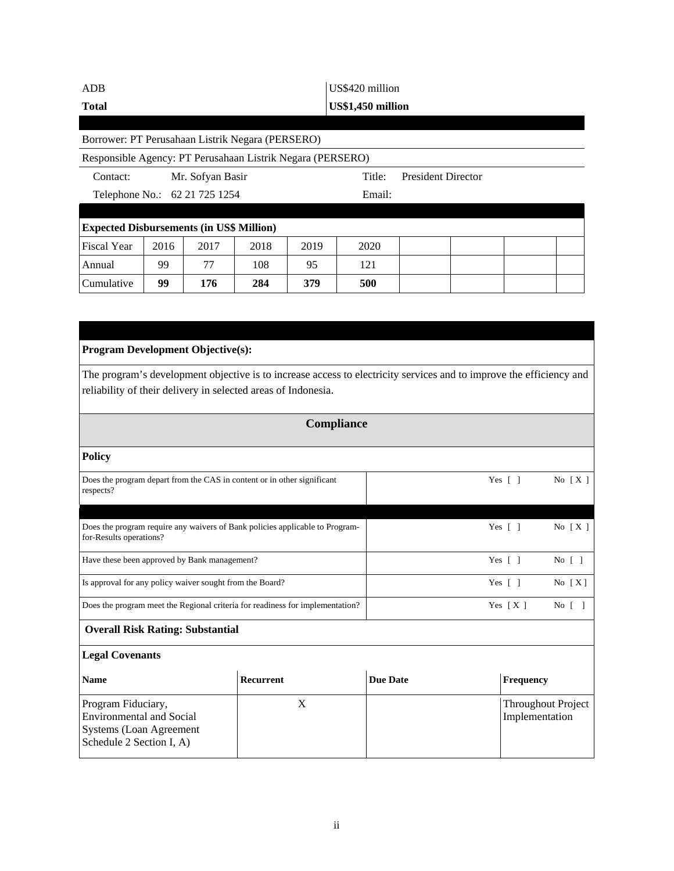| ADB                                                        | US\$420 million                         |                  |      |                   |        |                           |  |  |  |
|------------------------------------------------------------|-----------------------------------------|------------------|------|-------------------|--------|---------------------------|--|--|--|
| <b>Total</b>                                               |                                         |                  |      | US\$1,450 million |        |                           |  |  |  |
|                                                            |                                         |                  |      |                   |        |                           |  |  |  |
| Borrower: PT Perusahaan Listrik Negara (PERSERO)           |                                         |                  |      |                   |        |                           |  |  |  |
| Responsible Agency: PT Perusahaan Listrik Negara (PERSERO) |                                         |                  |      |                   |        |                           |  |  |  |
| Contact:                                                   |                                         | Mr. Sofyan Basir |      |                   | Title: | <b>President Director</b> |  |  |  |
|                                                            | Telephone No.: 62 21 725 1254<br>Email: |                  |      |                   |        |                           |  |  |  |
|                                                            |                                         |                  |      |                   |        |                           |  |  |  |
| <b>Expected Disbursements (in US\$ Million)</b>            |                                         |                  |      |                   |        |                           |  |  |  |
| <b>Fiscal Year</b>                                         | 2016                                    | 2017             | 2018 | 2019              | 2020   |                           |  |  |  |
| Annual                                                     | 99                                      | 77               | 108  | 95                | 121    |                           |  |  |  |
| Cumulative                                                 | 99                                      | 176              | 284  | 379               | 500    |                           |  |  |  |

| <b>Program Development Objective(s):</b>                                                                                                                                             |                                                                               |                 |                                             |  |  |  |  |
|--------------------------------------------------------------------------------------------------------------------------------------------------------------------------------------|-------------------------------------------------------------------------------|-----------------|---------------------------------------------|--|--|--|--|
| The program's development objective is to increase access to electricity services and to improve the efficiency and<br>reliability of their delivery in selected areas of Indonesia. |                                                                               |                 |                                             |  |  |  |  |
|                                                                                                                                                                                      | <b>Compliance</b>                                                             |                 |                                             |  |  |  |  |
| <b>Policy</b>                                                                                                                                                                        |                                                                               |                 |                                             |  |  |  |  |
| Does the program depart from the CAS in content or in other significant<br>respects?                                                                                                 |                                                                               |                 | Yes $\lceil \; \rceil$<br>No $[X]$          |  |  |  |  |
| for-Results operations?                                                                                                                                                              | Does the program require any waivers of Bank policies applicable to Program-  |                 | Yes $\lceil \; \rceil$<br>No $[X]$          |  |  |  |  |
| Have these been approved by Bank management?                                                                                                                                         |                                                                               |                 | Yes $\lceil \ \rceil$<br>No [ ]             |  |  |  |  |
| Is approval for any policy waiver sought from the Board?                                                                                                                             |                                                                               |                 | Yes $\lceil \; \rceil$<br>No $[X]$          |  |  |  |  |
|                                                                                                                                                                                      | Does the program meet the Regional criteria for readiness for implementation? |                 | Yes $[X]$<br>No [ ]                         |  |  |  |  |
| <b>Overall Risk Rating: Substantial</b>                                                                                                                                              |                                                                               |                 |                                             |  |  |  |  |
| <b>Legal Covenants</b>                                                                                                                                                               |                                                                               |                 |                                             |  |  |  |  |
| <b>Name</b>                                                                                                                                                                          | Recurrent                                                                     | <b>Due Date</b> | Frequency                                   |  |  |  |  |
| Program Fiduciary,<br><b>Environmental and Social</b><br>Systems (Loan Agreement<br>Schedule 2 Section I, A)                                                                         | X                                                                             |                 | <b>Throughout Project</b><br>Implementation |  |  |  |  |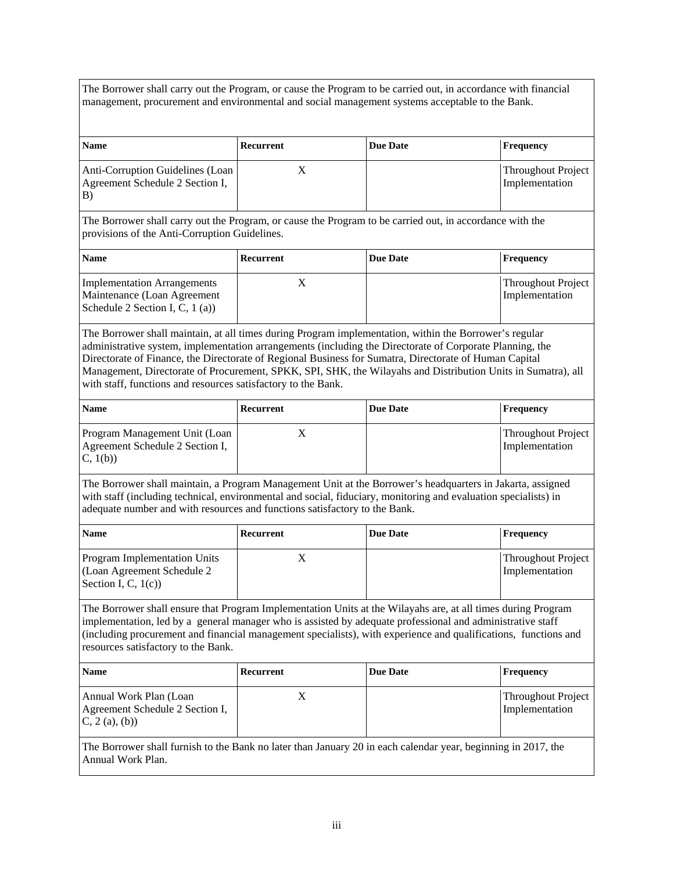The Borrower shall carry out the Program, or cause the Program to be carried out, in accordance with financial management, procurement and environmental and social management systems acceptable to the Bank.

| <b>Name</b>                                                               | Recurrent | Due Date | Frequency                            |
|---------------------------------------------------------------------------|-----------|----------|--------------------------------------|
| Anti-Corruption Guidelines (Loan<br>Agreement Schedule 2 Section I,<br>B) |           |          | Throughout Project<br>Implementation |

The Borrower shall carry out the Program, or cause the Program to be carried out, in accordance with the provisions of the Anti-Corruption Guidelines.

| <b>Name</b>                                                                                            | Recurrent | Due Date | <b>Frequency</b>                     |
|--------------------------------------------------------------------------------------------------------|-----------|----------|--------------------------------------|
| <b>Implementation Arrangements</b><br>Maintenance (Loan Agreement<br>Schedule 2 Section I, C, $1$ (a)) |           |          | Throughout Project<br>Implementation |

The Borrower shall maintain, at all times during Program implementation, within the Borrower's regular administrative system, implementation arrangements (including the Directorate of Corporate Planning, the Directorate of Finance, the Directorate of Regional Business for Sumatra, Directorate of Human Capital Management, Directorate of Procurement, SPKK, SPI, SHK, the Wilayahs and Distribution Units in Sumatra), all with staff, functions and resources satisfactory to the Bank.

| <b>Name</b>                                                                 | Recurrent | <b>Due Date</b> | Frequency                            |
|-----------------------------------------------------------------------------|-----------|-----------------|--------------------------------------|
| Program Management Unit (Loan<br>Agreement Schedule 2 Section I,<br>C, 1(b) |           |                 | Throughout Project<br>Implementation |

The Borrower shall maintain, a Program Management Unit at the Borrower's headquarters in Jakarta, assigned with staff (including technical, environmental and social, fiduciary, monitoring and evaluation specialists) in adequate number and with resources and functions satisfactory to the Bank.

| <b>Name</b>                                                                                  | Recurrent | <b>Due Date</b> | <b>Frequency</b>                     |
|----------------------------------------------------------------------------------------------|-----------|-----------------|--------------------------------------|
| <b>Program Implementation Units</b><br>(Loan Agreement Schedule 2)<br>Section I, C, $1(c)$ ) |           |                 | Throughout Project<br>Implementation |

The Borrower shall ensure that Program Implementation Units at the Wilayahs are, at all times during Program implementation, led by a general manager who is assisted by adequate professional and administrative staff (including procurement and financial management specialists), with experience and qualifications, functions and resources satisfactory to the Bank.

| <b>Name</b>                                                                                                      | Recurrent | Due Date | Frequency                            |
|------------------------------------------------------------------------------------------------------------------|-----------|----------|--------------------------------------|
| Annual Work Plan (Loan<br>Agreement Schedule 2 Section I,<br>(C, 2(a), (b))                                      |           |          | Throughout Project<br>Implementation |
| The Berrewer shall furnish to the Bank no later than January $20$ in each calendar year, beginning in $2017$ the |           |          |                                      |

The Borrower shall furnish to the Bank no later than January 20 in each calendar year, beginning in 2017, the Annual Work Plan.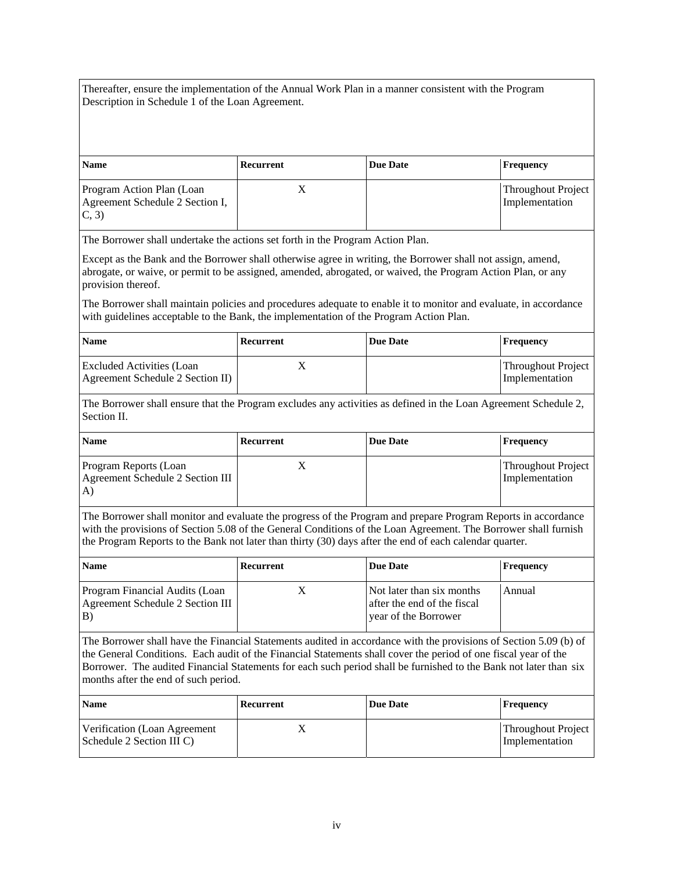Thereafter, ensure the implementation of the Annual Work Plan in a manner consistent with the Program Description in Schedule 1 of the Loan Agreement.

| <b>Name</b>                                                            | Recurrent | Due Date | Frequency                            |
|------------------------------------------------------------------------|-----------|----------|--------------------------------------|
| Program Action Plan (Loan<br>Agreement Schedule 2 Section I,<br>(C, 3) |           |          | Throughout Project<br>Implementation |

The Borrower shall undertake the actions set forth in the Program Action Plan.

Except as the Bank and the Borrower shall otherwise agree in writing, the Borrower shall not assign, amend, abrogate, or waive, or permit to be assigned, amended, abrogated, or waived, the Program Action Plan, or any provision thereof.

The Borrower shall maintain policies and procedures adequate to enable it to monitor and evaluate, in accordance with guidelines acceptable to the Bank, the implementation of the Program Action Plan.

| <b>Name</b>                                                   | Recurrent | Due Date | Frequency                                   |
|---------------------------------------------------------------|-----------|----------|---------------------------------------------|
| Excluded Activities (Loan<br>Agreement Schedule 2 Section II) |           |          | <b>Throughout Project</b><br>Implementation |

The Borrower shall ensure that the Program excludes any activities as defined in the Loan Agreement Schedule 2, Section II.

| <b>Name</b>                                                     | Recurrent | Due Date | <b>Frequency</b>                            |
|-----------------------------------------------------------------|-----------|----------|---------------------------------------------|
| Program Reports (Loan<br>Agreement Schedule 2 Section III<br>A) |           |          | <b>Throughout Project</b><br>Implementation |

The Borrower shall monitor and evaluate the progress of the Program and prepare Program Reports in accordance with the provisions of Section 5.08 of the General Conditions of the Loan Agreement. The Borrower shall furnish the Program Reports to the Bank not later than thirty (30) days after the end of each calendar quarter.

| <b>Name</b>                                                              | Recurrent | <b>Due Date</b>                                                                  | Frequency |
|--------------------------------------------------------------------------|-----------|----------------------------------------------------------------------------------|-----------|
| Program Financial Audits (Loan<br>Agreement Schedule 2 Section III<br>B) |           | Not later than six months<br>after the end of the fiscal<br>year of the Borrower | Annual    |

The Borrower shall have the Financial Statements audited in accordance with the provisions of Section 5.09 (b) of the General Conditions. Each audit of the Financial Statements shall cover the period of one fiscal year of the Borrower. The audited Financial Statements for each such period shall be furnished to the Bank not later than six months after the end of such period.

| <b>Name</b>                                               | Recurrent | <b>Due Date</b> | Frequency                            |
|-----------------------------------------------------------|-----------|-----------------|--------------------------------------|
| Verification (Loan Agreement<br>Schedule 2 Section III C) |           |                 | Throughout Project<br>Implementation |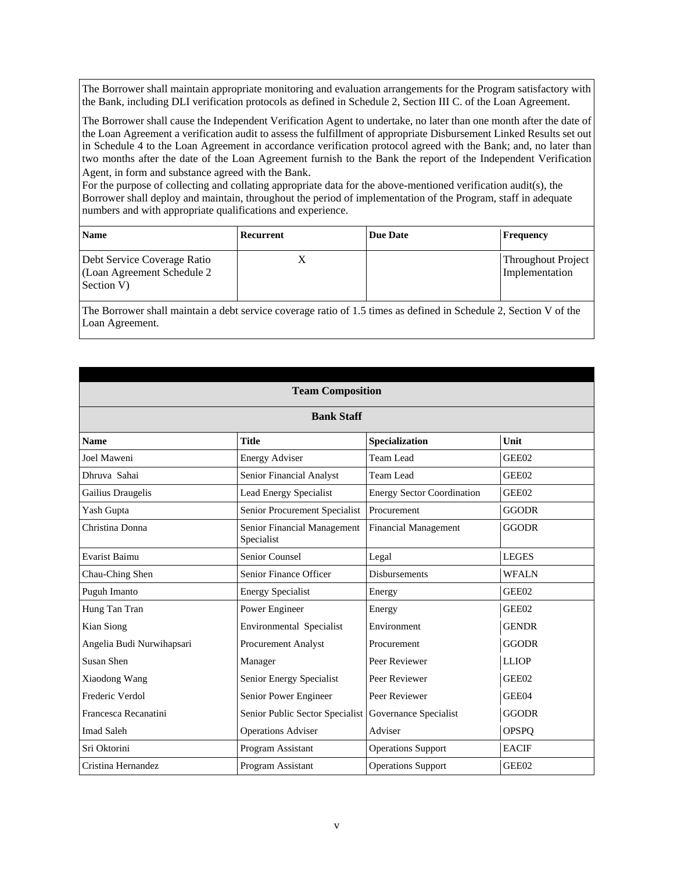The Borrower shall maintain appropriate monitoring and evaluation arrangements for the Program satisfactory with the Bank, including DLI verification protocols as defined in Schedule 2, Section III C. of the Loan Agreement.

The Borrower shall cause the Independent Verification Agent to undertake, no later than one month after the date of the Loan Agreement a verification audit to assess the fulfillment of appropriate Disbursement Linked Results set out in Schedule 4 to the Loan Agreement in accordance verification protocol agreed with the Bank; and, no later than two months after the date of the Loan Agreement furnish to the Bank the report of the Independent Verification Agent, in form and substance agreed with the Bank.

For the purpose of collecting and collating appropriate data for the above-mentioned verification audit(s), the Borrower shall deploy and maintain, throughout the period of implementation of the Program, staff in adequate numbers and with appropriate qualifications and experience.

| <b>Name</b>                                                              | Recurrent | <b>Due Date</b> | <b>Frequency</b>                     |
|--------------------------------------------------------------------------|-----------|-----------------|--------------------------------------|
| Debt Service Coverage Ratio<br>(Loan Agreement Schedule 2)<br>Section V) |           |                 | Throughout Project<br>Implementation |

The Borrower shall maintain a debt service coverage ratio of 1.5 times as defined in Schedule 2, Section V of the Loan Agreement.

| <b>Team Composition</b>   |                                           |                                   |              |
|---------------------------|-------------------------------------------|-----------------------------------|--------------|
|                           | <b>Bank Staff</b>                         |                                   |              |
| <b>Name</b>               | <b>Title</b>                              | Specialization                    | Unit         |
| Joel Maweni               | <b>Energy Adviser</b>                     | Team Lead                         | GEE02        |
| Dhruva Sahai              | Senior Financial Analyst                  | Team Lead                         | GEE02        |
| Gailius Draugelis         | <b>Lead Energy Specialist</b>             | <b>Energy Sector Coordination</b> | GEE02        |
| Yash Gupta                | Senior Procurement Specialist             | Procurement                       | <b>GGODR</b> |
| Christina Donna           | Senior Financial Management<br>Specialist | <b>Financial Management</b>       | <b>GGODR</b> |
| Evarist Baimu             | Senior Counsel                            | Legal                             | <b>LEGES</b> |
| Chau-Ching Shen           | Senior Finance Officer                    | <b>Disbursements</b>              | <b>WFALN</b> |
| Puguh Imanto              | <b>Energy Specialist</b>                  | Energy                            | GEE02        |
| Hung Tan Tran             | Power Engineer                            | Energy                            | GEE02        |
| Kian Siong                | <b>Environmental Specialist</b>           | Environment                       | <b>GENDR</b> |
| Angelia Budi Nurwihapsari | Procurement Analyst                       | Procurement                       | <b>GGODR</b> |
| Susan Shen                | Manager                                   | Peer Reviewer                     | <b>LLIOP</b> |
| Xiaodong Wang             | Senior Energy Specialist                  | Peer Reviewer                     | GEE02        |
| Frederic Verdol           | Senior Power Engineer                     | Peer Reviewer                     | GEE04        |
| Francesca Recanatini      | Senior Public Sector Specialist           | Governance Specialist             | <b>GGODR</b> |
| <b>Imad Saleh</b>         | <b>Operations Adviser</b>                 | Adviser                           | <b>OPSPQ</b> |
| Sri Oktorini              | Program Assistant                         | <b>Operations Support</b>         | <b>EACIF</b> |
| Cristina Hernandez        | Program Assistant                         | <b>Operations Support</b>         | GEE02        |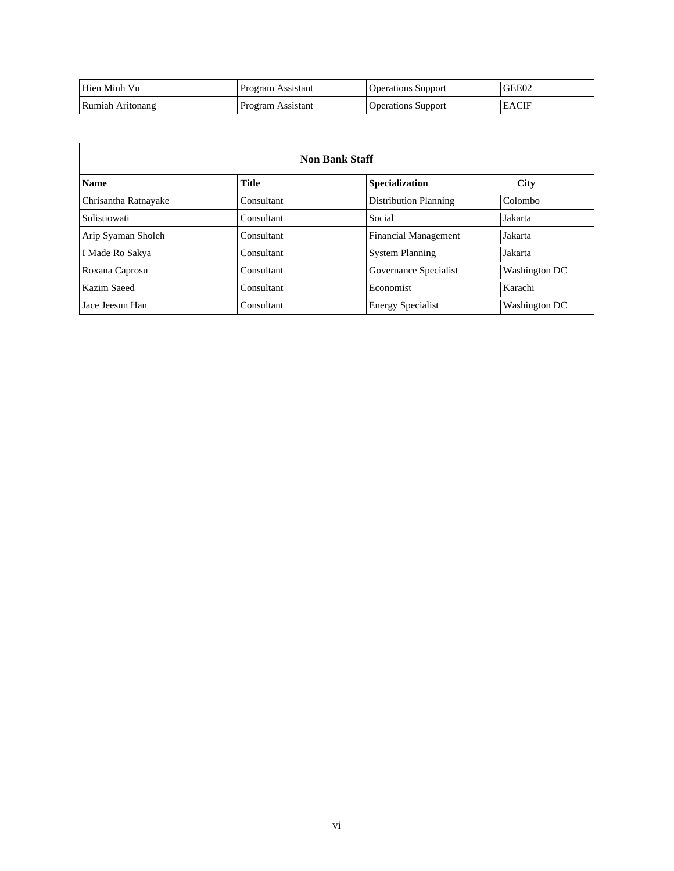| Hien Minh Vu     | Program Assistant | <b>Operations Support</b> | GEE02        |
|------------------|-------------------|---------------------------|--------------|
| Rumiah Aritonang | Program Assistant | <b>Operations Support</b> | <b>EACIF</b> |

| <b>Non Bank Staff</b> |              |                             |               |
|-----------------------|--------------|-----------------------------|---------------|
| <b>Name</b>           | <b>Title</b> | <b>Specialization</b>       | <b>City</b>   |
| Chrisantha Ratnayake  | Consultant   | Distribution Planning       | Colombo       |
| Sulistiowati          | Consultant   | Social                      | Jakarta       |
| Arip Syaman Sholeh    | Consultant   | <b>Financial Management</b> | Jakarta       |
| I Made Ro Sakya       | Consultant   | <b>System Planning</b>      | Jakarta       |
| Roxana Caprosu        | Consultant   | Governance Specialist       | Washington DC |
| Kazim Saeed           | Consultant   | Economist                   | Karachi       |
| Jace Jeesun Han       | Consultant   | <b>Energy Specialist</b>    | Washington DC |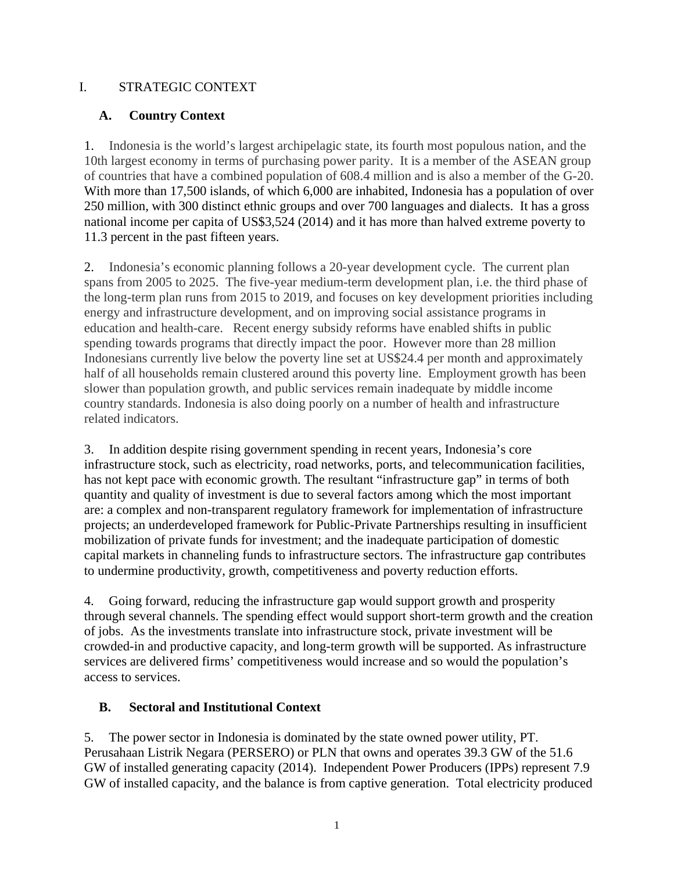## I. STRATEGIC CONTEXT

# **A. Country Context**

1. Indonesia is the world's largest archipelagic state, its fourth most populous nation, and the 10th largest economy in terms of purchasing power parity. It is a member of the ASEAN group of countries that have a combined population of 608.4 million and is also a member of the G-20. With more than 17,500 islands, of which 6,000 are inhabited, Indonesia has a population of over 250 million, with 300 distinct ethnic groups and over 700 languages and dialects. It has a gross national income per capita of US\$3,524 (2014) and it has more than halved extreme poverty to 11.3 percent in the past fifteen years.

2. Indonesia's economic planning follows a 20-year development cycle. The current plan spans from 2005 to 2025. The five-year medium-term development plan, i.e. the third phase of the long-term plan runs from 2015 to 2019, and focuses on key development priorities including energy and infrastructure development, and on improving social assistance programs in education and health-care. Recent energy subsidy reforms have enabled shifts in public spending towards programs that directly impact the poor. However more than 28 million Indonesians currently live below the poverty line set at US\$24.4 per month and approximately half of all households remain clustered around this poverty line. Employment growth has been slower than population growth, and public services remain inadequate by middle income country standards. Indonesia is also doing poorly on a number of health and infrastructure related indicators.

3. In addition despite rising government spending in recent years, Indonesia's core infrastructure stock, such as electricity, road networks, ports, and telecommunication facilities, has not kept pace with economic growth. The resultant "infrastructure gap" in terms of both quantity and quality of investment is due to several factors among which the most important are: a complex and non-transparent regulatory framework for implementation of infrastructure projects; an underdeveloped framework for Public-Private Partnerships resulting in insufficient mobilization of private funds for investment; and the inadequate participation of domestic capital markets in channeling funds to infrastructure sectors. The infrastructure gap contributes to undermine productivity, growth, competitiveness and poverty reduction efforts.

4. Going forward, reducing the infrastructure gap would support growth and prosperity through several channels. The spending effect would support short-term growth and the creation of jobs. As the investments translate into infrastructure stock, private investment will be crowded-in and productive capacity, and long-term growth will be supported. As infrastructure services are delivered firms' competitiveness would increase and so would the population's access to services.

# **B. Sectoral and Institutional Context**

5. The power sector in Indonesia is dominated by the state owned power utility, PT. Perusahaan Listrik Negara (PERSERO) or PLN that owns and operates 39.3 GW of the 51.6 GW of installed generating capacity (2014). Independent Power Producers (IPPs) represent 7.9 GW of installed capacity, and the balance is from captive generation. Total electricity produced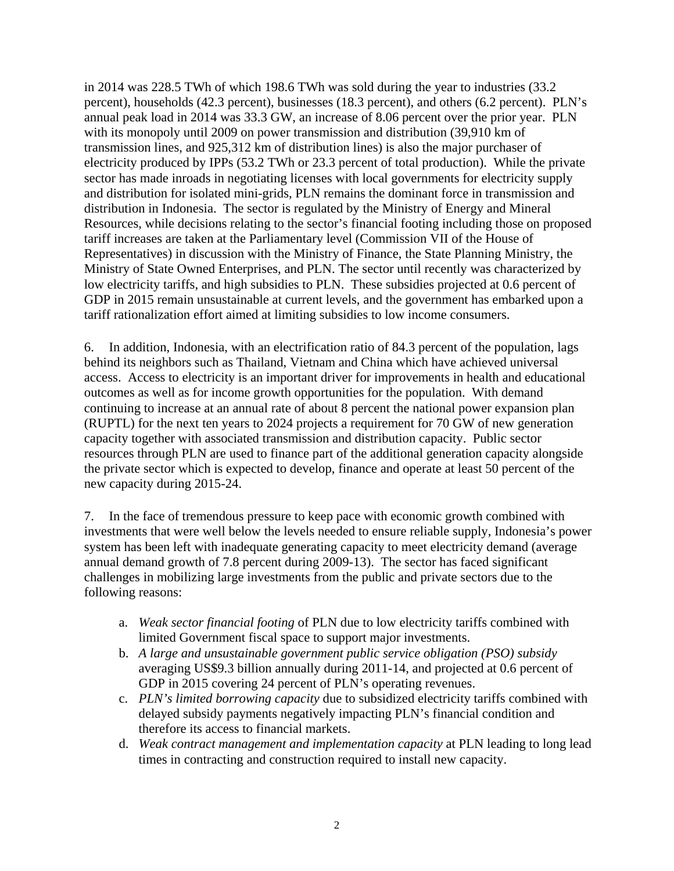in 2014 was 228.5 TWh of which 198.6 TWh was sold during the year to industries (33.2 percent), households (42.3 percent), businesses (18.3 percent), and others (6.2 percent). PLN's annual peak load in 2014 was 33.3 GW, an increase of 8.06 percent over the prior year. PLN with its monopoly until 2009 on power transmission and distribution (39,910 km of transmission lines, and 925,312 km of distribution lines) is also the major purchaser of electricity produced by IPPs (53.2 TWh or 23.3 percent of total production). While the private sector has made inroads in negotiating licenses with local governments for electricity supply and distribution for isolated mini-grids, PLN remains the dominant force in transmission and distribution in Indonesia. The sector is regulated by the Ministry of Energy and Mineral Resources, while decisions relating to the sector's financial footing including those on proposed tariff increases are taken at the Parliamentary level (Commission VII of the House of Representatives) in discussion with the Ministry of Finance, the State Planning Ministry, the Ministry of State Owned Enterprises, and PLN. The sector until recently was characterized by low electricity tariffs, and high subsidies to PLN. These subsidies projected at 0.6 percent of GDP in 2015 remain unsustainable at current levels, and the government has embarked upon a tariff rationalization effort aimed at limiting subsidies to low income consumers.

6. In addition, Indonesia, with an electrification ratio of 84.3 percent of the population, lags behind its neighbors such as Thailand, Vietnam and China which have achieved universal access. Access to electricity is an important driver for improvements in health and educational outcomes as well as for income growth opportunities for the population. With demand continuing to increase at an annual rate of about 8 percent the national power expansion plan (RUPTL) for the next ten years to 2024 projects a requirement for 70 GW of new generation capacity together with associated transmission and distribution capacity. Public sector resources through PLN are used to finance part of the additional generation capacity alongside the private sector which is expected to develop, finance and operate at least 50 percent of the new capacity during 2015-24.

7. In the face of tremendous pressure to keep pace with economic growth combined with investments that were well below the levels needed to ensure reliable supply, Indonesia's power system has been left with inadequate generating capacity to meet electricity demand (average annual demand growth of 7.8 percent during 2009-13). The sector has faced significant challenges in mobilizing large investments from the public and private sectors due to the following reasons:

- a. *Weak sector financial footing* of PLN due to low electricity tariffs combined with limited Government fiscal space to support major investments.
- b. *A large and unsustainable government public service obligation (PSO) subsidy* averaging US\$9.3 billion annually during 2011-14, and projected at 0.6 percent of GDP in 2015 covering 24 percent of PLN's operating revenues.
- c. *PLN's limited borrowing capacity* due to subsidized electricity tariffs combined with delayed subsidy payments negatively impacting PLN's financial condition and therefore its access to financial markets.
- d. *Weak contract management and implementation capacity* at PLN leading to long lead times in contracting and construction required to install new capacity.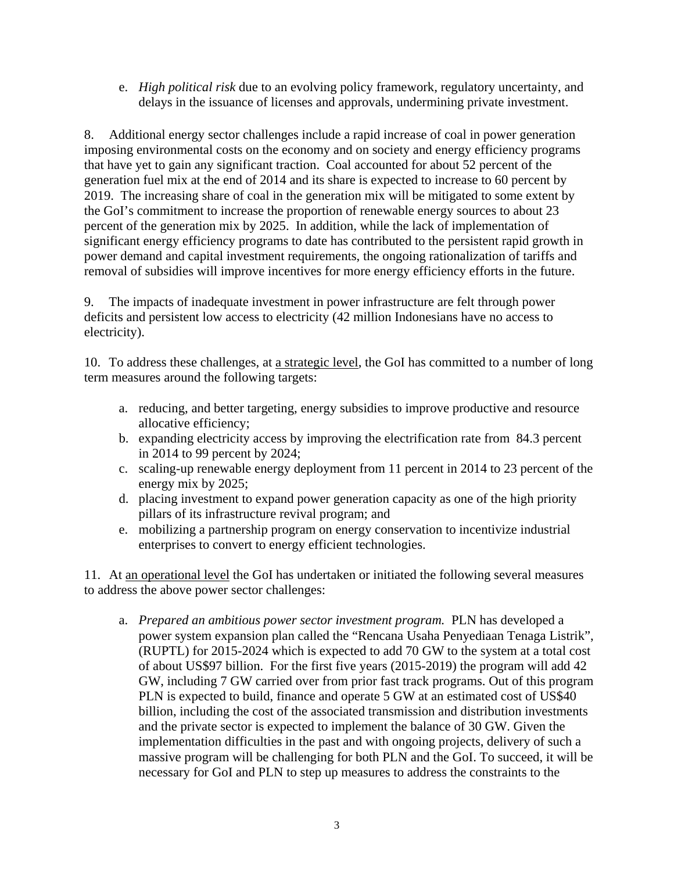e. *High political risk* due to an evolving policy framework, regulatory uncertainty, and delays in the issuance of licenses and approvals, undermining private investment.

8. Additional energy sector challenges include a rapid increase of coal in power generation imposing environmental costs on the economy and on society and energy efficiency programs that have yet to gain any significant traction. Coal accounted for about 52 percent of the generation fuel mix at the end of 2014 and its share is expected to increase to 60 percent by 2019. The increasing share of coal in the generation mix will be mitigated to some extent by the GoI's commitment to increase the proportion of renewable energy sources to about 23 percent of the generation mix by 2025. In addition, while the lack of implementation of significant energy efficiency programs to date has contributed to the persistent rapid growth in power demand and capital investment requirements, the ongoing rationalization of tariffs and removal of subsidies will improve incentives for more energy efficiency efforts in the future.

9. The impacts of inadequate investment in power infrastructure are felt through power deficits and persistent low access to electricity (42 million Indonesians have no access to electricity).

10. To address these challenges, at a strategic level, the GoI has committed to a number of long term measures around the following targets:

- a. reducing, and better targeting, energy subsidies to improve productive and resource allocative efficiency;
- b. expanding electricity access by improving the electrification rate from 84.3 percent in 2014 to 99 percent by 2024;
- c. scaling-up renewable energy deployment from 11 percent in 2014 to 23 percent of the energy mix by 2025;
- d. placing investment to expand power generation capacity as one of the high priority pillars of its infrastructure revival program; and
- e. mobilizing a partnership program on energy conservation to incentivize industrial enterprises to convert to energy efficient technologies.

11. At an operational level the GoI has undertaken or initiated the following several measures to address the above power sector challenges:

a. *Prepared an ambitious power sector investment program.* PLN has developed a power system expansion plan called the "Rencana Usaha Penyediaan Tenaga Listrik", (RUPTL) for 2015-2024 which is expected to add 70 GW to the system at a total cost of about US\$97 billion. For the first five years (2015-2019) the program will add 42 GW, including 7 GW carried over from prior fast track programs. Out of this program PLN is expected to build, finance and operate 5 GW at an estimated cost of US\$40 billion, including the cost of the associated transmission and distribution investments and the private sector is expected to implement the balance of 30 GW. Given the implementation difficulties in the past and with ongoing projects, delivery of such a massive program will be challenging for both PLN and the GoI. To succeed, it will be necessary for GoI and PLN to step up measures to address the constraints to the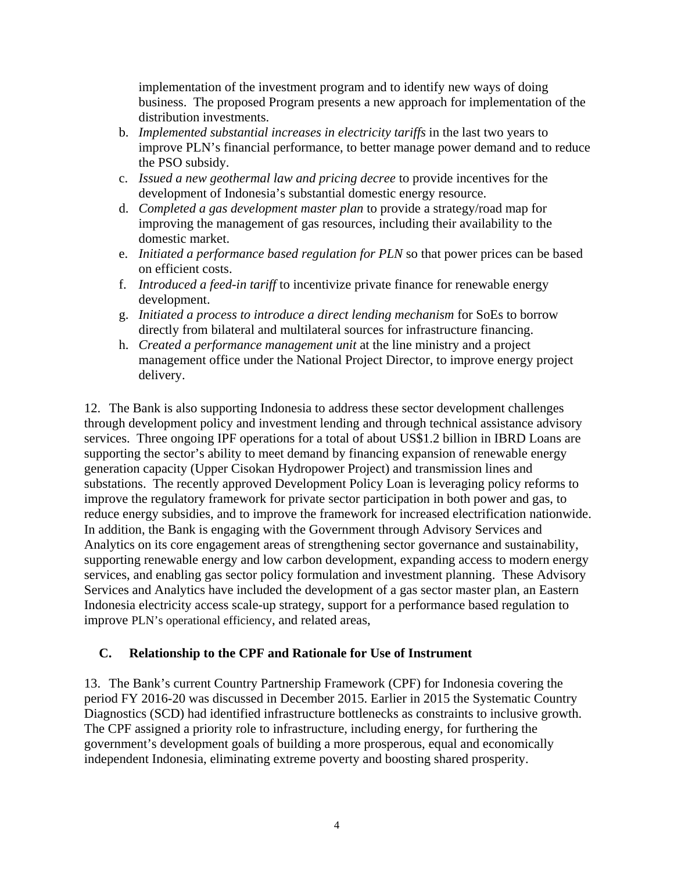implementation of the investment program and to identify new ways of doing business. The proposed Program presents a new approach for implementation of the distribution investments.

- b. *Implemented substantial increases in electricity tariffs* in the last two years to improve PLN's financial performance, to better manage power demand and to reduce the PSO subsidy.
- c. *Issued a new geothermal law and pricing decree* to provide incentives for the development of Indonesia's substantial domestic energy resource.
- d. *Completed a gas development master plan* to provide a strategy/road map for improving the management of gas resources, including their availability to the domestic market.
- e. *Initiated a performance based regulation for PLN* so that power prices can be based on efficient costs.
- f. *Introduced a feed-in tariff* to incentivize private finance for renewable energy development.
- g. *Initiated a process to introduce a direct lending mechanism* for SoEs to borrow directly from bilateral and multilateral sources for infrastructure financing.
- h. *Created a performance management unit* at the line ministry and a project management office under the National Project Director, to improve energy project delivery.

12. The Bank is also supporting Indonesia to address these sector development challenges through development policy and investment lending and through technical assistance advisory services. Three ongoing IPF operations for a total of about US\$1.2 billion in IBRD Loans are supporting the sector's ability to meet demand by financing expansion of renewable energy generation capacity (Upper Cisokan Hydropower Project) and transmission lines and substations. The recently approved Development Policy Loan is leveraging policy reforms to improve the regulatory framework for private sector participation in both power and gas, to reduce energy subsidies, and to improve the framework for increased electrification nationwide. In addition, the Bank is engaging with the Government through Advisory Services and Analytics on its core engagement areas of strengthening sector governance and sustainability, supporting renewable energy and low carbon development, expanding access to modern energy services, and enabling gas sector policy formulation and investment planning. These Advisory Services and Analytics have included the development of a gas sector master plan, an Eastern Indonesia electricity access scale-up strategy, support for a performance based regulation to improve PLN's operational efficiency, and related areas,

## **C. Relationship to the CPF and Rationale for Use of Instrument**

13. The Bank's current Country Partnership Framework (CPF) for Indonesia covering the period FY 2016-20 was discussed in December 2015. Earlier in 2015 the Systematic Country Diagnostics (SCD) had identified infrastructure bottlenecks as constraints to inclusive growth. The CPF assigned a priority role to infrastructure, including energy, for furthering the government's development goals of building a more prosperous, equal and economically independent Indonesia, eliminating extreme poverty and boosting shared prosperity.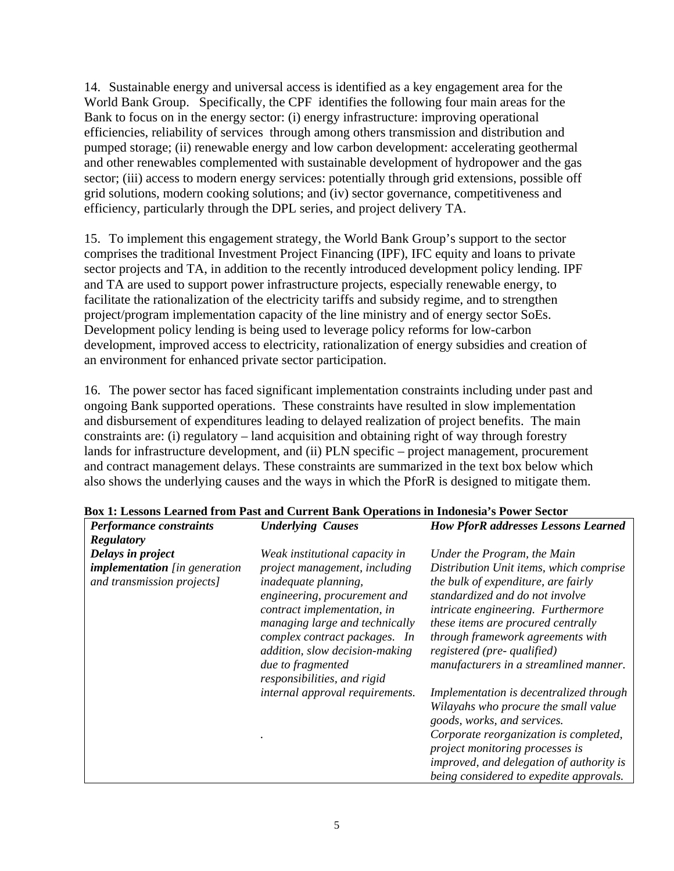14. Sustainable energy and universal access is identified as a key engagement area for the World Bank Group. Specifically, the CPF identifies the following four main areas for the Bank to focus on in the energy sector: (i) energy infrastructure: improving operational efficiencies, reliability of services through among others transmission and distribution and pumped storage; (ii) renewable energy and low carbon development: accelerating geothermal and other renewables complemented with sustainable development of hydropower and the gas sector; (iii) access to modern energy services: potentially through grid extensions, possible off grid solutions, modern cooking solutions; and (iv) sector governance, competitiveness and efficiency, particularly through the DPL series, and project delivery TA.

15. To implement this engagement strategy, the World Bank Group's support to the sector comprises the traditional Investment Project Financing (IPF), IFC equity and loans to private sector projects and TA, in addition to the recently introduced development policy lending. IPF and TA are used to support power infrastructure projects, especially renewable energy, to facilitate the rationalization of the electricity tariffs and subsidy regime, and to strengthen project/program implementation capacity of the line ministry and of energy sector SoEs. Development policy lending is being used to leverage policy reforms for low-carbon development, improved access to electricity, rationalization of energy subsidies and creation of an environment for enhanced private sector participation.

16. The power sector has faced significant implementation constraints including under past and ongoing Bank supported operations. These constraints have resulted in slow implementation and disbursement of expenditures leading to delayed realization of project benefits. The main constraints are: (i) regulatory – land acquisition and obtaining right of way through forestry lands for infrastructure development, and (ii) PLN specific – project management, procurement and contract management delays. These constraints are summarized in the text box below which also shows the underlying causes and the ways in which the PforR is designed to mitigate them.

| <b>Regulatory</b><br>Delays in project<br><b>implementation</b> [in generation<br>and transmission projects] | Weak institutional capacity in<br>project management, including<br><i>inadequate planning,</i><br>engineering, procurement and   | Under the Program, the Main<br>Distribution Unit items, which comprise<br>the bulk of expenditure, are fairly<br>standardized and do not involve |
|--------------------------------------------------------------------------------------------------------------|----------------------------------------------------------------------------------------------------------------------------------|--------------------------------------------------------------------------------------------------------------------------------------------------|
|                                                                                                              | contract implementation, in<br>managing large and technically<br>complex contract packages. In<br>addition, slow decision-making | intricate engineering. Furthermore<br>these items are procured centrally<br>through framework agreements with<br>registered (pre- qualified)     |
|                                                                                                              | due to fragmented<br>responsibilities, and rigid                                                                                 | manufacturers in a streamlined manner.                                                                                                           |
|                                                                                                              | internal approval requirements.                                                                                                  | Implementation is decentralized through<br>Wilayahs who procure the small value<br>goods, works, and services.                                   |
|                                                                                                              |                                                                                                                                  | Corporate reorganization is completed,<br>project monitoring processes is                                                                        |
|                                                                                                              |                                                                                                                                  | improved, and delegation of authority is<br>being considered to expedite approvals.                                                              |

#### **Box 1: Lessons Learned from Past and Current Bank Operations in Indonesia's Power Sector**

*Performance constraints Underlying Causes How PforR addresses Lessons Learned*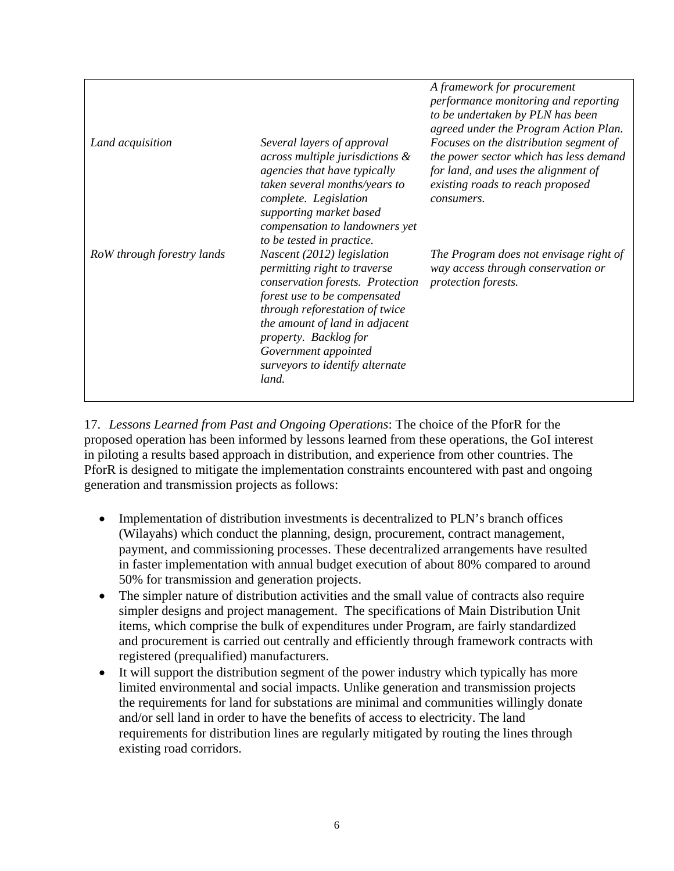|                            |                                                                                                                                                                                                                                                                                                 | A framework for procurement<br>performance monitoring and reporting<br>to be undertaken by PLN has been<br>agreed under the Program Action Plan.                          |
|----------------------------|-------------------------------------------------------------------------------------------------------------------------------------------------------------------------------------------------------------------------------------------------------------------------------------------------|---------------------------------------------------------------------------------------------------------------------------------------------------------------------------|
| Land acquisition           | Several layers of approval<br>across multiple jurisdictions $\&$<br><i>agencies that have typically</i><br>taken several months/years to<br>complete. Legislation<br>supporting market based<br>compensation to landowners yet<br>to be tested in practice.                                     | Focuses on the distribution segment of<br>the power sector which has less demand<br>for land, and uses the alignment of<br>existing roads to reach proposed<br>consumers. |
| RoW through forestry lands | Nascent (2012) legislation<br>permitting right to traverse<br>conservation forests. Protection<br>forest use to be compensated<br>through reforestation of twice<br>the amount of land in adjacent<br>property. Backlog for<br>Government appointed<br>surveyors to identify alternate<br>land. | The Program does not envisage right of<br>way access through conservation or<br>protection forests.                                                                       |

17. *Lessons Learned from Past and Ongoing Operations*: The choice of the PforR for the proposed operation has been informed by lessons learned from these operations, the GoI interest in piloting a results based approach in distribution, and experience from other countries. The PforR is designed to mitigate the implementation constraints encountered with past and ongoing generation and transmission projects as follows:

- Implementation of distribution investments is decentralized to PLN's branch offices (Wilayahs) which conduct the planning, design, procurement, contract management, payment, and commissioning processes. These decentralized arrangements have resulted in faster implementation with annual budget execution of about 80% compared to around 50% for transmission and generation projects.
- The simpler nature of distribution activities and the small value of contracts also require simpler designs and project management. The specifications of Main Distribution Unit items, which comprise the bulk of expenditures under Program, are fairly standardized and procurement is carried out centrally and efficiently through framework contracts with registered (prequalified) manufacturers.
- It will support the distribution segment of the power industry which typically has more limited environmental and social impacts. Unlike generation and transmission projects the requirements for land for substations are minimal and communities willingly donate and/or sell land in order to have the benefits of access to electricity. The land requirements for distribution lines are regularly mitigated by routing the lines through existing road corridors.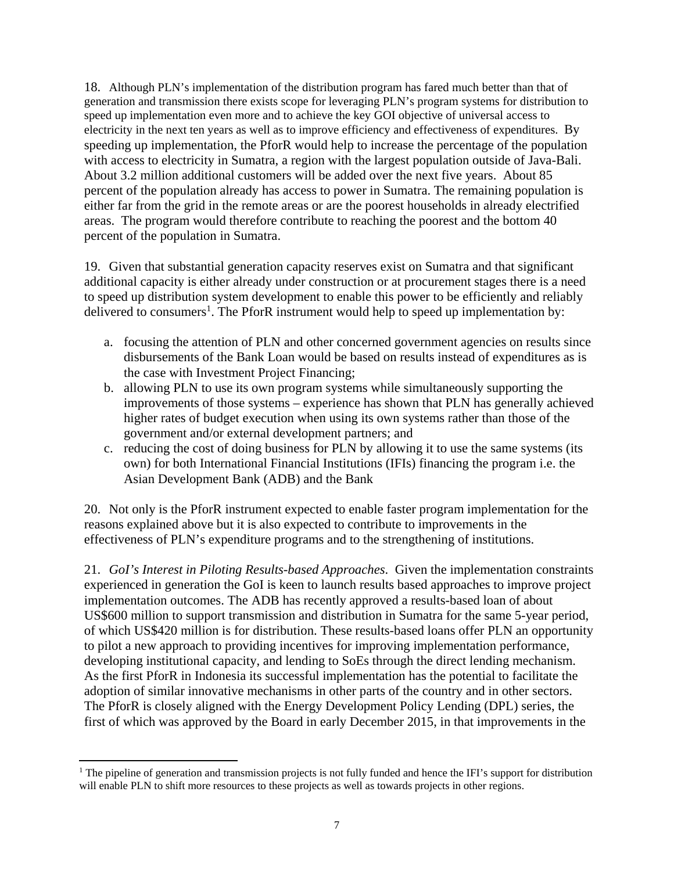18. Although PLN's implementation of the distribution program has fared much better than that of generation and transmission there exists scope for leveraging PLN's program systems for distribution to speed up implementation even more and to achieve the key GOI objective of universal access to electricity in the next ten years as well as to improve efficiency and effectiveness of expenditures. By speeding up implementation, the PforR would help to increase the percentage of the population with access to electricity in Sumatra, a region with the largest population outside of Java-Bali. About 3.2 million additional customers will be added over the next five years. About 85 percent of the population already has access to power in Sumatra. The remaining population is either far from the grid in the remote areas or are the poorest households in already electrified areas. The program would therefore contribute to reaching the poorest and the bottom 40 percent of the population in Sumatra.

19. Given that substantial generation capacity reserves exist on Sumatra and that significant additional capacity is either already under construction or at procurement stages there is a need to speed up distribution system development to enable this power to be efficiently and reliably delivered to consumers<sup>1</sup>. The PforR instrument would help to speed up implementation by:

- a. focusing the attention of PLN and other concerned government agencies on results since disbursements of the Bank Loan would be based on results instead of expenditures as is the case with Investment Project Financing;
- b. allowing PLN to use its own program systems while simultaneously supporting the improvements of those systems – experience has shown that PLN has generally achieved higher rates of budget execution when using its own systems rather than those of the government and/or external development partners; and
- c. reducing the cost of doing business for PLN by allowing it to use the same systems (its own) for both International Financial Institutions (IFIs) financing the program i.e. the Asian Development Bank (ADB) and the Bank

20. Not only is the PforR instrument expected to enable faster program implementation for the reasons explained above but it is also expected to contribute to improvements in the effectiveness of PLN's expenditure programs and to the strengthening of institutions.

21. *GoI's Interest in Piloting Results-based Approaches*. Given the implementation constraints experienced in generation the GoI is keen to launch results based approaches to improve project implementation outcomes. The ADB has recently approved a results-based loan of about US\$600 million to support transmission and distribution in Sumatra for the same 5-year period, of which US\$420 million is for distribution. These results-based loans offer PLN an opportunity to pilot a new approach to providing incentives for improving implementation performance, developing institutional capacity, and lending to SoEs through the direct lending mechanism. As the first PforR in Indonesia its successful implementation has the potential to facilitate the adoption of similar innovative mechanisms in other parts of the country and in other sectors. The PforR is closely aligned with the Energy Development Policy Lending (DPL) series, the first of which was approved by the Board in early December 2015, in that improvements in the

<sup>&</sup>lt;sup>1</sup> The pipeline of generation and transmission projects is not fully funded and hence the IFI's support for distribution will enable PLN to shift more resources to these projects as well as towards projects in other regions.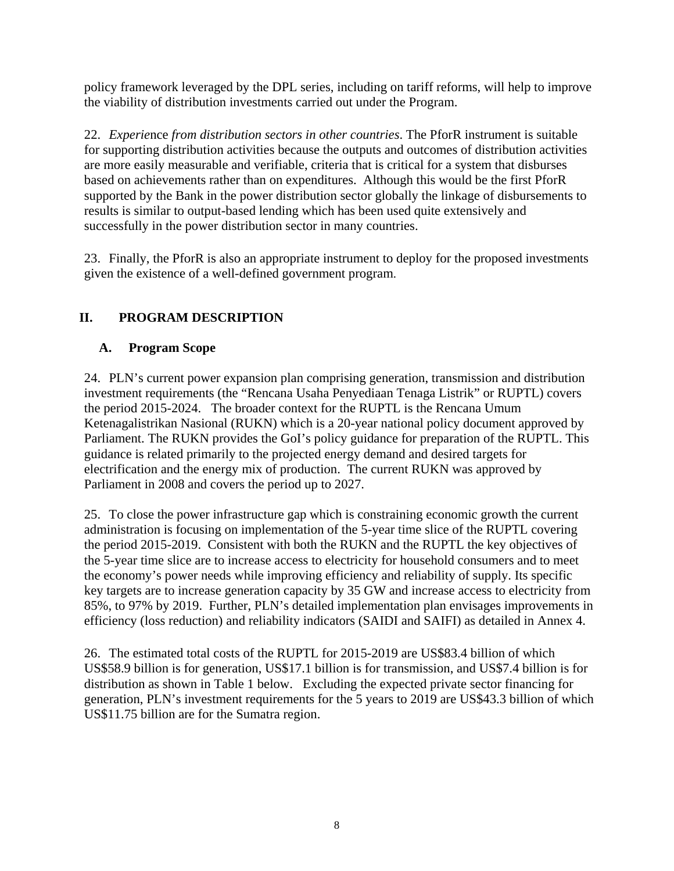policy framework leveraged by the DPL series, including on tariff reforms, will help to improve the viability of distribution investments carried out under the Program.

22. *Experie*nce *from distribution sectors in other countries*. The PforR instrument is suitable for supporting distribution activities because the outputs and outcomes of distribution activities are more easily measurable and verifiable, criteria that is critical for a system that disburses based on achievements rather than on expenditures. Although this would be the first PforR supported by the Bank in the power distribution sector globally the linkage of disbursements to results is similar to output-based lending which has been used quite extensively and successfully in the power distribution sector in many countries.

23. Finally, the PforR is also an appropriate instrument to deploy for the proposed investments given the existence of a well-defined government program.

# **II. PROGRAM DESCRIPTION**

# **A. Program Scope**

24. PLN's current power expansion plan comprising generation, transmission and distribution investment requirements (the "Rencana Usaha Penyediaan Tenaga Listrik" or RUPTL) covers the period 2015-2024. The broader context for the RUPTL is the Rencana Umum Ketenagalistrikan Nasional (RUKN) which is a 20-year national policy document approved by Parliament. The RUKN provides the GoI's policy guidance for preparation of the RUPTL. This guidance is related primarily to the projected energy demand and desired targets for electrification and the energy mix of production. The current RUKN was approved by Parliament in 2008 and covers the period up to 2027.

25. To close the power infrastructure gap which is constraining economic growth the current administration is focusing on implementation of the 5-year time slice of the RUPTL covering the period 2015-2019. Consistent with both the RUKN and the RUPTL the key objectives of the 5-year time slice are to increase access to electricity for household consumers and to meet the economy's power needs while improving efficiency and reliability of supply. Its specific key targets are to increase generation capacity by 35 GW and increase access to electricity from 85%, to 97% by 2019. Further, PLN's detailed implementation plan envisages improvements in efficiency (loss reduction) and reliability indicators (SAIDI and SAIFI) as detailed in Annex 4.

26. The estimated total costs of the RUPTL for 2015-2019 are US\$83.4 billion of which US\$58.9 billion is for generation, US\$17.1 billion is for transmission, and US\$7.4 billion is for distribution as shown in Table 1 below. Excluding the expected private sector financing for generation, PLN's investment requirements for the 5 years to 2019 are US\$43.3 billion of which US\$11.75 billion are for the Sumatra region.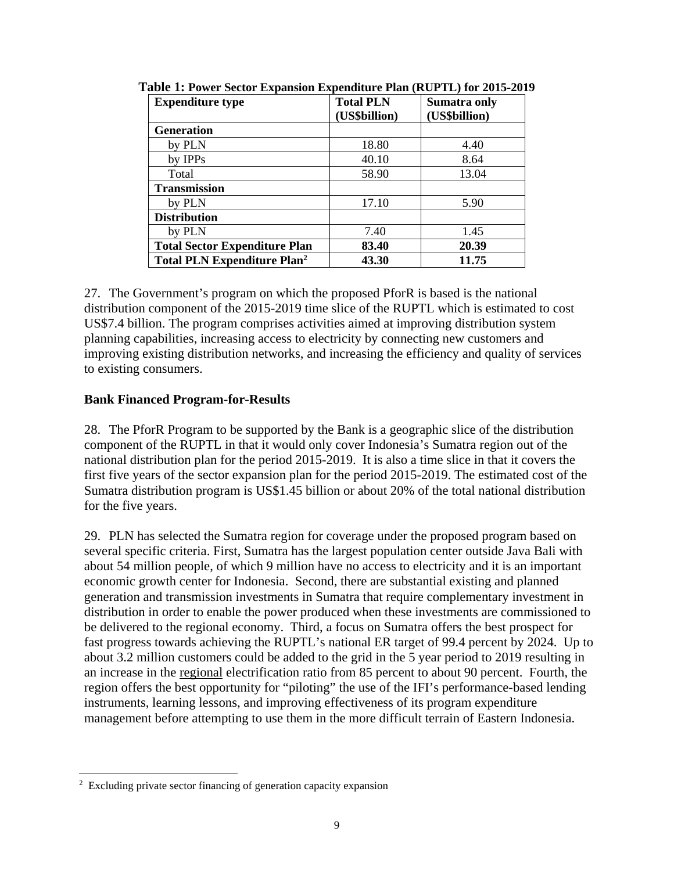| <b>Expenditure type</b>                       | <b>Total PLN</b> | Sumatra only  |
|-----------------------------------------------|------------------|---------------|
|                                               | (US\$billion)    | (US\$billion) |
| <b>Generation</b>                             |                  |               |
| by PLN                                        | 18.80            | 4.40          |
| by IPPs                                       | 40.10            | 8.64          |
| Total                                         | 58.90            | 13.04         |
| <b>Transmission</b>                           |                  |               |
| by PLN                                        | 17.10            | 5.90          |
| <b>Distribution</b>                           |                  |               |
| by PLN                                        | 7.40             | 1.45          |
| <b>Total Sector Expenditure Plan</b>          | 83.40            | 20.39         |
| <b>Total PLN Expenditure Plan<sup>2</sup></b> | 43.30            | 11.75         |

**Table 1: Power Sector Expansion Expenditure Plan (RUPTL) for 2015-2019** 

27. The Government's program on which the proposed PforR is based is the national distribution component of the 2015-2019 time slice of the RUPTL which is estimated to cost US\$7.4 billion. The program comprises activities aimed at improving distribution system planning capabilities, increasing access to electricity by connecting new customers and improving existing distribution networks, and increasing the efficiency and quality of services to existing consumers.

### **Bank Financed Program-for-Results**

28. The PforR Program to be supported by the Bank is a geographic slice of the distribution component of the RUPTL in that it would only cover Indonesia's Sumatra region out of the national distribution plan for the period 2015-2019. It is also a time slice in that it covers the first five years of the sector expansion plan for the period 2015-2019. The estimated cost of the Sumatra distribution program is US\$1.45 billion or about 20% of the total national distribution for the five years.

29. PLN has selected the Sumatra region for coverage under the proposed program based on several specific criteria. First, Sumatra has the largest population center outside Java Bali with about 54 million people, of which 9 million have no access to electricity and it is an important economic growth center for Indonesia. Second, there are substantial existing and planned generation and transmission investments in Sumatra that require complementary investment in distribution in order to enable the power produced when these investments are commissioned to be delivered to the regional economy. Third, a focus on Sumatra offers the best prospect for fast progress towards achieving the RUPTL's national ER target of 99.4 percent by 2024. Up to about 3.2 million customers could be added to the grid in the 5 year period to 2019 resulting in an increase in the regional electrification ratio from 85 percent to about 90 percent. Fourth, the region offers the best opportunity for "piloting" the use of the IFI's performance-based lending instruments, learning lessons, and improving effectiveness of its program expenditure management before attempting to use them in the more difficult terrain of Eastern Indonesia.

<sup>&</sup>lt;sup>2</sup> Excluding private sector financing of generation capacity expansion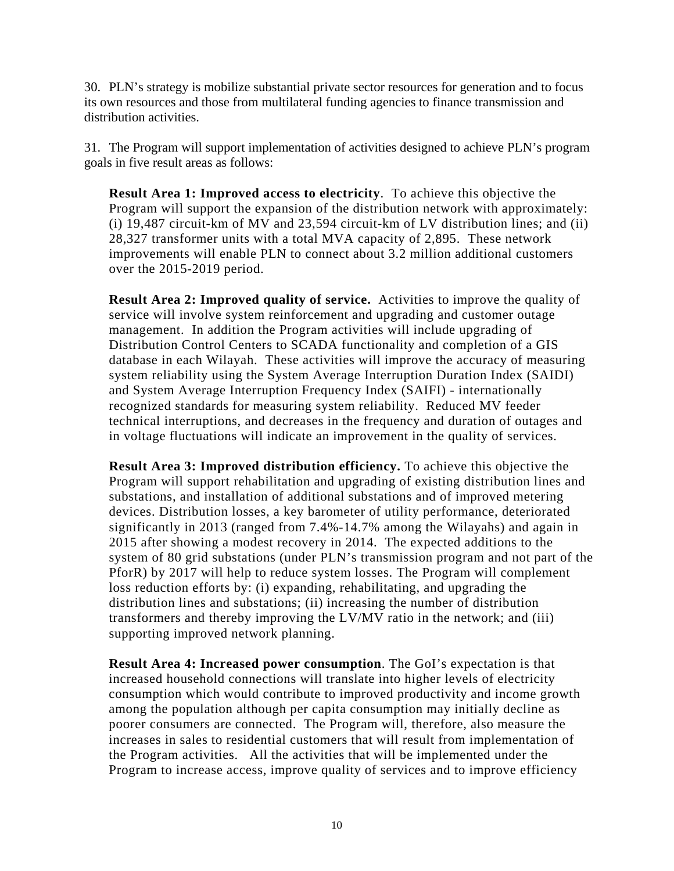30. PLN's strategy is mobilize substantial private sector resources for generation and to focus its own resources and those from multilateral funding agencies to finance transmission and distribution activities.

31. The Program will support implementation of activities designed to achieve PLN's program goals in five result areas as follows:

**Result Area 1: Improved access to electricity**. To achieve this objective the Program will support the expansion of the distribution network with approximately: (i) 19,487 circuit-km of MV and 23,594 circuit-km of LV distribution lines; and (ii) 28,327 transformer units with a total MVA capacity of 2,895. These network improvements will enable PLN to connect about 3.2 million additional customers over the 2015-2019 period.

**Result Area 2: Improved quality of service.** Activities to improve the quality of service will involve system reinforcement and upgrading and customer outage management. In addition the Program activities will include upgrading of Distribution Control Centers to SCADA functionality and completion of a GIS database in each Wilayah. These activities will improve the accuracy of measuring system reliability using the System Average Interruption Duration Index (SAIDI) and System Average Interruption Frequency Index (SAIFI) - internationally recognized standards for measuring system reliability. Reduced MV feeder technical interruptions, and decreases in the frequency and duration of outages and in voltage fluctuations will indicate an improvement in the quality of services.

**Result Area 3: Improved distribution efficiency.** To achieve this objective the Program will support rehabilitation and upgrading of existing distribution lines and substations, and installation of additional substations and of improved metering devices. Distribution losses, a key barometer of utility performance, deteriorated significantly in 2013 (ranged from 7.4%-14.7% among the Wilayahs) and again in 2015 after showing a modest recovery in 2014. The expected additions to the system of 80 grid substations (under PLN's transmission program and not part of the PforR) by 2017 will help to reduce system losses. The Program will complement loss reduction efforts by: (i) expanding, rehabilitating, and upgrading the distribution lines and substations; (ii) increasing the number of distribution transformers and thereby improving the LV/MV ratio in the network; and (iii) supporting improved network planning.

**Result Area 4: Increased power consumption**. The GoI's expectation is that increased household connections will translate into higher levels of electricity consumption which would contribute to improved productivity and income growth among the population although per capita consumption may initially decline as poorer consumers are connected. The Program will, therefore, also measure the increases in sales to residential customers that will result from implementation of the Program activities. All the activities that will be implemented under the Program to increase access, improve quality of services and to improve efficiency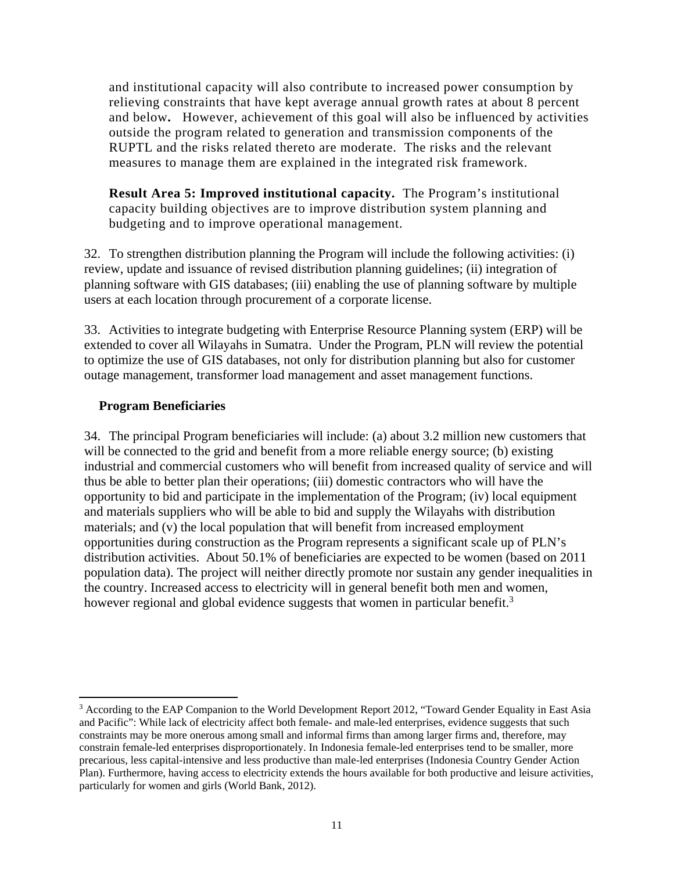and institutional capacity will also contribute to increased power consumption by relieving constraints that have kept average annual growth rates at about 8 percent and below**.** However, achievement of this goal will also be influenced by activities outside the program related to generation and transmission components of the RUPTL and the risks related thereto are moderate. The risks and the relevant measures to manage them are explained in the integrated risk framework.

**Result Area 5: Improved institutional capacity.** The Program's institutional capacity building objectives are to improve distribution system planning and budgeting and to improve operational management.

32. To strengthen distribution planning the Program will include the following activities: (i) review, update and issuance of revised distribution planning guidelines; (ii) integration of planning software with GIS databases; (iii) enabling the use of planning software by multiple users at each location through procurement of a corporate license.

33. Activities to integrate budgeting with Enterprise Resource Planning system (ERP) will be extended to cover all Wilayahs in Sumatra. Under the Program, PLN will review the potential to optimize the use of GIS databases, not only for distribution planning but also for customer outage management, transformer load management and asset management functions.

### **Program Beneficiaries**

34. The principal Program beneficiaries will include: (a) about 3.2 million new customers that will be connected to the grid and benefit from a more reliable energy source; (b) existing industrial and commercial customers who will benefit from increased quality of service and will thus be able to better plan their operations; (iii) domestic contractors who will have the opportunity to bid and participate in the implementation of the Program; (iv) local equipment and materials suppliers who will be able to bid and supply the Wilayahs with distribution materials; and (v) the local population that will benefit from increased employment opportunities during construction as the Program represents a significant scale up of PLN's distribution activities. About 50.1% of beneficiaries are expected to be women (based on 2011 population data). The project will neither directly promote nor sustain any gender inequalities in the country. Increased access to electricity will in general benefit both men and women, however regional and global evidence suggests that women in particular benefit.<sup>3</sup>

<sup>&</sup>lt;sup>3</sup> According to the EAP Companion to the World Development Report 2012, "Toward Gender Equality in East Asia and Pacific": While lack of electricity affect both female- and male-led enterprises, evidence suggests that such constraints may be more onerous among small and informal firms than among larger firms and, therefore, may constrain female-led enterprises disproportionately. In Indonesia female-led enterprises tend to be smaller, more precarious, less capital-intensive and less productive than male-led enterprises (Indonesia Country Gender Action Plan). Furthermore, having access to electricity extends the hours available for both productive and leisure activities, particularly for women and girls (World Bank, 2012).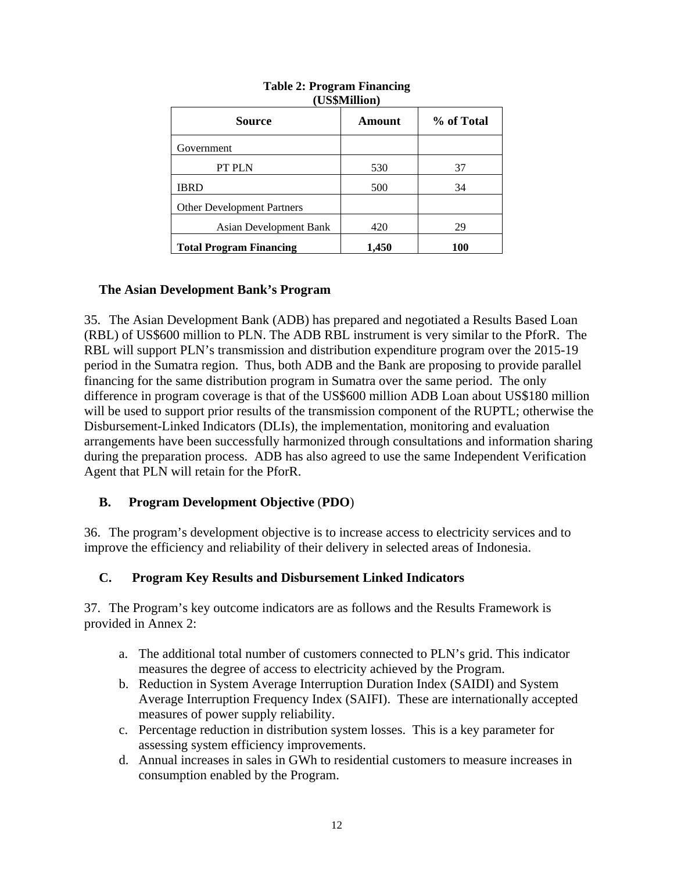| Source                            | Amount | % of Total |  |
|-----------------------------------|--------|------------|--|
| Government                        |        |            |  |
| PT PLN                            | 530    | 37         |  |
| IBRD                              | 500    | 34         |  |
| <b>Other Development Partners</b> |        |            |  |
| Asian Development Bank            | 420    | 29         |  |
| <b>Total Program Financing</b>    | 1,450  | 100        |  |

#### **Table 2: Program Financing (US\$Million)**

# **The Asian Development Bank's Program**

35. The Asian Development Bank (ADB) has prepared and negotiated a Results Based Loan (RBL) of US\$600 million to PLN. The ADB RBL instrument is very similar to the PforR. The RBL will support PLN's transmission and distribution expenditure program over the 2015-19 period in the Sumatra region. Thus, both ADB and the Bank are proposing to provide parallel financing for the same distribution program in Sumatra over the same period. The only difference in program coverage is that of the US\$600 million ADB Loan about US\$180 million will be used to support prior results of the transmission component of the RUPTL; otherwise the Disbursement-Linked Indicators (DLIs), the implementation, monitoring and evaluation arrangements have been successfully harmonized through consultations and information sharing during the preparation process. ADB has also agreed to use the same Independent Verification Agent that PLN will retain for the PforR.

# **B. Program Development Objective** (**PDO**)

36. The program's development objective is to increase access to electricity services and to improve the efficiency and reliability of their delivery in selected areas of Indonesia.

## **C. Program Key Results and Disbursement Linked Indicators**

37. The Program's key outcome indicators are as follows and the Results Framework is provided in Annex 2:

- a. The additional total number of customers connected to PLN's grid. This indicator measures the degree of access to electricity achieved by the Program.
- b. Reduction in System Average Interruption Duration Index (SAIDI) and System Average Interruption Frequency Index (SAIFI). These are internationally accepted measures of power supply reliability.
- c. Percentage reduction in distribution system losses. This is a key parameter for assessing system efficiency improvements.
- d. Annual increases in sales in GWh to residential customers to measure increases in consumption enabled by the Program.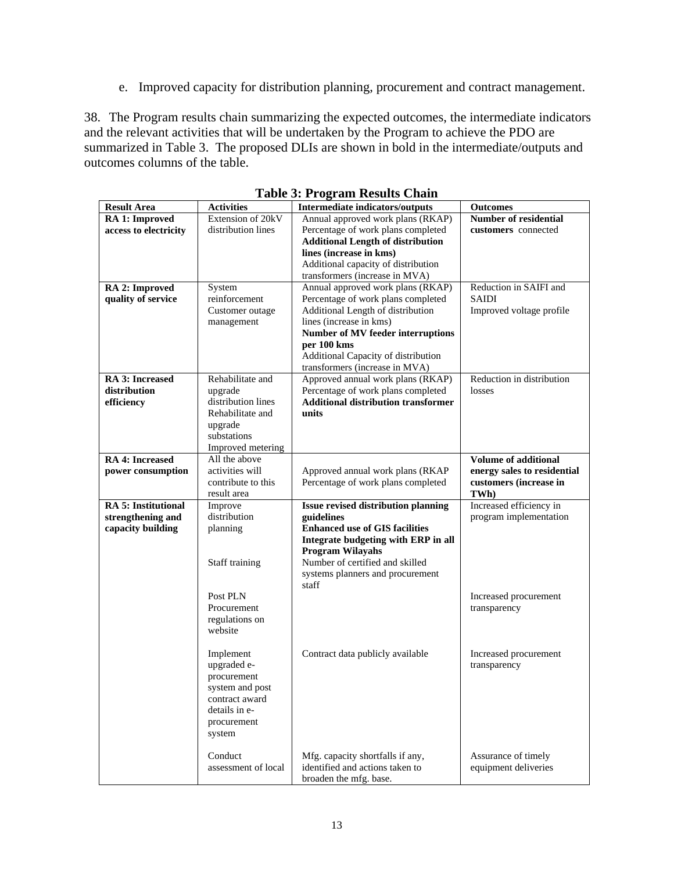e. Improved capacity for distribution planning, procurement and contract management.

38. The Program results chain summarizing the expected outcomes, the intermediate indicators and the relevant activities that will be undertaken by the Program to achieve the PDO are summarized in Table 3. The proposed DLIs are shown in bold in the intermediate/outputs and outcomes columns of the table.

| <b>Result Area</b>              | <b>Activities</b>   | <b>Intermediate indicators/outputs</b>                              | <b>Outcomes</b>              |  |
|---------------------------------|---------------------|---------------------------------------------------------------------|------------------------------|--|
| RA 1: Improved                  | Extension of 20kV   | Annual approved work plans (RKAP)                                   | <b>Number of residential</b> |  |
| access to electricity           | distribution lines  | Percentage of work plans completed                                  | customers connected          |  |
|                                 |                     | <b>Additional Length of distribution</b>                            |                              |  |
|                                 |                     | lines (increase in kms)                                             |                              |  |
|                                 |                     | Additional capacity of distribution                                 |                              |  |
|                                 |                     | transformers (increase in MVA)                                      |                              |  |
| RA 2: Improved                  | System              | Annual approved work plans (RKAP)                                   | Reduction in SAIFI and       |  |
| quality of service              | reinforcement       | Percentage of work plans completed                                  | <b>SAIDI</b>                 |  |
|                                 | Customer outage     | Additional Length of distribution                                   | Improved voltage profile     |  |
|                                 | management          | lines (increase in kms)                                             |                              |  |
|                                 |                     | Number of MV feeder interruptions                                   |                              |  |
|                                 |                     | per 100 kms                                                         |                              |  |
|                                 |                     | Additional Capacity of distribution                                 |                              |  |
|                                 | Rehabilitate and    | transformers (increase in MVA)<br>Approved annual work plans (RKAP) | Reduction in distribution    |  |
| RA 3: Increased<br>distribution | upgrade             | Percentage of work plans completed                                  | losses                       |  |
| efficiency                      | distribution lines  | <b>Additional distribution transformer</b>                          |                              |  |
|                                 | Rehabilitate and    | units                                                               |                              |  |
|                                 | upgrade             |                                                                     |                              |  |
|                                 | substations         |                                                                     |                              |  |
|                                 | Improved metering   |                                                                     |                              |  |
| <b>RA 4: Increased</b>          | All the above       |                                                                     | <b>Volume of additional</b>  |  |
| power consumption               | activities will     | Approved annual work plans (RKAP                                    | energy sales to residential  |  |
|                                 | contribute to this  | Percentage of work plans completed                                  | customers (increase in       |  |
|                                 | result area         |                                                                     | TWh)                         |  |
| <b>RA 5: Institutional</b>      | Improve             | <b>Issue revised distribution planning</b>                          | Increased efficiency in      |  |
| strengthening and               | distribution        | guidelines                                                          | program implementation       |  |
| capacity building               | planning            | <b>Enhanced use of GIS facilities</b>                               |                              |  |
|                                 |                     | Integrate budgeting with ERP in all                                 |                              |  |
|                                 |                     | <b>Program Wilayahs</b>                                             |                              |  |
|                                 | Staff training      | Number of certified and skilled                                     |                              |  |
|                                 |                     | systems planners and procurement                                    |                              |  |
|                                 |                     | staff                                                               |                              |  |
|                                 | Post PLN            |                                                                     | Increased procurement        |  |
|                                 | Procurement         |                                                                     | transparency                 |  |
|                                 | regulations on      |                                                                     |                              |  |
|                                 | website             |                                                                     |                              |  |
|                                 | Implement           | Contract data publicly available                                    | Increased procurement        |  |
|                                 | upgraded e-         |                                                                     | transparency                 |  |
|                                 | procurement         |                                                                     |                              |  |
|                                 | system and post     |                                                                     |                              |  |
|                                 | contract award      |                                                                     |                              |  |
|                                 | details in e-       |                                                                     |                              |  |
|                                 | procurement         |                                                                     |                              |  |
|                                 | system              |                                                                     |                              |  |
|                                 |                     |                                                                     |                              |  |
|                                 | Conduct             | Mfg. capacity shortfalls if any,                                    | Assurance of timely          |  |
|                                 | assessment of local | identified and actions taken to                                     | equipment deliveries         |  |
|                                 |                     | broaden the mfg. base.                                              |                              |  |

**Table 3: Program Results Chain**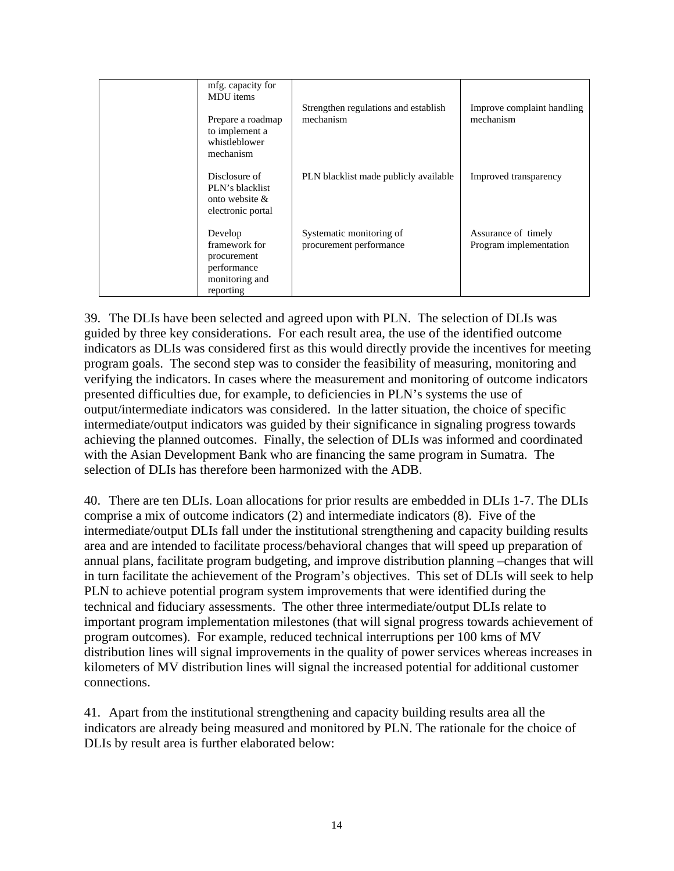| mfg. capacity for<br>MDU items<br>Prepare a roadmap<br>to implement a<br>whistleblower<br>mechanism | Strengthen regulations and establish<br>mechanism   | Improve complaint handling<br>mechanism       |
|-----------------------------------------------------------------------------------------------------|-----------------------------------------------------|-----------------------------------------------|
| Disclosure of<br>PLN's blacklist<br>onto website $\&$<br>electronic portal                          | PLN blacklist made publicly available               | Improved transparency                         |
| Develop<br>framework for<br>procurement<br>performance<br>monitoring and<br>reporting               | Systematic monitoring of<br>procurement performance | Assurance of timely<br>Program implementation |

39. The DLIs have been selected and agreed upon with PLN. The selection of DLIs was guided by three key considerations. For each result area, the use of the identified outcome indicators as DLIs was considered first as this would directly provide the incentives for meeting program goals. The second step was to consider the feasibility of measuring, monitoring and verifying the indicators. In cases where the measurement and monitoring of outcome indicators presented difficulties due, for example, to deficiencies in PLN's systems the use of output/intermediate indicators was considered. In the latter situation, the choice of specific intermediate/output indicators was guided by their significance in signaling progress towards achieving the planned outcomes. Finally, the selection of DLIs was informed and coordinated with the Asian Development Bank who are financing the same program in Sumatra. The selection of DLIs has therefore been harmonized with the ADB.

40. There are ten DLIs. Loan allocations for prior results are embedded in DLIs 1-7. The DLIs comprise a mix of outcome indicators (2) and intermediate indicators (8). Five of the intermediate/output DLIs fall under the institutional strengthening and capacity building results area and are intended to facilitate process/behavioral changes that will speed up preparation of annual plans, facilitate program budgeting, and improve distribution planning –changes that will in turn facilitate the achievement of the Program's objectives. This set of DLIs will seek to help PLN to achieve potential program system improvements that were identified during the technical and fiduciary assessments. The other three intermediate/output DLIs relate to important program implementation milestones (that will signal progress towards achievement of program outcomes). For example, reduced technical interruptions per 100 kms of MV distribution lines will signal improvements in the quality of power services whereas increases in kilometers of MV distribution lines will signal the increased potential for additional customer connections.

41. Apart from the institutional strengthening and capacity building results area all the indicators are already being measured and monitored by PLN. The rationale for the choice of DLIs by result area is further elaborated below: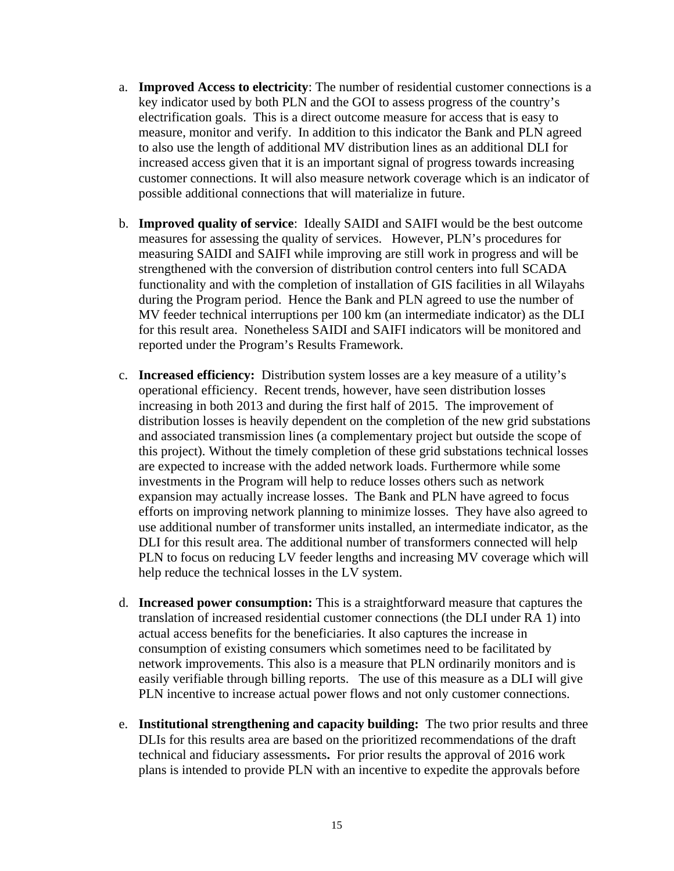- a. **Improved Access to electricity**: The number of residential customer connections is a key indicator used by both PLN and the GOI to assess progress of the country's electrification goals. This is a direct outcome measure for access that is easy to measure, monitor and verify. In addition to this indicator the Bank and PLN agreed to also use the length of additional MV distribution lines as an additional DLI for increased access given that it is an important signal of progress towards increasing customer connections. It will also measure network coverage which is an indicator of possible additional connections that will materialize in future.
- b. **Improved quality of service**: Ideally SAIDI and SAIFI would be the best outcome measures for assessing the quality of services. However, PLN's procedures for measuring SAIDI and SAIFI while improving are still work in progress and will be strengthened with the conversion of distribution control centers into full SCADA functionality and with the completion of installation of GIS facilities in all Wilayahs during the Program period. Hence the Bank and PLN agreed to use the number of MV feeder technical interruptions per 100 km (an intermediate indicator) as the DLI for this result area. Nonetheless SAIDI and SAIFI indicators will be monitored and reported under the Program's Results Framework.
- c. **Increased efficiency:** Distribution system losses are a key measure of a utility's operational efficiency. Recent trends, however, have seen distribution losses increasing in both 2013 and during the first half of 2015. The improvement of distribution losses is heavily dependent on the completion of the new grid substations and associated transmission lines (a complementary project but outside the scope of this project). Without the timely completion of these grid substations technical losses are expected to increase with the added network loads. Furthermore while some investments in the Program will help to reduce losses others such as network expansion may actually increase losses. The Bank and PLN have agreed to focus efforts on improving network planning to minimize losses. They have also agreed to use additional number of transformer units installed, an intermediate indicator, as the DLI for this result area. The additional number of transformers connected will help PLN to focus on reducing LV feeder lengths and increasing MV coverage which will help reduce the technical losses in the LV system.
- d. **Increased power consumption:** This is a straightforward measure that captures the translation of increased residential customer connections (the DLI under RA 1) into actual access benefits for the beneficiaries. It also captures the increase in consumption of existing consumers which sometimes need to be facilitated by network improvements. This also is a measure that PLN ordinarily monitors and is easily verifiable through billing reports. The use of this measure as a DLI will give PLN incentive to increase actual power flows and not only customer connections.
- e. **Institutional strengthening and capacity building:** The two prior results and three DLIs for this results area are based on the prioritized recommendations of the draft technical and fiduciary assessments**.** For prior results the approval of 2016 work plans is intended to provide PLN with an incentive to expedite the approvals before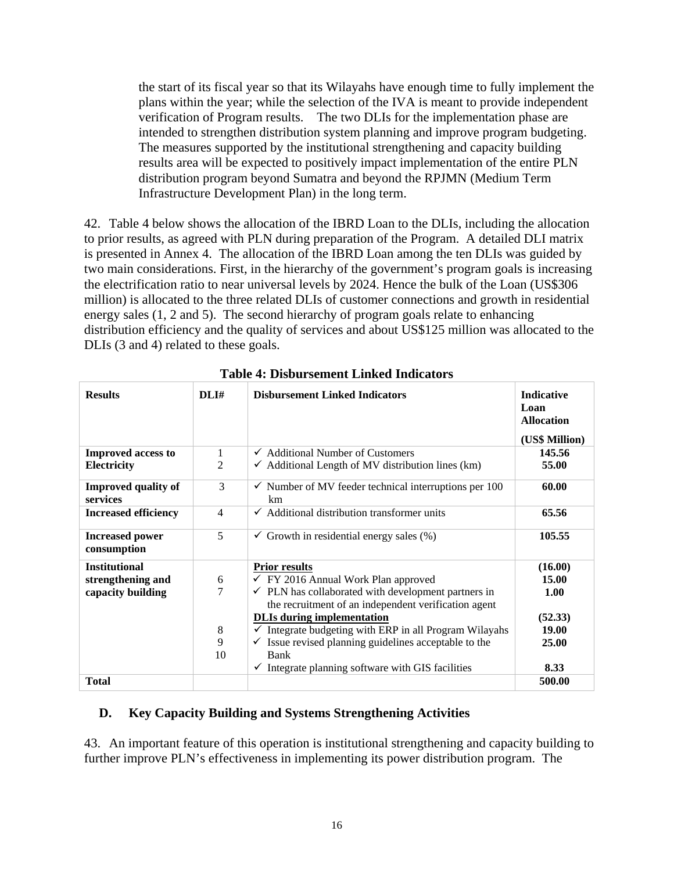the start of its fiscal year so that its Wilayahs have enough time to fully implement the plans within the year; while the selection of the IVA is meant to provide independent verification of Program results. The two DLIs for the implementation phase are intended to strengthen distribution system planning and improve program budgeting. The measures supported by the institutional strengthening and capacity building results area will be expected to positively impact implementation of the entire PLN distribution program beyond Sumatra and beyond the RPJMN (Medium Term Infrastructure Development Plan) in the long term.

42. Table 4 below shows the allocation of the IBRD Loan to the DLIs, including the allocation to prior results, as agreed with PLN during preparation of the Program. A detailed DLI matrix is presented in Annex 4. The allocation of the IBRD Loan among the ten DLIs was guided by two main considerations. First, in the hierarchy of the government's program goals is increasing the electrification ratio to near universal levels by 2024. Hence the bulk of the Loan (US\$306 million) is allocated to the three related DLIs of customer connections and growth in residential energy sales (1, 2 and 5). The second hierarchy of program goals relate to enhancing distribution efficiency and the quality of services and about US\$125 million was allocated to the DLIs (3 and 4) related to these goals.

| <b>Results</b>                                                 | DLI#                   | <b>Disbursement Linked Indicators</b>                                                                                                                                                                                                                                                                                                                                                                                                          | <b>Indicative</b><br>Loan<br><b>Allocation</b><br>(US\$ Million) |
|----------------------------------------------------------------|------------------------|------------------------------------------------------------------------------------------------------------------------------------------------------------------------------------------------------------------------------------------------------------------------------------------------------------------------------------------------------------------------------------------------------------------------------------------------|------------------------------------------------------------------|
| <b>Improved access to</b>                                      | 1                      | $\checkmark$ Additional Number of Customers                                                                                                                                                                                                                                                                                                                                                                                                    | 145.56                                                           |
| Electricity                                                    | 2                      | $\checkmark$ Additional Length of MV distribution lines (km)                                                                                                                                                                                                                                                                                                                                                                                   | 55.00                                                            |
| <b>Improved quality of</b><br>services                         | 3                      | $\checkmark$ Number of MV feeder technical interruptions per 100<br>km                                                                                                                                                                                                                                                                                                                                                                         | 60.00                                                            |
| <b>Increased efficiency</b>                                    | 4                      | $\checkmark$ Additional distribution transformer units                                                                                                                                                                                                                                                                                                                                                                                         | 65.56                                                            |
| <b>Increased power</b><br>consumption                          | 5                      | $\checkmark$ Growth in residential energy sales (%)                                                                                                                                                                                                                                                                                                                                                                                            | 105.55                                                           |
| <b>Institutional</b><br>strengthening and<br>capacity building | 6<br>7<br>8<br>9<br>10 | <b>Prior results</b><br>$\checkmark$ FY 2016 Annual Work Plan approved<br>$\checkmark$ PLN has collaborated with development partners in<br>the recruitment of an independent verification agent<br><b>DLIs during implementation</b><br>$\checkmark$ Integrate budgeting with ERP in all Program Wilayahs<br>$\checkmark$ Issue revised planning guidelines acceptable to the<br>Bank<br>Integrate planning software with GIS facilities<br>✓ | (16.00)<br>15.00<br>1.00<br>(52.33)<br>19.00<br>25.00<br>8.33    |
| <b>Total</b>                                                   |                        |                                                                                                                                                                                                                                                                                                                                                                                                                                                | 500.00                                                           |

**Table 4: Disbursement Linked Indicators** 

## **D. Key Capacity Building and Systems Strengthening Activities**

43. An important feature of this operation is institutional strengthening and capacity building to further improve PLN's effectiveness in implementing its power distribution program. The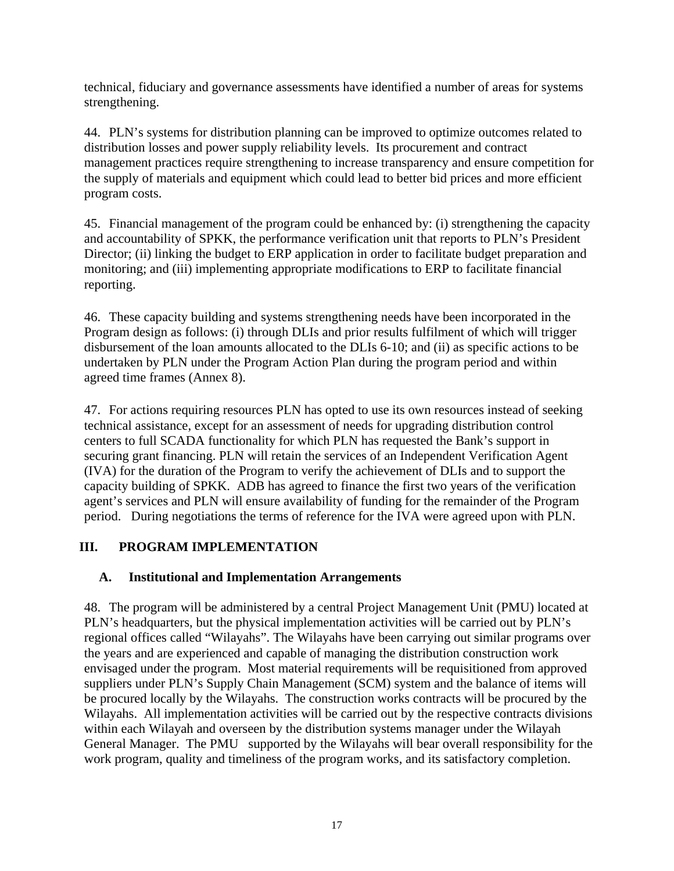technical, fiduciary and governance assessments have identified a number of areas for systems strengthening.

44. PLN's systems for distribution planning can be improved to optimize outcomes related to distribution losses and power supply reliability levels. Its procurement and contract management practices require strengthening to increase transparency and ensure competition for the supply of materials and equipment which could lead to better bid prices and more efficient program costs.

45. Financial management of the program could be enhanced by: (i) strengthening the capacity and accountability of SPKK, the performance verification unit that reports to PLN's President Director; (ii) linking the budget to ERP application in order to facilitate budget preparation and monitoring; and (iii) implementing appropriate modifications to ERP to facilitate financial reporting.

46. These capacity building and systems strengthening needs have been incorporated in the Program design as follows: (i) through DLIs and prior results fulfilment of which will trigger disbursement of the loan amounts allocated to the DLIs 6-10; and (ii) as specific actions to be undertaken by PLN under the Program Action Plan during the program period and within agreed time frames (Annex 8).

47. For actions requiring resources PLN has opted to use its own resources instead of seeking technical assistance, except for an assessment of needs for upgrading distribution control centers to full SCADA functionality for which PLN has requested the Bank's support in securing grant financing. PLN will retain the services of an Independent Verification Agent (IVA) for the duration of the Program to verify the achievement of DLIs and to support the capacity building of SPKK. ADB has agreed to finance the first two years of the verification agent's services and PLN will ensure availability of funding for the remainder of the Program period. During negotiations the terms of reference for the IVA were agreed upon with PLN.

# **III. PROGRAM IMPLEMENTATION**

# **A. Institutional and Implementation Arrangements**

48. The program will be administered by a central Project Management Unit (PMU) located at PLN's headquarters, but the physical implementation activities will be carried out by PLN's regional offices called "Wilayahs". The Wilayahs have been carrying out similar programs over the years and are experienced and capable of managing the distribution construction work envisaged under the program. Most material requirements will be requisitioned from approved suppliers under PLN's Supply Chain Management (SCM) system and the balance of items will be procured locally by the Wilayahs. The construction works contracts will be procured by the Wilayahs. All implementation activities will be carried out by the respective contracts divisions within each Wilayah and overseen by the distribution systems manager under the Wilayah General Manager. The PMU supported by the Wilayahs will bear overall responsibility for the work program, quality and timeliness of the program works, and its satisfactory completion.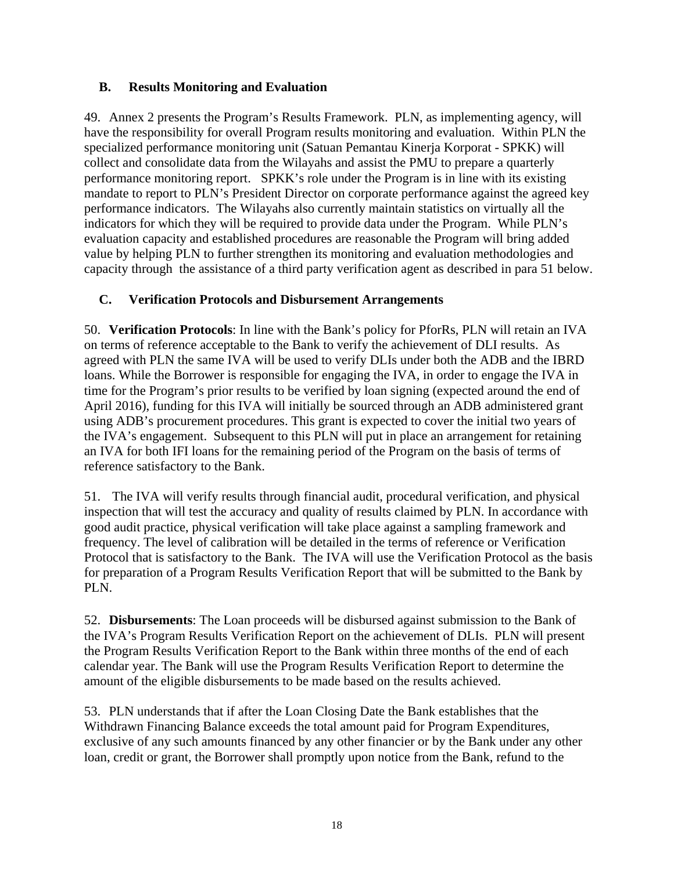## **B. Results Monitoring and Evaluation**

49. Annex 2 presents the Program's Results Framework. PLN, as implementing agency, will have the responsibility for overall Program results monitoring and evaluation. Within PLN the specialized performance monitoring unit (Satuan Pemantau Kinerja Korporat - SPKK) will collect and consolidate data from the Wilayahs and assist the PMU to prepare a quarterly performance monitoring report. SPKK's role under the Program is in line with its existing mandate to report to PLN's President Director on corporate performance against the agreed key performance indicators. The Wilayahs also currently maintain statistics on virtually all the indicators for which they will be required to provide data under the Program. While PLN's evaluation capacity and established procedures are reasonable the Program will bring added value by helping PLN to further strengthen its monitoring and evaluation methodologies and capacity through the assistance of a third party verification agent as described in para 51 below.

# **C. Verification Protocols and Disbursement Arrangements**

50. **Verification Protocols**: In line with the Bank's policy for PforRs, PLN will retain an IVA on terms of reference acceptable to the Bank to verify the achievement of DLI results. As agreed with PLN the same IVA will be used to verify DLIs under both the ADB and the IBRD loans. While the Borrower is responsible for engaging the IVA, in order to engage the IVA in time for the Program's prior results to be verified by loan signing (expected around the end of April 2016), funding for this IVA will initially be sourced through an ADB administered grant using ADB's procurement procedures. This grant is expected to cover the initial two years of the IVA's engagement. Subsequent to this PLN will put in place an arrangement for retaining an IVA for both IFI loans for the remaining period of the Program on the basis of terms of reference satisfactory to the Bank.

51. The IVA will verify results through financial audit, procedural verification, and physical inspection that will test the accuracy and quality of results claimed by PLN. In accordance with good audit practice, physical verification will take place against a sampling framework and frequency. The level of calibration will be detailed in the terms of reference or Verification Protocol that is satisfactory to the Bank. The IVA will use the Verification Protocol as the basis for preparation of a Program Results Verification Report that will be submitted to the Bank by PLN.

52. **Disbursements**: The Loan proceeds will be disbursed against submission to the Bank of the IVA's Program Results Verification Report on the achievement of DLIs. PLN will present the Program Results Verification Report to the Bank within three months of the end of each calendar year. The Bank will use the Program Results Verification Report to determine the amount of the eligible disbursements to be made based on the results achieved.

53. PLN understands that if after the Loan Closing Date the Bank establishes that the Withdrawn Financing Balance exceeds the total amount paid for Program Expenditures, exclusive of any such amounts financed by any other financier or by the Bank under any other loan, credit or grant, the Borrower shall promptly upon notice from the Bank, refund to the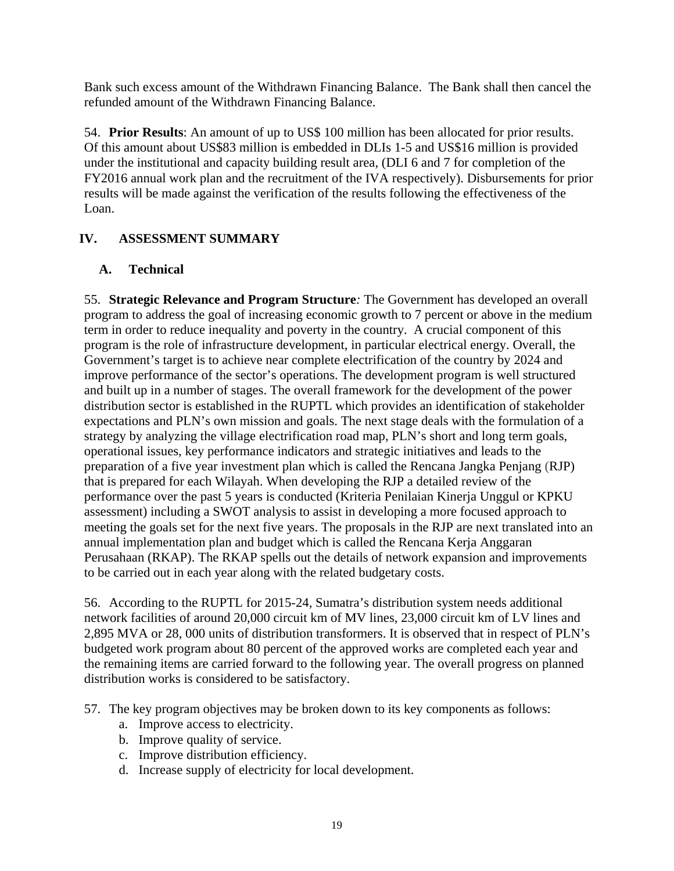Bank such excess amount of the Withdrawn Financing Balance. The Bank shall then cancel the refunded amount of the Withdrawn Financing Balance.

54. **Prior Results**: An amount of up to US\$ 100 million has been allocated for prior results. Of this amount about US\$83 million is embedded in DLIs 1-5 and US\$16 million is provided under the institutional and capacity building result area, (DLI 6 and 7 for completion of the FY2016 annual work plan and the recruitment of the IVA respectively). Disbursements for prior results will be made against the verification of the results following the effectiveness of the Loan.

# **IV. ASSESSMENT SUMMARY**

# **A. Technical**

55. **Strategic Relevance and Program Structure***:* The Government has developed an overall program to address the goal of increasing economic growth to 7 percent or above in the medium term in order to reduce inequality and poverty in the country. A crucial component of this program is the role of infrastructure development, in particular electrical energy. Overall, the Government's target is to achieve near complete electrification of the country by 2024 and improve performance of the sector's operations. The development program is well structured and built up in a number of stages. The overall framework for the development of the power distribution sector is established in the RUPTL which provides an identification of stakeholder expectations and PLN's own mission and goals. The next stage deals with the formulation of a strategy by analyzing the village electrification road map, PLN's short and long term goals, operational issues, key performance indicators and strategic initiatives and leads to the preparation of a five year investment plan which is called the Rencana Jangka Penjang (RJP) that is prepared for each Wilayah. When developing the RJP a detailed review of the performance over the past 5 years is conducted (Kriteria Penilaian Kinerja Unggul or KPKU assessment) including a SWOT analysis to assist in developing a more focused approach to meeting the goals set for the next five years. The proposals in the RJP are next translated into an annual implementation plan and budget which is called the Rencana Kerja Anggaran Perusahaan (RKAP). The RKAP spells out the details of network expansion and improvements to be carried out in each year along with the related budgetary costs.

56. According to the RUPTL for 2015-24, Sumatra's distribution system needs additional network facilities of around 20,000 circuit km of MV lines, 23,000 circuit km of LV lines and 2,895 MVA or 28, 000 units of distribution transformers. It is observed that in respect of PLN's budgeted work program about 80 percent of the approved works are completed each year and the remaining items are carried forward to the following year. The overall progress on planned distribution works is considered to be satisfactory.

- 57. The key program objectives may be broken down to its key components as follows:
	- a. Improve access to electricity.
	- b. Improve quality of service.
	- c. Improve distribution efficiency.
	- d. Increase supply of electricity for local development.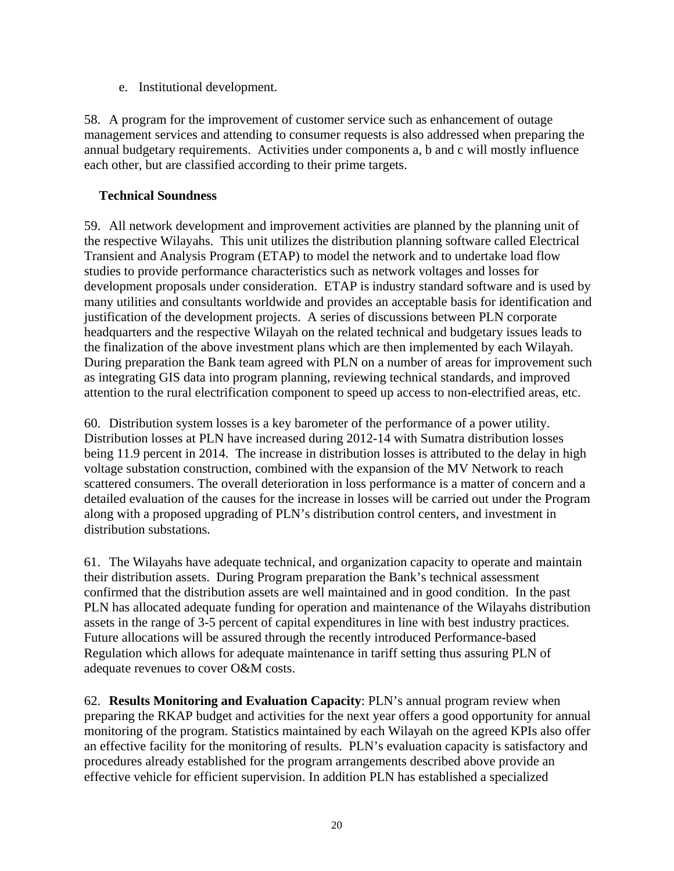e. Institutional development.

58. A program for the improvement of customer service such as enhancement of outage management services and attending to consumer requests is also addressed when preparing the annual budgetary requirements. Activities under components a, b and c will mostly influence each other, but are classified according to their prime targets.

## **Technical Soundness**

59. All network development and improvement activities are planned by the planning unit of the respective Wilayahs. This unit utilizes the distribution planning software called Electrical Transient and Analysis Program (ETAP) to model the network and to undertake load flow studies to provide performance characteristics such as network voltages and losses for development proposals under consideration. ETAP is industry standard software and is used by many utilities and consultants worldwide and provides an acceptable basis for identification and justification of the development projects. A series of discussions between PLN corporate headquarters and the respective Wilayah on the related technical and budgetary issues leads to the finalization of the above investment plans which are then implemented by each Wilayah. During preparation the Bank team agreed with PLN on a number of areas for improvement such as integrating GIS data into program planning, reviewing technical standards, and improved attention to the rural electrification component to speed up access to non-electrified areas, etc.

60. Distribution system losses is a key barometer of the performance of a power utility. Distribution losses at PLN have increased during 2012-14 with Sumatra distribution losses being 11.9 percent in 2014. The increase in distribution losses is attributed to the delay in high voltage substation construction, combined with the expansion of the MV Network to reach scattered consumers. The overall deterioration in loss performance is a matter of concern and a detailed evaluation of the causes for the increase in losses will be carried out under the Program along with a proposed upgrading of PLN's distribution control centers, and investment in distribution substations.

61. The Wilayahs have adequate technical, and organization capacity to operate and maintain their distribution assets. During Program preparation the Bank's technical assessment confirmed that the distribution assets are well maintained and in good condition. In the past PLN has allocated adequate funding for operation and maintenance of the Wilayahs distribution assets in the range of 3-5 percent of capital expenditures in line with best industry practices. Future allocations will be assured through the recently introduced Performance-based Regulation which allows for adequate maintenance in tariff setting thus assuring PLN of adequate revenues to cover O&M costs.

62. **Results Monitoring and Evaluation Capacity**: PLN's annual program review when preparing the RKAP budget and activities for the next year offers a good opportunity for annual monitoring of the program. Statistics maintained by each Wilayah on the agreed KPIs also offer an effective facility for the monitoring of results. PLN's evaluation capacity is satisfactory and procedures already established for the program arrangements described above provide an effective vehicle for efficient supervision. In addition PLN has established a specialized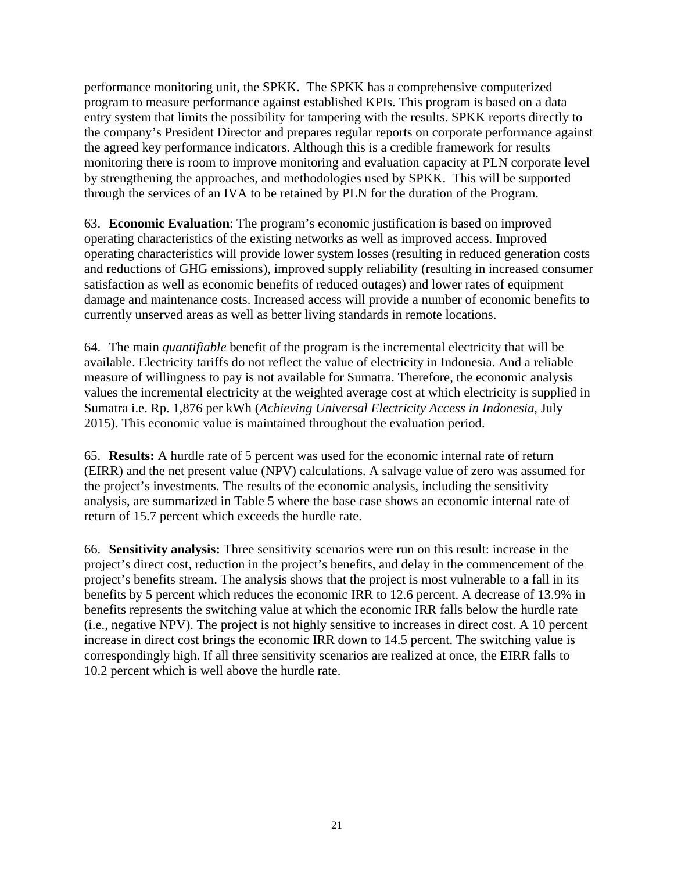performance monitoring unit, the SPKK. The SPKK has a comprehensive computerized program to measure performance against established KPIs. This program is based on a data entry system that limits the possibility for tampering with the results. SPKK reports directly to the company's President Director and prepares regular reports on corporate performance against the agreed key performance indicators. Although this is a credible framework for results monitoring there is room to improve monitoring and evaluation capacity at PLN corporate level by strengthening the approaches, and methodologies used by SPKK. This will be supported through the services of an IVA to be retained by PLN for the duration of the Program.

63. **Economic Evaluation**: The program's economic justification is based on improved operating characteristics of the existing networks as well as improved access. Improved operating characteristics will provide lower system losses (resulting in reduced generation costs and reductions of GHG emissions), improved supply reliability (resulting in increased consumer satisfaction as well as economic benefits of reduced outages) and lower rates of equipment damage and maintenance costs. Increased access will provide a number of economic benefits to currently unserved areas as well as better living standards in remote locations.

64. The main *quantifiable* benefit of the program is the incremental electricity that will be available. Electricity tariffs do not reflect the value of electricity in Indonesia. And a reliable measure of willingness to pay is not available for Sumatra. Therefore, the economic analysis values the incremental electricity at the weighted average cost at which electricity is supplied in Sumatra i.e. Rp. 1,876 per kWh (*Achieving Universal Electricity Access in Indonesia*, July 2015). This economic value is maintained throughout the evaluation period.

65. **Results:** A hurdle rate of 5 percent was used for the economic internal rate of return (EIRR) and the net present value (NPV) calculations. A salvage value of zero was assumed for the project's investments. The results of the economic analysis, including the sensitivity analysis, are summarized in Table 5 where the base case shows an economic internal rate of return of 15.7 percent which exceeds the hurdle rate.

66. **Sensitivity analysis:** Three sensitivity scenarios were run on this result: increase in the project's direct cost, reduction in the project's benefits, and delay in the commencement of the project's benefits stream. The analysis shows that the project is most vulnerable to a fall in its benefits by 5 percent which reduces the economic IRR to 12.6 percent. A decrease of 13.9% in benefits represents the switching value at which the economic IRR falls below the hurdle rate (i.e., negative NPV). The project is not highly sensitive to increases in direct cost. A 10 percent increase in direct cost brings the economic IRR down to 14.5 percent. The switching value is correspondingly high. If all three sensitivity scenarios are realized at once, the EIRR falls to 10.2 percent which is well above the hurdle rate.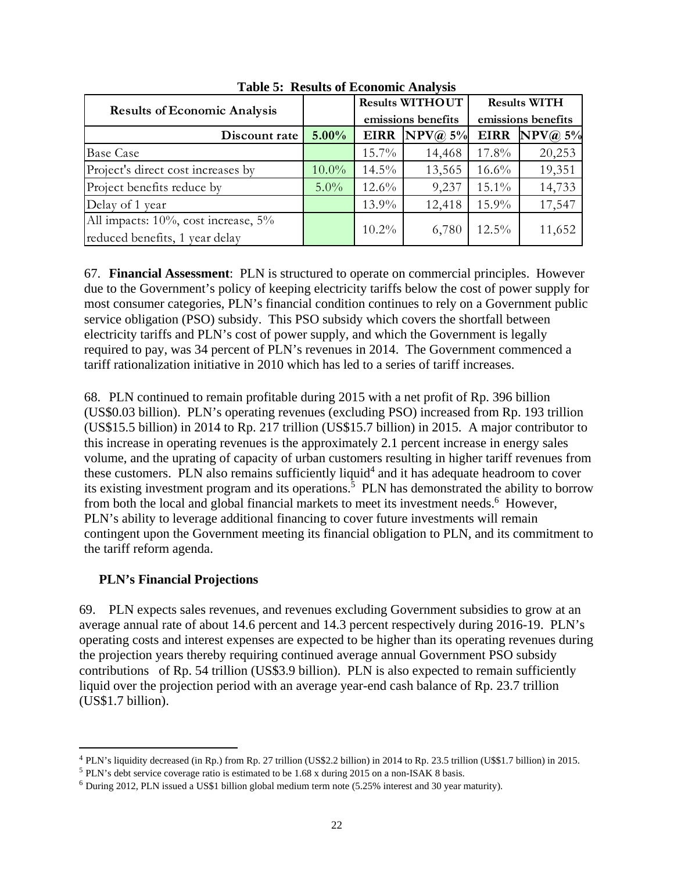| <b>Results of Economic Analysis</b>                                   |          | <b>Results WITHOUT</b><br>emissions benefits |           | <b>Results WITH</b> |           |
|-----------------------------------------------------------------------|----------|----------------------------------------------|-----------|---------------------|-----------|
|                                                                       |          |                                              |           | emissions benefits  |           |
| Discount rate                                                         | $5.00\%$ | <b>EIRR</b>                                  | NPV(a) 5% | <b>EIRR</b>         | NPV(a) 5% |
| <b>Base Case</b>                                                      |          | $15.7\%$                                     | 14,468    | $17.8\%$            | 20,253    |
| Project's direct cost increases by                                    | $10.0\%$ | $14.5\%$                                     | 13,565    | $16.6\%$            | 19,351    |
| Project benefits reduce by                                            | $5.0\%$  | $12.6\%$                                     | 9,237     | $15.1\%$            | 14,733    |
| Delay of 1 year                                                       |          | $13.9\%$                                     | 12,418    | $15.9\%$            | 17,547    |
| All impacts: 10%, cost increase, 5%<br>reduced benefits, 1 year delay |          | $10.2\%$                                     | 6,780     | $12.5\%$            | 11,652    |

**Table 5: Results of Economic Analysis** 

67. **Financial Assessment**: PLN is structured to operate on commercial principles. However due to the Government's policy of keeping electricity tariffs below the cost of power supply for most consumer categories, PLN's financial condition continues to rely on a Government public service obligation (PSO) subsidy. This PSO subsidy which covers the shortfall between electricity tariffs and PLN's cost of power supply, and which the Government is legally required to pay, was 34 percent of PLN's revenues in 2014. The Government commenced a tariff rationalization initiative in 2010 which has led to a series of tariff increases.

68. PLN continued to remain profitable during 2015 with a net profit of Rp. 396 billion (US\$0.03 billion). PLN's operating revenues (excluding PSO) increased from Rp. 193 trillion (US\$15.5 billion) in 2014 to Rp. 217 trillion (US\$15.7 billion) in 2015. A major contributor to this increase in operating revenues is the approximately 2.1 percent increase in energy sales volume, and the uprating of capacity of urban customers resulting in higher tariff revenues from these customers. PLN also remains sufficiently liquid<sup>4</sup> and it has adequate headroom to cover its existing investment program and its operations.<sup>5</sup> PLN has demonstrated the ability to borrow from both the local and global financial markets to meet its investment needs.<sup>6</sup> However, PLN's ability to leverage additional financing to cover future investments will remain contingent upon the Government meeting its financial obligation to PLN, and its commitment to the tariff reform agenda.

## **PLN's Financial Projections**

69. PLN expects sales revenues, and revenues excluding Government subsidies to grow at an average annual rate of about 14.6 percent and 14.3 percent respectively during 2016-19. PLN's operating costs and interest expenses are expected to be higher than its operating revenues during the projection years thereby requiring continued average annual Government PSO subsidy contributions of Rp. 54 trillion (US\$3.9 billion). PLN is also expected to remain sufficiently liquid over the projection period with an average year-end cash balance of Rp. 23.7 trillion (US\$1.7 billion).

<sup>4</sup> PLN's liquidity decreased (in Rp.) from Rp. 27 trillion (US\$2.2 billion) in 2014 to Rp. 23.5 trillion (U\$\$1.7 billion) in 2015.

<sup>&</sup>lt;sup>5</sup> PLN's debt service coverage ratio is estimated to be 1.68 x during 2015 on a non-ISAK 8 basis. <sup>6</sup> During 2012, PLN issued a US\$1 billion global medium term note (5.25% interest and 30 year maturity).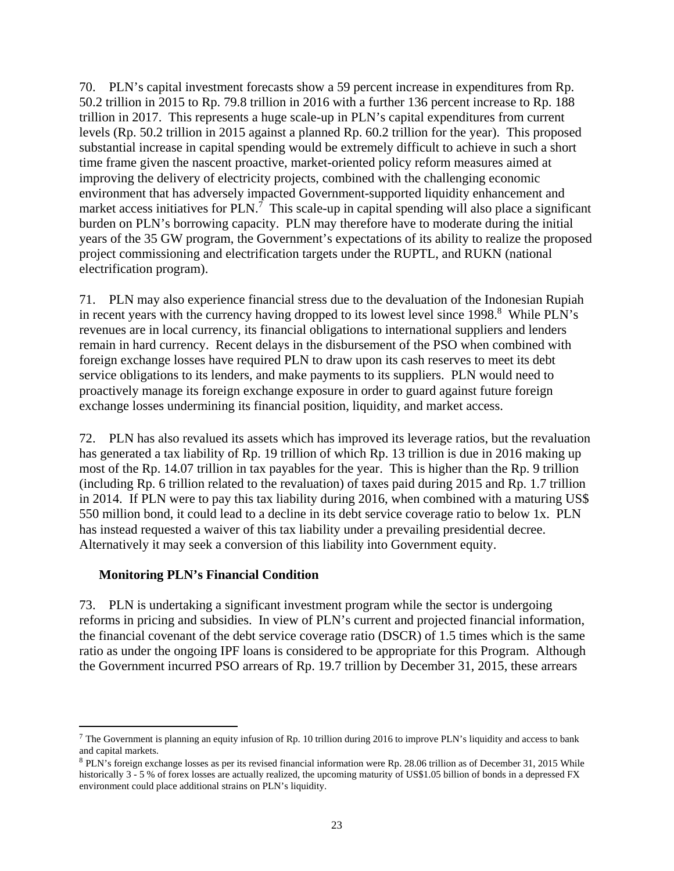70. PLN's capital investment forecasts show a 59 percent increase in expenditures from Rp. 50.2 trillion in 2015 to Rp. 79.8 trillion in 2016 with a further 136 percent increase to Rp. 188 trillion in 2017. This represents a huge scale-up in PLN's capital expenditures from current levels (Rp. 50.2 trillion in 2015 against a planned Rp. 60.2 trillion for the year). This proposed substantial increase in capital spending would be extremely difficult to achieve in such a short time frame given the nascent proactive, market-oriented policy reform measures aimed at improving the delivery of electricity projects, combined with the challenging economic environment that has adversely impacted Government-supported liquidity enhancement and market access initiatives for  $PLN$ .<sup>7</sup> This scale-up in capital spending will also place a significant burden on PLN's borrowing capacity. PLN may therefore have to moderate during the initial years of the 35 GW program, the Government's expectations of its ability to realize the proposed project commissioning and electrification targets under the RUPTL, and RUKN (national electrification program).

71. PLN may also experience financial stress due to the devaluation of the Indonesian Rupiah in recent years with the currency having dropped to its lowest level since 1998.<sup>8</sup> While PLN's revenues are in local currency, its financial obligations to international suppliers and lenders remain in hard currency. Recent delays in the disbursement of the PSO when combined with foreign exchange losses have required PLN to draw upon its cash reserves to meet its debt service obligations to its lenders, and make payments to its suppliers. PLN would need to proactively manage its foreign exchange exposure in order to guard against future foreign exchange losses undermining its financial position, liquidity, and market access.

72. PLN has also revalued its assets which has improved its leverage ratios, but the revaluation has generated a tax liability of Rp. 19 trillion of which Rp. 13 trillion is due in 2016 making up most of the Rp. 14.07 trillion in tax payables for the year. This is higher than the Rp. 9 trillion (including Rp. 6 trillion related to the revaluation) of taxes paid during 2015 and Rp. 1.7 trillion in 2014. If PLN were to pay this tax liability during 2016, when combined with a maturing US\$ 550 million bond, it could lead to a decline in its debt service coverage ratio to below 1x. PLN has instead requested a waiver of this tax liability under a prevailing presidential decree. Alternatively it may seek a conversion of this liability into Government equity.

## **Monitoring PLN's Financial Condition**

73. PLN is undertaking a significant investment program while the sector is undergoing reforms in pricing and subsidies. In view of PLN's current and projected financial information, the financial covenant of the debt service coverage ratio (DSCR) of 1.5 times which is the same ratio as under the ongoing IPF loans is considered to be appropriate for this Program. Although the Government incurred PSO arrears of Rp. 19.7 trillion by December 31, 2015, these arrears

 $^7$  The Government is planning an equity infusion of Rp. 10 trillion during 2016 to improve PLN's liquidity and access to bank and capital markets.<br><sup>8</sup> PLN's foreign exchange losses as per its revised financial information were Rp. 28.06 trillion as of December 31, 2015 While

historically 3 - 5 % of forex losses are actually realized, the upcoming maturity of US\$1.05 billion of bonds in a depressed FX environment could place additional strains on PLN's liquidity.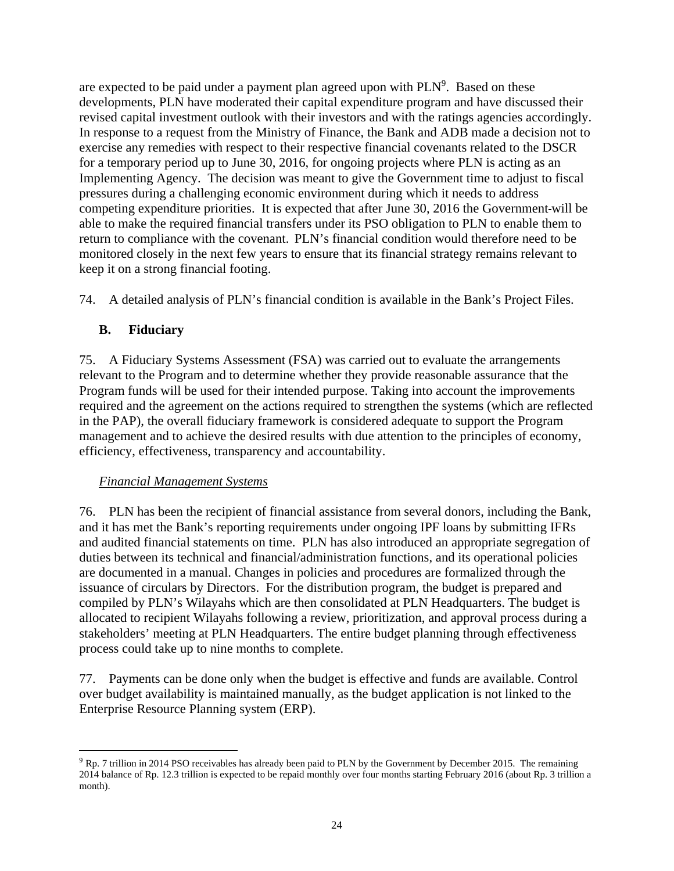are expected to be paid under a payment plan agreed upon with  $PLN<sup>9</sup>$ . Based on these developments, PLN have moderated their capital expenditure program and have discussed their revised capital investment outlook with their investors and with the ratings agencies accordingly. In response to a request from the Ministry of Finance, the Bank and ADB made a decision not to exercise any remedies with respect to their respective financial covenants related to the DSCR for a temporary period up to June 30, 2016, for ongoing projects where PLN is acting as an Implementing Agency. The decision was meant to give the Government time to adjust to fiscal pressures during a challenging economic environment during which it needs to address competing expenditure priorities. It is expected that after June 30, 2016 the Government will be able to make the required financial transfers under its PSO obligation to PLN to enable them to return to compliance with the covenant. PLN's financial condition would therefore need to be monitored closely in the next few years to ensure that its financial strategy remains relevant to keep it on a strong financial footing.

74. A detailed analysis of PLN's financial condition is available in the Bank's Project Files.

## **B. Fiduciary**

75. A Fiduciary Systems Assessment (FSA) was carried out to evaluate the arrangements relevant to the Program and to determine whether they provide reasonable assurance that the Program funds will be used for their intended purpose. Taking into account the improvements required and the agreement on the actions required to strengthen the systems (which are reflected in the PAP), the overall fiduciary framework is considered adequate to support the Program management and to achieve the desired results with due attention to the principles of economy, efficiency, effectiveness, transparency and accountability.

#### *Financial Management Systems*

76. PLN has been the recipient of financial assistance from several donors, including the Bank, and it has met the Bank's reporting requirements under ongoing IPF loans by submitting IFRs and audited financial statements on time. PLN has also introduced an appropriate segregation of duties between its technical and financial/administration functions, and its operational policies are documented in a manual. Changes in policies and procedures are formalized through the issuance of circulars by Directors. For the distribution program, the budget is prepared and compiled by PLN's Wilayahs which are then consolidated at PLN Headquarters. The budget is allocated to recipient Wilayahs following a review, prioritization, and approval process during a stakeholders' meeting at PLN Headquarters. The entire budget planning through effectiveness process could take up to nine months to complete.

77. Payments can be done only when the budget is effective and funds are available. Control over budget availability is maintained manually, as the budget application is not linked to the Enterprise Resource Planning system (ERP).

 $9$  Rp. 7 trillion in 2014 PSO receivables has already been paid to PLN by the Government by December 2015. The remaining 2014 balance of Rp. 12.3 trillion is expected to be repaid monthly over four months starting February 2016 (about Rp. 3 trillion a month).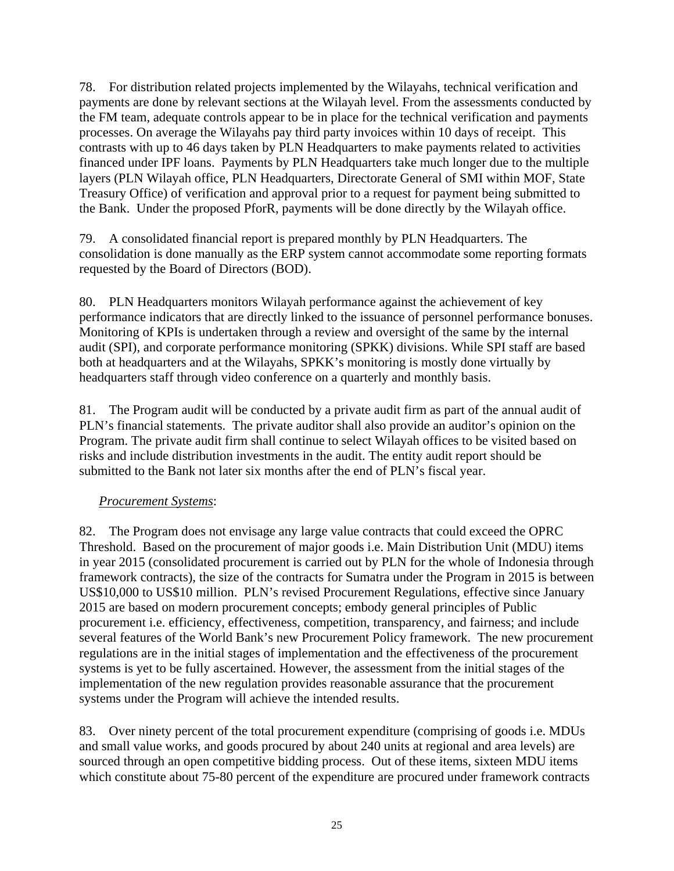78. For distribution related projects implemented by the Wilayahs, technical verification and payments are done by relevant sections at the Wilayah level. From the assessments conducted by the FM team, adequate controls appear to be in place for the technical verification and payments processes. On average the Wilayahs pay third party invoices within 10 days of receipt. This contrasts with up to 46 days taken by PLN Headquarters to make payments related to activities financed under IPF loans. Payments by PLN Headquarters take much longer due to the multiple layers (PLN Wilayah office, PLN Headquarters, Directorate General of SMI within MOF, State Treasury Office) of verification and approval prior to a request for payment being submitted to the Bank. Under the proposed PforR, payments will be done directly by the Wilayah office.

79. A consolidated financial report is prepared monthly by PLN Headquarters. The consolidation is done manually as the ERP system cannot accommodate some reporting formats requested by the Board of Directors (BOD).

80. PLN Headquarters monitors Wilayah performance against the achievement of key performance indicators that are directly linked to the issuance of personnel performance bonuses. Monitoring of KPIs is undertaken through a review and oversight of the same by the internal audit (SPI), and corporate performance monitoring (SPKK) divisions. While SPI staff are based both at headquarters and at the Wilayahs, SPKK's monitoring is mostly done virtually by headquarters staff through video conference on a quarterly and monthly basis.

81. The Program audit will be conducted by a private audit firm as part of the annual audit of PLN's financial statements. The private auditor shall also provide an auditor's opinion on the Program. The private audit firm shall continue to select Wilayah offices to be visited based on risks and include distribution investments in the audit. The entity audit report should be submitted to the Bank not later six months after the end of PLN's fiscal year.

## *Procurement Systems*:

82. The Program does not envisage any large value contracts that could exceed the OPRC Threshold. Based on the procurement of major goods i.e. Main Distribution Unit (MDU) items in year 2015 (consolidated procurement is carried out by PLN for the whole of Indonesia through framework contracts), the size of the contracts for Sumatra under the Program in 2015 is between US\$10,000 to US\$10 million. PLN's revised Procurement Regulations, effective since January 2015 are based on modern procurement concepts; embody general principles of Public procurement i.e. efficiency, effectiveness, competition, transparency, and fairness; and include several features of the World Bank's new Procurement Policy framework. The new procurement regulations are in the initial stages of implementation and the effectiveness of the procurement systems is yet to be fully ascertained. However, the assessment from the initial stages of the implementation of the new regulation provides reasonable assurance that the procurement systems under the Program will achieve the intended results.

83. Over ninety percent of the total procurement expenditure (comprising of goods i.e. MDUs and small value works, and goods procured by about 240 units at regional and area levels) are sourced through an open competitive bidding process. Out of these items, sixteen MDU items which constitute about 75-80 percent of the expenditure are procured under framework contracts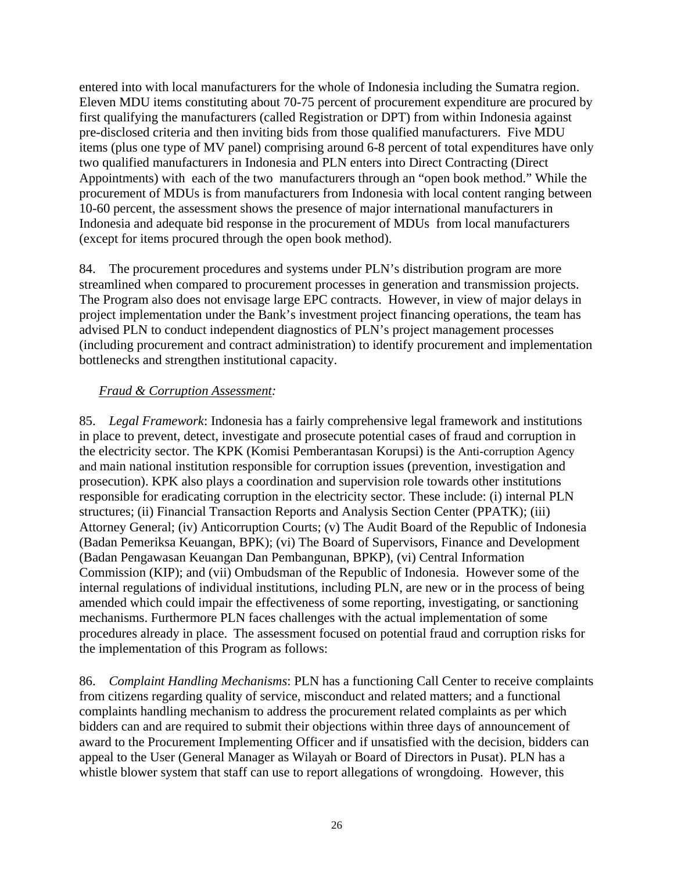entered into with local manufacturers for the whole of Indonesia including the Sumatra region. Eleven MDU items constituting about 70-75 percent of procurement expenditure are procured by first qualifying the manufacturers (called Registration or DPT) from within Indonesia against pre-disclosed criteria and then inviting bids from those qualified manufacturers. Five MDU items (plus one type of MV panel) comprising around 6-8 percent of total expenditures have only two qualified manufacturers in Indonesia and PLN enters into Direct Contracting (Direct Appointments) with each of the two manufacturers through an "open book method." While the procurement of MDUs is from manufacturers from Indonesia with local content ranging between 10-60 percent, the assessment shows the presence of major international manufacturers in Indonesia and adequate bid response in the procurement of MDUs from local manufacturers (except for items procured through the open book method).

84. The procurement procedures and systems under PLN's distribution program are more streamlined when compared to procurement processes in generation and transmission projects. The Program also does not envisage large EPC contracts. However, in view of major delays in project implementation under the Bank's investment project financing operations, the team has advised PLN to conduct independent diagnostics of PLN's project management processes (including procurement and contract administration) to identify procurement and implementation bottlenecks and strengthen institutional capacity.

## *Fraud & Corruption Assessment:*

85. *Legal Framework*: Indonesia has a fairly comprehensive legal framework and institutions in place to prevent, detect, investigate and prosecute potential cases of fraud and corruption in the electricity sector. The KPK (Komisi Pemberantasan Korupsi) is the Anti-corruption Agency and main national institution responsible for corruption issues (prevention, investigation and prosecution). KPK also plays a coordination and supervision role towards other institutions responsible for eradicating corruption in the electricity sector. These include: (i) internal PLN structures; (ii) Financial Transaction Reports and Analysis Section Center (PPATK); (iii) Attorney General; (iv) Anticorruption Courts; (v) The Audit Board of the Republic of Indonesia (Badan Pemeriksa Keuangan, BPK); (vi) The Board of Supervisors, Finance and Development (Badan Pengawasan Keuangan Dan Pembangunan, BPKP), (vi) Central Information Commission (KIP); and (vii) Ombudsman of the Republic of Indonesia. However some of the internal regulations of individual institutions, including PLN, are new or in the process of being amended which could impair the effectiveness of some reporting, investigating, or sanctioning mechanisms. Furthermore PLN faces challenges with the actual implementation of some procedures already in place. The assessment focused on potential fraud and corruption risks for the implementation of this Program as follows:

86. *Complaint Handling Mechanisms*: PLN has a functioning Call Center to receive complaints from citizens regarding quality of service, misconduct and related matters; and a functional complaints handling mechanism to address the procurement related complaints as per which bidders can and are required to submit their objections within three days of announcement of award to the Procurement Implementing Officer and if unsatisfied with the decision, bidders can appeal to the User (General Manager as Wilayah or Board of Directors in Pusat). PLN has a whistle blower system that staff can use to report allegations of wrongdoing. However, this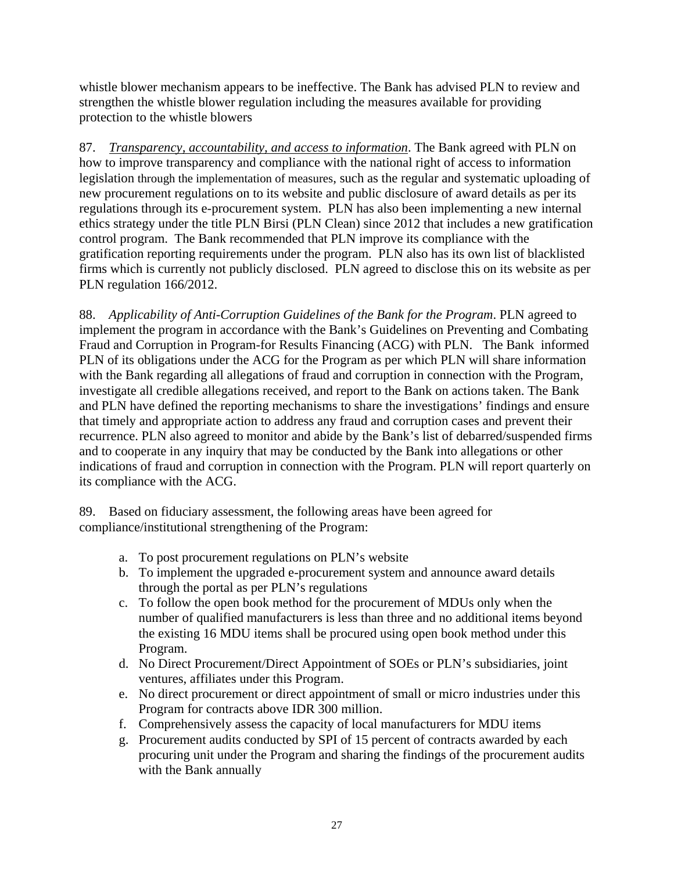whistle blower mechanism appears to be ineffective. The Bank has advised PLN to review and strengthen the whistle blower regulation including the measures available for providing protection to the whistle blowers

87. *Transparency, accountability, and access to information*. The Bank agreed with PLN on how to improve transparency and compliance with the national right of access to information legislation through the implementation of measures, such as the regular and systematic uploading of new procurement regulations on to its website and public disclosure of award details as per its regulations through its e-procurement system. PLN has also been implementing a new internal ethics strategy under the title PLN Birsi (PLN Clean) since 2012 that includes a new gratification control program. The Bank recommended that PLN improve its compliance with the gratification reporting requirements under the program. PLN also has its own list of blacklisted firms which is currently not publicly disclosed. PLN agreed to disclose this on its website as per PLN regulation 166/2012.

88. *Applicability of Anti-Corruption Guidelines of the Bank for the Program*. PLN agreed to implement the program in accordance with the Bank's Guidelines on Preventing and Combating Fraud and Corruption in Program-for Results Financing (ACG) with PLN. The Bank informed PLN of its obligations under the ACG for the Program as per which PLN will share information with the Bank regarding all allegations of fraud and corruption in connection with the Program, investigate all credible allegations received, and report to the Bank on actions taken. The Bank and PLN have defined the reporting mechanisms to share the investigations' findings and ensure that timely and appropriate action to address any fraud and corruption cases and prevent their recurrence. PLN also agreed to monitor and abide by the Bank's list of debarred/suspended firms and to cooperate in any inquiry that may be conducted by the Bank into allegations or other indications of fraud and corruption in connection with the Program. PLN will report quarterly on its compliance with the ACG.

89. Based on fiduciary assessment, the following areas have been agreed for compliance/institutional strengthening of the Program:

- a. To post procurement regulations on PLN's website
- b. To implement the upgraded e-procurement system and announce award details through the portal as per PLN's regulations
- c. To follow the open book method for the procurement of MDUs only when the number of qualified manufacturers is less than three and no additional items beyond the existing 16 MDU items shall be procured using open book method under this Program.
- d. No Direct Procurement/Direct Appointment of SOEs or PLN's subsidiaries, joint ventures, affiliates under this Program.
- e. No direct procurement or direct appointment of small or micro industries under this Program for contracts above IDR 300 million.
- f. Comprehensively assess the capacity of local manufacturers for MDU items
- g. Procurement audits conducted by SPI of 15 percent of contracts awarded by each procuring unit under the Program and sharing the findings of the procurement audits with the Bank annually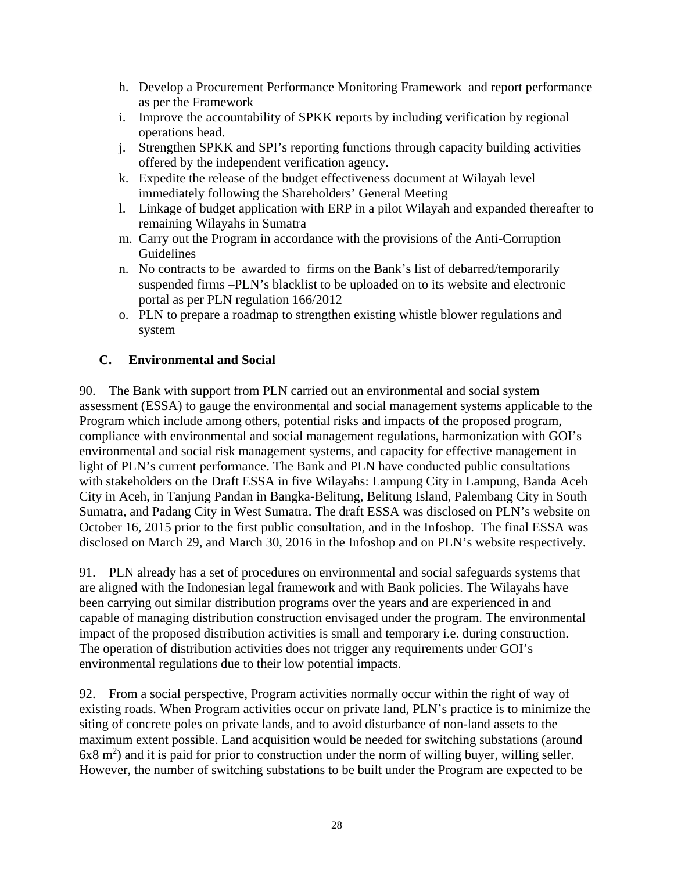- h. Develop a Procurement Performance Monitoring Framework and report performance as per the Framework
- i. Improve the accountability of SPKK reports by including verification by regional operations head.
- j. Strengthen SPKK and SPI's reporting functions through capacity building activities offered by the independent verification agency.
- k. Expedite the release of the budget effectiveness document at Wilayah level immediately following the Shareholders' General Meeting
- l. Linkage of budget application with ERP in a pilot Wilayah and expanded thereafter to remaining Wilayahs in Sumatra
- m. Carry out the Program in accordance with the provisions of the Anti-Corruption Guidelines
- n. No contracts to be awarded to firms on the Bank's list of debarred/temporarily suspended firms –PLN's blacklist to be uploaded on to its website and electronic portal as per PLN regulation 166/2012
- o. PLN to prepare a roadmap to strengthen existing whistle blower regulations and system

# **C. Environmental and Social**

90. The Bank with support from PLN carried out an environmental and social system assessment (ESSA) to gauge the environmental and social management systems applicable to the Program which include among others, potential risks and impacts of the proposed program, compliance with environmental and social management regulations, harmonization with GOI's environmental and social risk management systems, and capacity for effective management in light of PLN's current performance. The Bank and PLN have conducted public consultations with stakeholders on the Draft ESSA in five Wilayahs: Lampung City in Lampung, Banda Aceh City in Aceh, in Tanjung Pandan in Bangka-Belitung, Belitung Island, Palembang City in South Sumatra, and Padang City in West Sumatra. The draft ESSA was disclosed on PLN's website on October 16, 2015 prior to the first public consultation, and in the Infoshop. The final ESSA was disclosed on March 29, and March 30, 2016 in the Infoshop and on PLN's website respectively.

91. PLN already has a set of procedures on environmental and social safeguards systems that are aligned with the Indonesian legal framework and with Bank policies. The Wilayahs have been carrying out similar distribution programs over the years and are experienced in and capable of managing distribution construction envisaged under the program. The environmental impact of the proposed distribution activities is small and temporary i.e. during construction. The operation of distribution activities does not trigger any requirements under GOI's environmental regulations due to their low potential impacts.

92. From a social perspective, Program activities normally occur within the right of way of existing roads. When Program activities occur on private land, PLN's practice is to minimize the siting of concrete poles on private lands, and to avoid disturbance of non-land assets to the maximum extent possible. Land acquisition would be needed for switching substations (around  $6x8 \text{ m}^2$ ) and it is paid for prior to construction under the norm of willing buyer, willing seller. However, the number of switching substations to be built under the Program are expected to be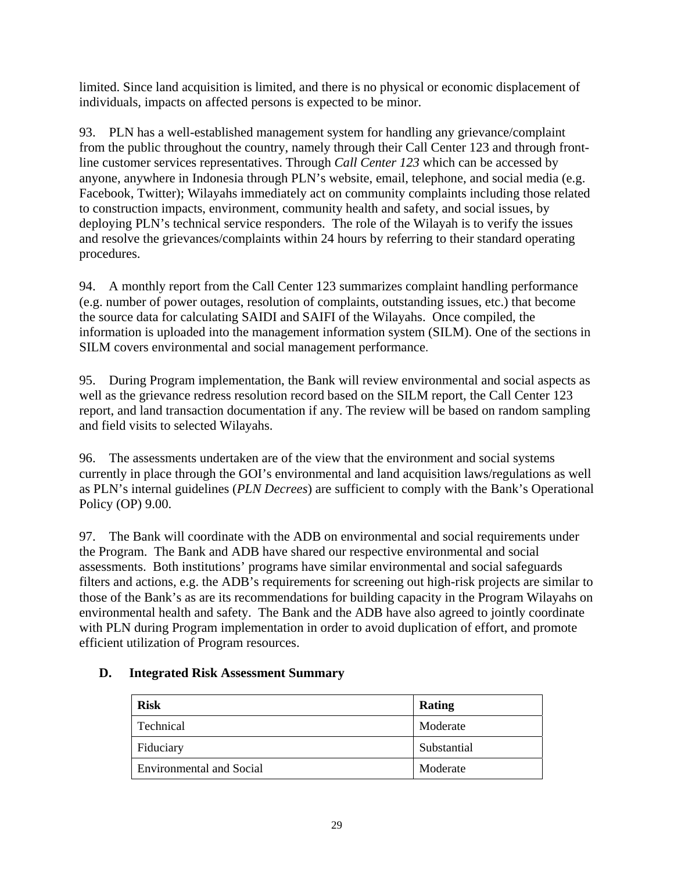limited. Since land acquisition is limited, and there is no physical or economic displacement of individuals, impacts on affected persons is expected to be minor.

93. PLN has a well-established management system for handling any grievance/complaint from the public throughout the country, namely through their Call Center 123 and through frontline customer services representatives. Through *Call Center 123* which can be accessed by anyone, anywhere in Indonesia through PLN's website, email, telephone, and social media (e.g. Facebook, Twitter); Wilayahs immediately act on community complaints including those related to construction impacts, environment, community health and safety, and social issues, by deploying PLN's technical service responders. The role of the Wilayah is to verify the issues and resolve the grievances/complaints within 24 hours by referring to their standard operating procedures.

94. A monthly report from the Call Center 123 summarizes complaint handling performance (e.g. number of power outages, resolution of complaints, outstanding issues, etc.) that become the source data for calculating SAIDI and SAIFI of the Wilayahs. Once compiled, the information is uploaded into the management information system (SILM). One of the sections in SILM covers environmental and social management performance.

95. During Program implementation, the Bank will review environmental and social aspects as well as the grievance redress resolution record based on the SILM report, the Call Center 123 report, and land transaction documentation if any. The review will be based on random sampling and field visits to selected Wilayahs.

96. The assessments undertaken are of the view that the environment and social systems currently in place through the GOI's environmental and land acquisition laws/regulations as well as PLN's internal guidelines (*PLN Decrees*) are sufficient to comply with the Bank's Operational Policy (OP) 9.00.

97. The Bank will coordinate with the ADB on environmental and social requirements under the Program. The Bank and ADB have shared our respective environmental and social assessments. Both institutions' programs have similar environmental and social safeguards filters and actions, e.g. the ADB's requirements for screening out high-risk projects are similar to those of the Bank's as are its recommendations for building capacity in the Program Wilayahs on environmental health and safety. The Bank and the ADB have also agreed to jointly coordinate with PLN during Program implementation in order to avoid duplication of effort, and promote efficient utilization of Program resources.

# **D. Integrated Risk Assessment Summary**

| <b>Risk</b>                     | Rating      |
|---------------------------------|-------------|
| Technical                       | Moderate    |
| Fiduciary                       | Substantial |
| <b>Environmental and Social</b> | Moderate    |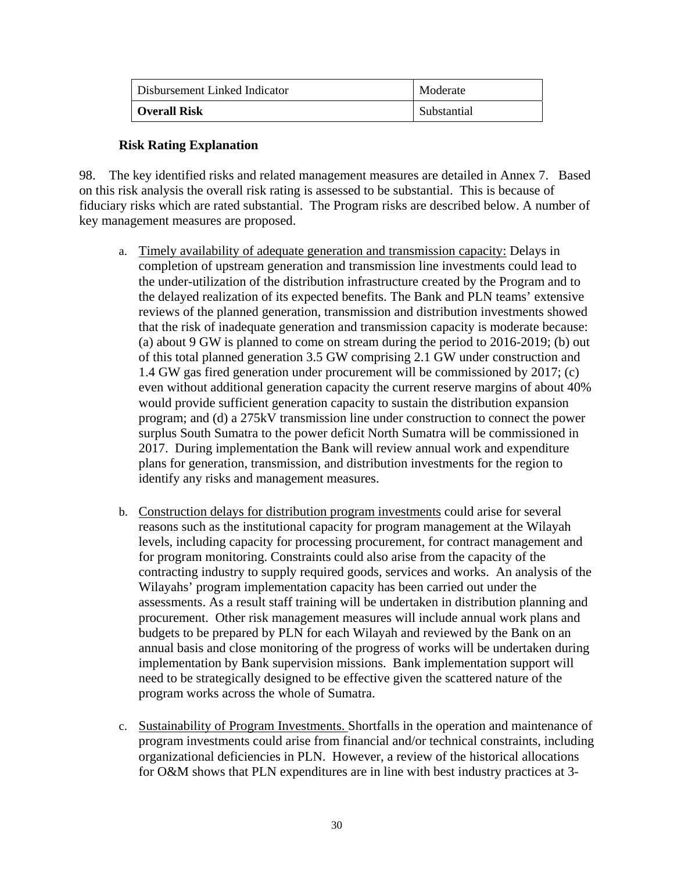| Disbursement Linked Indicator | Moderate    |
|-------------------------------|-------------|
| Overall Risk                  | Substantial |

## **Risk Rating Explanation**

98. The key identified risks and related management measures are detailed in Annex 7. Based on this risk analysis the overall risk rating is assessed to be substantial. This is because of fiduciary risks which are rated substantial. The Program risks are described below. A number of key management measures are proposed.

- a. Timely availability of adequate generation and transmission capacity: Delays in completion of upstream generation and transmission line investments could lead to the under-utilization of the distribution infrastructure created by the Program and to the delayed realization of its expected benefits. The Bank and PLN teams' extensive reviews of the planned generation, transmission and distribution investments showed that the risk of inadequate generation and transmission capacity is moderate because: (a) about 9 GW is planned to come on stream during the period to 2016-2019; (b) out of this total planned generation 3.5 GW comprising 2.1 GW under construction and 1.4 GW gas fired generation under procurement will be commissioned by 2017; (c) even without additional generation capacity the current reserve margins of about 40% would provide sufficient generation capacity to sustain the distribution expansion program; and (d) a 275kV transmission line under construction to connect the power surplus South Sumatra to the power deficit North Sumatra will be commissioned in 2017. During implementation the Bank will review annual work and expenditure plans for generation, transmission, and distribution investments for the region to identify any risks and management measures.
- b. Construction delays for distribution program investments could arise for several reasons such as the institutional capacity for program management at the Wilayah levels, including capacity for processing procurement, for contract management and for program monitoring. Constraints could also arise from the capacity of the contracting industry to supply required goods, services and works. An analysis of the Wilayahs' program implementation capacity has been carried out under the assessments. As a result staff training will be undertaken in distribution planning and procurement. Other risk management measures will include annual work plans and budgets to be prepared by PLN for each Wilayah and reviewed by the Bank on an annual basis and close monitoring of the progress of works will be undertaken during implementation by Bank supervision missions. Bank implementation support will need to be strategically designed to be effective given the scattered nature of the program works across the whole of Sumatra.
- c. Sustainability of Program Investments. Shortfalls in the operation and maintenance of program investments could arise from financial and/or technical constraints, including organizational deficiencies in PLN. However, a review of the historical allocations for O&M shows that PLN expenditures are in line with best industry practices at 3-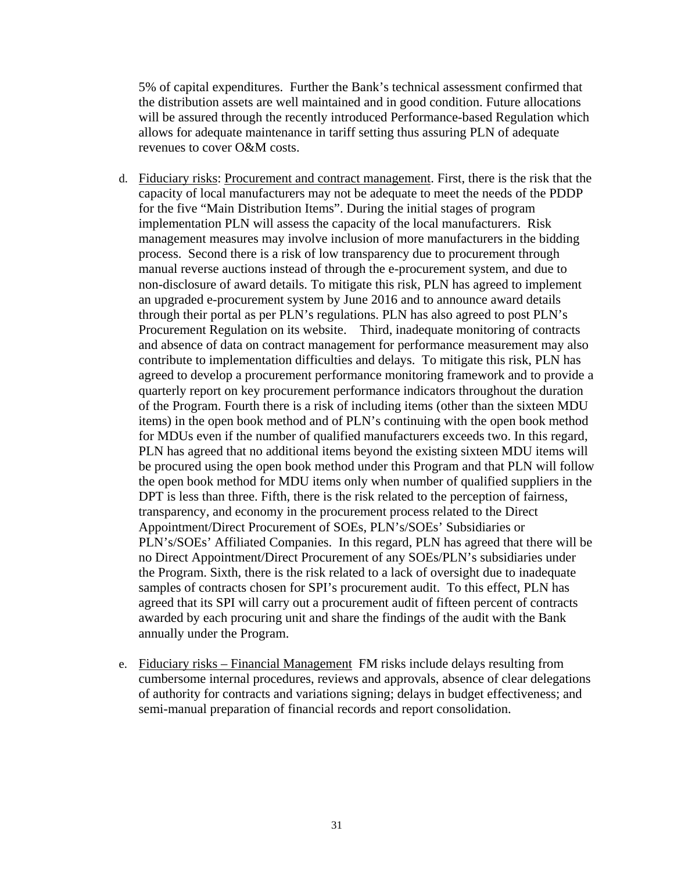5% of capital expenditures. Further the Bank's technical assessment confirmed that the distribution assets are well maintained and in good condition. Future allocations will be assured through the recently introduced Performance-based Regulation which allows for adequate maintenance in tariff setting thus assuring PLN of adequate revenues to cover O&M costs.

- d. Fiduciary risks: Procurement and contract management. First, there is the risk that the capacity of local manufacturers may not be adequate to meet the needs of the PDDP for the five "Main Distribution Items". During the initial stages of program implementation PLN will assess the capacity of the local manufacturers. Risk management measures may involve inclusion of more manufacturers in the bidding process. Second there is a risk of low transparency due to procurement through manual reverse auctions instead of through the e-procurement system, and due to non-disclosure of award details. To mitigate this risk, PLN has agreed to implement an upgraded e-procurement system by June 2016 and to announce award details through their portal as per PLN's regulations. PLN has also agreed to post PLN's Procurement Regulation on its website. Third, inadequate monitoring of contracts and absence of data on contract management for performance measurement may also contribute to implementation difficulties and delays. To mitigate this risk, PLN has agreed to develop a procurement performance monitoring framework and to provide a quarterly report on key procurement performance indicators throughout the duration of the Program. Fourth there is a risk of including items (other than the sixteen MDU items) in the open book method and of PLN's continuing with the open book method for MDUs even if the number of qualified manufacturers exceeds two. In this regard, PLN has agreed that no additional items beyond the existing sixteen MDU items will be procured using the open book method under this Program and that PLN will follow the open book method for MDU items only when number of qualified suppliers in the DPT is less than three. Fifth, there is the risk related to the perception of fairness, transparency, and economy in the procurement process related to the Direct Appointment/Direct Procurement of SOEs, PLN's/SOEs' Subsidiaries or PLN's/SOEs' Affiliated Companies. In this regard, PLN has agreed that there will be no Direct Appointment/Direct Procurement of any SOEs/PLN's subsidiaries under the Program. Sixth, there is the risk related to a lack of oversight due to inadequate samples of contracts chosen for SPI's procurement audit. To this effect, PLN has agreed that its SPI will carry out a procurement audit of fifteen percent of contracts awarded by each procuring unit and share the findings of the audit with the Bank annually under the Program.
- e. Fiduciary risks Financial Management FM risks include delays resulting from cumbersome internal procedures, reviews and approvals, absence of clear delegations of authority for contracts and variations signing; delays in budget effectiveness; and semi-manual preparation of financial records and report consolidation.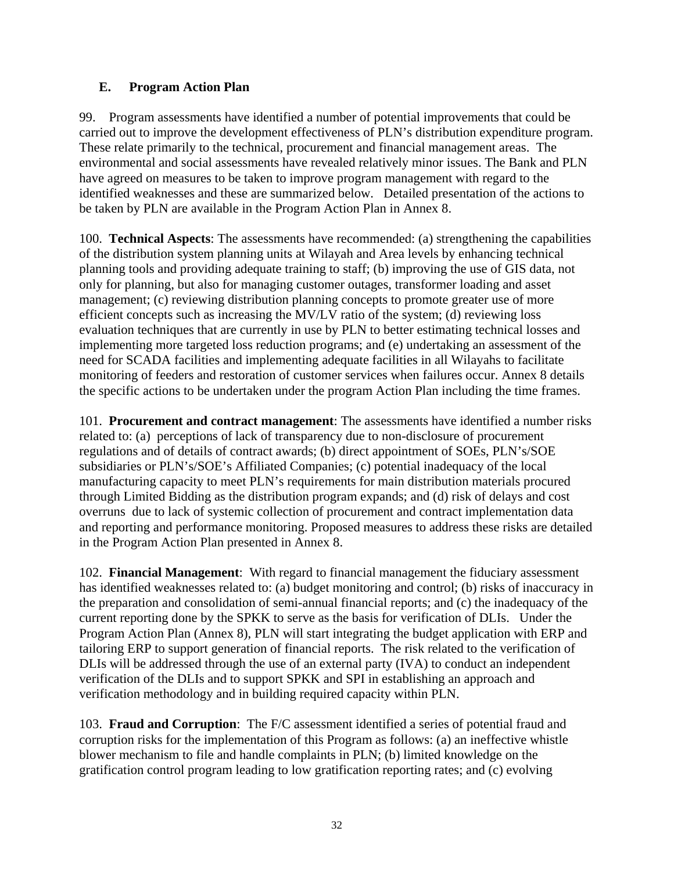# **E. Program Action Plan**

99. Program assessments have identified a number of potential improvements that could be carried out to improve the development effectiveness of PLN's distribution expenditure program. These relate primarily to the technical, procurement and financial management areas. The environmental and social assessments have revealed relatively minor issues. The Bank and PLN have agreed on measures to be taken to improve program management with regard to the identified weaknesses and these are summarized below. Detailed presentation of the actions to be taken by PLN are available in the Program Action Plan in Annex 8.

100. **Technical Aspects**: The assessments have recommended: (a) strengthening the capabilities of the distribution system planning units at Wilayah and Area levels by enhancing technical planning tools and providing adequate training to staff; (b) improving the use of GIS data, not only for planning, but also for managing customer outages, transformer loading and asset management; (c) reviewing distribution planning concepts to promote greater use of more efficient concepts such as increasing the MV/LV ratio of the system; (d) reviewing loss evaluation techniques that are currently in use by PLN to better estimating technical losses and implementing more targeted loss reduction programs; and (e) undertaking an assessment of the need for SCADA facilities and implementing adequate facilities in all Wilayahs to facilitate monitoring of feeders and restoration of customer services when failures occur. Annex 8 details the specific actions to be undertaken under the program Action Plan including the time frames.

101. **Procurement and contract management**: The assessments have identified a number risks related to: (a) perceptions of lack of transparency due to non-disclosure of procurement regulations and of details of contract awards; (b) direct appointment of SOEs, PLN's/SOE subsidiaries or PLN's/SOE's Affiliated Companies; (c) potential inadequacy of the local manufacturing capacity to meet PLN's requirements for main distribution materials procured through Limited Bidding as the distribution program expands; and (d) risk of delays and cost overruns due to lack of systemic collection of procurement and contract implementation data and reporting and performance monitoring. Proposed measures to address these risks are detailed in the Program Action Plan presented in Annex 8.

102. **Financial Management**: With regard to financial management the fiduciary assessment has identified weaknesses related to: (a) budget monitoring and control; (b) risks of inaccuracy in the preparation and consolidation of semi-annual financial reports; and (c) the inadequacy of the current reporting done by the SPKK to serve as the basis for verification of DLIs. Under the Program Action Plan (Annex 8), PLN will start integrating the budget application with ERP and tailoring ERP to support generation of financial reports. The risk related to the verification of DLIs will be addressed through the use of an external party (IVA) to conduct an independent verification of the DLIs and to support SPKK and SPI in establishing an approach and verification methodology and in building required capacity within PLN.

103. **Fraud and Corruption**: The F/C assessment identified a series of potential fraud and corruption risks for the implementation of this Program as follows: (a) an ineffective whistle blower mechanism to file and handle complaints in PLN; (b) limited knowledge on the gratification control program leading to low gratification reporting rates; and (c) evolving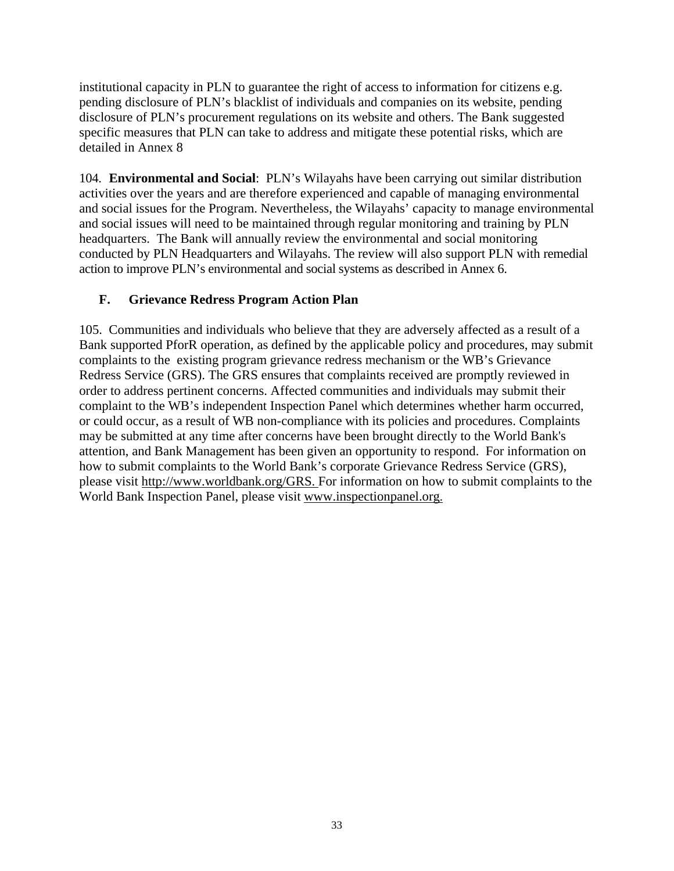institutional capacity in PLN to guarantee the right of access to information for citizens e.g. pending disclosure of PLN's blacklist of individuals and companies on its website, pending disclosure of PLN's procurement regulations on its website and others. The Bank suggested specific measures that PLN can take to address and mitigate these potential risks, which are detailed in Annex 8

104. **Environmental and Social**: PLN's Wilayahs have been carrying out similar distribution activities over the years and are therefore experienced and capable of managing environmental and social issues for the Program. Nevertheless, the Wilayahs' capacity to manage environmental and social issues will need to be maintained through regular monitoring and training by PLN headquarters. The Bank will annually review the environmental and social monitoring conducted by PLN Headquarters and Wilayahs. The review will also support PLN with remedial action to improve PLN's environmental and social systems as described in Annex 6.

# **F. Grievance Redress Program Action Plan**

105. Communities and individuals who believe that they are adversely affected as a result of a Bank supported PforR operation, as defined by the applicable policy and procedures, may submit complaints to the existing program grievance redress mechanism or the WB's Grievance Redress Service (GRS). The GRS ensures that complaints received are promptly reviewed in order to address pertinent concerns. Affected communities and individuals may submit their complaint to the WB's independent Inspection Panel which determines whether harm occurred, or could occur, as a result of WB non-compliance with its policies and procedures. Complaints may be submitted at any time after concerns have been brought directly to the World Bank's attention, and Bank Management has been given an opportunity to respond. For information on how to submit complaints to the World Bank's corporate Grievance Redress Service (GRS), please visit http://www.worldbank.org/GRS. For information on how to submit complaints to the World Bank Inspection Panel, please visit www.inspectionpanel.org.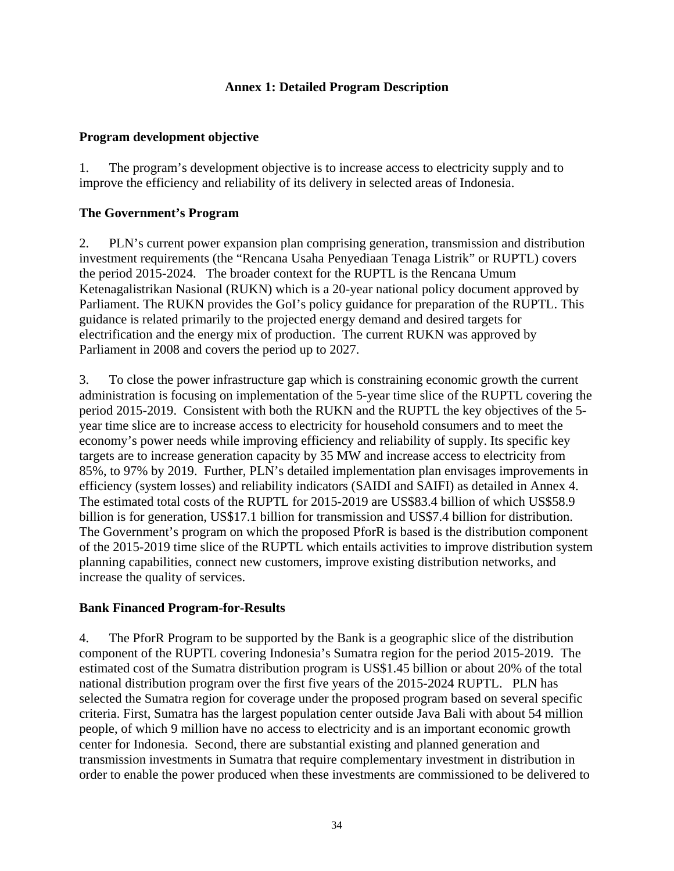# **Annex 1: Detailed Program Description**

#### **Program development objective**

1. The program's development objective is to increase access to electricity supply and to improve the efficiency and reliability of its delivery in selected areas of Indonesia.

## **The Government's Program**

2. PLN's current power expansion plan comprising generation, transmission and distribution investment requirements (the "Rencana Usaha Penyediaan Tenaga Listrik" or RUPTL) covers the period 2015-2024. The broader context for the RUPTL is the Rencana Umum Ketenagalistrikan Nasional (RUKN) which is a 20-year national policy document approved by Parliament. The RUKN provides the GoI's policy guidance for preparation of the RUPTL. This guidance is related primarily to the projected energy demand and desired targets for electrification and the energy mix of production. The current RUKN was approved by Parliament in 2008 and covers the period up to 2027.

3. To close the power infrastructure gap which is constraining economic growth the current administration is focusing on implementation of the 5-year time slice of the RUPTL covering the period 2015-2019. Consistent with both the RUKN and the RUPTL the key objectives of the 5 year time slice are to increase access to electricity for household consumers and to meet the economy's power needs while improving efficiency and reliability of supply. Its specific key targets are to increase generation capacity by 35 MW and increase access to electricity from 85%, to 97% by 2019. Further, PLN's detailed implementation plan envisages improvements in efficiency (system losses) and reliability indicators (SAIDI and SAIFI) as detailed in Annex 4. The estimated total costs of the RUPTL for 2015-2019 are US\$83.4 billion of which US\$58.9 billion is for generation, US\$17.1 billion for transmission and US\$7.4 billion for distribution. The Government's program on which the proposed PforR is based is the distribution component of the 2015-2019 time slice of the RUPTL which entails activities to improve distribution system planning capabilities, connect new customers, improve existing distribution networks, and increase the quality of services.

#### **Bank Financed Program-for-Results**

4. The PforR Program to be supported by the Bank is a geographic slice of the distribution component of the RUPTL covering Indonesia's Sumatra region for the period 2015-2019. The estimated cost of the Sumatra distribution program is US\$1.45 billion or about 20% of the total national distribution program over the first five years of the 2015-2024 RUPTL. PLN has selected the Sumatra region for coverage under the proposed program based on several specific criteria. First, Sumatra has the largest population center outside Java Bali with about 54 million people, of which 9 million have no access to electricity and is an important economic growth center for Indonesia. Second, there are substantial existing and planned generation and transmission investments in Sumatra that require complementary investment in distribution in order to enable the power produced when these investments are commissioned to be delivered to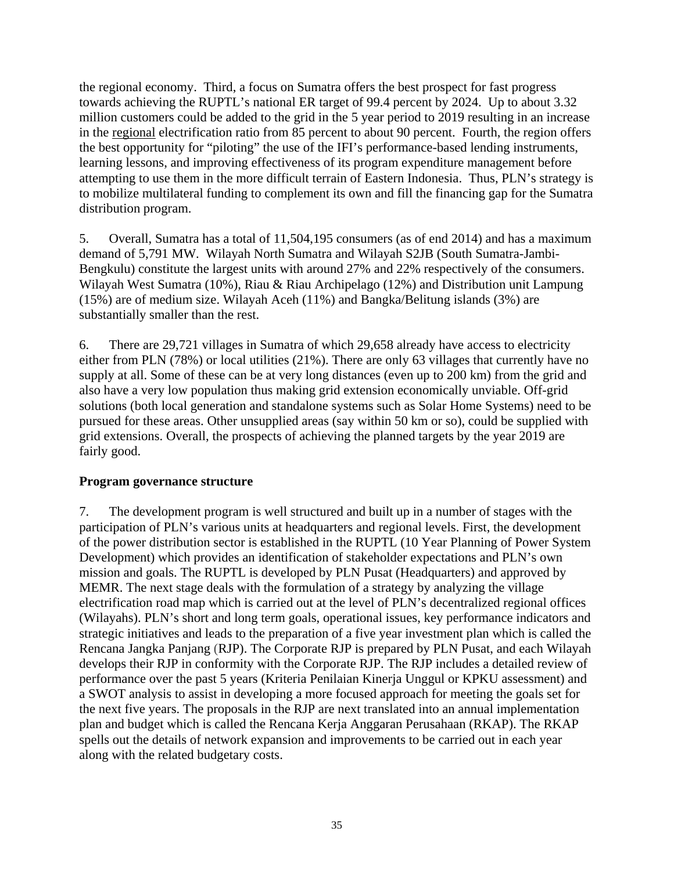the regional economy. Third, a focus on Sumatra offers the best prospect for fast progress towards achieving the RUPTL's national ER target of 99.4 percent by 2024. Up to about 3.32 million customers could be added to the grid in the 5 year period to 2019 resulting in an increase in the regional electrification ratio from 85 percent to about 90 percent. Fourth, the region offers the best opportunity for "piloting" the use of the IFI's performance-based lending instruments, learning lessons, and improving effectiveness of its program expenditure management before attempting to use them in the more difficult terrain of Eastern Indonesia. Thus, PLN's strategy is to mobilize multilateral funding to complement its own and fill the financing gap for the Sumatra distribution program.

5. Overall, Sumatra has a total of 11,504,195 consumers (as of end 2014) and has a maximum demand of 5,791 MW. Wilayah North Sumatra and Wilayah S2JB (South Sumatra-Jambi-Bengkulu) constitute the largest units with around 27% and 22% respectively of the consumers. Wilayah West Sumatra (10%), Riau & Riau Archipelago (12%) and Distribution unit Lampung (15%) are of medium size. Wilayah Aceh (11%) and Bangka/Belitung islands (3%) are substantially smaller than the rest.

6. There are 29,721 villages in Sumatra of which 29,658 already have access to electricity either from PLN (78%) or local utilities (21%). There are only 63 villages that currently have no supply at all. Some of these can be at very long distances (even up to 200 km) from the grid and also have a very low population thus making grid extension economically unviable. Off-grid solutions (both local generation and standalone systems such as Solar Home Systems) need to be pursued for these areas. Other unsupplied areas (say within 50 km or so), could be supplied with grid extensions. Overall, the prospects of achieving the planned targets by the year 2019 are fairly good.

# **Program governance structure**

7. The development program is well structured and built up in a number of stages with the participation of PLN's various units at headquarters and regional levels. First, the development of the power distribution sector is established in the RUPTL (10 Year Planning of Power System Development) which provides an identification of stakeholder expectations and PLN's own mission and goals. The RUPTL is developed by PLN Pusat (Headquarters) and approved by MEMR. The next stage deals with the formulation of a strategy by analyzing the village electrification road map which is carried out at the level of PLN's decentralized regional offices (Wilayahs). PLN's short and long term goals, operational issues, key performance indicators and strategic initiatives and leads to the preparation of a five year investment plan which is called the Rencana Jangka Panjang (RJP). The Corporate RJP is prepared by PLN Pusat, and each Wilayah develops their RJP in conformity with the Corporate RJP. The RJP includes a detailed review of performance over the past 5 years (Kriteria Penilaian Kinerja Unggul or KPKU assessment) and a SWOT analysis to assist in developing a more focused approach for meeting the goals set for the next five years. The proposals in the RJP are next translated into an annual implementation plan and budget which is called the Rencana Kerja Anggaran Perusahaan (RKAP). The RKAP spells out the details of network expansion and improvements to be carried out in each year along with the related budgetary costs.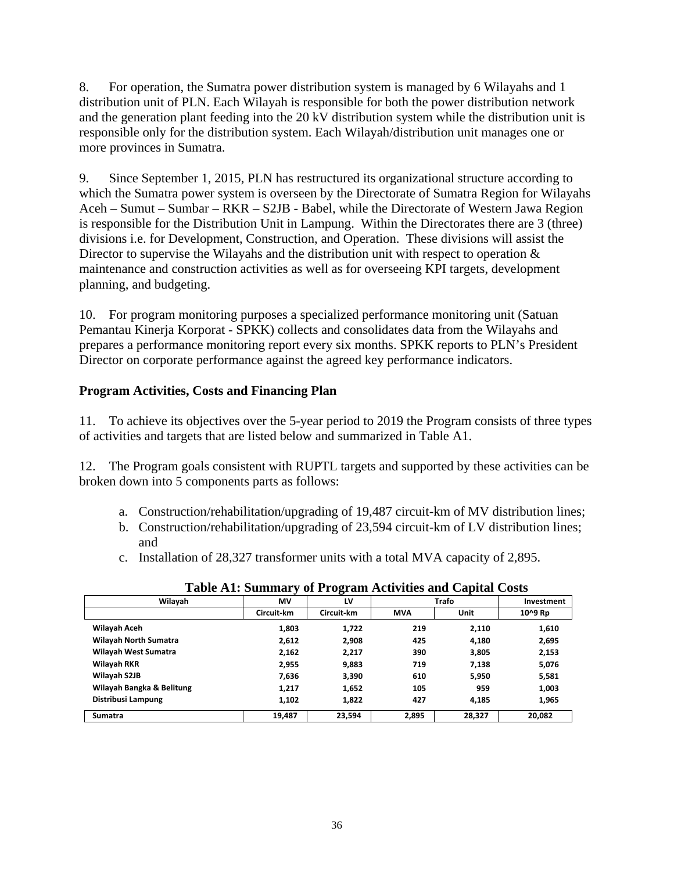8. For operation, the Sumatra power distribution system is managed by 6 Wilayahs and 1 distribution unit of PLN. Each Wilayah is responsible for both the power distribution network and the generation plant feeding into the 20 kV distribution system while the distribution unit is responsible only for the distribution system. Each Wilayah/distribution unit manages one or more provinces in Sumatra.

9. Since September 1, 2015, PLN has restructured its organizational structure according to which the Sumatra power system is overseen by the Directorate of Sumatra Region for Wilayahs Aceh – Sumut – Sumbar – RKR – S2JB - Babel, while the Directorate of Western Jawa Region is responsible for the Distribution Unit in Lampung. Within the Directorates there are 3 (three) divisions i.e. for Development, Construction, and Operation. These divisions will assist the Director to supervise the Wilayahs and the distribution unit with respect to operation  $\&$ maintenance and construction activities as well as for overseeing KPI targets, development planning, and budgeting.

10. For program monitoring purposes a specialized performance monitoring unit (Satuan Pemantau Kinerja Korporat - SPKK) collects and consolidates data from the Wilayahs and prepares a performance monitoring report every six months. SPKK reports to PLN's President Director on corporate performance against the agreed key performance indicators.

# **Program Activities, Costs and Financing Plan**

11. To achieve its objectives over the 5-year period to 2019 the Program consists of three types of activities and targets that are listed below and summarized in Table A1.

12. The Program goals consistent with RUPTL targets and supported by these activities can be broken down into 5 components parts as follows:

- a. Construction/rehabilitation/upgrading of 19,487 circuit-km of MV distribution lines;
- b. Construction/rehabilitation/upgrading of 23,594 circuit-km of LV distribution lines; and
- c. Installation of 28,327 transformer units with a total MVA capacity of 2,895.

|                              |            | o          |            |              |            |
|------------------------------|------------|------------|------------|--------------|------------|
| Wilayah                      | MV         | LV         |            | <b>Trafo</b> | Investment |
|                              | Circuit-km | Circuit-km | <b>MVA</b> | Unit         | 10^9 Rp    |
| Wilayah Aceh                 | 1,803      | 1,722      | 219        | 2,110        | 1,610      |
| <b>Wilayah North Sumatra</b> | 2,612      | 2,908      | 425        | 4,180        | 2,695      |
| Wilayah West Sumatra         | 2,162      | 2,217      | 390        | 3,805        | 2,153      |
| Wilayah RKR                  | 2,955      | 9,883      | 719        | 7,138        | 5,076      |
| Wilayah S2JB                 | 7,636      | 3,390      | 610        | 5,950        | 5,581      |
| Wilayah Bangka & Belitung    | 1,217      | 1,652      | 105        | 959          | 1,003      |
| Distribusi Lampung           | 1,102      | 1,822      | 427        | 4,185        | 1,965      |
| <b>Sumatra</b>               | 19,487     | 23,594     | 2,895      | 28,327       | 20.082     |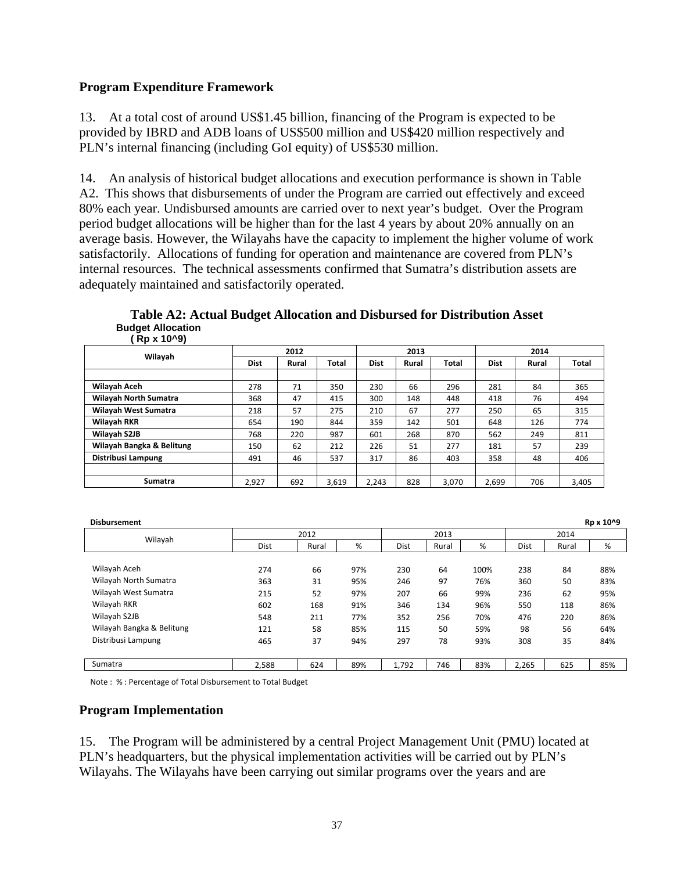#### **Program Expenditure Framework**

13. At a total cost of around US\$1.45 billion, financing of the Program is expected to be provided by IBRD and ADB loans of US\$500 million and US\$420 million respectively and PLN's internal financing (including GoI equity) of US\$530 million.

14. An analysis of historical budget allocations and execution performance is shown in Table A2. This shows that disbursements of under the Program are carried out effectively and exceed 80% each year. Undisbursed amounts are carried over to next year's budget. Over the Program period budget allocations will be higher than for the last 4 years by about 20% annually on an average basis. However, the Wilayahs have the capacity to implement the higher volume of work satisfactorily. Allocations of funding for operation and maintenance are covered from PLN's internal resources. The technical assessments confirmed that Sumatra's distribution assets are adequately maintained and satisfactorily operated.

**Table A2: Actual Budget Allocation and Disbursed for Distribution Asset Budget Allocation ( Rp x 10^9)** 

| Wilayah                      | 2012        |       |       |             | 2013  |       |             | 2014  |              |
|------------------------------|-------------|-------|-------|-------------|-------|-------|-------------|-------|--------------|
|                              | <b>Dist</b> | Rural | Total | <b>Dist</b> | Rural | Total | <b>Dist</b> | Rural | <b>Total</b> |
|                              |             |       |       |             |       |       |             |       |              |
| Wilayah Aceh                 | 278         | 71    | 350   | 230         | 66    | 296   | 281         | 84    | 365          |
| <b>Wilayah North Sumatra</b> | 368         | 47    | 415   | 300         | 148   | 448   | 418         | 76    | 494          |
| Wilayah West Sumatra         | 218         | 57    | 275   | 210         | 67    | 277   | 250         | 65    | 315          |
| <b>Wilayah RKR</b>           | 654         | 190   | 844   | 359         | 142   | 501   | 648         | 126   | 774          |
| Wilayah S2JB                 | 768         | 220   | 987   | 601         | 268   | 870   | 562         | 249   | 811          |
| Wilayah Bangka & Belitung    | 150         | 62    | 212   | 226         | 51    | 277   | 181         | 57    | 239          |
| Distribusi Lampung           | 491         | 46    | 537   | 317         | 86    | 403   | 358         | 48    | 406          |
|                              |             |       |       |             |       |       |             |       |              |
| <b>Sumatra</b>               | 2.927       | 692   | 3.619 | 2.243       | 828   | 3.070 | 2.699       | 706   | 3,405        |

| <b>Disbursement</b>       |             |       |     |             |       |      |             |       | Rp x 10^9 |  |
|---------------------------|-------------|-------|-----|-------------|-------|------|-------------|-------|-----------|--|
| Wilayah                   |             | 2012  |     |             | 2013  |      |             | 2014  |           |  |
|                           | <b>Dist</b> | Rural | %   | <b>Dist</b> | Rural | %    | <b>Dist</b> | Rural | %         |  |
|                           |             |       |     |             |       |      |             |       |           |  |
| Wilayah Aceh              | 274         | 66    | 97% | 230         | 64    | 100% | 238         | 84    | 88%       |  |
| Wilayah North Sumatra     | 363         | 31    | 95% | 246         | 97    | 76%  | 360         | 50    | 83%       |  |
| Wilayah West Sumatra      | 215         | 52    | 97% | 207         | 66    | 99%  | 236         | 62    | 95%       |  |
| Wilayah RKR               | 602         | 168   | 91% | 346         | 134   | 96%  | 550         | 118   | 86%       |  |
| Wilayah S2JB              | 548         | 211   | 77% | 352         | 256   | 70%  | 476         | 220   | 86%       |  |
| Wilayah Bangka & Belitung | 121         | 58    | 85% | 115         | 50    | 59%  | 98          | 56    | 64%       |  |
| Distribusi Lampung        | 465         | 37    | 94% | 297         | 78    | 93%  | 308         | 35    | 84%       |  |
|                           |             |       |     |             |       |      |             |       |           |  |
| Sumatra                   | 2,588       | 624   | 89% | 1,792       | 746   | 83%  | 2,265       | 625   | 85%       |  |

Note : % : Percentage of Total Disbursement to Total Budget

#### **Program Implementation**

15. The Program will be administered by a central Project Management Unit (PMU) located at PLN's headquarters, but the physical implementation activities will be carried out by PLN's Wilayahs. The Wilayahs have been carrying out similar programs over the years and are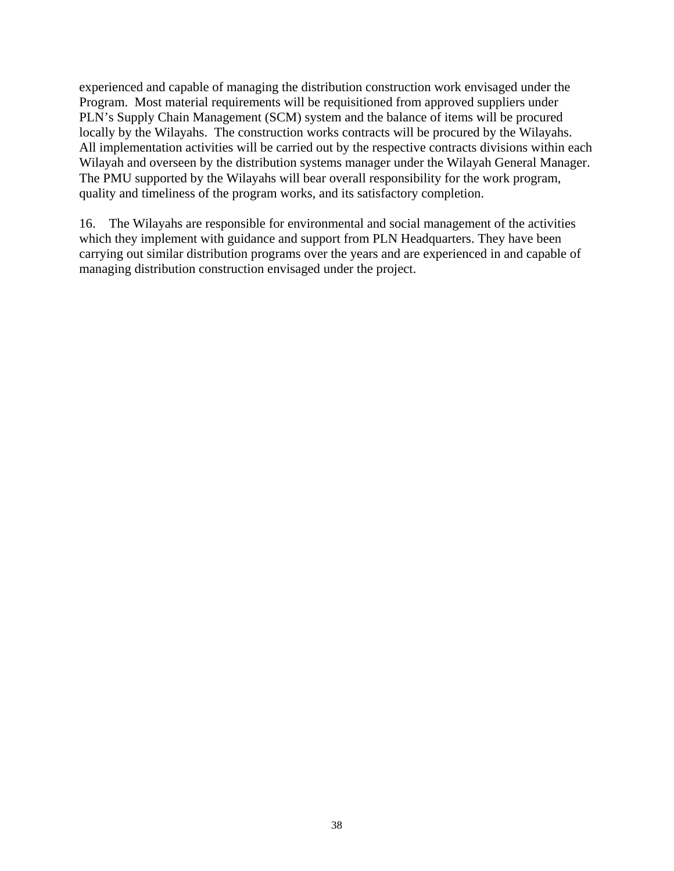experienced and capable of managing the distribution construction work envisaged under the Program. Most material requirements will be requisitioned from approved suppliers under PLN's Supply Chain Management (SCM) system and the balance of items will be procured locally by the Wilayahs. The construction works contracts will be procured by the Wilayahs. All implementation activities will be carried out by the respective contracts divisions within each Wilayah and overseen by the distribution systems manager under the Wilayah General Manager. The PMU supported by the Wilayahs will bear overall responsibility for the work program, quality and timeliness of the program works, and its satisfactory completion.

16. The Wilayahs are responsible for environmental and social management of the activities which they implement with guidance and support from PLN Headquarters. They have been carrying out similar distribution programs over the years and are experienced in and capable of managing distribution construction envisaged under the project.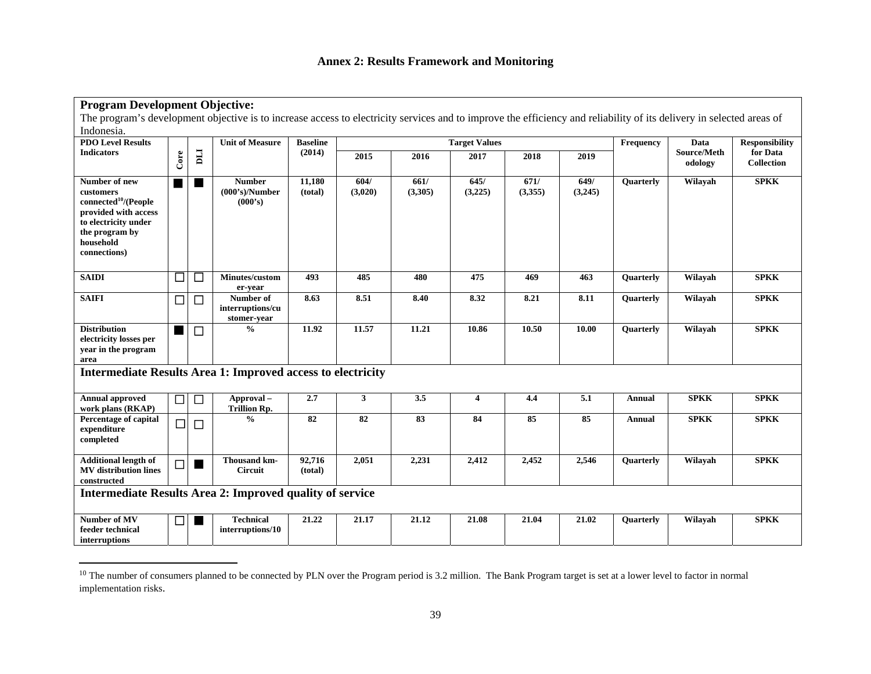## **Annex 2: Results Framework and Monitoring**

| <b>Program Development Objective:</b>                                                                                                                                |                          |                |                                              |                   |                   |                 |                      |                 |                 |                       |                        |                               |
|----------------------------------------------------------------------------------------------------------------------------------------------------------------------|--------------------------|----------------|----------------------------------------------|-------------------|-------------------|-----------------|----------------------|-----------------|-----------------|-----------------------|------------------------|-------------------------------|
| The program's development objective is to increase access to electricity services and to improve the efficiency and reliability of its delivery in selected areas of |                          |                |                                              |                   |                   |                 |                      |                 |                 |                       |                        |                               |
| Indonesia.                                                                                                                                                           |                          |                |                                              |                   |                   |                 |                      |                 |                 |                       |                        |                               |
| <b>PDO Level Results</b>                                                                                                                                             |                          |                | <b>Unit of Measure</b>                       | <b>Baseline</b>   |                   |                 | <b>Target Values</b> | Frequency       | Data            | <b>Responsibility</b> |                        |                               |
| <b>Indicators</b>                                                                                                                                                    | Core                     | Ц              |                                              | (2014)            | $\overline{2015}$ | 2016            | 2017                 | 2018            | 2019            |                       | Source/Meth<br>odology | for Data<br><b>Collection</b> |
| Number of new<br>customers<br>connected <sup>10</sup> /(People<br>provided with access<br>to electricity under<br>the program by<br>household<br>connections)        |                          | H              | <b>Number</b><br>(000's)/Number<br>(000's)   | 11,180<br>(total) | 604/<br>(3,020)   | 661/<br>(3,305) | 645/<br>(3,225)      | 671/<br>(3,355) | 649/<br>(3,245) | Quarterly             | Wilayah                | <b>SPKK</b>                   |
| <b>SAIDI</b>                                                                                                                                                         | $\overline{\phantom{0}}$ | $\Box$         | Minutes/custom<br>er-year                    | 493               | 485               | 480             | 475                  | 469             | 463             | Quarterly             | Wilayah                | <b>SPKK</b>                   |
| <b>SAIFI</b>                                                                                                                                                         | $\Box$                   | $\Box$         | Number of<br>interruptions/cu<br>stomer-year | 8.63              | 8.51              | 8.40            | 8.32                 | 8.21            | 8.11            | <b>Ouarterly</b>      | Wilayah                | <b>SPKK</b>                   |
| <b>Distribution</b><br>electricity losses per<br>year in the program<br>area                                                                                         |                          | $\Box$         | $\frac{0}{0}$                                | 11.92             | 11.57             | 11.21           | 10.86                | 10.50           | 10.00           | Quarterly             | Wilayah                | <b>SPKK</b>                   |
| <b>Intermediate Results Area 1: Improved access to electricity</b>                                                                                                   |                          |                |                                              |                   |                   |                 |                      |                 |                 |                       |                        |                               |
| <b>Annual approved</b><br>work plans (RKAP)                                                                                                                          | □                        | $\Box$         | Approval-<br><b>Trillion Rp.</b>             | 2.7               | $\mathbf{3}$      | 3.5             | 4                    | 4.4             | 5.1             | Annual                | <b>SPKK</b>            | <b>SPKK</b>                   |
| Percentage of capital<br>expenditure<br>completed                                                                                                                    | $\Box$                   | $\Box$         | $\frac{0}{0}$                                | 82                | 82                | 83              | 84                   | 85              | 85              | <b>Annual</b>         | <b>SPKK</b>            | <b>SPKK</b>                   |
| <b>Additional length of</b><br><b>MV</b> distribution lines<br>constructed                                                                                           | $\Box$                   | H              | Thousand km-<br><b>Circuit</b>               | 92,716<br>(total) | 2,051             | 2,231           | 2,412                | 2,452           | 2,546           | Quarterly             | Wilayah                | <b>SPKK</b>                   |
| Intermediate Results Area 2: Improved quality of service                                                                                                             |                          |                |                                              |                   |                   |                 |                      |                 |                 |                       |                        |                               |
| Number of MV<br>feeder technical<br>interruptions                                                                                                                    | ┓                        | $\blacksquare$ | <b>Technical</b><br>interruptions/10         | 21.22             | 21.17             | 21.12           | 21.08                | 21.04           | 21.02           | Quarterly             | Wilayah                | <b>SPKK</b>                   |

 $10$  The number of consumers planned to be connected by PLN over the Program period is 3.2 million. The Bank Program target is set at a lower level to factor in normal implementation risks.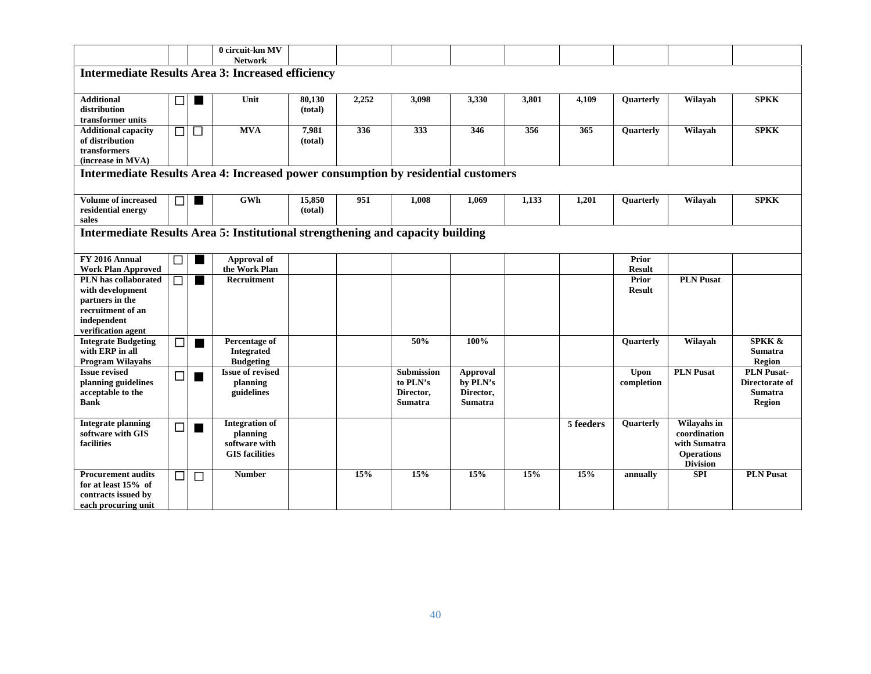|                                                                                   |        |                   | 0 circuit-km MV                   |         |       |                   |                 |       |           |                        |                             |                   |
|-----------------------------------------------------------------------------------|--------|-------------------|-----------------------------------|---------|-------|-------------------|-----------------|-------|-----------|------------------------|-----------------------------|-------------------|
|                                                                                   |        |                   | <b>Network</b>                    |         |       |                   |                 |       |           |                        |                             |                   |
| <b>Intermediate Results Area 3: Increased efficiency</b>                          |        |                   |                                   |         |       |                   |                 |       |           |                        |                             |                   |
|                                                                                   |        |                   |                                   |         |       |                   |                 |       |           |                        |                             |                   |
| <b>Additional</b>                                                                 | $\Box$ |                   | Unit                              | 80,130  | 2,252 | 3,098             | 3,330           | 3,801 | 4,109     | Quarterly              | Wilayah                     | <b>SPKK</b>       |
| distribution                                                                      |        |                   |                                   | (total) |       |                   |                 |       |           |                        |                             |                   |
| transformer units                                                                 |        |                   |                                   |         |       |                   |                 |       |           |                        |                             |                   |
| <b>Additional capacity</b>                                                        | $\Box$ | $\Box$            | <b>MVA</b>                        | 7,981   | 336   | 333               | 346             | 356   | 365       | <b>Ouarterly</b>       | Wilayah                     | <b>SPKK</b>       |
| of distribution                                                                   |        |                   |                                   | (total) |       |                   |                 |       |           |                        |                             |                   |
| transformers                                                                      |        |                   |                                   |         |       |                   |                 |       |           |                        |                             |                   |
| (increase in MVA)                                                                 |        |                   |                                   |         |       |                   |                 |       |           |                        |                             |                   |
| Intermediate Results Area 4: Increased power consumption by residential customers |        |                   |                                   |         |       |                   |                 |       |           |                        |                             |                   |
|                                                                                   |        |                   |                                   |         |       |                   |                 |       |           |                        |                             |                   |
| Volume of increased                                                               | ⊓ l    |                   | GWh                               | 15,850  | 951   | 1,008             | 1,069           | 1,133 | 1,201     | Quarterly              | Wilayah                     | <b>SPKK</b>       |
| residential energy                                                                |        |                   |                                   | (total) |       |                   |                 |       |           |                        |                             |                   |
| sales                                                                             |        |                   |                                   |         |       |                   |                 |       |           |                        |                             |                   |
| Intermediate Results Area 5: Institutional strengthening and capacity building    |        |                   |                                   |         |       |                   |                 |       |           |                        |                             |                   |
|                                                                                   |        |                   |                                   |         |       |                   |                 |       |           |                        |                             |                   |
|                                                                                   |        |                   |                                   |         |       |                   |                 |       |           |                        |                             |                   |
| FY 2016 Annual                                                                    |        |                   | Approval of                       |         |       |                   |                 |       |           | <b>Prior</b>           |                             |                   |
| <b>Work Plan Approved</b>                                                         |        |                   | the Work Plan                     |         |       |                   |                 |       |           | <b>Result</b>          | <b>PLN Pusat</b>            |                   |
| <b>PLN</b> has collaborated<br>with development                                   |        | <b>The Co</b>     | Recruitment                       |         |       |                   |                 |       |           | Prior<br><b>Result</b> |                             |                   |
| partners in the                                                                   |        |                   |                                   |         |       |                   |                 |       |           |                        |                             |                   |
| recruitment of an                                                                 |        |                   |                                   |         |       |                   |                 |       |           |                        |                             |                   |
| independent                                                                       |        |                   |                                   |         |       |                   |                 |       |           |                        |                             |                   |
| verification agent                                                                |        |                   |                                   |         |       |                   |                 |       |           |                        |                             |                   |
| <b>Integrate Budgeting</b>                                                        | П      | $\blacksquare$    | Percentage of                     |         |       | 50%               | 100%            |       |           | Quarterly              | Wilayah                     | <b>SPKK &amp;</b> |
| with ERP in all                                                                   |        |                   | <b>Integrated</b>                 |         |       |                   |                 |       |           |                        |                             | <b>Sumatra</b>    |
| <b>Program Wilayahs</b>                                                           |        |                   | <b>Budgeting</b>                  |         |       |                   |                 |       |           |                        |                             | <b>Region</b>     |
| <b>Issue revised</b>                                                              | $\Box$ | <b>College</b>    | <b>Issue of revised</b>           |         |       | <b>Submission</b> | <b>Approval</b> |       |           | <b>Upon</b>            | <b>PLN Pusat</b>            | <b>PLN Pusat-</b> |
| planning guidelines                                                               |        |                   | planning                          |         |       | to PLN's          | by PLN's        |       |           | completion             |                             | Directorate of    |
| acceptable to the                                                                 |        |                   | guidelines                        |         |       | Director,         | Director,       |       |           |                        |                             | <b>Sumatra</b>    |
| <b>Bank</b>                                                                       |        |                   |                                   |         |       | <b>Sumatra</b>    | <b>Sumatra</b>  |       |           |                        |                             | <b>Region</b>     |
|                                                                                   |        |                   |                                   |         |       |                   |                 |       |           |                        |                             |                   |
| <b>Integrate planning</b><br>software with GIS                                    | ┑      | <b>The Second</b> | <b>Integration of</b><br>planning |         |       |                   |                 |       | 5 feeders | Quarterly              | Wilayahs in<br>coordination |                   |
| facilities                                                                        |        |                   | software with                     |         |       |                   |                 |       |           |                        | with Sumatra                |                   |
|                                                                                   |        |                   | <b>GIS</b> facilities             |         |       |                   |                 |       |           |                        | <b>Operations</b>           |                   |
|                                                                                   |        |                   |                                   |         |       |                   |                 |       |           |                        | <b>Division</b>             |                   |
| <b>Procurement audits</b>                                                         | □      | $\Box$            | <b>Number</b>                     |         | 15%   | 15%               | 15%             | 15%   | 15%       | annually               | <b>SPI</b>                  | <b>PLN Pusat</b>  |
| for at least 15% of                                                               |        |                   |                                   |         |       |                   |                 |       |           |                        |                             |                   |
| contracts issued by                                                               |        |                   |                                   |         |       |                   |                 |       |           |                        |                             |                   |
| each procuring unit                                                               |        |                   |                                   |         |       |                   |                 |       |           |                        |                             |                   |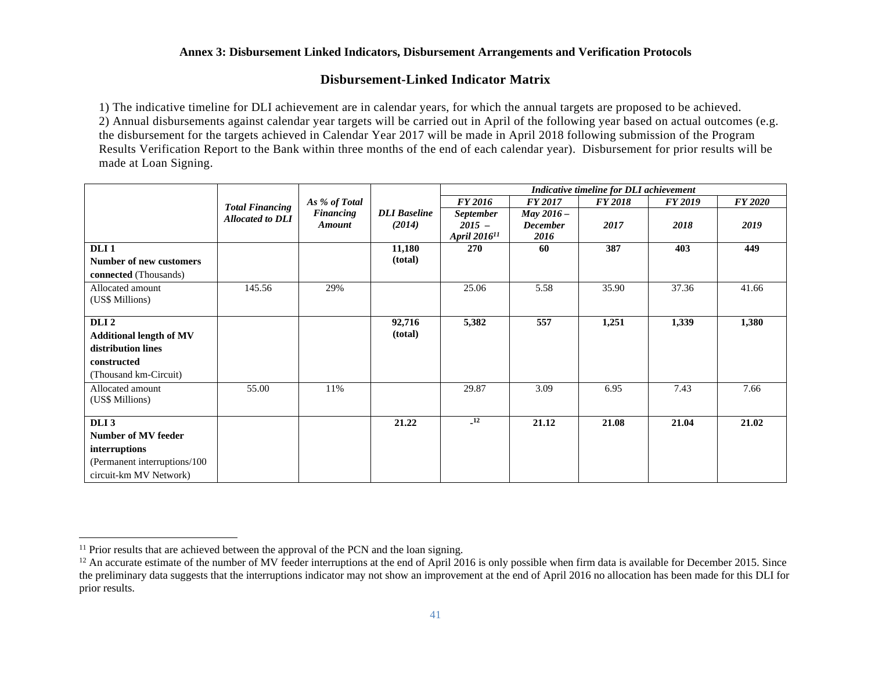#### **Annex 3: Disbursement Linked Indicators, Disbursement Arrangements and Verification Protocols**

#### **Disbursement-Linked Indicator Matrix**

1) The indicative timeline for DLI achievement are in calendar years, for which the annual targets are proposed to be achieved. 2) Annual disbursements against calendar year targets will be carried out in April of the following year based on actual outcomes (e.g. the disbursement for the targets achieved in Calendar Year 2017 will be made in April 2018 following submission of the Program Results Verification Report to the Bank within three months of the end of each calendar year). Disbursement for prior results will be made at Loan Signing.

|                                |                         |                  |                     | Indicative timeline for DLI achievement |                         |                |                |                |  |
|--------------------------------|-------------------------|------------------|---------------------|-----------------------------------------|-------------------------|----------------|----------------|----------------|--|
|                                | <b>Total Financing</b>  | As % of Total    |                     | <b>FY 2016</b>                          | <b>FY 2017</b>          | <b>FY 2018</b> | <b>FY 2019</b> | <b>FY 2020</b> |  |
|                                | <b>Allocated to DLI</b> | <b>Financing</b> | <b>DLI</b> Baseline | <b>September</b>                        | May $2016 -$            |                |                |                |  |
|                                |                         | Amount           | (2014)              | $2015 -$<br>April 2016 <sup>11</sup>    | <b>December</b><br>2016 | 2017           | 2018           | 2019           |  |
| DLI <sub>1</sub>               |                         |                  | 11,180              | 270                                     | 60                      | 387            | 403            | 449            |  |
| <b>Number of new customers</b> |                         |                  | (total)             |                                         |                         |                |                |                |  |
| connected (Thousands)          |                         |                  |                     |                                         |                         |                |                |                |  |
| Allocated amount               | 145.56                  | 29%              |                     | 25.06                                   | 5.58                    | 35.90          | 37.36          | 41.66          |  |
| (US\$ Millions)                |                         |                  |                     |                                         |                         |                |                |                |  |
| DLI <sub>2</sub>               |                         |                  | 92,716              | 5,382                                   | 557                     | 1,251          | 1,339          | 1,380          |  |
| <b>Additional length of MV</b> |                         |                  | (total)             |                                         |                         |                |                |                |  |
| distribution lines             |                         |                  |                     |                                         |                         |                |                |                |  |
| constructed                    |                         |                  |                     |                                         |                         |                |                |                |  |
| (Thousand km-Circuit)          |                         |                  |                     |                                         |                         |                |                |                |  |
| Allocated amount               | 55.00                   | 11%              |                     | 29.87                                   | 3.09                    | 6.95           | 7.43           | 7.66           |  |
| (US\$ Millions)                |                         |                  |                     |                                         |                         |                |                |                |  |
| DLI <sub>3</sub>               |                         |                  | 21.22               | $\overline{12}$                         | 21.12                   | 21.08          | 21.04          | 21.02          |  |
| Number of MV feeder            |                         |                  |                     |                                         |                         |                |                |                |  |
| interruptions                  |                         |                  |                     |                                         |                         |                |                |                |  |
| (Permanent interruptions/100   |                         |                  |                     |                                         |                         |                |                |                |  |
| circuit-km MV Network)         |                         |                  |                     |                                         |                         |                |                |                |  |

 $11$  Prior results that are achieved between the approval of the PCN and the loan signing.

 $12$  An accurate estimate of the number of MV feeder interruptions at the end of April 2016 is only possible when firm data is available for December 2015. Since the preliminary data suggests that the interruptions indicator may not show an improvement at the end of April 2016 no allocation has been made for this DLI for prior results.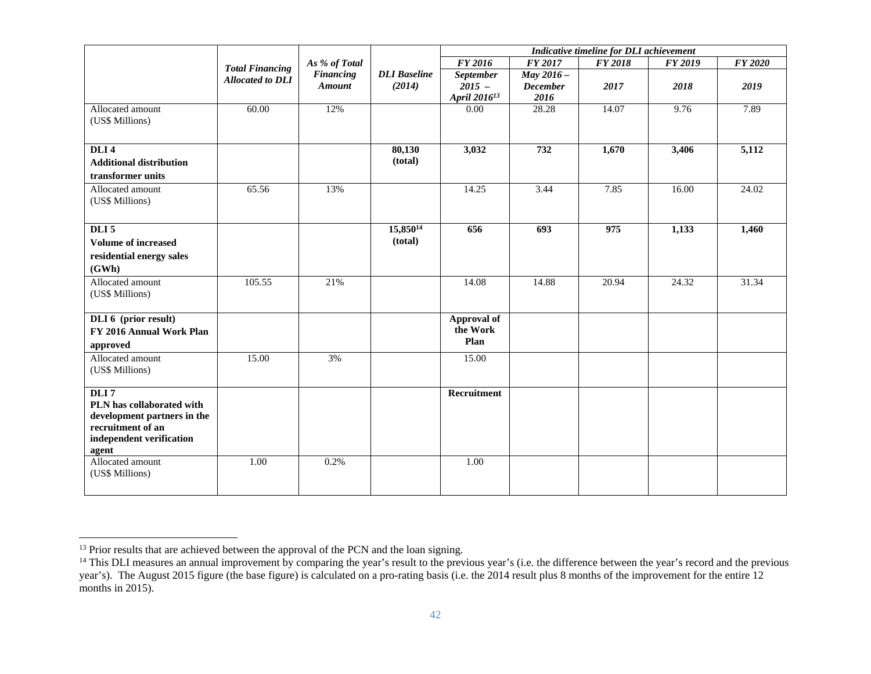|                                                  |                         |                                   |                               | Indicative timeline for DLI achievement |                               |                |         |                |
|--------------------------------------------------|-------------------------|-----------------------------------|-------------------------------|-----------------------------------------|-------------------------------|----------------|---------|----------------|
|                                                  | <b>Total Financing</b>  | As % of Total                     |                               | <b>FY 2016</b>                          | <b>FY 2017</b>                | <b>FY 2018</b> | FY 2019 | <b>FY 2020</b> |
|                                                  | <b>Allocated to DLI</b> | <b>Financing</b><br><b>Amount</b> | <b>DLI</b> Baseline<br>(2014) | <b>September</b><br>$2015 -$            | May 2016 -<br><b>December</b> | 2017           | 2018    | 2019           |
|                                                  |                         |                                   |                               | April 2016 <sup>13</sup>                | 2016                          |                |         |                |
| Allocated amount                                 | 60.00                   | 12%                               |                               | 0.00                                    | 28.28                         | 14.07          | 9.76    | 7.89           |
| (US\$ Millions)                                  |                         |                                   |                               |                                         |                               |                |         |                |
| DLI <sub>4</sub>                                 |                         |                                   | 80,130                        | 3,032                                   | 732                           | 1,670          | 3,406   | 5,112          |
| <b>Additional distribution</b>                   |                         |                                   | (total)                       |                                         |                               |                |         |                |
| transformer units                                |                         |                                   |                               |                                         |                               |                |         |                |
| Allocated amount                                 | 65.56                   | 13%                               |                               | 14.25                                   | 3.44                          | 7.85           | 16.00   | 24.02          |
| (US\$ Millions)                                  |                         |                                   |                               |                                         |                               |                |         |                |
| DLI <sub>5</sub>                                 |                         |                                   | 15,850 <sup>14</sup>          | 656                                     | 693                           | 975            | 1,133   | 1,460          |
| <b>Volume of increased</b>                       |                         |                                   | (total)                       |                                         |                               |                |         |                |
| residential energy sales                         |                         |                                   |                               |                                         |                               |                |         |                |
| (GWh)                                            |                         |                                   |                               |                                         |                               |                |         |                |
| Allocated amount                                 | 105.55                  | 21%                               |                               | 14.08                                   | 14.88                         | 20.94          | 24.32   | 31.34          |
| (US\$ Millions)                                  |                         |                                   |                               |                                         |                               |                |         |                |
| DLI 6 (prior result)                             |                         |                                   |                               | Approval of                             |                               |                |         |                |
| FY 2016 Annual Work Plan                         |                         |                                   |                               | the Work                                |                               |                |         |                |
| approved                                         |                         |                                   |                               | Plan                                    |                               |                |         |                |
| Allocated amount                                 | 15.00                   | 3%                                |                               | 15.00                                   |                               |                |         |                |
| (US\$ Millions)                                  |                         |                                   |                               |                                         |                               |                |         |                |
| DLI7                                             |                         |                                   |                               | Recruitment                             |                               |                |         |                |
| PLN has collaborated with                        |                         |                                   |                               |                                         |                               |                |         |                |
| development partners in the<br>recruitment of an |                         |                                   |                               |                                         |                               |                |         |                |
| independent verification                         |                         |                                   |                               |                                         |                               |                |         |                |
| agent                                            |                         |                                   |                               |                                         |                               |                |         |                |
| Allocated amount                                 | 1.00                    | 0.2%                              |                               | 1.00                                    |                               |                |         |                |
| (US\$ Millions)                                  |                         |                                   |                               |                                         |                               |                |         |                |
|                                                  |                         |                                   |                               |                                         |                               |                |         |                |

<sup>&</sup>lt;sup>13</sup> Prior results that are achieved between the approval of the PCN and the loan signing.

<sup>&</sup>lt;sup>14</sup> This DLI measures an annual improvement by comparing the year's result to the previous year's (i.e. the difference between the year's record and the previous year's). The August 2015 figure (the base figure) is calculated on a pro-rating basis (i.e. the 2014 result plus 8 months of the improvement for the entire 12 months in 2015).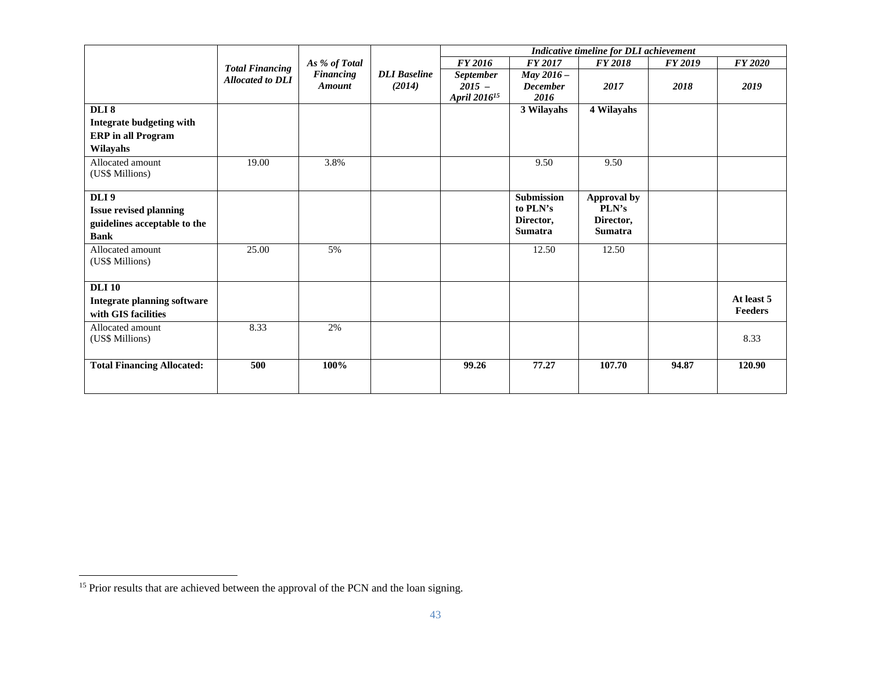|                                    |                         |                  |                     | Indicative timeline for DLI achievement |                   |                |         |                |  |
|------------------------------------|-------------------------|------------------|---------------------|-----------------------------------------|-------------------|----------------|---------|----------------|--|
|                                    | <b>Total Financing</b>  | As % of Total    |                     | <b>FY 2016</b>                          | <b>FY 2017</b>    | <b>FY 2018</b> | FY 2019 | <b>FY 2020</b> |  |
|                                    | <b>Allocated to DLI</b> | <b>Financing</b> | <b>DLI</b> Baseline | <b>September</b>                        | May $2016 -$      |                |         |                |  |
|                                    |                         | <b>Amount</b>    | (2014)              | $2015 -$                                | <b>December</b>   | 2017           | 2018    | 2019           |  |
|                                    |                         |                  |                     | April 2016 <sup>15</sup>                | 2016              |                |         |                |  |
| DLI <sub>8</sub>                   |                         |                  |                     |                                         | 3 Wilayahs        | 4 Wilayahs     |         |                |  |
| Integrate budgeting with           |                         |                  |                     |                                         |                   |                |         |                |  |
| <b>ERP</b> in all Program          |                         |                  |                     |                                         |                   |                |         |                |  |
| Wilayahs                           |                         |                  |                     |                                         |                   |                |         |                |  |
| Allocated amount                   | 19.00                   | 3.8%             |                     |                                         | 9.50              | 9.50           |         |                |  |
| (US\$ Millions)                    |                         |                  |                     |                                         |                   |                |         |                |  |
| DLI 9                              |                         |                  |                     |                                         | <b>Submission</b> | Approval by    |         |                |  |
|                                    |                         |                  |                     |                                         | to PLN's          | PLN's          |         |                |  |
| <b>Issue revised planning</b>      |                         |                  |                     |                                         | Director,         | Director,      |         |                |  |
| guidelines acceptable to the       |                         |                  |                     |                                         | <b>Sumatra</b>    | <b>Sumatra</b> |         |                |  |
| <b>Bank</b>                        |                         |                  |                     |                                         |                   |                |         |                |  |
| Allocated amount                   | 25.00                   | 5%               |                     |                                         | 12.50             | 12.50          |         |                |  |
| (US\$ Millions)                    |                         |                  |                     |                                         |                   |                |         |                |  |
|                                    |                         |                  |                     |                                         |                   |                |         |                |  |
| <b>DLI</b> 10                      |                         |                  |                     |                                         |                   |                |         |                |  |
| <b>Integrate planning software</b> |                         |                  |                     |                                         |                   |                |         | At least 5     |  |
| with GIS facilities                |                         |                  |                     |                                         |                   |                |         | <b>Feeders</b> |  |
| Allocated amount                   | 8.33                    | 2%               |                     |                                         |                   |                |         |                |  |
| (US\$ Millions)                    |                         |                  |                     |                                         |                   |                |         | 8.33           |  |
|                                    |                         |                  |                     |                                         |                   |                |         |                |  |
| <b>Total Financing Allocated:</b>  | 500                     | 100%             |                     | 99.26                                   | 77.27             | 107.70         | 94.87   | 120.90         |  |
|                                    |                         |                  |                     |                                         |                   |                |         |                |  |
|                                    |                         |                  |                     |                                         |                   |                |         |                |  |

<sup>&</sup>lt;sup>15</sup> Prior results that are achieved between the approval of the PCN and the loan signing.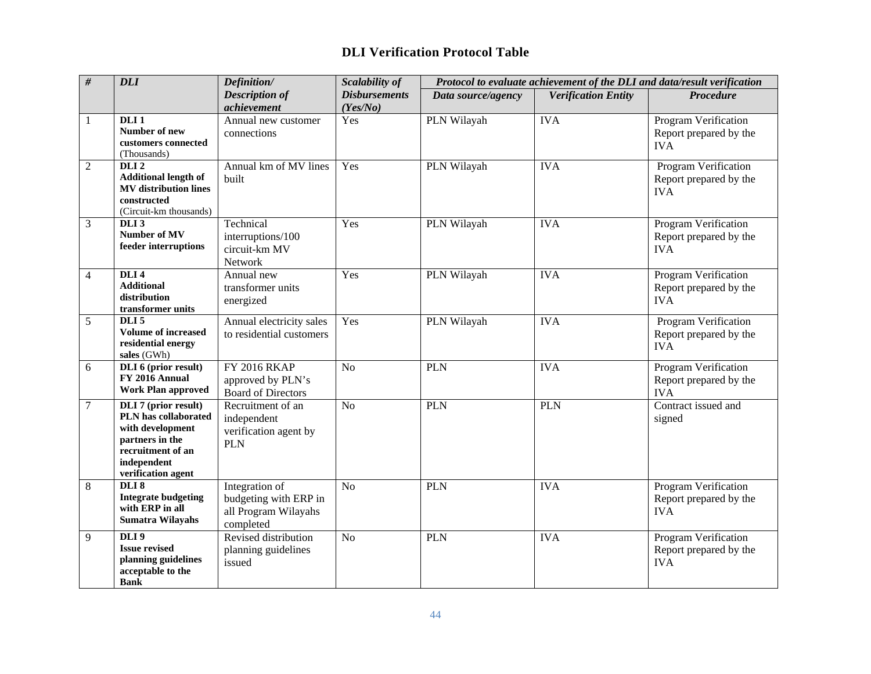## **DLI Verification Protocol Table**

| $\#$           | <b>DLI</b>                                                                                                                                           | Definition/                                                                  | Scalability of       |                    |                            | Protocol to evaluate achievement of the DLI and data/result verification |
|----------------|------------------------------------------------------------------------------------------------------------------------------------------------------|------------------------------------------------------------------------------|----------------------|--------------------|----------------------------|--------------------------------------------------------------------------|
|                |                                                                                                                                                      | <b>Description of</b>                                                        | <b>Disbursements</b> | Data source/agency | <b>Verification Entity</b> | <b>Procedure</b>                                                         |
|                |                                                                                                                                                      | achievement                                                                  | (Yes/No)             |                    |                            |                                                                          |
| 1              | DLI <sub>1</sub><br>Number of new<br>customers connected<br>(Thousands)                                                                              | Annual new customer<br>connections                                           | Yes                  | PLN Wilayah        | <b>IVA</b>                 | Program Verification<br>Report prepared by the<br><b>IVA</b>             |
| $\overline{2}$ | DLI <sub>2</sub><br><b>Additional length of</b><br><b>MV</b> distribution lines<br>constructed<br>(Circuit-km thousands)                             | Annual km of MV lines<br>built                                               | Yes                  | PLN Wilayah        | <b>IVA</b>                 | Program Verification<br>Report prepared by the<br><b>IVA</b>             |
| 3              | DLI <sub>3</sub><br>Number of MV<br>feeder interruptions                                                                                             | Technical<br>interruptions/100<br>circuit-km MV<br>Network                   | Yes                  | PLN Wilayah        | <b>IVA</b>                 | Program Verification<br>Report prepared by the<br><b>IVA</b>             |
| $\overline{4}$ | DLI <sub>4</sub><br><b>Additional</b><br>distribution<br>transformer units                                                                           | Annual new<br>transformer units<br>energized                                 | Yes                  | PLN Wilayah        | <b>IVA</b>                 | Program Verification<br>Report prepared by the<br><b>IVA</b>             |
| 5              | DLI <sub>5</sub><br><b>Volume of increased</b><br>residential energy<br>sales (GWh)                                                                  | Annual electricity sales<br>to residential customers                         | Yes                  | PLN Wilayah        | <b>IVA</b>                 | Program Verification<br>Report prepared by the<br><b>IVA</b>             |
| 6              | DLI 6 (prior result)<br>FY 2016 Annual<br><b>Work Plan approved</b>                                                                                  | <b>FY 2016 RKAP</b><br>approved by PLN's<br><b>Board of Directors</b>        | N <sub>o</sub>       | PLN                | <b>IVA</b>                 | Program Verification<br>Report prepared by the<br><b>IVA</b>             |
| 7              | <b>DLI 7 (prior result)</b><br>PLN has collaborated<br>with development<br>partners in the<br>recruitment of an<br>independent<br>verification agent | Recruitment of an<br>independent<br>verification agent by<br><b>PLN</b>      | N <sub>o</sub>       | <b>PLN</b>         | <b>PLN</b>                 | Contract issued and<br>signed                                            |
| $8\,$          | DLI <sub>8</sub><br><b>Integrate budgeting</b><br>with ERP in all<br>Sumatra Wilayahs                                                                | Integration of<br>budgeting with ERP in<br>all Program Wilayahs<br>completed | N <sub>o</sub>       | <b>PLN</b>         | <b>IVA</b>                 | Program Verification<br>Report prepared by the<br><b>IVA</b>             |
| 9              | DLI <sub>9</sub><br><b>Issue revised</b><br>planning guidelines<br>acceptable to the<br><b>Bank</b>                                                  | Revised distribution<br>planning guidelines<br>issued                        | N <sub>o</sub>       | <b>PLN</b>         | <b>IVA</b>                 | Program Verification<br>Report prepared by the<br><b>IVA</b>             |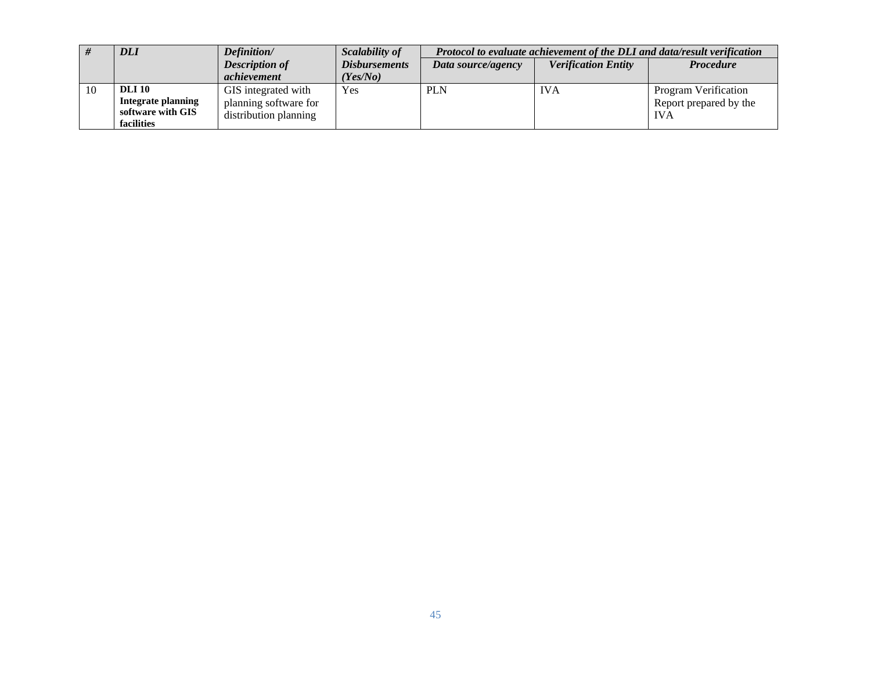|    | <b>DLI</b>                                     | Definition/           | Scalability of       | Protocol to evaluate achievement of the DLI and data/result verification |            |                             |  |  |
|----|------------------------------------------------|-----------------------|----------------------|--------------------------------------------------------------------------|------------|-----------------------------|--|--|
|    |                                                | <b>Description of</b> | <b>Disbursements</b> | <b>Verification Entity</b><br>Data source/agency                         |            | <b>Procedure</b>            |  |  |
|    |                                                | achievement           | Yes/No)              |                                                                          |            |                             |  |  |
| 10 | <b>DLI</b> 10                                  | GIS integrated with   | Yes                  | <b>PLN</b>                                                               | <b>IVA</b> | <b>Program Verification</b> |  |  |
|    | <b>Integrate planning</b><br>software with GIS | planning software for |                      |                                                                          |            | Report prepared by the      |  |  |
|    | facilities                                     | distribution planning |                      |                                                                          |            | <b>IVA</b>                  |  |  |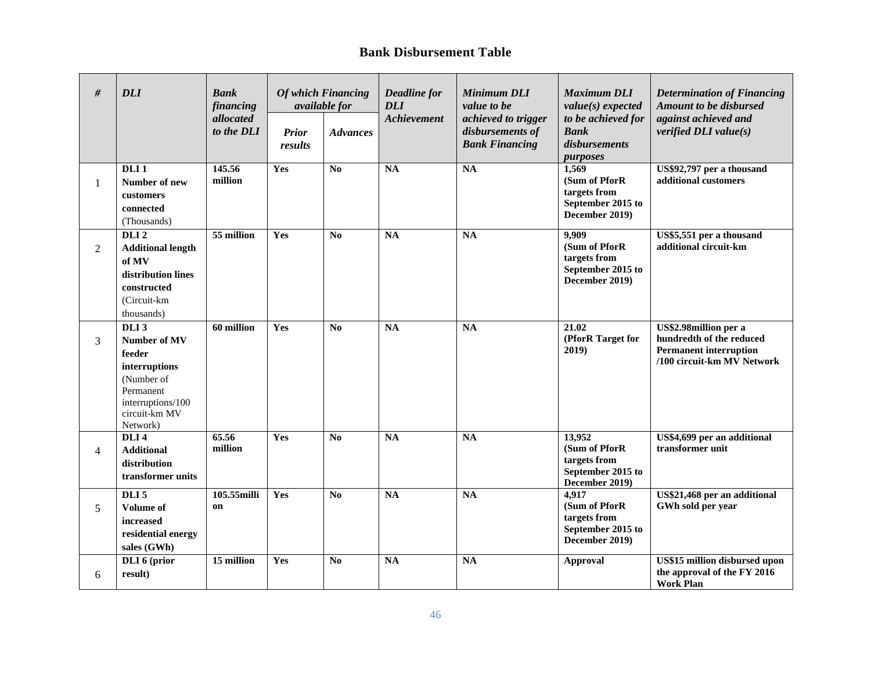#### **Bank Disbursement Table**

| #              | <b>DLI</b>                                                                                                                               | Bank<br>financing<br>allocated<br>to the DLI | <b>Prior</b><br>results | <b>Of which Financing</b><br>available for<br><b>Advances</b> | <b>Deadline</b> for<br><b>DLI</b><br><b>Achievement</b> | <b>Minimum DLI</b><br>value to be<br>achieved to trigger<br>disbursements of<br><b>Bank Financing</b> | <b>Maximum DLI</b><br>value(s) expected<br>to be achieved for<br><b>Bank</b><br>disbursements | <b>Determination of Financing</b><br><b>Amount to be disbursed</b><br>against achieved and<br>verified $DLI$ value(s) |
|----------------|------------------------------------------------------------------------------------------------------------------------------------------|----------------------------------------------|-------------------------|---------------------------------------------------------------|---------------------------------------------------------|-------------------------------------------------------------------------------------------------------|-----------------------------------------------------------------------------------------------|-----------------------------------------------------------------------------------------------------------------------|
| 1              | DLI <sub>1</sub><br>Number of new<br>customers<br>connected<br>(Thousands)                                                               | 145.56<br>million                            | Yes                     | N <sub>0</sub>                                                | <b>NA</b>                                               | <b>NA</b>                                                                                             | purposes<br>1,569<br>(Sum of PforR<br>targets from<br>September 2015 to<br>December 2019)     | US\$92,797 per a thousand<br>additional customers                                                                     |
| 2              | DLI <sub>2</sub><br><b>Additional length</b><br>of MV<br>distribution lines<br>constructed<br>(Circuit-km<br>thousands)                  | 55 million                                   | Yes                     | N <sub>0</sub>                                                | NA                                                      | NA                                                                                                    | 9.909<br>(Sum of PforR<br>targets from<br>September 2015 to<br>December 2019)                 | US\$5,551 per a thousand<br>additional circuit-km                                                                     |
| 3              | DLI <sub>3</sub><br>Number of MV<br>feeder<br>interruptions<br>(Number of<br>Permanent<br>interruptions/100<br>circuit-km MV<br>Network) | 60 million                                   | Yes                     | N <sub>0</sub>                                                | NA                                                      | <b>NA</b>                                                                                             | 21.02<br>(PforR Target for<br>2019)                                                           | US\$2.98million per a<br>hundredth of the reduced<br><b>Permanent interruption</b><br>/100 circuit-km MV Network      |
| $\overline{4}$ | DLI <sub>4</sub><br><b>Additional</b><br>distribution<br>transformer units                                                               | 65.56<br>million                             | Yes                     | N <sub>0</sub>                                                | <b>NA</b>                                               | $\overline{NA}$                                                                                       | 13,952<br>(Sum of PforR<br>targets from<br>September 2015 to<br>December 2019)                | US\$4,699 per an additional<br>transformer unit                                                                       |
| 5              | DLI <sub>5</sub><br><b>Volume of</b><br>increased<br>residential energy<br>sales (GWh)                                                   | 105.55milli<br>on                            | Yes                     | N <sub>0</sub>                                                | <b>NA</b>                                               | $\mathbf{NA}$                                                                                         | 4,917<br>(Sum of PforR<br>targets from<br>September 2015 to<br>December 2019)                 | US\$21,468 per an additional<br>GWh sold per year                                                                     |
| 6              | DLI 6 (prior<br>result)                                                                                                                  | 15 million                                   | Yes                     | N <sub>0</sub>                                                | <b>NA</b>                                               | <b>NA</b>                                                                                             | <b>Approval</b>                                                                               | US\$15 million disbursed upon<br>the approval of the FY 2016<br><b>Work Plan</b>                                      |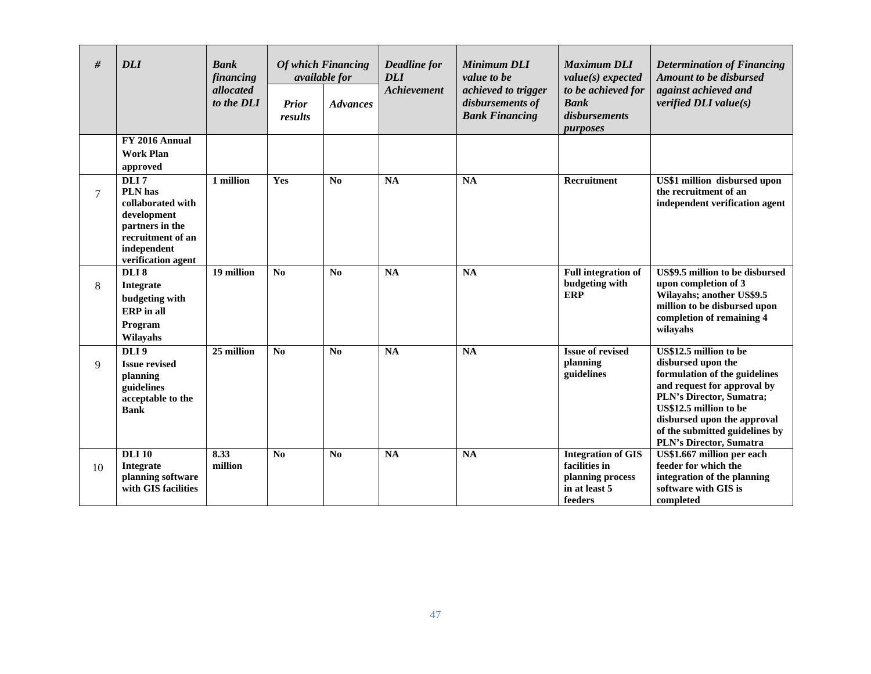| #  | <b>DLI</b>                                                                                                                       | <b>Bank</b><br>financing | <b>Of which Financing</b><br><i>available for</i> |                 | Deadline for<br><b>DLI</b> | <b>Minimum DLI</b><br>value to be                                | <b>Maximum DLI</b><br>value(s) expected                                                    | <b>Determination of Financing</b><br><b>Amount to be disbursed</b>                                                                                                                                                                                             |  |
|----|----------------------------------------------------------------------------------------------------------------------------------|--------------------------|---------------------------------------------------|-----------------|----------------------------|------------------------------------------------------------------|--------------------------------------------------------------------------------------------|----------------------------------------------------------------------------------------------------------------------------------------------------------------------------------------------------------------------------------------------------------------|--|
|    |                                                                                                                                  | allocated<br>to the DLI  | <b>Prior</b><br>results                           | <b>Advances</b> | Achievement                | achieved to trigger<br>disbursements of<br><b>Bank Financing</b> | to be achieved for<br><b>Bank</b><br>disbursements<br>purposes                             | against achieved and<br>verified $DLI$ value(s)                                                                                                                                                                                                                |  |
|    | FY 2016 Annual<br><b>Work Plan</b><br>approved                                                                                   |                          |                                                   |                 |                            |                                                                  |                                                                                            |                                                                                                                                                                                                                                                                |  |
| 7  | DLI7<br>PLN has<br>collaborated with<br>development<br>partners in the<br>recruitment of an<br>independent<br>verification agent | 1 million                | <b>Yes</b>                                        | No              | <b>NA</b>                  | <b>NA</b>                                                        | Recruitment                                                                                | US\$1 million disbursed upon<br>the recruitment of an<br>independent verification agent                                                                                                                                                                        |  |
| 8  | DLI <sub>8</sub><br>Integrate<br>budgeting with<br><b>ERP</b> in all<br>Program<br>Wilayahs                                      | 19 million               | No                                                | No              | <b>NA</b>                  | <b>NA</b>                                                        | <b>Full integration of</b><br>budgeting with<br><b>ERP</b>                                 | US\$9.5 million to be disbursed<br>upon completion of 3<br>Wilayahs; another US\$9.5<br>million to be disbursed upon<br>completion of remaining 4<br>wilayahs                                                                                                  |  |
| 9  | DLI <sub>9</sub><br><b>Issue revised</b><br>planning<br>guidelines<br>acceptable to the<br><b>Bank</b>                           | 25 million               | N <sub>0</sub>                                    | No              | <b>NA</b>                  | <b>NA</b>                                                        | <b>Issue of revised</b><br>planning<br>guidelines                                          | US\$12.5 million to be<br>disbursed upon the<br>formulation of the guidelines<br>and request for approval by<br>PLN's Director, Sumatra;<br>US\$12.5 million to be<br>disbursed upon the approval<br>of the submitted guidelines by<br>PLN's Director, Sumatra |  |
| 10 | <b>DLI</b> 10<br>Integrate<br>planning software<br>with GIS facilities                                                           | 8.33<br>million          | N <sub>0</sub>                                    | No              | <b>NA</b>                  | <b>NA</b>                                                        | <b>Integration of GIS</b><br>facilities in<br>planning process<br>in at least 5<br>feeders | US\$1.667 million per each<br>feeder for which the<br>integration of the planning<br>software with GIS is<br>completed                                                                                                                                         |  |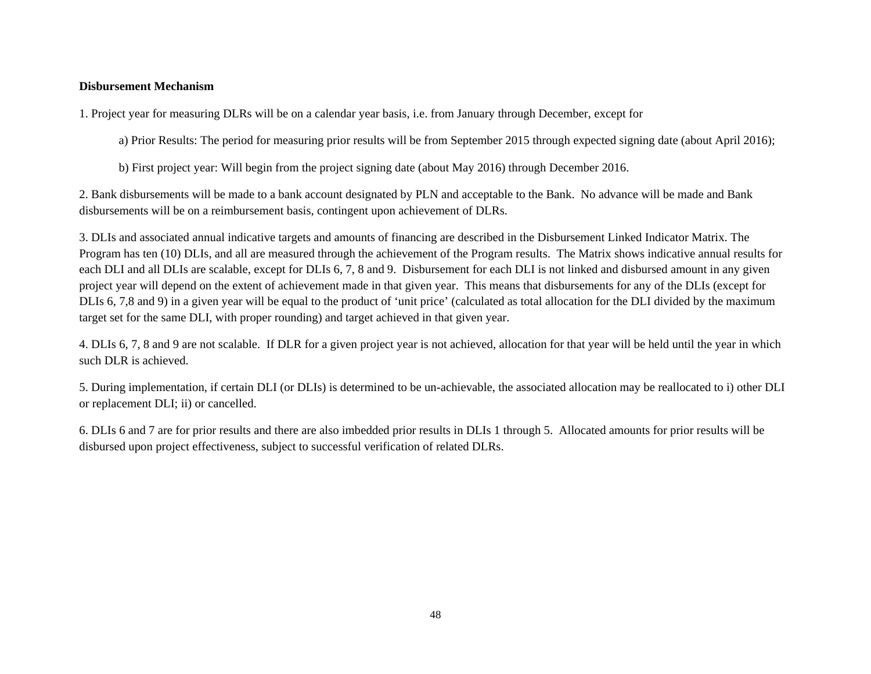#### **Disbursement Mechanism**

1. Project year for measuring DLRs will be on a calendar year basis, i.e. from January through December, except for

a) Prior Results: The period for measuring prior results will be from September 2015 through expected signing date (about April 2016);

b) First project year: Will begin from the project signing date (about May 2016) through December 2016.

2. Bank disbursements will be made to a bank account designated by PLN and acceptable to the Bank. No advance will be made and Bank disbursements will be on a reimbursement basis, contingent upon achievement of DLRs.

3. DLIs and associated annual indicative targets and amounts of financing are described in the Disbursement Linked Indicator Matrix. The Program has ten (10) DLIs, and all are measured through the achievement of the Program results. The Matrix shows indicative annual results for each DLI and all DLIs are scalable, except for DLIs 6, 7, 8 and 9. Disbursement for each DLI is not linked and disbursed amount in any given project year will depend on the extent of achievement made in that given year. This means that disbursements for any of the DLIs (except for DLIs 6, 7,8 and 9) in a given year will be equal to the product of 'unit price' (calculated as total allocation for the DLI divided by the maximum target set for the same DLI, with proper rounding) and target achieved in that given year.

4. DLIs 6, 7, 8 and 9 are not scalable. If DLR for a given project year is not achieved, allocation for that year will be held until the year in which such DLR is achieved.

5. During implementation, if certain DLI (or DLIs) is determined to be un-achievable, the associated allocation may be reallocated to i) other DLI or replacement DLI; ii) or cancelled.

6. DLIs 6 and 7 are for prior results and there are also imbedded prior results in DLIs 1 through 5. Allocated amounts for prior results will be disbursed upon project effectiveness, subject to successful verification of related DLRs.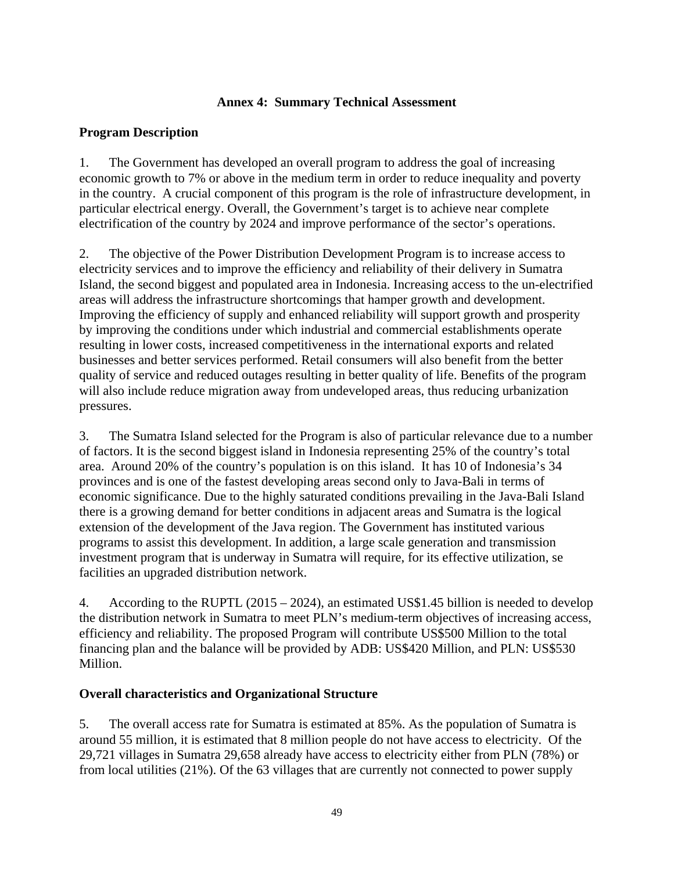## **Annex 4: Summary Technical Assessment**

## **Program Description**

1. The Government has developed an overall program to address the goal of increasing economic growth to 7% or above in the medium term in order to reduce inequality and poverty in the country. A crucial component of this program is the role of infrastructure development, in particular electrical energy. Overall, the Government's target is to achieve near complete electrification of the country by 2024 and improve performance of the sector's operations.

2. The objective of the Power Distribution Development Program is to increase access to electricity services and to improve the efficiency and reliability of their delivery in Sumatra Island, the second biggest and populated area in Indonesia. Increasing access to the un-electrified areas will address the infrastructure shortcomings that hamper growth and development. Improving the efficiency of supply and enhanced reliability will support growth and prosperity by improving the conditions under which industrial and commercial establishments operate resulting in lower costs, increased competitiveness in the international exports and related businesses and better services performed. Retail consumers will also benefit from the better quality of service and reduced outages resulting in better quality of life. Benefits of the program will also include reduce migration away from undeveloped areas, thus reducing urbanization pressures.

3. The Sumatra Island selected for the Program is also of particular relevance due to a number of factors. It is the second biggest island in Indonesia representing 25% of the country's total area. Around 20% of the country's population is on this island. It has 10 of Indonesia's 34 provinces and is one of the fastest developing areas second only to Java-Bali in terms of economic significance. Due to the highly saturated conditions prevailing in the Java-Bali Island there is a growing demand for better conditions in adjacent areas and Sumatra is the logical extension of the development of the Java region. The Government has instituted various programs to assist this development. In addition, a large scale generation and transmission investment program that is underway in Sumatra will require, for its effective utilization, se facilities an upgraded distribution network.

4. According to the RUPTL (2015 – 2024), an estimated US\$1.45 billion is needed to develop the distribution network in Sumatra to meet PLN's medium-term objectives of increasing access, efficiency and reliability. The proposed Program will contribute US\$500 Million to the total financing plan and the balance will be provided by ADB: US\$420 Million, and PLN: US\$530 Million.

#### **Overall characteristics and Organizational Structure**

5. The overall access rate for Sumatra is estimated at 85%. As the population of Sumatra is around 55 million, it is estimated that 8 million people do not have access to electricity. Of the 29,721 villages in Sumatra 29,658 already have access to electricity either from PLN (78%) or from local utilities (21%). Of the 63 villages that are currently not connected to power supply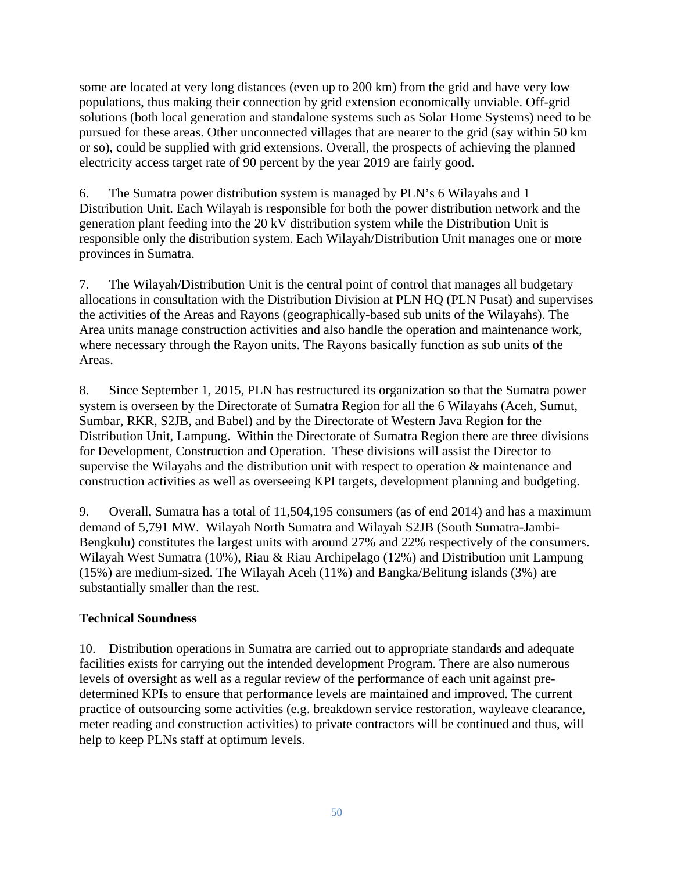some are located at very long distances (even up to 200 km) from the grid and have very low populations, thus making their connection by grid extension economically unviable. Off-grid solutions (both local generation and standalone systems such as Solar Home Systems) need to be pursued for these areas. Other unconnected villages that are nearer to the grid (say within 50 km or so), could be supplied with grid extensions. Overall, the prospects of achieving the planned electricity access target rate of 90 percent by the year 2019 are fairly good.

6. The Sumatra power distribution system is managed by PLN's 6 Wilayahs and 1 Distribution Unit. Each Wilayah is responsible for both the power distribution network and the generation plant feeding into the 20 kV distribution system while the Distribution Unit is responsible only the distribution system. Each Wilayah/Distribution Unit manages one or more provinces in Sumatra.

7. The Wilayah/Distribution Unit is the central point of control that manages all budgetary allocations in consultation with the Distribution Division at PLN HQ (PLN Pusat) and supervises the activities of the Areas and Rayons (geographically-based sub units of the Wilayahs). The Area units manage construction activities and also handle the operation and maintenance work, where necessary through the Rayon units. The Rayons basically function as sub units of the Areas.

8. Since September 1, 2015, PLN has restructured its organization so that the Sumatra power system is overseen by the Directorate of Sumatra Region for all the 6 Wilayahs (Aceh, Sumut, Sumbar, RKR, S2JB, and Babel) and by the Directorate of Western Java Region for the Distribution Unit, Lampung. Within the Directorate of Sumatra Region there are three divisions for Development, Construction and Operation. These divisions will assist the Director to supervise the Wilayahs and the distribution unit with respect to operation & maintenance and construction activities as well as overseeing KPI targets, development planning and budgeting.

9. Overall, Sumatra has a total of 11,504,195 consumers (as of end 2014) and has a maximum demand of 5,791 MW. Wilayah North Sumatra and Wilayah S2JB (South Sumatra-Jambi-Bengkulu) constitutes the largest units with around 27% and 22% respectively of the consumers. Wilayah West Sumatra (10%), Riau & Riau Archipelago (12%) and Distribution unit Lampung (15%) are medium-sized. The Wilayah Aceh (11%) and Bangka/Belitung islands (3%) are substantially smaller than the rest.

# **Technical Soundness**

10. Distribution operations in Sumatra are carried out to appropriate standards and adequate facilities exists for carrying out the intended development Program. There are also numerous levels of oversight as well as a regular review of the performance of each unit against predetermined KPIs to ensure that performance levels are maintained and improved. The current practice of outsourcing some activities (e.g. breakdown service restoration, wayleave clearance, meter reading and construction activities) to private contractors will be continued and thus, will help to keep PLNs staff at optimum levels.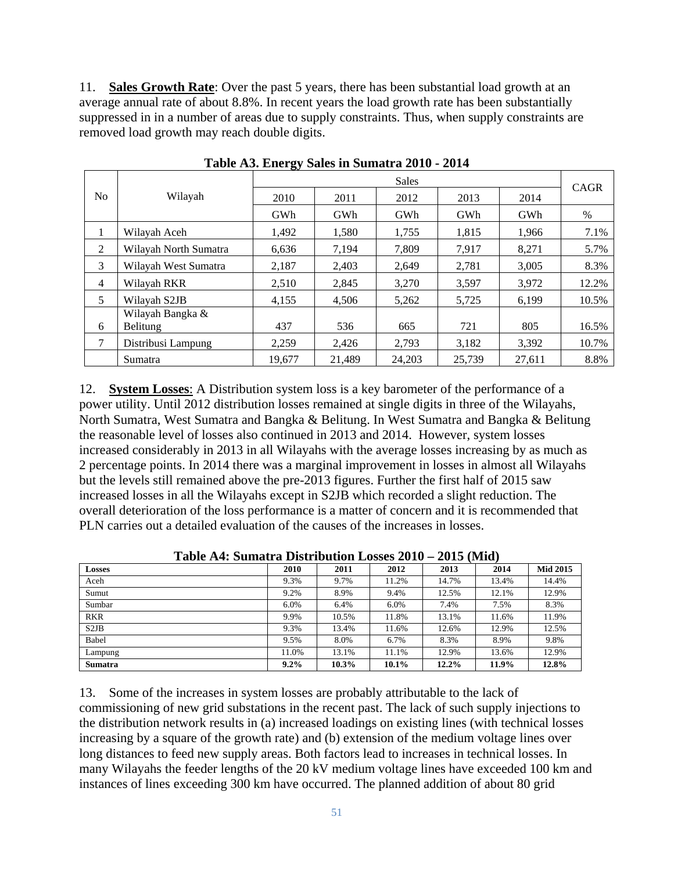11. **Sales Growth Rate**: Over the past 5 years, there has been substantial load growth at an average annual rate of about 8.8%. In recent years the load growth rate has been substantially suppressed in in a number of areas due to supply constraints. Thus, when supply constraints are removed load growth may reach double digits.

|                |                       |        |        | <b>Sales</b> |        |        | CAGR  |  |
|----------------|-----------------------|--------|--------|--------------|--------|--------|-------|--|
| No.            | Wilayah               | 2010   | 2011   | 2012         | 2013   | 2014   |       |  |
|                |                       | GWh    | GWh    | GWh          | GWh    | GWh    | $\%$  |  |
| $\bf{I}$       | Wilayah Aceh          | 1,492  | 1,580  | 1,755        | 1,815  | 1,966  | 7.1%  |  |
| 2              | Wilayah North Sumatra | 6,636  | 7,194  | 7,809        | 7.917  | 8,271  | 5.7%  |  |
| 3              | Wilayah West Sumatra  | 2,187  | 2,403  | 2.649        | 2,781  | 3.005  | 8.3%  |  |
| $\overline{4}$ | Wilayah RKR           | 2,510  | 2,845  | 3,270        | 3,597  | 3,972  | 12.2% |  |
| 5              | Wilayah S2JB          | 4,155  | 4,506  | 5,262        | 5,725  | 6,199  | 10.5% |  |
|                | Wilayah Bangka &      |        |        |              |        |        |       |  |
| 6              | Belitung              | 437    | 536    | 665          | 721    | 805    | 16.5% |  |
| 7              | Distribusi Lampung    | 2.259  | 2.426  | 2,793        | 3.182  | 3,392  | 10.7% |  |
|                | Sumatra               | 19,677 | 21.489 | 24.203       | 25.739 | 27,611 | 8.8%  |  |

**Table A3. Energy Sales in Sumatra 2010 - 2014** 

12. **System Losses**: A Distribution system loss is a key barometer of the performance of a power utility. Until 2012 distribution losses remained at single digits in three of the Wilayahs, North Sumatra, West Sumatra and Bangka & Belitung. In West Sumatra and Bangka & Belitung the reasonable level of losses also continued in 2013 and 2014. However, system losses increased considerably in 2013 in all Wilayahs with the average losses increasing by as much as 2 percentage points. In 2014 there was a marginal improvement in losses in almost all Wilayahs but the levels still remained above the pre-2013 figures. Further the first half of 2015 saw increased losses in all the Wilayahs except in S2JB which recorded a slight reduction. The overall deterioration of the loss performance is a matter of concern and it is recommended that PLN carries out a detailed evaluation of the causes of the increases in losses.

| <b>Losses</b>                 | 2010  | 2011  | 2012     | 2013     | 2014  | <b>Mid 2015</b> |
|-------------------------------|-------|-------|----------|----------|-------|-----------------|
| Aceh                          | 9.3%  | 9.7%  | 11.2%    | 14.7%    | 13.4% | 14.4%           |
| Sumut                         | 9.2%  | 8.9%  | 9.4%     | 12.5%    | 12.1% | 12.9%           |
| Sumbar                        | 6.0%  | 6.4%  | 6.0%     | 7.4%     | 7.5%  | 8.3%            |
| <b>RKR</b>                    | 9.9%  | 10.5% | 11.8%    | 13.1%    | 11.6% | 11.9%           |
| S <sub>2</sub> J <sub>B</sub> | 9.3%  | 13.4% | 11.6%    | 12.6%    | 12.9% | 12.5%           |
| Babel                         | 9.5%  | 8.0%  | 6.7%     | 8.3%     | 8.9%  | 9.8%            |
| Lampung                       | 11.0% | 13.1% | 11.1%    | 12.9%    | 13.6% | 12.9%           |
| <b>Sumatra</b>                | 9.2%  | 10.3% | $10.1\%$ | $12.2\%$ | 11.9% | 12.8%           |

**Table A4: Sumatra Distribution Losses 2010 – 2015 (Mid)** 

13. Some of the increases in system losses are probably attributable to the lack of commissioning of new grid substations in the recent past. The lack of such supply injections to the distribution network results in (a) increased loadings on existing lines (with technical losses increasing by a square of the growth rate) and (b) extension of the medium voltage lines over long distances to feed new supply areas. Both factors lead to increases in technical losses. In many Wilayahs the feeder lengths of the 20 kV medium voltage lines have exceeded 100 km and instances of lines exceeding 300 km have occurred. The planned addition of about 80 grid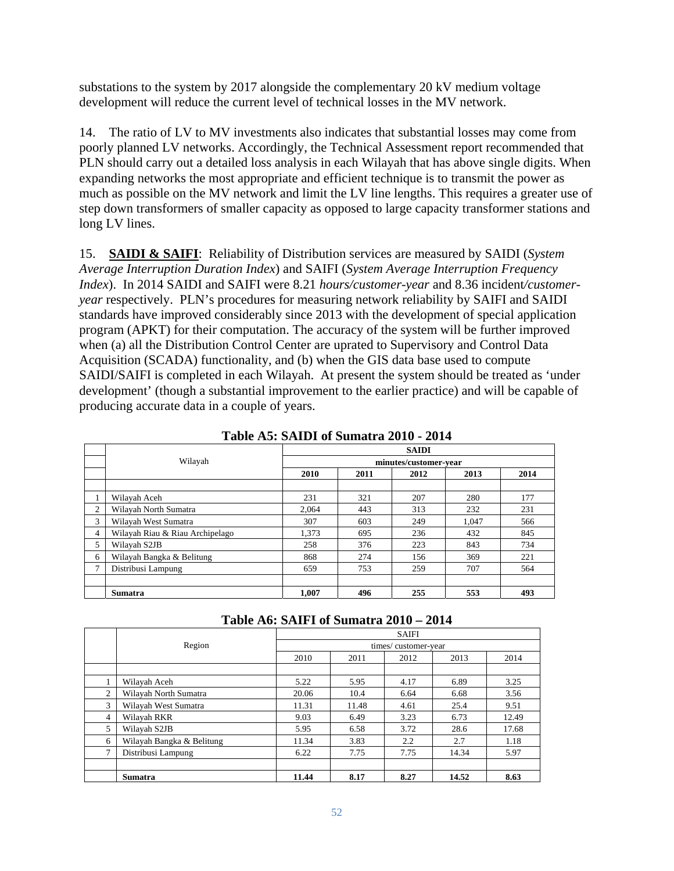substations to the system by 2017 alongside the complementary 20 kV medium voltage development will reduce the current level of technical losses in the MV network.

14. The ratio of LV to MV investments also indicates that substantial losses may come from poorly planned LV networks. Accordingly, the Technical Assessment report recommended that PLN should carry out a detailed loss analysis in each Wilayah that has above single digits. When expanding networks the most appropriate and efficient technique is to transmit the power as much as possible on the MV network and limit the LV line lengths. This requires a greater use of step down transformers of smaller capacity as opposed to large capacity transformer stations and long LV lines.

15. **SAIDI & SAIFI**: Reliability of Distribution services are measured by SAIDI (*System Average Interruption Duration Index*) and SAIFI (*System Average Interruption Frequency Index*). In 2014 SAIDI and SAIFI were 8.21 *hours/customer-year* and 8.36 incident*/customeryear* respectively. PLN's procedures for measuring network reliability by SAIFI and SAIDI standards have improved considerably since 2013 with the development of special application program (APKT) for their computation. The accuracy of the system will be further improved when (a) all the Distribution Control Center are uprated to Supervisory and Control Data Acquisition (SCADA) functionality, and (b) when the GIS data base used to compute SAIDI/SAIFI is completed in each Wilayah. At present the system should be treated as 'under development' (though a substantial improvement to the earlier practice) and will be capable of producing accurate data in a couple of years.

|                | тари но, отног ограници зото<br>---- |       |      |                       |       |      |  |  |  |  |  |  |
|----------------|--------------------------------------|-------|------|-----------------------|-------|------|--|--|--|--|--|--|
|                |                                      |       |      | <b>SAIDI</b>          |       |      |  |  |  |  |  |  |
|                | Wilayah                              |       |      | minutes/customer-vear |       |      |  |  |  |  |  |  |
|                |                                      | 2010  | 2011 | 2012                  | 2013  | 2014 |  |  |  |  |  |  |
|                |                                      |       |      |                       |       |      |  |  |  |  |  |  |
|                | Wilayah Aceh                         | 231   | 321  | 207                   | 280   | 177  |  |  |  |  |  |  |
| $\overline{c}$ | Wilayah North Sumatra                | 2.064 | 443  | 313                   | 232   | 231  |  |  |  |  |  |  |
| 3              | Wilayah West Sumatra                 | 307   | 603  | 249                   | 1.047 | 566  |  |  |  |  |  |  |
| $\overline{4}$ | Wilayah Riau & Riau Archipelago      | 1,373 | 695  | 236                   | 432   | 845  |  |  |  |  |  |  |
| 5              | Wilayah S2JB                         | 258   | 376  | 223                   | 843   | 734  |  |  |  |  |  |  |
| 6              | Wilayah Bangka & Belitung            | 868   | 274  | 156                   | 369   | 221  |  |  |  |  |  |  |
| ⇁              | Distribusi Lampung                   | 659   | 753  | 259                   | 707   | 564  |  |  |  |  |  |  |
|                |                                      |       |      |                       |       |      |  |  |  |  |  |  |
|                | <b>Sumatra</b>                       | 1.007 | 496  | 255                   | 553   | 493  |  |  |  |  |  |  |

|  |  | Table A5: SAIDI of Sumatra 2010 - 2014 |  |  |
|--|--|----------------------------------------|--|--|
|--|--|----------------------------------------|--|--|

| Table A6: SAIFI of Sumatra 2010 – 2014 |  |  |
|----------------------------------------|--|--|
|----------------------------------------|--|--|

|                |                           | <b>SAIFI</b>        |       |      |       |       |  |  |  |
|----------------|---------------------------|---------------------|-------|------|-------|-------|--|--|--|
|                | Region                    | times/customer-year |       |      |       |       |  |  |  |
|                |                           | 2010                | 2011  | 2012 | 2013  | 2014  |  |  |  |
|                |                           |                     |       |      |       |       |  |  |  |
|                | Wilayah Aceh              | 5.22                | 5.95  | 4.17 | 6.89  | 3.25  |  |  |  |
| 2              | Wilayah North Sumatra     | 20.06               | 10.4  | 6.64 | 6.68  | 3.56  |  |  |  |
| 3              | Wilayah West Sumatra      | 11.31               | 11.48 | 4.61 | 25.4  | 9.51  |  |  |  |
| $\overline{4}$ | Wilayah RKR               | 9.03                | 6.49  | 3.23 | 6.73  | 12.49 |  |  |  |
| 5              | Wilayah S2JB              | 5.95                | 6.58  | 3.72 | 28.6  | 17.68 |  |  |  |
| 6              | Wilayah Bangka & Belitung | 11.34               | 3.83  | 2.2  | 2.7   | 1.18  |  |  |  |
| 7              | Distribusi Lampung        | 6.22                | 7.75  | 7.75 | 14.34 | 5.97  |  |  |  |
|                |                           |                     |       |      |       |       |  |  |  |
|                | <b>Sumatra</b>            | 11.44               | 8.17  | 8.27 | 14.52 | 8.63  |  |  |  |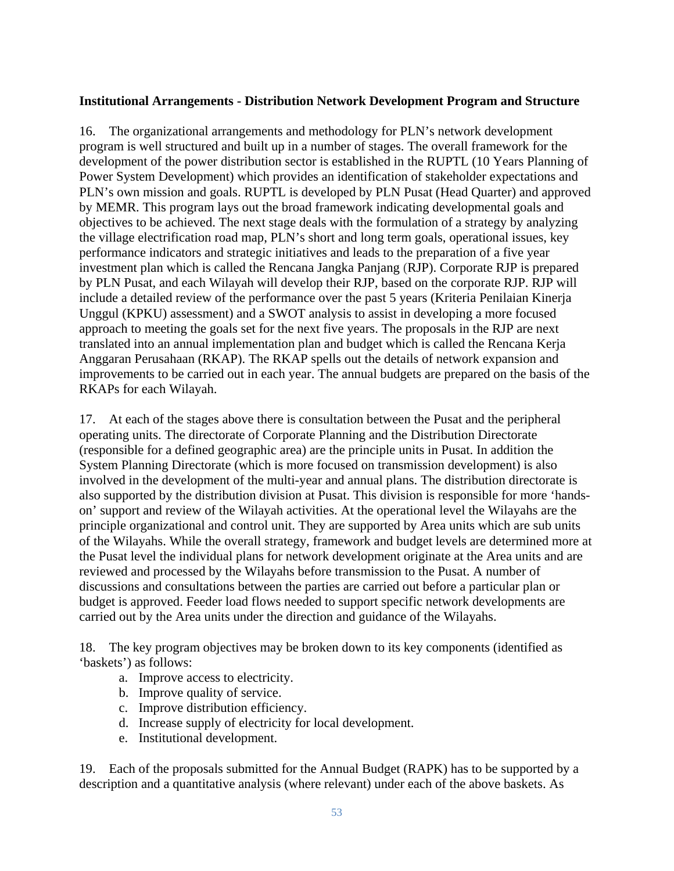#### **Institutional Arrangements - Distribution Network Development Program and Structure**

16. The organizational arrangements and methodology for PLN's network development program is well structured and built up in a number of stages. The overall framework for the development of the power distribution sector is established in the RUPTL (10 Years Planning of Power System Development) which provides an identification of stakeholder expectations and PLN's own mission and goals. RUPTL is developed by PLN Pusat (Head Quarter) and approved by MEMR. This program lays out the broad framework indicating developmental goals and objectives to be achieved. The next stage deals with the formulation of a strategy by analyzing the village electrification road map, PLN's short and long term goals, operational issues, key performance indicators and strategic initiatives and leads to the preparation of a five year investment plan which is called the Rencana Jangka Panjang (RJP). Corporate RJP is prepared by PLN Pusat, and each Wilayah will develop their RJP, based on the corporate RJP. RJP will include a detailed review of the performance over the past 5 years (Kriteria Penilaian Kinerja Unggul (KPKU) assessment) and a SWOT analysis to assist in developing a more focused approach to meeting the goals set for the next five years. The proposals in the RJP are next translated into an annual implementation plan and budget which is called the Rencana Kerja Anggaran Perusahaan (RKAP). The RKAP spells out the details of network expansion and improvements to be carried out in each year. The annual budgets are prepared on the basis of the RKAPs for each Wilayah.

17. At each of the stages above there is consultation between the Pusat and the peripheral operating units. The directorate of Corporate Planning and the Distribution Directorate (responsible for a defined geographic area) are the principle units in Pusat. In addition the System Planning Directorate (which is more focused on transmission development) is also involved in the development of the multi-year and annual plans. The distribution directorate is also supported by the distribution division at Pusat. This division is responsible for more 'handson' support and review of the Wilayah activities. At the operational level the Wilayahs are the principle organizational and control unit. They are supported by Area units which are sub units of the Wilayahs. While the overall strategy, framework and budget levels are determined more at the Pusat level the individual plans for network development originate at the Area units and are reviewed and processed by the Wilayahs before transmission to the Pusat. A number of discussions and consultations between the parties are carried out before a particular plan or budget is approved. Feeder load flows needed to support specific network developments are carried out by the Area units under the direction and guidance of the Wilayahs.

18. The key program objectives may be broken down to its key components (identified as 'baskets') as follows:

- a. Improve access to electricity.
- b. Improve quality of service.
- c. Improve distribution efficiency.
- d. Increase supply of electricity for local development.
- e. Institutional development.

19. Each of the proposals submitted for the Annual Budget (RAPK) has to be supported by a description and a quantitative analysis (where relevant) under each of the above baskets. As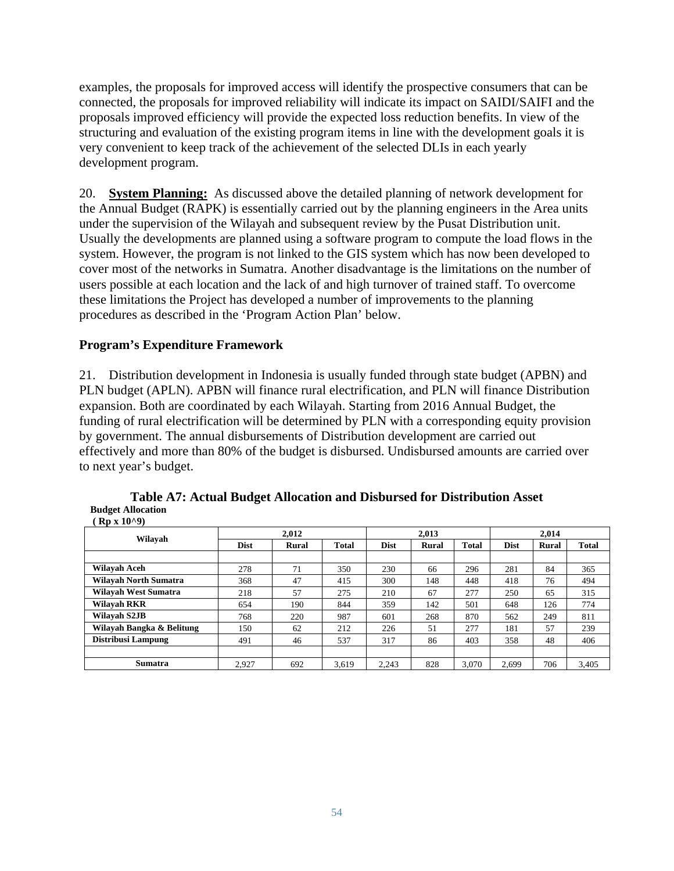examples, the proposals for improved access will identify the prospective consumers that can be connected, the proposals for improved reliability will indicate its impact on SAIDI/SAIFI and the proposals improved efficiency will provide the expected loss reduction benefits. In view of the structuring and evaluation of the existing program items in line with the development goals it is very convenient to keep track of the achievement of the selected DLIs in each yearly development program.

20. **System Planning:** As discussed above the detailed planning of network development for the Annual Budget (RAPK) is essentially carried out by the planning engineers in the Area units under the supervision of the Wilayah and subsequent review by the Pusat Distribution unit. Usually the developments are planned using a software program to compute the load flows in the system. However, the program is not linked to the GIS system which has now been developed to cover most of the networks in Sumatra. Another disadvantage is the limitations on the number of users possible at each location and the lack of and high turnover of trained staff. To overcome these limitations the Project has developed a number of improvements to the planning procedures as described in the 'Program Action Plan' below.

# **Program's Expenditure Framework**

21. Distribution development in Indonesia is usually funded through state budget (APBN) and PLN budget (APLN). APBN will finance rural electrification, and PLN will finance Distribution expansion. Both are coordinated by each Wilayah. Starting from 2016 Annual Budget, the funding of rural electrification will be determined by PLN with a corresponding equity provision by government. The annual disbursements of Distribution development are carried out effectively and more than 80% of the budget is disbursed. Undisbursed amounts are carried over to next year's budget.

| $\mathbf{A} \mathbf{B} \mathbf{A} \mathbf{A} \mathbf{A}$ |             |       |       |             |       |              |             |              |              |
|----------------------------------------------------------|-------------|-------|-------|-------------|-------|--------------|-------------|--------------|--------------|
| Wilayah                                                  |             | 2.012 |       | 2.013       |       |              | 2.014       |              |              |
|                                                          | <b>Dist</b> | Rural | Total | <b>Dist</b> | Rural | <b>Total</b> | <b>Dist</b> | <b>Rural</b> | <b>Total</b> |
|                                                          |             |       |       |             |       |              |             |              |              |
| Wilayah Aceh                                             | 278         | 71    | 350   | 230         | 66    | 296          | 281         | 84           | 365          |
| <b>Wilayah North Sumatra</b>                             | 368         | 47    | 415   | 300         | 148   | 448          | 418         | 76           | 494          |
| <b>Wilayah West Sumatra</b>                              | 218         | 57    | 275   | 210         | 67    | 277          | 250         | 65           | 315          |
| <b>Wilavah RKR</b>                                       | 654         | 190   | 844   | 359         | 142   | 501          | 648         | 126          | 774          |
| Wilayah S2JB                                             | 768         | 220   | 987   | 601         | 268   | 870          | 562         | 249          | 811          |
| Wilayah Bangka & Belitung                                | 150         | 62    | 212   | 226         | 51    | 277          | 181         | 57           | 239          |
| <b>Distribusi Lampung</b>                                | 491         | 46    | 537   | 317         | 86    | 403          | 358         | 48           | 406          |
|                                                          |             |       |       |             |       |              |             |              |              |
| <b>Sumatra</b>                                           | 2.927       | 692   | 3.619 | 2.243       | 828   | 3.070        | 2.699       | 706          | 3.405        |

**Table A7: Actual Budget Allocation and Disbursed for Distribution Asset Budget Allocation**   $(Rn \times 10^{19})$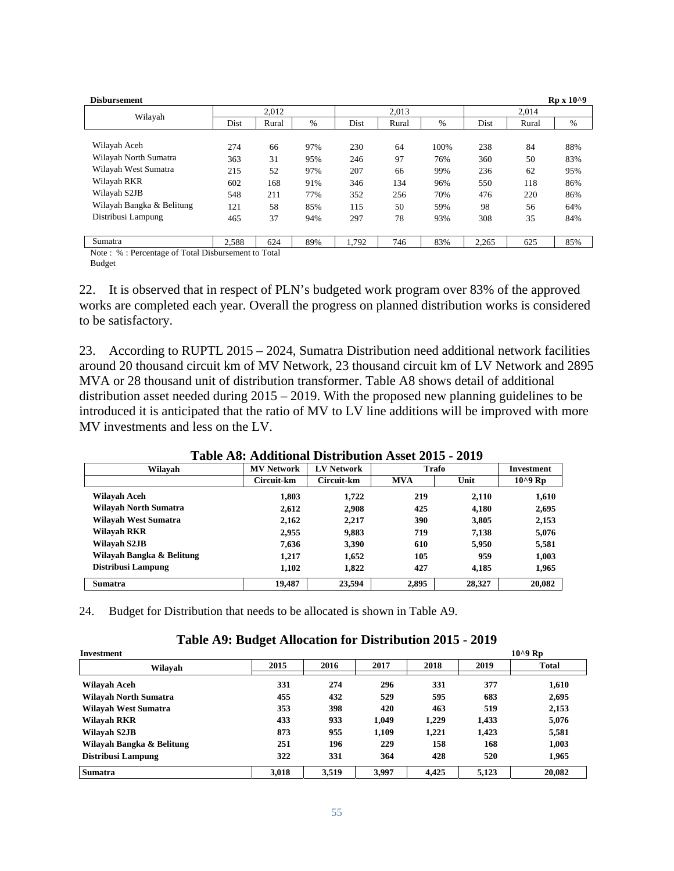| <b>Disbursement</b>       |       |       |      |       |       |      |       |       | $Rp X 10^{0}$ |
|---------------------------|-------|-------|------|-------|-------|------|-------|-------|---------------|
| Wilayah                   |       | 2.012 |      |       | 2,013 |      |       | 2,014 |               |
|                           | Dist  | Rural | $\%$ | Dist  | Rural | $\%$ | Dist  | Rural | %             |
|                           |       |       |      |       |       |      |       |       |               |
| Wilayah Aceh              | 274   | 66    | 97%  | 230   | 64    | 100% | 238   | 84    | 88%           |
| Wilayah North Sumatra     | 363   | 31    | 95%  | 246   | 97    | 76%  | 360   | 50    | 83%           |
| Wilayah West Sumatra      | 215   | 52    | 97%  | 207   | 66    | 99%  | 236   | 62    | 95%           |
| Wilayah RKR               | 602   | 168   | 91%  | 346   | 134   | 96%  | 550   | 118   | 86%           |
| Wilayah S2JB              | 548   | 211   | 77%  | 352   | 256   | 70%  | 476   | 220   | 86%           |
| Wilayah Bangka & Belitung | 121   | 58    | 85%  | 115   | 50    | 59%  | 98    | 56    | 64%           |
| Distribusi Lampung        | 465   | 37    | 94%  | 297   | 78    | 93%  | 308   | 35    | 84%           |
|                           |       |       |      |       |       |      |       |       |               |
| Sumatra                   | 2.588 | 624   | 89%  | 1.792 | 746   | 83%  | 2,265 | 625   | 85%           |

Note : % : Percentage of Total Disbursement to Total Budget

22. It is observed that in respect of PLN's budgeted work program over 83% of the approved works are completed each year. Overall the progress on planned distribution works is considered to be satisfactory.

23. According to RUPTL 2015 – 2024, Sumatra Distribution need additional network facilities around 20 thousand circuit km of MV Network, 23 thousand circuit km of LV Network and 2895 MVA or 28 thousand unit of distribution transformer. Table A8 shows detail of additional distribution asset needed during 2015 – 2019. With the proposed new planning guidelines to be introduced it is anticipated that the ratio of MV to LV line additions will be improved with more MV investments and less on the LV.

| Tunic Tiof Tigangguni Digutigangi Tigac Toto |                   |                   |            |              |              |  |  |  |  |  |  |  |
|----------------------------------------------|-------------------|-------------------|------------|--------------|--------------|--|--|--|--|--|--|--|
| Wilavah                                      | <b>MV Network</b> | <b>LV Network</b> |            | <b>Trafo</b> | Investment   |  |  |  |  |  |  |  |
|                                              | Circuit-km        | Circuit-km        | <b>MVA</b> | Unit         | $10^{49}$ Rp |  |  |  |  |  |  |  |
| Wilayah Aceh                                 | 1,803             | 1,722             | 219        | 2,110        | 1,610        |  |  |  |  |  |  |  |
| Wilayah North Sumatra                        | 2,612             | 2.908             | 425        | 4.180        | 2,695        |  |  |  |  |  |  |  |
| Wilayah West Sumatra                         | 2.162             | 2.217             | 390        | 3,805        | 2,153        |  |  |  |  |  |  |  |
| Wilayah RKR                                  | 2,955             | 9,883             | 719        | 7,138        | 5,076        |  |  |  |  |  |  |  |
| Wilayah S2JB                                 | 7,636             | 3,390             | 610        | 5,950        | 5,581        |  |  |  |  |  |  |  |
| Wilayah Bangka & Belitung                    | 1.217             | 1,652             | 105        | 959          | 1,003        |  |  |  |  |  |  |  |
| Distribusi Lampung                           | 1,102             | 1,822             | 427        | 4,185        | 1,965        |  |  |  |  |  |  |  |
| Sumatra                                      | 19,487            | 23,594            | 2,895      | 28,327       | 20,082       |  |  |  |  |  |  |  |

**Table A8: Additional Distribution Asset 2015 - 2019** 

24. Budget for Distribution that needs to be allocated is shown in Table A9.

| Table A9: Budget Allocation for Distribution 2015 - 2019 |
|----------------------------------------------------------|
|----------------------------------------------------------|

| <b>Investment</b>         |       |       |       |       |       | $10^{49}$ Rp |
|---------------------------|-------|-------|-------|-------|-------|--------------|
| Wilavah                   | 2015  | 2016  | 2017  | 2018  | 2019  | <b>Total</b> |
| Wilayah Aceh              | 331   | 274   | 296   | 331   | 377   | 1,610        |
| Wilayah North Sumatra     | 455   | 432   | 529   | 595   | 683   | 2,695        |
| Wilayah West Sumatra      | 353   | 398   | 420   | 463   | 519   | 2,153        |
| Wilayah RKR               | 433   | 933   | 1.049 | 1,229 | 1.433 | 5,076        |
| Wilayah S2JB              | 873   | 955   | 1,109 | 1.221 | 1.423 | 5,581        |
| Wilayah Bangka & Belitung | 251   | 196   | 229   | 158   | 168   | 1,003        |
| <b>Distribusi Lampung</b> | 322   | 331   | 364   | 428   | 520   | 1.965        |
| <b>Sumatra</b>            | 3.018 | 3,519 | 3.997 | 4.425 | 5.123 | 20,082       |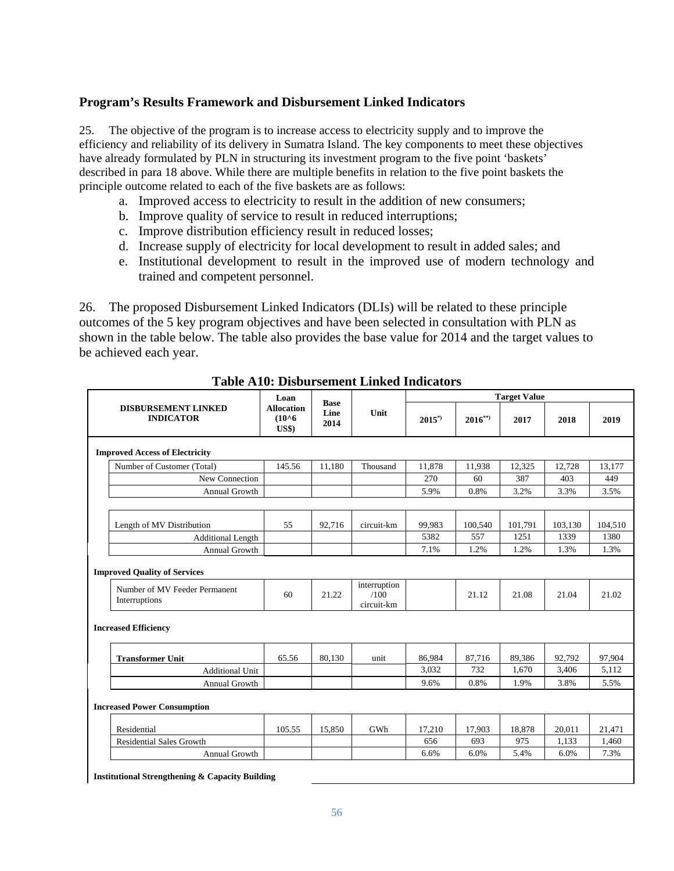## **Program's Results Framework and Disbursement Linked Indicators**

25. The objective of the program is to increase access to electricity supply and to improve the efficiency and reliability of its delivery in Sumatra Island. The key components to meet these objectives have already formulated by PLN in structuring its investment program to the five point 'baskets' described in para 18 above. While there are multiple benefits in relation to the five point baskets the principle outcome related to each of the five baskets are as follows:

- a. Improved access to electricity to result in the addition of new consumers;
- b. Improve quality of service to result in reduced interruptions;
- c. Improve distribution efficiency result in reduced losses;
- d. Increase supply of electricity for local development to result in added sales; and
- e. Institutional development to result in the improved use of modern technology and trained and competent personnel.

26. The proposed Disbursement Linked Indicators (DLIs) will be related to these principle outcomes of the 5 key program objectives and have been selected in consultation with PLN as shown in the table below. The table also provides the base value for 2014 and the target values to be achieved each year.

|                                                | Loan                                                                                              | <b>Base</b> |                                    | <b>Target Value</b> |             |         |         |         |
|------------------------------------------------|---------------------------------------------------------------------------------------------------|-------------|------------------------------------|---------------------|-------------|---------|---------|---------|
| <b>DISBURSEMENT LINKED</b><br><b>INDICATOR</b> | <b>Allocation</b><br>Line<br>Unit<br>$(10^{\circ}6)$<br>2014<br>$\mathbf{U}\mathbf{S}\mathbf{\$}$ |             |                                    | $2015^{*}$          | $2016^{**}$ | 2017    | 2018    | 2019    |
| <b>Improved Access of Electricity</b>          |                                                                                                   |             |                                    |                     |             |         |         |         |
| Number of Customer (Total)                     | 145.56                                                                                            | 11.180      | Thousand                           | 11,878              | 11,938      | 12,325  | 12,728  | 13,177  |
| New Connection                                 |                                                                                                   |             |                                    | 270                 | 60          | 387     | 403     | 449     |
| Annual Growth                                  |                                                                                                   |             |                                    | 5.9%                | 0.8%        | 3.2%    | 3.3%    | 3.5%    |
| Length of MV Distribution                      | 55                                                                                                | 92,716      | circuit-km                         | 99,983              | 100,540     | 101,791 | 103,130 | 104,510 |
| <b>Additional Length</b>                       |                                                                                                   |             |                                    | 5382                | 557         | 1251    | 1339    | 1380    |
| Annual Growth                                  |                                                                                                   |             |                                    | 7.1%                | 1.2%        | 1.2%    | 1.3%    | 1.3%    |
| <b>Improved Quality of Services</b>            |                                                                                                   |             |                                    |                     |             |         |         |         |
| Number of MV Feeder Permanent<br>Interruptions | 60                                                                                                | 21.22       | interruption<br>/100<br>circuit-km |                     | 21.12       | 21.08   | 21.04   | 21.02   |
| <b>Increased Efficiency</b>                    |                                                                                                   |             |                                    |                     |             |         |         |         |
| <b>Transformer Unit</b>                        | 65.56                                                                                             | 80,130      | unit                               | 86,984              | 87,716      | 89,386  | 92,792  | 97,904  |
| <b>Additional Unit</b>                         |                                                                                                   |             |                                    | 3,032               | 732         | 1,670   | 3,406   | 5,112   |
| <b>Annual Growth</b>                           |                                                                                                   |             |                                    | 9.6%                | 0.8%        | 1.9%    | 3.8%    | 5.5%    |
| <b>Increased Power Consumption</b>             |                                                                                                   |             |                                    |                     |             |         |         |         |
| Residential                                    | 105.55                                                                                            | 15,850      | GWh                                | 17,210              | 17,903      | 18,878  | 20,011  | 21,471  |
| <b>Residential Sales Growth</b>                |                                                                                                   |             |                                    | 656                 | 693         | 975     | 1.133   | 1,460   |
| Annual Growth                                  |                                                                                                   |             |                                    | 6.6%                | 6.0%        | 5.4%    | 6.0%    | 7.3%    |

**Table A10: Disbursement Linked Indicators**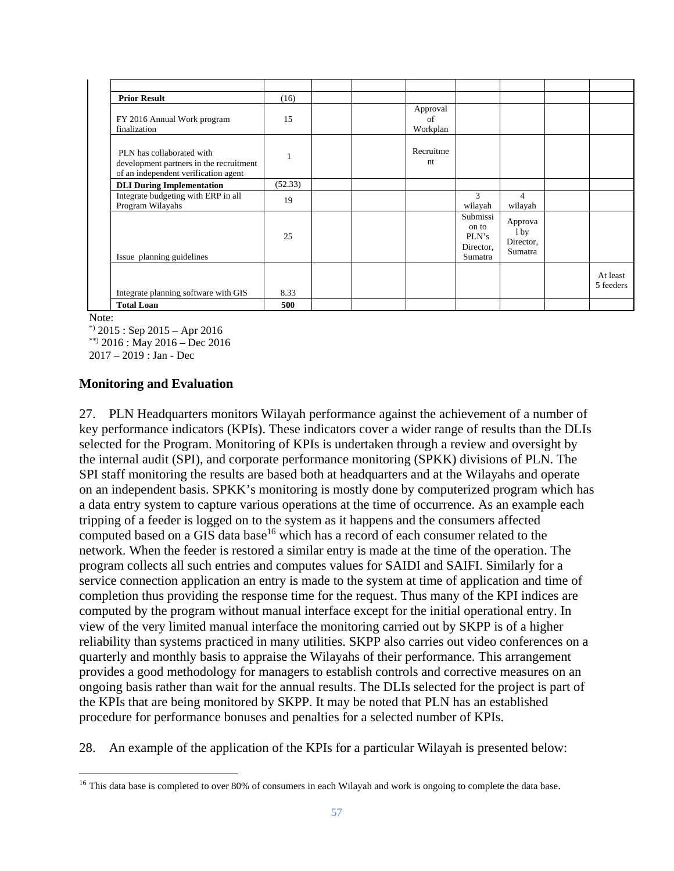| <b>Prior Result</b>                                                                                          | (16)    |  |                            |                                                    |                                                    |                       |
|--------------------------------------------------------------------------------------------------------------|---------|--|----------------------------|----------------------------------------------------|----------------------------------------------------|-----------------------|
| FY 2016 Annual Work program<br>finalization                                                                  | 15      |  | Approval<br>of<br>Workplan |                                                    |                                                    |                       |
| PLN has collaborated with<br>development partners in the recruitment<br>of an independent verification agent |         |  | Recruitme<br>nt            |                                                    |                                                    |                       |
| <b>DLI During Implementation</b>                                                                             | (52.33) |  |                            |                                                    |                                                    |                       |
| Integrate budgeting with ERP in all<br>Program Wilayahs                                                      | 19      |  |                            | 3<br>wilayah                                       | 4<br>wilayah                                       |                       |
| Issue planning guidelines                                                                                    | 25      |  |                            | Submissi<br>on to<br>PLN's<br>Director,<br>Sumatra | Approva<br>1 <sub>by</sub><br>Director,<br>Sumatra |                       |
| Integrate planning software with GIS                                                                         | 8.33    |  |                            |                                                    |                                                    | At least<br>5 feeders |
| <b>Total Loan</b>                                                                                            | 500     |  |                            |                                                    |                                                    |                       |

Note:

 $*$  2015 : Sep 2015 – Apr 2016

\*\*) 2016 : May 2016 – Dec 2016

2017 – 2019 : Jan - Dec

#### **Monitoring and Evaluation**

27. PLN Headquarters monitors Wilayah performance against the achievement of a number of key performance indicators (KPIs). These indicators cover a wider range of results than the DLIs selected for the Program. Monitoring of KPIs is undertaken through a review and oversight by the internal audit (SPI), and corporate performance monitoring (SPKK) divisions of PLN. The SPI staff monitoring the results are based both at headquarters and at the Wilayahs and operate on an independent basis. SPKK's monitoring is mostly done by computerized program which has a data entry system to capture various operations at the time of occurrence. As an example each tripping of a feeder is logged on to the system as it happens and the consumers affected computed based on a GIS data base<sup>16</sup> which has a record of each consumer related to the network. When the feeder is restored a similar entry is made at the time of the operation. The program collects all such entries and computes values for SAIDI and SAIFI. Similarly for a service connection application an entry is made to the system at time of application and time of completion thus providing the response time for the request. Thus many of the KPI indices are computed by the program without manual interface except for the initial operational entry. In view of the very limited manual interface the monitoring carried out by SKPP is of a higher reliability than systems practiced in many utilities. SKPP also carries out video conferences on a quarterly and monthly basis to appraise the Wilayahs of their performance. This arrangement provides a good methodology for managers to establish controls and corrective measures on an ongoing basis rather than wait for the annual results. The DLIs selected for the project is part of the KPIs that are being monitored by SKPP. It may be noted that PLN has an established procedure for performance bonuses and penalties for a selected number of KPIs.

28. An example of the application of the KPIs for a particular Wilayah is presented below:

<sup>&</sup>lt;sup>16</sup> This data base is completed to over 80% of consumers in each Wilayah and work is ongoing to complete the data base.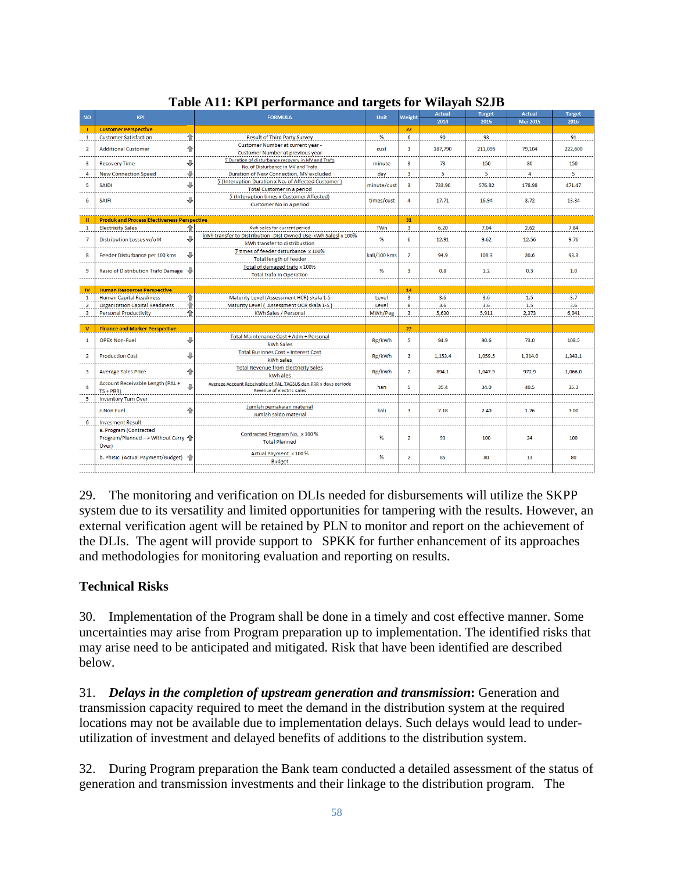| <b>NO</b>               | <b>KPI</b>                                         | <b>FORMULA</b>                                                                                  |              | Weight                  | <b>Actual</b> | <b>Target</b> | <b>Actual</b>   | <b>Target</b> |  |
|-------------------------|----------------------------------------------------|-------------------------------------------------------------------------------------------------|--------------|-------------------------|---------------|---------------|-----------------|---------------|--|
|                         |                                                    |                                                                                                 | <b>Unit</b>  |                         | 2014          | 2015          | <b>Mei 2015</b> | 2016          |  |
| -1                      | <b>Customer Perspective</b>                        |                                                                                                 |              | 22                      |               |               |                 |               |  |
| $\mathbf{1}$            | ⇑<br><b>Customer Satisfaction</b>                  | <b>Result of Third Party Survey</b>                                                             | %            | 6                       | 90            | 93            |                 | 91            |  |
|                         |                                                    | Customer Number at current year -                                                               |              |                         |               |               |                 |               |  |
| $\overline{2}$          | ⇧<br><b>Additional Customer</b>                    |                                                                                                 | cust         | $\overline{\mathbf{3}}$ | 187,790       | 211,095       | 79,104          | 222,600       |  |
|                         |                                                    | Customer Number at previous year                                                                |              |                         |               |               |                 |               |  |
| $\overline{\mathbf{3}}$ | ⊕<br><b>Recovery Time</b>                          | <b>5 Duration of disturbance recovery in MV and Trafo</b><br>No. of Disturbance in MV and Trafo | minute       | $\overline{\mathbf{3}}$ | 73            | 150           | 80              | 150           |  |
|                         | ₩                                                  |                                                                                                 |              | 3                       | 5             | 5             | 4               |               |  |
| 4                       | <b>New Connection Speed</b>                        | Duration of New Connection, MV excluded                                                         | day          |                         |               |               |                 | 5             |  |
| 5                       | ⊕<br><b>SAIDI</b>                                  | ∑ (Interuption Duration x No. of Affected Customer)                                             | minute/cust  | $\overline{3}$          | 733.90        | 576.82        | 178.98          | 471.47        |  |
|                         |                                                    | <b>Total Customer in a period</b>                                                               |              |                         |               |               |                 |               |  |
| 6                       | ⊕<br><b>SAIFI</b>                                  | ∑ (Interuption times x Customer Affected)                                                       | times/cust   | 4                       | 17.71         | 16.94         | 3.72            | 13.34         |  |
|                         |                                                    | Customer No in a period                                                                         |              |                         |               |               |                 |               |  |
|                         |                                                    |                                                                                                 |              |                         |               |               |                 |               |  |
| $\mathbf{u}$            | <b>Produk and Process Efectiveness Perspective</b> |                                                                                                 |              | 31                      |               |               |                 |               |  |
| $\mathbf{1}$            | 合<br><b>Electricity Sales</b>                      | Kwh sales for current period                                                                    | <b>TWh</b>   | $\overline{\mathbf{3}}$ | 6.20          | 7.04          | 2.62            | 7.84          |  |
|                         |                                                    | kWh transfer to Distribution - Dist Owned Use-kWh Salesl x 100%                                 |              |                         |               |               |                 |               |  |
| $\overline{7}$          | ⊕<br>Distribution Losses w/o I4                    | kWh transfer to distribustion                                                                   | %            | 6                       | 12.91         | 9.62          | 12.56           | 9.76          |  |
|                         |                                                    | Times of feeder disturbance x 100%                                                              |              |                         |               |               |                 |               |  |
| 8                       | ⊕<br>Feeder Disturbance per 100 kms                |                                                                                                 | kali/100 kms | $\overline{2}$          | 94.9          | 108.3         | 30.6            | 93.3          |  |
|                         |                                                    | <b>Total length of feeder</b>                                                                   |              |                         |               |               |                 |               |  |
| 9                       | Rasio of Distribution Trafo Damage \               | Total of damaged trafo x 100%                                                                   | %            | $\overline{3}$          | 0.8           | 1.2           | 0.3             | 1.0           |  |
|                         |                                                    | <b>Total trafo in Operation</b>                                                                 |              |                         |               |               |                 |               |  |
|                         |                                                    |                                                                                                 |              |                         |               |               |                 |               |  |
| $\mathbf{w}$            | <b>Human Resources Perspective</b>                 |                                                                                                 |              | 14                      |               |               |                 |               |  |
| $\mathbf 1$             | €<br><b>Human Capital Readiness</b>                | Maturity Level (Assessment HCR) skala 1-5                                                       | Level        | $\overline{3}$          | 3.6           | 3.6           | 1.5             | 3.7           |  |
| $\overline{2}$          | €<br><b>Organization Capital Readiness</b>         | Maturity Level ( Assessment OCR skala 1-5)                                                      | Level        | 8                       | 3.6           | 3.6           | 1.5             | 3.6           |  |
| $\overline{\mathbf{3}}$ | 合<br><b>Personal Productivity</b>                  | <b>KWh Sales / Personal</b>                                                                     | MWh/Peg      | $\overline{3}$          | 5.630         | 5.911         | 2.373           | 6.041         |  |
|                         |                                                    |                                                                                                 |              |                         |               |               |                 |               |  |
| $\mathbf{v}$            | <b>Finance and Marker Perspective</b>              |                                                                                                 |              | 22                      |               |               |                 |               |  |
|                         |                                                    | Total Maintenance Cost + Adm + Personal                                                         |              |                         |               |               |                 |               |  |
| 1                       | ⊕<br><b>OPEX Non-Fuel</b>                          |                                                                                                 | Rp/kWh       | 5                       | 94.9          | 90.6          | 73.0            | 108.5         |  |
|                         |                                                    | kWh Sales                                                                                       |              |                         |               |               |                 |               |  |
| $\overline{2}$          | ⊕<br><b>Production Cost</b>                        | <b>Total Businnes Cost + Interest Cost</b>                                                      | Rp/kWh       | $\overline{\mathbf{3}}$ | 1,153.4       | 1,059.5       | 1,314.0         | 1,343.1       |  |
|                         |                                                    | kWh sales                                                                                       |              |                         |               |               |                 |               |  |
| $\overline{\mathbf{3}}$ | 合<br><b>Average Sales Price</b>                    | <b>Total Revenue from Electricity Sales</b>                                                     | Rp/kWh       | $\overline{2}$          | 894.1         | 1.047.9       | 972.9           | 1.066.0       |  |
|                         |                                                    | kWh ales                                                                                        |              |                         |               |               |                 |               |  |
|                         | Account Receivable Length (PAL+<br>Д               | Average Account Receivable of PAL, TAGSUS dan PRR x days periode                                |              |                         |               |               |                 |               |  |
| 4                       | $TS + PRR$                                         | <b>Revenue of electric sales</b>                                                                | hari         | 5                       | 39.4          | 34.0          | 40.5            | 35.3          |  |
| 5                       | <b>Inventory Turn Over</b>                         |                                                                                                 |              |                         |               |               |                 |               |  |
|                         |                                                    | Jumlah pemakaian material                                                                       |              |                         |               |               |                 |               |  |
|                         | 습<br>c.Non Fuel                                    | Jumlah saldo material                                                                           | kali         | 3                       | 7.18          | 2.40          | 1.26            | 3.00          |  |
|                         |                                                    |                                                                                                 |              |                         |               |               |                 |               |  |
| 6                       | <b>Invesment Result</b>                            |                                                                                                 |              |                         |               |               |                 |               |  |
|                         | a. Program (Contracted                             | Contracted Program No. x 100 %                                                                  |              |                         |               |               |                 |               |  |
|                         | Program/Planned --> Without Carry                  | <b>Total Planned</b>                                                                            | %            | $\overline{2}$          | 93            | 100           | 24              | 100           |  |
|                         | Over)                                              |                                                                                                 |              |                         |               |               |                 |               |  |
|                         |                                                    | Actual Payment x 100 %                                                                          |              |                         |               |               |                 |               |  |
|                         | b. Phisic (Actual Payment/Budget) 个                | <b>Budget</b>                                                                                   | %            | $\overline{2}$          | 85            | 80            | 13              | 80            |  |
|                         |                                                    |                                                                                                 |              |                         |               |               |                 |               |  |
|                         |                                                    |                                                                                                 |              |                         |               |               |                 |               |  |

# **Table A11: KPI performance and targets for Wilayah S2JB**

29. The monitoring and verification on DLIs needed for disbursements will utilize the SKPP system due to its versatility and limited opportunities for tampering with the results. However, an external verification agent will be retained by PLN to monitor and report on the achievement of the DLIs. The agent will provide support to SPKK for further enhancement of its approaches and methodologies for monitoring evaluation and reporting on results.

# **Technical Risks**

30. Implementation of the Program shall be done in a timely and cost effective manner. Some uncertainties may arise from Program preparation up to implementation. The identified risks that may arise need to be anticipated and mitigated. Risk that have been identified are described below.

31. *Delays in the completion of upstream generation and transmission***:** Generation and transmission capacity required to meet the demand in the distribution system at the required locations may not be available due to implementation delays. Such delays would lead to underutilization of investment and delayed benefits of additions to the distribution system.

32. During Program preparation the Bank team conducted a detailed assessment of the status of generation and transmission investments and their linkage to the distribution program. The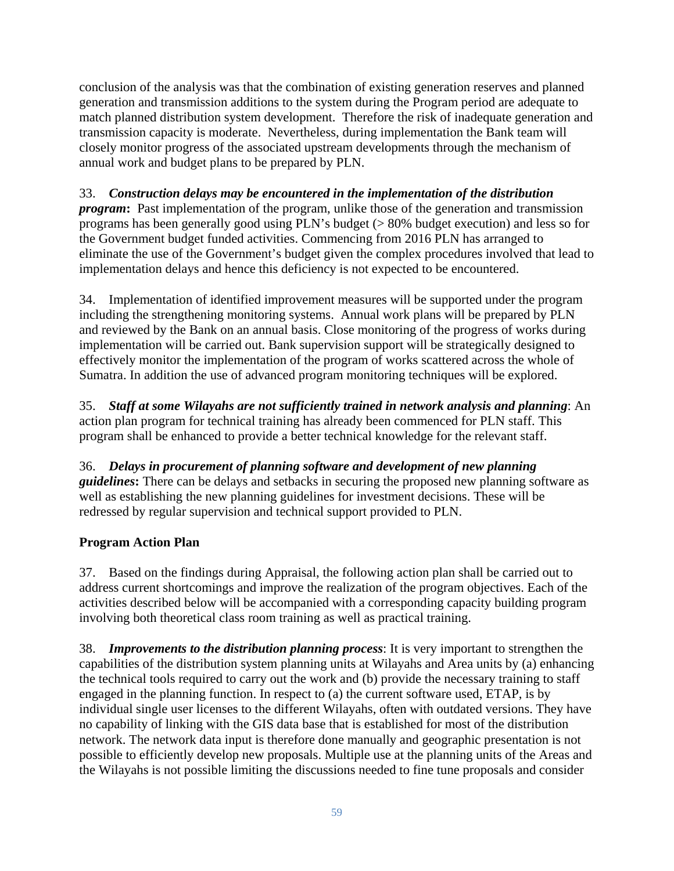conclusion of the analysis was that the combination of existing generation reserves and planned generation and transmission additions to the system during the Program period are adequate to match planned distribution system development. Therefore the risk of inadequate generation and transmission capacity is moderate. Nevertheless, during implementation the Bank team will closely monitor progress of the associated upstream developments through the mechanism of annual work and budget plans to be prepared by PLN.

33. *Construction delays may be encountered in the implementation of the distribution program*: Past implementation of the program, unlike those of the generation and transmission programs has been generally good using PLN's budget (> 80% budget execution) and less so for the Government budget funded activities. Commencing from 2016 PLN has arranged to eliminate the use of the Government's budget given the complex procedures involved that lead to implementation delays and hence this deficiency is not expected to be encountered.

34. Implementation of identified improvement measures will be supported under the program including the strengthening monitoring systems. Annual work plans will be prepared by PLN and reviewed by the Bank on an annual basis. Close monitoring of the progress of works during implementation will be carried out. Bank supervision support will be strategically designed to effectively monitor the implementation of the program of works scattered across the whole of Sumatra. In addition the use of advanced program monitoring techniques will be explored.

35. *Staff at some Wilayahs are not sufficiently trained in network analysis and planning*: An action plan program for technical training has already been commenced for PLN staff. This program shall be enhanced to provide a better technical knowledge for the relevant staff.

36. *Delays in procurement of planning software and development of new planning guidelines***:** There can be delays and setbacks in securing the proposed new planning software as well as establishing the new planning guidelines for investment decisions. These will be redressed by regular supervision and technical support provided to PLN.

# **Program Action Plan**

37. Based on the findings during Appraisal, the following action plan shall be carried out to address current shortcomings and improve the realization of the program objectives. Each of the activities described below will be accompanied with a corresponding capacity building program involving both theoretical class room training as well as practical training.

38. *Improvements to the distribution planning process*: It is very important to strengthen the capabilities of the distribution system planning units at Wilayahs and Area units by (a) enhancing the technical tools required to carry out the work and (b) provide the necessary training to staff engaged in the planning function. In respect to (a) the current software used, ETAP, is by individual single user licenses to the different Wilayahs, often with outdated versions. They have no capability of linking with the GIS data base that is established for most of the distribution network. The network data input is therefore done manually and geographic presentation is not possible to efficiently develop new proposals. Multiple use at the planning units of the Areas and the Wilayahs is not possible limiting the discussions needed to fine tune proposals and consider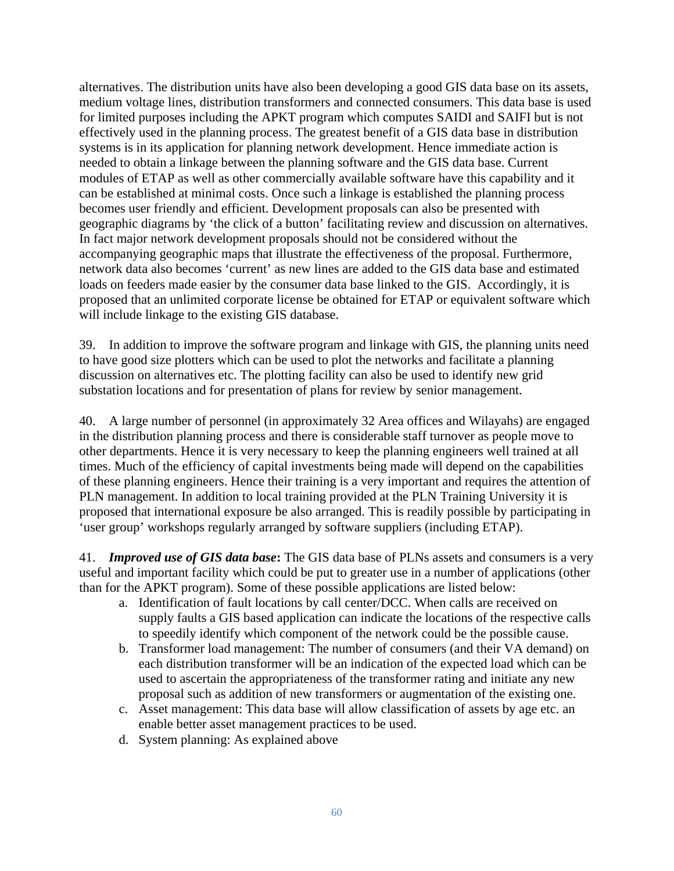alternatives. The distribution units have also been developing a good GIS data base on its assets, medium voltage lines, distribution transformers and connected consumers. This data base is used for limited purposes including the APKT program which computes SAIDI and SAIFI but is not effectively used in the planning process. The greatest benefit of a GIS data base in distribution systems is in its application for planning network development. Hence immediate action is needed to obtain a linkage between the planning software and the GIS data base. Current modules of ETAP as well as other commercially available software have this capability and it can be established at minimal costs. Once such a linkage is established the planning process becomes user friendly and efficient. Development proposals can also be presented with geographic diagrams by 'the click of a button' facilitating review and discussion on alternatives. In fact major network development proposals should not be considered without the accompanying geographic maps that illustrate the effectiveness of the proposal. Furthermore, network data also becomes 'current' as new lines are added to the GIS data base and estimated loads on feeders made easier by the consumer data base linked to the GIS. Accordingly, it is proposed that an unlimited corporate license be obtained for ETAP or equivalent software which will include linkage to the existing GIS database.

39. In addition to improve the software program and linkage with GIS, the planning units need to have good size plotters which can be used to plot the networks and facilitate a planning discussion on alternatives etc. The plotting facility can also be used to identify new grid substation locations and for presentation of plans for review by senior management.

40. A large number of personnel (in approximately 32 Area offices and Wilayahs) are engaged in the distribution planning process and there is considerable staff turnover as people move to other departments. Hence it is very necessary to keep the planning engineers well trained at all times. Much of the efficiency of capital investments being made will depend on the capabilities of these planning engineers. Hence their training is a very important and requires the attention of PLN management. In addition to local training provided at the PLN Training University it is proposed that international exposure be also arranged. This is readily possible by participating in 'user group' workshops regularly arranged by software suppliers (including ETAP).

41. *Improved use of GIS data base***:** The GIS data base of PLNs assets and consumers is a very useful and important facility which could be put to greater use in a number of applications (other than for the APKT program). Some of these possible applications are listed below:

- a. Identification of fault locations by call center/DCC. When calls are received on supply faults a GIS based application can indicate the locations of the respective calls to speedily identify which component of the network could be the possible cause.
- b. Transformer load management: The number of consumers (and their VA demand) on each distribution transformer will be an indication of the expected load which can be used to ascertain the appropriateness of the transformer rating and initiate any new proposal such as addition of new transformers or augmentation of the existing one.
- c. Asset management: This data base will allow classification of assets by age etc. an enable better asset management practices to be used.
- d. System planning: As explained above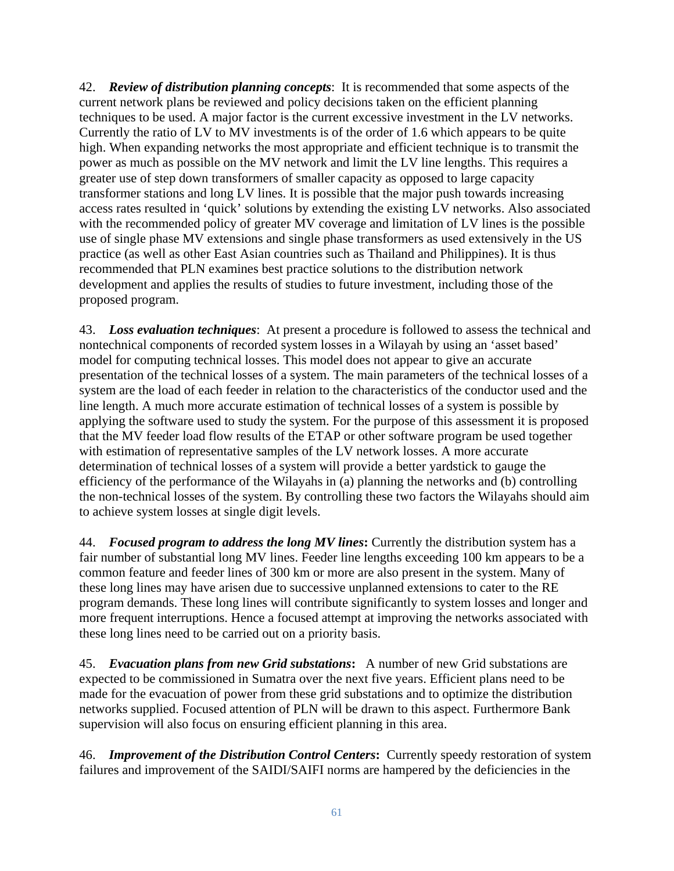42. *Review of distribution planning concepts*: It is recommended that some aspects of the current network plans be reviewed and policy decisions taken on the efficient planning techniques to be used. A major factor is the current excessive investment in the LV networks. Currently the ratio of LV to MV investments is of the order of 1.6 which appears to be quite high. When expanding networks the most appropriate and efficient technique is to transmit the power as much as possible on the MV network and limit the LV line lengths. This requires a greater use of step down transformers of smaller capacity as opposed to large capacity transformer stations and long LV lines. It is possible that the major push towards increasing access rates resulted in 'quick' solutions by extending the existing LV networks. Also associated with the recommended policy of greater MV coverage and limitation of LV lines is the possible use of single phase MV extensions and single phase transformers as used extensively in the US practice (as well as other East Asian countries such as Thailand and Philippines). It is thus recommended that PLN examines best practice solutions to the distribution network development and applies the results of studies to future investment, including those of the proposed program.

43. *Loss evaluation techniques*: At present a procedure is followed to assess the technical and nontechnical components of recorded system losses in a Wilayah by using an 'asset based' model for computing technical losses. This model does not appear to give an accurate presentation of the technical losses of a system. The main parameters of the technical losses of a system are the load of each feeder in relation to the characteristics of the conductor used and the line length. A much more accurate estimation of technical losses of a system is possible by applying the software used to study the system. For the purpose of this assessment it is proposed that the MV feeder load flow results of the ETAP or other software program be used together with estimation of representative samples of the LV network losses. A more accurate determination of technical losses of a system will provide a better yardstick to gauge the efficiency of the performance of the Wilayahs in (a) planning the networks and (b) controlling the non-technical losses of the system. By controlling these two factors the Wilayahs should aim to achieve system losses at single digit levels.

44. *Focused program to address the long MV lines***:** Currently the distribution system has a fair number of substantial long MV lines. Feeder line lengths exceeding 100 km appears to be a common feature and feeder lines of 300 km or more are also present in the system. Many of these long lines may have arisen due to successive unplanned extensions to cater to the RE program demands. These long lines will contribute significantly to system losses and longer and more frequent interruptions. Hence a focused attempt at improving the networks associated with these long lines need to be carried out on a priority basis.

45. *Evacuation plans from new Grid substations***:** A number of new Grid substations are expected to be commissioned in Sumatra over the next five years. Efficient plans need to be made for the evacuation of power from these grid substations and to optimize the distribution networks supplied. Focused attention of PLN will be drawn to this aspect. Furthermore Bank supervision will also focus on ensuring efficient planning in this area.

46. *Improvement of the Distribution Control Centers***:** Currently speedy restoration of system failures and improvement of the SAIDI/SAIFI norms are hampered by the deficiencies in the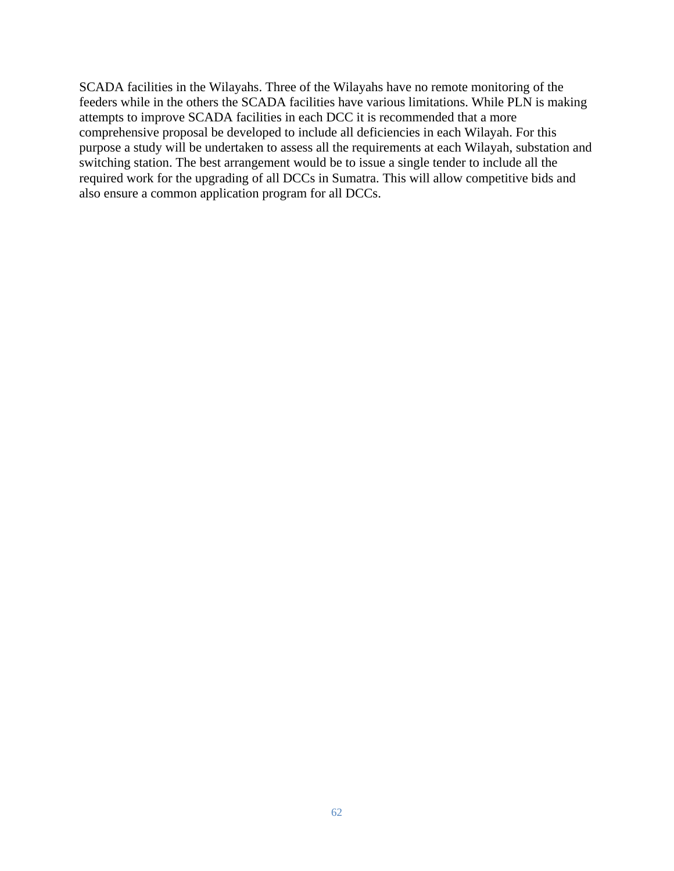SCADA facilities in the Wilayahs. Three of the Wilayahs have no remote monitoring of the feeders while in the others the SCADA facilities have various limitations. While PLN is making attempts to improve SCADA facilities in each DCC it is recommended that a more comprehensive proposal be developed to include all deficiencies in each Wilayah. For this purpose a study will be undertaken to assess all the requirements at each Wilayah, substation and switching station. The best arrangement would be to issue a single tender to include all the required work for the upgrading of all DCCs in Sumatra. This will allow competitive bids and also ensure a common application program for all DCCs.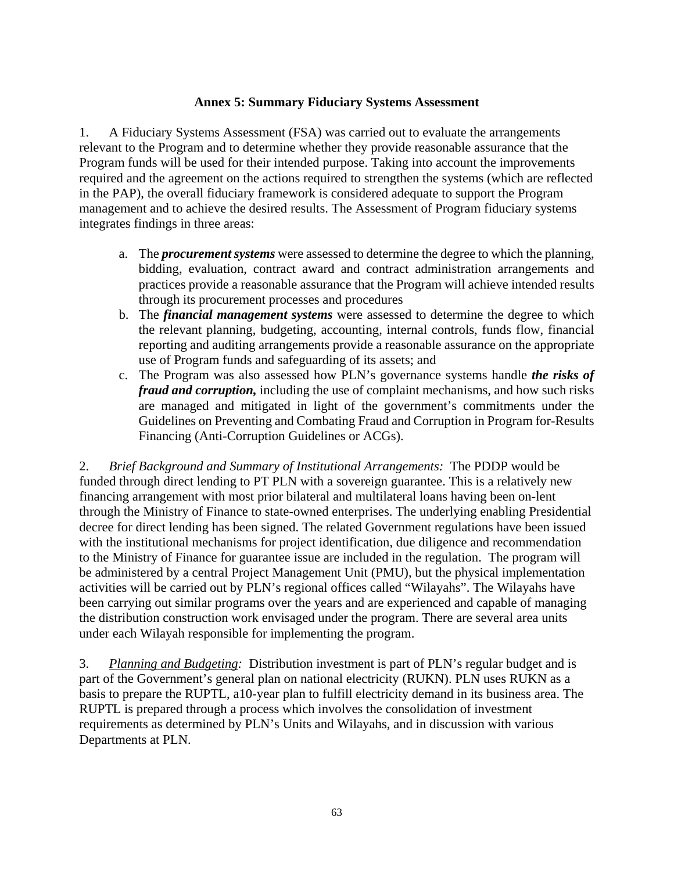## **Annex 5: Summary Fiduciary Systems Assessment**

1. A Fiduciary Systems Assessment (FSA) was carried out to evaluate the arrangements relevant to the Program and to determine whether they provide reasonable assurance that the Program funds will be used for their intended purpose. Taking into account the improvements required and the agreement on the actions required to strengthen the systems (which are reflected in the PAP), the overall fiduciary framework is considered adequate to support the Program management and to achieve the desired results. The Assessment of Program fiduciary systems integrates findings in three areas:

- a. The *procurement systems* were assessed to determine the degree to which the planning, bidding, evaluation, contract award and contract administration arrangements and practices provide a reasonable assurance that the Program will achieve intended results through its procurement processes and procedures
- b. The *financial management systems* were assessed to determine the degree to which the relevant planning, budgeting, accounting, internal controls, funds flow, financial reporting and auditing arrangements provide a reasonable assurance on the appropriate use of Program funds and safeguarding of its assets; and
- c. The Program was also assessed how PLN's governance systems handle *the risks of fraud and corruption,* including the use of complaint mechanisms, and how such risks are managed and mitigated in light of the government's commitments under the Guidelines on Preventing and Combating Fraud and Corruption in Program for-Results Financing (Anti-Corruption Guidelines or ACGs).

2. *Brief Background and Summary of Institutional Arrangements:* The PDDP would be funded through direct lending to PT PLN with a sovereign guarantee. This is a relatively new financing arrangement with most prior bilateral and multilateral loans having been on-lent through the Ministry of Finance to state-owned enterprises. The underlying enabling Presidential decree for direct lending has been signed. The related Government regulations have been issued with the institutional mechanisms for project identification, due diligence and recommendation to the Ministry of Finance for guarantee issue are included in the regulation. The program will be administered by a central Project Management Unit (PMU), but the physical implementation activities will be carried out by PLN's regional offices called "Wilayahs". The Wilayahs have been carrying out similar programs over the years and are experienced and capable of managing the distribution construction work envisaged under the program. There are several area units under each Wilayah responsible for implementing the program.

3. *Planning and Budgeting:* Distribution investment is part of PLN's regular budget and is part of the Government's general plan on national electricity (RUKN). PLN uses RUKN as a basis to prepare the RUPTL, a10-year plan to fulfill electricity demand in its business area. The RUPTL is prepared through a process which involves the consolidation of investment requirements as determined by PLN's Units and Wilayahs, and in discussion with various Departments at PLN.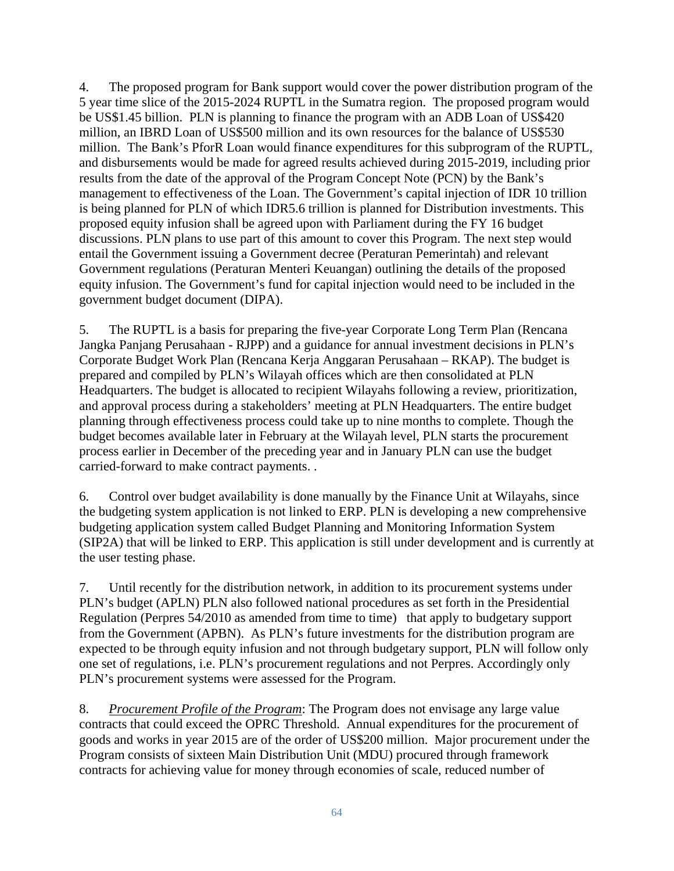4. The proposed program for Bank support would cover the power distribution program of the 5 year time slice of the 2015-2024 RUPTL in the Sumatra region. The proposed program would be US\$1.45 billion. PLN is planning to finance the program with an ADB Loan of US\$420 million, an IBRD Loan of US\$500 million and its own resources for the balance of US\$530 million. The Bank's PforR Loan would finance expenditures for this subprogram of the RUPTL, and disbursements would be made for agreed results achieved during 2015-2019, including prior results from the date of the approval of the Program Concept Note (PCN) by the Bank's management to effectiveness of the Loan. The Government's capital injection of IDR 10 trillion is being planned for PLN of which IDR5.6 trillion is planned for Distribution investments. This proposed equity infusion shall be agreed upon with Parliament during the FY 16 budget discussions. PLN plans to use part of this amount to cover this Program. The next step would entail the Government issuing a Government decree (Peraturan Pemerintah) and relevant Government regulations (Peraturan Menteri Keuangan) outlining the details of the proposed equity infusion. The Government's fund for capital injection would need to be included in the government budget document (DIPA).

5. The RUPTL is a basis for preparing the five-year Corporate Long Term Plan (Rencana Jangka Panjang Perusahaan - RJPP) and a guidance for annual investment decisions in PLN's Corporate Budget Work Plan (Rencana Kerja Anggaran Perusahaan – RKAP). The budget is prepared and compiled by PLN's Wilayah offices which are then consolidated at PLN Headquarters. The budget is allocated to recipient Wilayahs following a review, prioritization, and approval process during a stakeholders' meeting at PLN Headquarters. The entire budget planning through effectiveness process could take up to nine months to complete. Though the budget becomes available later in February at the Wilayah level, PLN starts the procurement process earlier in December of the preceding year and in January PLN can use the budget carried-forward to make contract payments. .

6. Control over budget availability is done manually by the Finance Unit at Wilayahs, since the budgeting system application is not linked to ERP. PLN is developing a new comprehensive budgeting application system called Budget Planning and Monitoring Information System (SIP2A) that will be linked to ERP. This application is still under development and is currently at the user testing phase.

7. Until recently for the distribution network, in addition to its procurement systems under PLN's budget (APLN) PLN also followed national procedures as set forth in the Presidential Regulation (Perpres 54/2010 as amended from time to time) that apply to budgetary support from the Government (APBN). As PLN's future investments for the distribution program are expected to be through equity infusion and not through budgetary support, PLN will follow only one set of regulations, i.e. PLN's procurement regulations and not Perpres. Accordingly only PLN's procurement systems were assessed for the Program.

8. *Procurement Profile of the Program*: The Program does not envisage any large value contracts that could exceed the OPRC Threshold. Annual expenditures for the procurement of goods and works in year 2015 are of the order of US\$200 million. Major procurement under the Program consists of sixteen Main Distribution Unit (MDU) procured through framework contracts for achieving value for money through economies of scale, reduced number of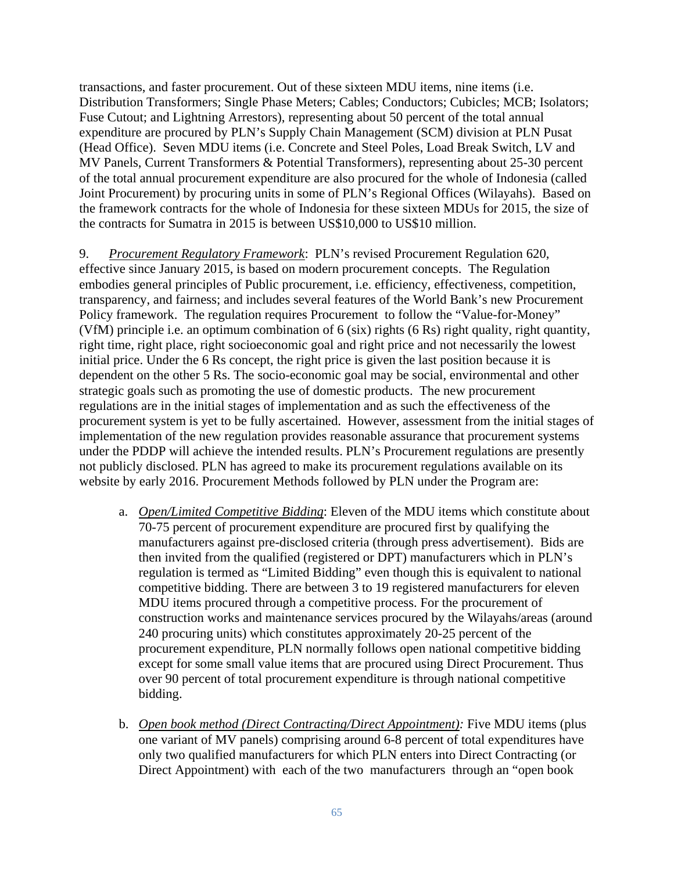transactions, and faster procurement. Out of these sixteen MDU items, nine items (i.e. Distribution Transformers; Single Phase Meters; Cables; Conductors; Cubicles; MCB; Isolators; Fuse Cutout; and Lightning Arrestors), representing about 50 percent of the total annual expenditure are procured by PLN's Supply Chain Management (SCM) division at PLN Pusat (Head Office). Seven MDU items (i.e. Concrete and Steel Poles, Load Break Switch, LV and MV Panels, Current Transformers & Potential Transformers), representing about 25-30 percent of the total annual procurement expenditure are also procured for the whole of Indonesia (called Joint Procurement) by procuring units in some of PLN's Regional Offices (Wilayahs). Based on the framework contracts for the whole of Indonesia for these sixteen MDUs for 2015, the size of the contracts for Sumatra in 2015 is between US\$10,000 to US\$10 million.

9. *Procurement Regulatory Framework*: PLN's revised Procurement Regulation 620, effective since January 2015, is based on modern procurement concepts. The Regulation embodies general principles of Public procurement, i.e. efficiency, effectiveness, competition, transparency, and fairness; and includes several features of the World Bank's new Procurement Policy framework. The regulation requires Procurement to follow the "Value-for-Money" (VfM) principle i.e. an optimum combination of 6 (six) rights (6 Rs) right quality, right quantity, right time, right place, right socioeconomic goal and right price and not necessarily the lowest initial price. Under the 6 Rs concept, the right price is given the last position because it is dependent on the other 5 Rs. The socio-economic goal may be social, environmental and other strategic goals such as promoting the use of domestic products. The new procurement regulations are in the initial stages of implementation and as such the effectiveness of the procurement system is yet to be fully ascertained. However, assessment from the initial stages of implementation of the new regulation provides reasonable assurance that procurement systems under the PDDP will achieve the intended results. PLN's Procurement regulations are presently not publicly disclosed. PLN has agreed to make its procurement regulations available on its website by early 2016. Procurement Methods followed by PLN under the Program are:

- a. *Open/Limited Competitive Bidding*: Eleven of the MDU items which constitute about 70-75 percent of procurement expenditure are procured first by qualifying the manufacturers against pre-disclosed criteria (through press advertisement). Bids are then invited from the qualified (registered or DPT) manufacturers which in PLN's regulation is termed as "Limited Bidding" even though this is equivalent to national competitive bidding. There are between 3 to 19 registered manufacturers for eleven MDU items procured through a competitive process. For the procurement of construction works and maintenance services procured by the Wilayahs/areas (around 240 procuring units) which constitutes approximately 20-25 percent of the procurement expenditure, PLN normally follows open national competitive bidding except for some small value items that are procured using Direct Procurement. Thus over 90 percent of total procurement expenditure is through national competitive bidding.
- b. *Open book method (Direct Contracting/Direct Appointment):* Five MDU items (plus one variant of MV panels) comprising around 6-8 percent of total expenditures have only two qualified manufacturers for which PLN enters into Direct Contracting (or Direct Appointment) with each of the two manufacturers through an "open book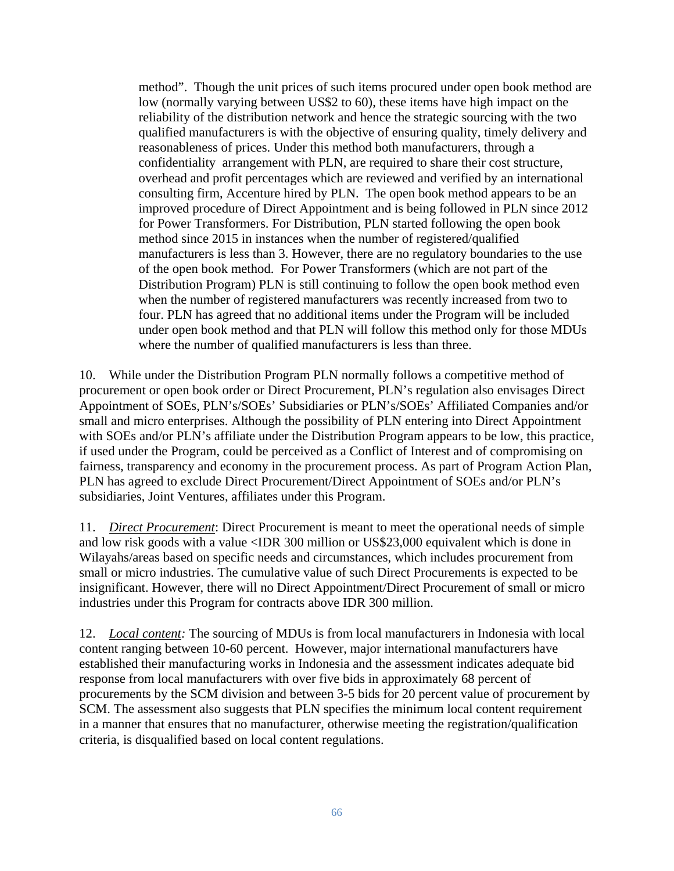method". Though the unit prices of such items procured under open book method are low (normally varying between US\$2 to 60), these items have high impact on the reliability of the distribution network and hence the strategic sourcing with the two qualified manufacturers is with the objective of ensuring quality, timely delivery and reasonableness of prices. Under this method both manufacturers, through a confidentiality arrangement with PLN, are required to share their cost structure, overhead and profit percentages which are reviewed and verified by an international consulting firm, Accenture hired by PLN. The open book method appears to be an improved procedure of Direct Appointment and is being followed in PLN since 2012 for Power Transformers. For Distribution, PLN started following the open book method since 2015 in instances when the number of registered/qualified manufacturers is less than 3. However, there are no regulatory boundaries to the use of the open book method. For Power Transformers (which are not part of the Distribution Program) PLN is still continuing to follow the open book method even when the number of registered manufacturers was recently increased from two to four. PLN has agreed that no additional items under the Program will be included under open book method and that PLN will follow this method only for those MDUs where the number of qualified manufacturers is less than three.

10. While under the Distribution Program PLN normally follows a competitive method of procurement or open book order or Direct Procurement, PLN's regulation also envisages Direct Appointment of SOEs, PLN's/SOEs' Subsidiaries or PLN's/SOEs' Affiliated Companies and/or small and micro enterprises. Although the possibility of PLN entering into Direct Appointment with SOEs and/or PLN's affiliate under the Distribution Program appears to be low, this practice, if used under the Program, could be perceived as a Conflict of Interest and of compromising on fairness, transparency and economy in the procurement process. As part of Program Action Plan, PLN has agreed to exclude Direct Procurement/Direct Appointment of SOEs and/or PLN's subsidiaries, Joint Ventures, affiliates under this Program.

11. *Direct Procurement*: Direct Procurement is meant to meet the operational needs of simple and low risk goods with a value <IDR 300 million or US\$23,000 equivalent which is done in Wilayahs/areas based on specific needs and circumstances, which includes procurement from small or micro industries. The cumulative value of such Direct Procurements is expected to be insignificant. However, there will no Direct Appointment/Direct Procurement of small or micro industries under this Program for contracts above IDR 300 million.

12. *Local content:* The sourcing of MDUs is from local manufacturers in Indonesia with local content ranging between 10-60 percent. However, major international manufacturers have established their manufacturing works in Indonesia and the assessment indicates adequate bid response from local manufacturers with over five bids in approximately 68 percent of procurements by the SCM division and between 3-5 bids for 20 percent value of procurement by SCM. The assessment also suggests that PLN specifies the minimum local content requirement in a manner that ensures that no manufacturer, otherwise meeting the registration/qualification criteria, is disqualified based on local content regulations.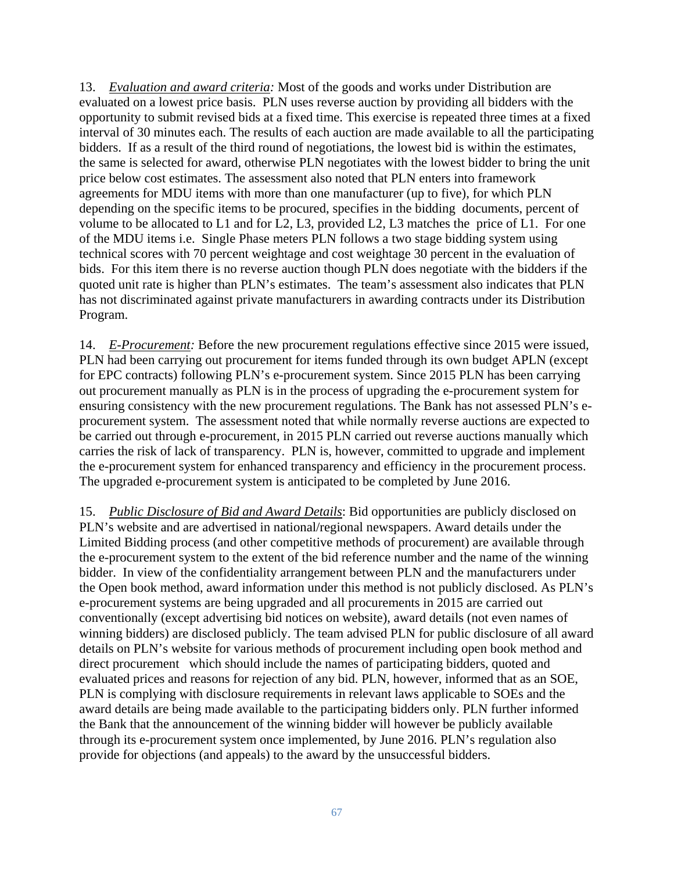13. *Evaluation and award criteria:* Most of the goods and works under Distribution are evaluated on a lowest price basis. PLN uses reverse auction by providing all bidders with the opportunity to submit revised bids at a fixed time. This exercise is repeated three times at a fixed interval of 30 minutes each. The results of each auction are made available to all the participating bidders. If as a result of the third round of negotiations, the lowest bid is within the estimates, the same is selected for award, otherwise PLN negotiates with the lowest bidder to bring the unit price below cost estimates. The assessment also noted that PLN enters into framework agreements for MDU items with more than one manufacturer (up to five), for which PLN depending on the specific items to be procured, specifies in the bidding documents, percent of volume to be allocated to L1 and for L2, L3, provided L2, L3 matches the price of L1. For one of the MDU items i.e. Single Phase meters PLN follows a two stage bidding system using technical scores with 70 percent weightage and cost weightage 30 percent in the evaluation of bids. For this item there is no reverse auction though PLN does negotiate with the bidders if the quoted unit rate is higher than PLN's estimates. The team's assessment also indicates that PLN has not discriminated against private manufacturers in awarding contracts under its Distribution Program.

14. *E-Procurement:* Before the new procurement regulations effective since 2015 were issued*,*  PLN had been carrying out procurement for items funded through its own budget APLN (except for EPC contracts) following PLN's e-procurement system. Since 2015 PLN has been carrying out procurement manually as PLN is in the process of upgrading the e-procurement system for ensuring consistency with the new procurement regulations. The Bank has not assessed PLN's eprocurement system. The assessment noted that while normally reverse auctions are expected to be carried out through e-procurement, in 2015 PLN carried out reverse auctions manually which carries the risk of lack of transparency. PLN is, however, committed to upgrade and implement the e-procurement system for enhanced transparency and efficiency in the procurement process. The upgraded e-procurement system is anticipated to be completed by June 2016.

15. *Public Disclosure of Bid and Award Details*: Bid opportunities are publicly disclosed on PLN's website and are advertised in national/regional newspapers. Award details under the Limited Bidding process (and other competitive methods of procurement) are available through the e-procurement system to the extent of the bid reference number and the name of the winning bidder. In view of the confidentiality arrangement between PLN and the manufacturers under the Open book method, award information under this method is not publicly disclosed. As PLN's e-procurement systems are being upgraded and all procurements in 2015 are carried out conventionally (except advertising bid notices on website), award details (not even names of winning bidders) are disclosed publicly. The team advised PLN for public disclosure of all award details on PLN's website for various methods of procurement including open book method and direct procurement which should include the names of participating bidders, quoted and evaluated prices and reasons for rejection of any bid. PLN, however, informed that as an SOE, PLN is complying with disclosure requirements in relevant laws applicable to SOEs and the award details are being made available to the participating bidders only. PLN further informed the Bank that the announcement of the winning bidder will however be publicly available through its e-procurement system once implemented, by June 2016. PLN's regulation also provide for objections (and appeals) to the award by the unsuccessful bidders.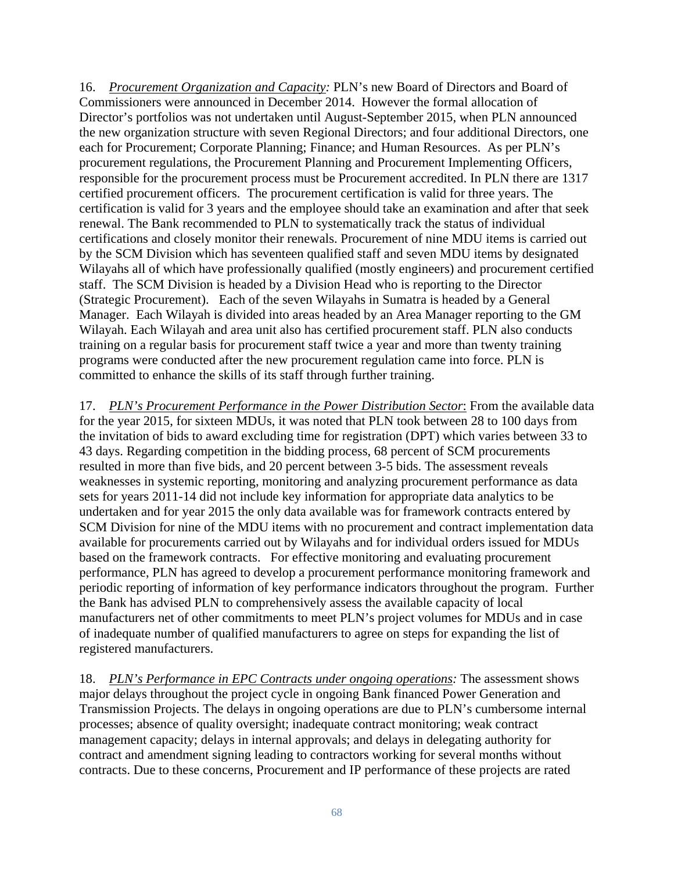16. *Procurement Organization and Capacity:* PLN's new Board of Directors and Board of Commissioners were announced in December 2014. However the formal allocation of Director's portfolios was not undertaken until August-September 2015, when PLN announced the new organization structure with seven Regional Directors; and four additional Directors, one each for Procurement; Corporate Planning; Finance; and Human Resources. As per PLN's procurement regulations, the Procurement Planning and Procurement Implementing Officers, responsible for the procurement process must be Procurement accredited. In PLN there are 1317 certified procurement officers. The procurement certification is valid for three years. The certification is valid for 3 years and the employee should take an examination and after that seek renewal. The Bank recommended to PLN to systematically track the status of individual certifications and closely monitor their renewals. Procurement of nine MDU items is carried out by the SCM Division which has seventeen qualified staff and seven MDU items by designated Wilayahs all of which have professionally qualified (mostly engineers) and procurement certified staff. The SCM Division is headed by a Division Head who is reporting to the Director (Strategic Procurement). Each of the seven Wilayahs in Sumatra is headed by a General Manager. Each Wilayah is divided into areas headed by an Area Manager reporting to the GM Wilayah. Each Wilayah and area unit also has certified procurement staff. PLN also conducts training on a regular basis for procurement staff twice a year and more than twenty training programs were conducted after the new procurement regulation came into force. PLN is committed to enhance the skills of its staff through further training.

17. *PLN's Procurement Performance in the Power Distribution Sector*: From the available data for the year 2015, for sixteen MDUs, it was noted that PLN took between 28 to 100 days from the invitation of bids to award excluding time for registration (DPT) which varies between 33 to 43 days. Regarding competition in the bidding process, 68 percent of SCM procurements resulted in more than five bids, and 20 percent between 3-5 bids. The assessment reveals weaknesses in systemic reporting, monitoring and analyzing procurement performance as data sets for years 2011-14 did not include key information for appropriate data analytics to be undertaken and for year 2015 the only data available was for framework contracts entered by SCM Division for nine of the MDU items with no procurement and contract implementation data available for procurements carried out by Wilayahs and for individual orders issued for MDUs based on the framework contracts. For effective monitoring and evaluating procurement performance, PLN has agreed to develop a procurement performance monitoring framework and periodic reporting of information of key performance indicators throughout the program. Further the Bank has advised PLN to comprehensively assess the available capacity of local manufacturers net of other commitments to meet PLN's project volumes for MDUs and in case of inadequate number of qualified manufacturers to agree on steps for expanding the list of registered manufacturers.

18. *PLN's Performance in EPC Contracts under ongoing operations:* The assessment shows major delays throughout the project cycle in ongoing Bank financed Power Generation and Transmission Projects. The delays in ongoing operations are due to PLN's cumbersome internal processes; absence of quality oversight; inadequate contract monitoring; weak contract management capacity; delays in internal approvals; and delays in delegating authority for contract and amendment signing leading to contractors working for several months without contracts. Due to these concerns, Procurement and IP performance of these projects are rated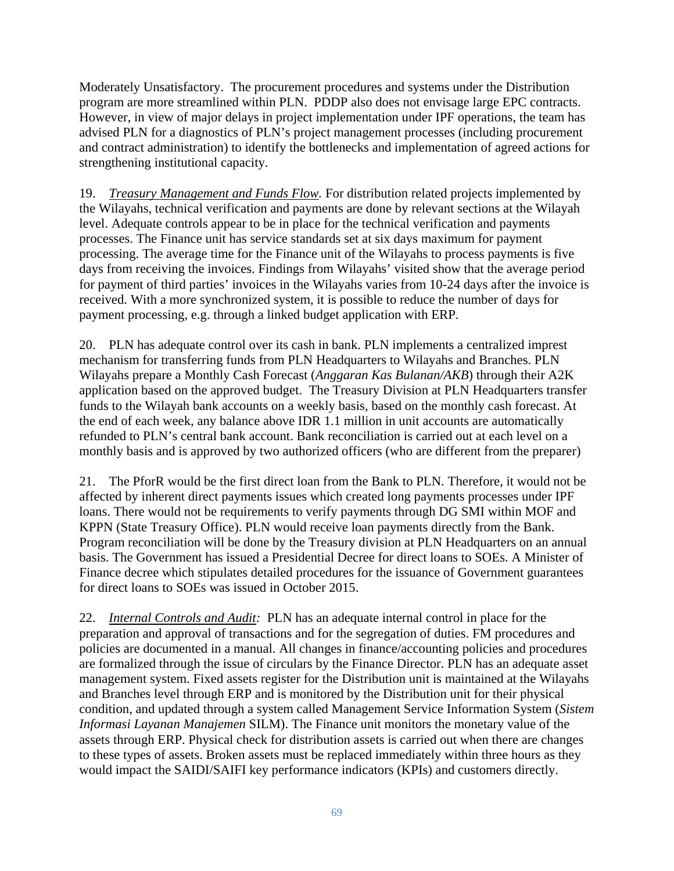Moderately Unsatisfactory. The procurement procedures and systems under the Distribution program are more streamlined within PLN. PDDP also does not envisage large EPC contracts. However, in view of major delays in project implementation under IPF operations, the team has advised PLN for a diagnostics of PLN's project management processes (including procurement and contract administration) to identify the bottlenecks and implementation of agreed actions for strengthening institutional capacity.

19. *Treasury Management and Funds Flow.* For distribution related projects implemented by the Wilayahs, technical verification and payments are done by relevant sections at the Wilayah level. Adequate controls appear to be in place for the technical verification and payments processes. The Finance unit has service standards set at six days maximum for payment processing. The average time for the Finance unit of the Wilayahs to process payments is five days from receiving the invoices. Findings from Wilayahs' visited show that the average period for payment of third parties' invoices in the Wilayahs varies from 10-24 days after the invoice is received. With a more synchronized system, it is possible to reduce the number of days for payment processing, e.g. through a linked budget application with ERP.

20. PLN has adequate control over its cash in bank. PLN implements a centralized imprest mechanism for transferring funds from PLN Headquarters to Wilayahs and Branches. PLN Wilayahs prepare a Monthly Cash Forecast (*Anggaran Kas Bulanan/AKB*) through their A2K application based on the approved budget. The Treasury Division at PLN Headquarters transfer funds to the Wilayah bank accounts on a weekly basis, based on the monthly cash forecast. At the end of each week, any balance above IDR 1.1 million in unit accounts are automatically refunded to PLN's central bank account. Bank reconciliation is carried out at each level on a monthly basis and is approved by two authorized officers (who are different from the preparer)

21. The PforR would be the first direct loan from the Bank to PLN. Therefore, it would not be affected by inherent direct payments issues which created long payments processes under IPF loans. There would not be requirements to verify payments through DG SMI within MOF and KPPN (State Treasury Office). PLN would receive loan payments directly from the Bank. Program reconciliation will be done by the Treasury division at PLN Headquarters on an annual basis. The Government has issued a Presidential Decree for direct loans to SOEs. A Minister of Finance decree which stipulates detailed procedures for the issuance of Government guarantees for direct loans to SOEs was issued in October 2015.

22. *Internal Controls and Audit:* PLN has an adequate internal control in place for the preparation and approval of transactions and for the segregation of duties. FM procedures and policies are documented in a manual. All changes in finance/accounting policies and procedures are formalized through the issue of circulars by the Finance Director. PLN has an adequate asset management system. Fixed assets register for the Distribution unit is maintained at the Wilayahs and Branches level through ERP and is monitored by the Distribution unit for their physical condition, and updated through a system called Management Service Information System (*Sistem Informasi Layanan Manajemen* SILM). The Finance unit monitors the monetary value of the assets through ERP. Physical check for distribution assets is carried out when there are changes to these types of assets. Broken assets must be replaced immediately within three hours as they would impact the SAIDI/SAIFI key performance indicators (KPIs) and customers directly.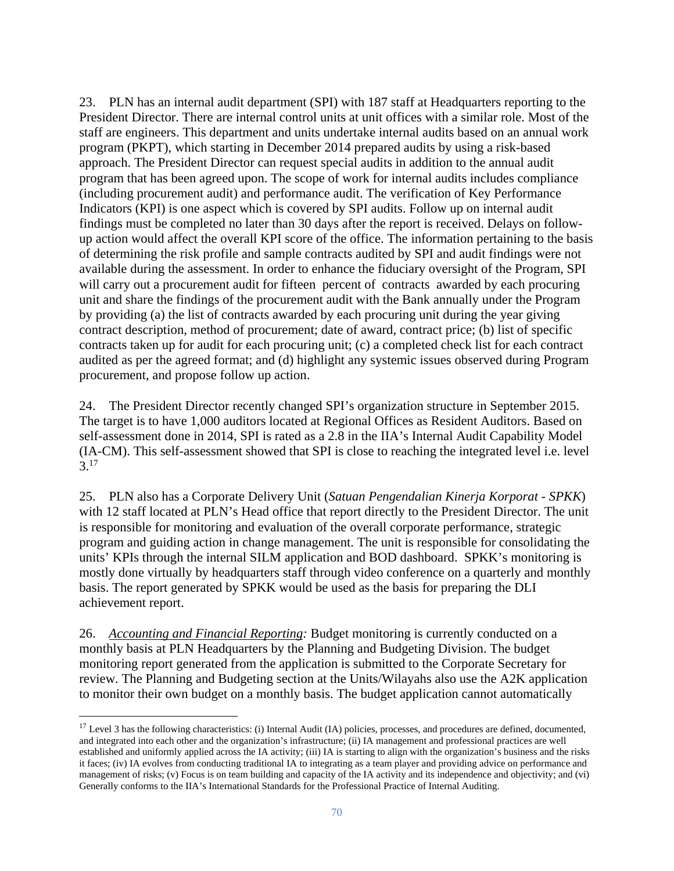23. PLN has an internal audit department (SPI) with 187 staff at Headquarters reporting to the President Director. There are internal control units at unit offices with a similar role. Most of the staff are engineers. This department and units undertake internal audits based on an annual work program (PKPT), which starting in December 2014 prepared audits by using a risk-based approach. The President Director can request special audits in addition to the annual audit program that has been agreed upon. The scope of work for internal audits includes compliance (including procurement audit) and performance audit. The verification of Key Performance Indicators (KPI) is one aspect which is covered by SPI audits. Follow up on internal audit findings must be completed no later than 30 days after the report is received. Delays on followup action would affect the overall KPI score of the office. The information pertaining to the basis of determining the risk profile and sample contracts audited by SPI and audit findings were not available during the assessment. In order to enhance the fiduciary oversight of the Program, SPI will carry out a procurement audit for fifteen percent of contracts awarded by each procuring unit and share the findings of the procurement audit with the Bank annually under the Program by providing (a) the list of contracts awarded by each procuring unit during the year giving contract description, method of procurement; date of award, contract price; (b) list of specific contracts taken up for audit for each procuring unit; (c) a completed check list for each contract audited as per the agreed format; and (d) highlight any systemic issues observed during Program procurement, and propose follow up action.

24. The President Director recently changed SPI's organization structure in September 2015. The target is to have 1,000 auditors located at Regional Offices as Resident Auditors. Based on self-assessment done in 2014, SPI is rated as a 2.8 in the IIA's Internal Audit Capability Model (IA-CM). This self-assessment showed that SPI is close to reaching the integrated level i.e. level  $3^{17}$ 

25. PLN also has a Corporate Delivery Unit (*Satuan Pengendalian Kinerja Korporat - SPKK*) with 12 staff located at PLN's Head office that report directly to the President Director. The unit is responsible for monitoring and evaluation of the overall corporate performance, strategic program and guiding action in change management. The unit is responsible for consolidating the units' KPIs through the internal SILM application and BOD dashboard. SPKK's monitoring is mostly done virtually by headquarters staff through video conference on a quarterly and monthly basis. The report generated by SPKK would be used as the basis for preparing the DLI achievement report.

26. *Accounting and Financial Reporting:* Budget monitoring is currently conducted on a monthly basis at PLN Headquarters by the Planning and Budgeting Division. The budget monitoring report generated from the application is submitted to the Corporate Secretary for review. The Planning and Budgeting section at the Units/Wilayahs also use the A2K application to monitor their own budget on a monthly basis. The budget application cannot automatically

<sup>&</sup>lt;sup>17</sup> Level 3 has the following characteristics: (i) Internal Audit (IA) policies, processes, and procedures are defined, documented, and integrated into each other and the organization's infrastructure; (ii) IA management and professional practices are well established and uniformly applied across the IA activity; (iii) IA is starting to align with the organization's business and the risks it faces; (iv) IA evolves from conducting traditional IA to integrating as a team player and providing advice on performance and management of risks; (v) Focus is on team building and capacity of the IA activity and its independence and objectivity; and (vi) Generally conforms to the IIA's International Standards for the Professional Practice of Internal Auditing.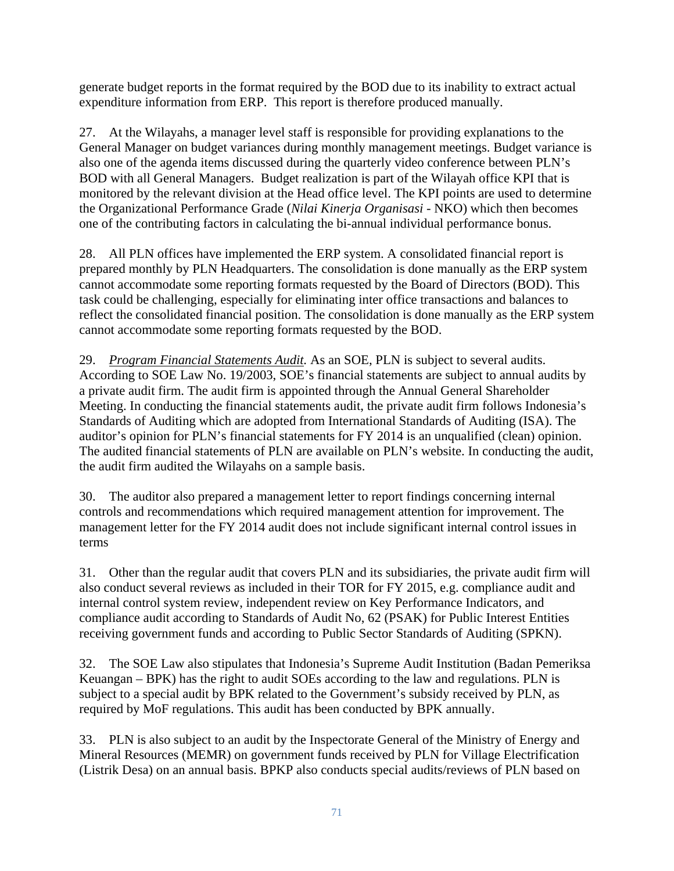generate budget reports in the format required by the BOD due to its inability to extract actual expenditure information from ERP. This report is therefore produced manually.

27. At the Wilayahs, a manager level staff is responsible for providing explanations to the General Manager on budget variances during monthly management meetings. Budget variance is also one of the agenda items discussed during the quarterly video conference between PLN's BOD with all General Managers. Budget realization is part of the Wilayah office KPI that is monitored by the relevant division at the Head office level. The KPI points are used to determine the Organizational Performance Grade (*Nilai Kinerja Organisasi* - NKO) which then becomes one of the contributing factors in calculating the bi-annual individual performance bonus.

28. All PLN offices have implemented the ERP system. A consolidated financial report is prepared monthly by PLN Headquarters. The consolidation is done manually as the ERP system cannot accommodate some reporting formats requested by the Board of Directors (BOD). This task could be challenging, especially for eliminating inter office transactions and balances to reflect the consolidated financial position. The consolidation is done manually as the ERP system cannot accommodate some reporting formats requested by the BOD.

29. *Program Financial Statements Audit.* As an SOE, PLN is subject to several audits. According to SOE Law No. 19/2003, SOE's financial statements are subject to annual audits by a private audit firm. The audit firm is appointed through the Annual General Shareholder Meeting. In conducting the financial statements audit, the private audit firm follows Indonesia's Standards of Auditing which are adopted from International Standards of Auditing (ISA). The auditor's opinion for PLN's financial statements for FY 2014 is an unqualified (clean) opinion. The audited financial statements of PLN are available on PLN's website. In conducting the audit, the audit firm audited the Wilayahs on a sample basis.

30. The auditor also prepared a management letter to report findings concerning internal controls and recommendations which required management attention for improvement. The management letter for the FY 2014 audit does not include significant internal control issues in terms

31. Other than the regular audit that covers PLN and its subsidiaries, the private audit firm will also conduct several reviews as included in their TOR for FY 2015, e.g. compliance audit and internal control system review, independent review on Key Performance Indicators, and compliance audit according to Standards of Audit No, 62 (PSAK) for Public Interest Entities receiving government funds and according to Public Sector Standards of Auditing (SPKN).

32. The SOE Law also stipulates that Indonesia's Supreme Audit Institution (Badan Pemeriksa Keuangan – BPK) has the right to audit SOEs according to the law and regulations. PLN is subject to a special audit by BPK related to the Government's subsidy received by PLN, as required by MoF regulations. This audit has been conducted by BPK annually.

33. PLN is also subject to an audit by the Inspectorate General of the Ministry of Energy and Mineral Resources (MEMR) on government funds received by PLN for Village Electrification (Listrik Desa) on an annual basis. BPKP also conducts special audits/reviews of PLN based on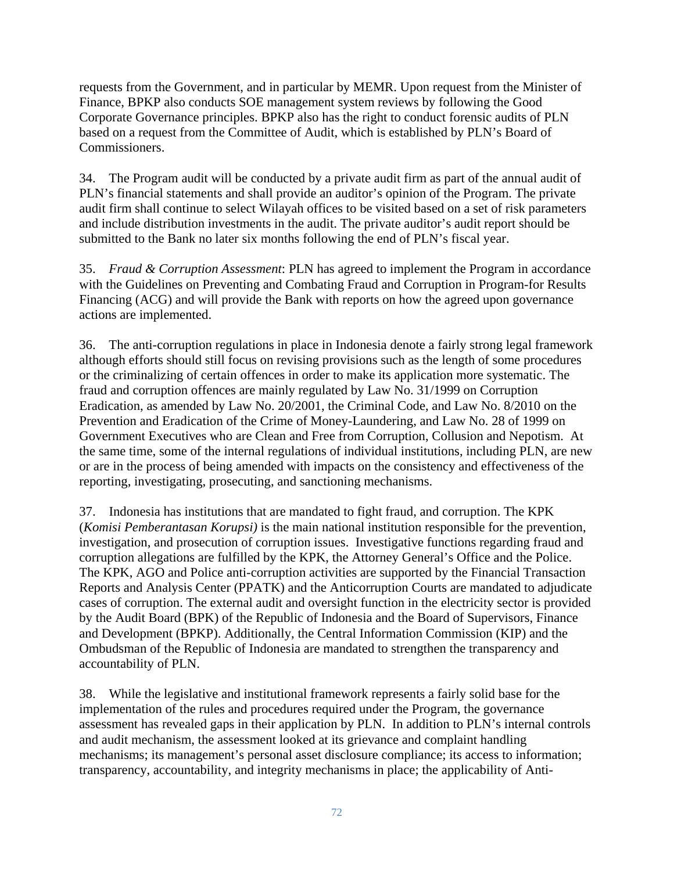requests from the Government, and in particular by MEMR. Upon request from the Minister of Finance, BPKP also conducts SOE management system reviews by following the Good Corporate Governance principles. BPKP also has the right to conduct forensic audits of PLN based on a request from the Committee of Audit, which is established by PLN's Board of Commissioners.

34. The Program audit will be conducted by a private audit firm as part of the annual audit of PLN's financial statements and shall provide an auditor's opinion of the Program. The private audit firm shall continue to select Wilayah offices to be visited based on a set of risk parameters and include distribution investments in the audit. The private auditor's audit report should be submitted to the Bank no later six months following the end of PLN's fiscal year.

35. *Fraud & Corruption Assessment*: PLN has agreed to implement the Program in accordance with the Guidelines on Preventing and Combating Fraud and Corruption in Program-for Results Financing (ACG) and will provide the Bank with reports on how the agreed upon governance actions are implemented.

36. The anti-corruption regulations in place in Indonesia denote a fairly strong legal framework although efforts should still focus on revising provisions such as the length of some procedures or the criminalizing of certain offences in order to make its application more systematic. The fraud and corruption offences are mainly regulated by Law No. 31/1999 on Corruption Eradication, as amended by Law No. 20/2001, the Criminal Code, and Law No. 8/2010 on the Prevention and Eradication of the Crime of Money-Laundering, and Law No. 28 of 1999 on Government Executives who are Clean and Free from Corruption, Collusion and Nepotism. At the same time, some of the internal regulations of individual institutions, including PLN, are new or are in the process of being amended with impacts on the consistency and effectiveness of the reporting, investigating, prosecuting, and sanctioning mechanisms.

37. Indonesia has institutions that are mandated to fight fraud, and corruption. The KPK (*Komisi Pemberantasan Korupsi)* is the main national institution responsible for the prevention, investigation, and prosecution of corruption issues. Investigative functions regarding fraud and corruption allegations are fulfilled by the KPK, the Attorney General's Office and the Police. The KPK, AGO and Police anti-corruption activities are supported by the Financial Transaction Reports and Analysis Center (PPATK) and the Anticorruption Courts are mandated to adjudicate cases of corruption. The external audit and oversight function in the electricity sector is provided by the Audit Board (BPK) of the Republic of Indonesia and the Board of Supervisors, Finance and Development (BPKP). Additionally, the Central Information Commission (KIP) and the Ombudsman of the Republic of Indonesia are mandated to strengthen the transparency and accountability of PLN.

38. While the legislative and institutional framework represents a fairly solid base for the implementation of the rules and procedures required under the Program, the governance assessment has revealed gaps in their application by PLN. In addition to PLN's internal controls and audit mechanism, the assessment looked at its grievance and complaint handling mechanisms; its management's personal asset disclosure compliance; its access to information; transparency, accountability, and integrity mechanisms in place; the applicability of Anti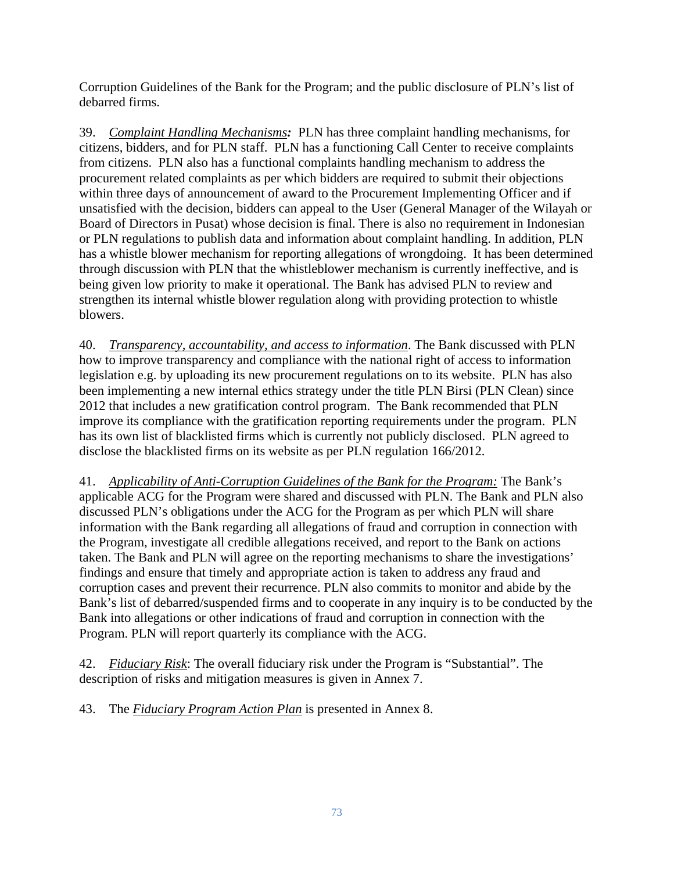Corruption Guidelines of the Bank for the Program; and the public disclosure of PLN's list of debarred firms.

39. *Complaint Handling Mechanisms:* PLN has three complaint handling mechanisms, for citizens, bidders, and for PLN staff. PLN has a functioning Call Center to receive complaints from citizens. PLN also has a functional complaints handling mechanism to address the procurement related complaints as per which bidders are required to submit their objections within three days of announcement of award to the Procurement Implementing Officer and if unsatisfied with the decision, bidders can appeal to the User (General Manager of the Wilayah or Board of Directors in Pusat) whose decision is final. There is also no requirement in Indonesian or PLN regulations to publish data and information about complaint handling. In addition, PLN has a whistle blower mechanism for reporting allegations of wrongdoing. It has been determined through discussion with PLN that the whistleblower mechanism is currently ineffective, and is being given low priority to make it operational. The Bank has advised PLN to review and strengthen its internal whistle blower regulation along with providing protection to whistle blowers.

40. *Transparency, accountability, and access to information*. The Bank discussed with PLN how to improve transparency and compliance with the national right of access to information legislation e.g. by uploading its new procurement regulations on to its website. PLN has also been implementing a new internal ethics strategy under the title PLN Birsi (PLN Clean) since 2012 that includes a new gratification control program. The Bank recommended that PLN improve its compliance with the gratification reporting requirements under the program. PLN has its own list of blacklisted firms which is currently not publicly disclosed. PLN agreed to disclose the blacklisted firms on its website as per PLN regulation 166/2012.

41. *Applicability of Anti-Corruption Guidelines of the Bank for the Program:* The Bank's applicable ACG for the Program were shared and discussed with PLN. The Bank and PLN also discussed PLN's obligations under the ACG for the Program as per which PLN will share information with the Bank regarding all allegations of fraud and corruption in connection with the Program, investigate all credible allegations received, and report to the Bank on actions taken. The Bank and PLN will agree on the reporting mechanisms to share the investigations' findings and ensure that timely and appropriate action is taken to address any fraud and corruption cases and prevent their recurrence. PLN also commits to monitor and abide by the Bank's list of debarred/suspended firms and to cooperate in any inquiry is to be conducted by the Bank into allegations or other indications of fraud and corruption in connection with the Program. PLN will report quarterly its compliance with the ACG.

42. *Fiduciary Risk*: The overall fiduciary risk under the Program is "Substantial". The description of risks and mitigation measures is given in Annex 7.

43. The *Fiduciary Program Action Plan* is presented in Annex 8.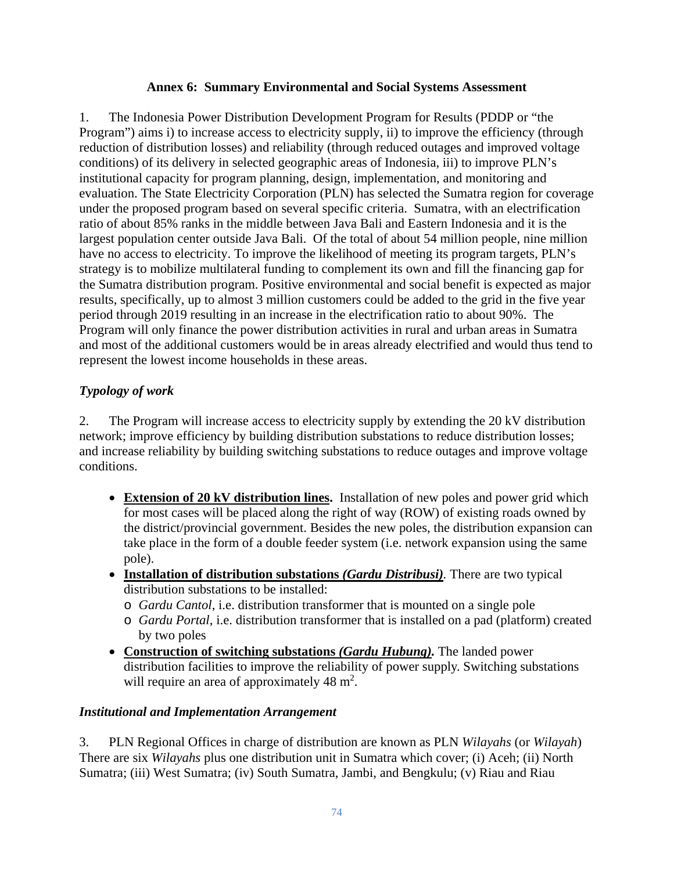## **Annex 6: Summary Environmental and Social Systems Assessment**

1. The Indonesia Power Distribution Development Program for Results (PDDP or "the Program") aims i) to increase access to electricity supply, ii) to improve the efficiency (through reduction of distribution losses) and reliability (through reduced outages and improved voltage conditions) of its delivery in selected geographic areas of Indonesia, iii) to improve PLN's institutional capacity for program planning, design, implementation, and monitoring and evaluation. The State Electricity Corporation (PLN) has selected the Sumatra region for coverage under the proposed program based on several specific criteria. Sumatra, with an electrification ratio of about 85% ranks in the middle between Java Bali and Eastern Indonesia and it is the largest population center outside Java Bali. Of the total of about 54 million people, nine million have no access to electricity. To improve the likelihood of meeting its program targets, PLN's strategy is to mobilize multilateral funding to complement its own and fill the financing gap for the Sumatra distribution program. Positive environmental and social benefit is expected as major results, specifically, up to almost 3 million customers could be added to the grid in the five year period through 2019 resulting in an increase in the electrification ratio to about 90%. The Program will only finance the power distribution activities in rural and urban areas in Sumatra and most of the additional customers would be in areas already electrified and would thus tend to represent the lowest income households in these areas.

# *Typology of work*

2. The Program will increase access to electricity supply by extending the 20 kV distribution network; improve efficiency by building distribution substations to reduce distribution losses; and increase reliability by building switching substations to reduce outages and improve voltage conditions.

- **Extension of 20 kV distribution lines.** Installation of new poles and power grid which for most cases will be placed along the right of way (ROW) of existing roads owned by the district/provincial government. Besides the new poles, the distribution expansion can take place in the form of a double feeder system (i.e. network expansion using the same pole).
- **Installation of distribution substations** *(Gardu Distribusi).* There are two typical distribution substations to be installed:
	- o *Gardu Cantol*, i.e. distribution transformer that is mounted on a single pole
	- o *Gardu Portal*, i.e. distribution transformer that is installed on a pad (platform) created by two poles
- **Construction of switching substations** *(Gardu Hubung).* The landed power distribution facilities to improve the reliability of power supply. Switching substations will require an area of approximately  $48 \text{ m}^2$ .

# *Institutional and Implementation Arrangement*

3. PLN Regional Offices in charge of distribution are known as PLN *Wilayahs* (or *Wilayah*) There are six *Wilayahs* plus one distribution unit in Sumatra which cover; (i) Aceh; (ii) North Sumatra; (iii) West Sumatra; (iv) South Sumatra, Jambi, and Bengkulu; (v) Riau and Riau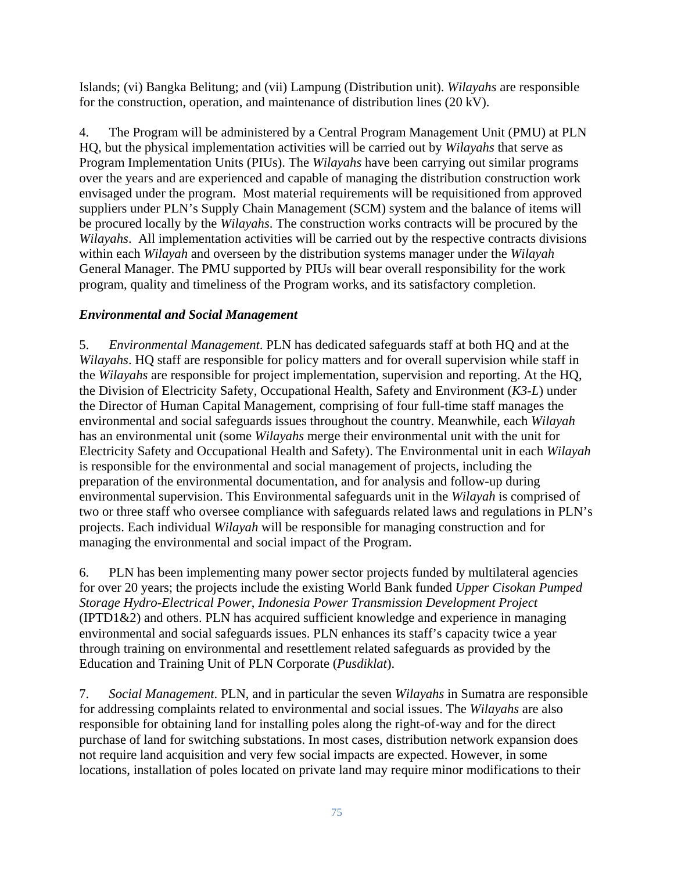Islands; (vi) Bangka Belitung; and (vii) Lampung (Distribution unit). *Wilayahs* are responsible for the construction, operation, and maintenance of distribution lines (20 kV).

4. The Program will be administered by a Central Program Management Unit (PMU) at PLN HQ, but the physical implementation activities will be carried out by *Wilayahs* that serve as Program Implementation Units (PIUs). The *Wilayahs* have been carrying out similar programs over the years and are experienced and capable of managing the distribution construction work envisaged under the program. Most material requirements will be requisitioned from approved suppliers under PLN's Supply Chain Management (SCM) system and the balance of items will be procured locally by the *Wilayahs*. The construction works contracts will be procured by the *Wilayahs*. All implementation activities will be carried out by the respective contracts divisions within each *Wilayah* and overseen by the distribution systems manager under the *Wilayah* General Manager. The PMU supported by PIUs will bear overall responsibility for the work program, quality and timeliness of the Program works, and its satisfactory completion.

# *Environmental and Social Management*

5. *Environmental Management*. PLN has dedicated safeguards staff at both HQ and at the *Wilayahs*. HQ staff are responsible for policy matters and for overall supervision while staff in the *Wilayahs* are responsible for project implementation, supervision and reporting. At the HQ, the Division of Electricity Safety, Occupational Health, Safety and Environment (*K3-L*) under the Director of Human Capital Management, comprising of four full-time staff manages the environmental and social safeguards issues throughout the country. Meanwhile, each *Wilayah* has an environmental unit (some *Wilayahs* merge their environmental unit with the unit for Electricity Safety and Occupational Health and Safety). The Environmental unit in each *Wilayah* is responsible for the environmental and social management of projects, including the preparation of the environmental documentation, and for analysis and follow-up during environmental supervision. This Environmental safeguards unit in the *Wilayah* is comprised of two or three staff who oversee compliance with safeguards related laws and regulations in PLN's projects. Each individual *Wilayah* will be responsible for managing construction and for managing the environmental and social impact of the Program.

6. PLN has been implementing many power sector projects funded by multilateral agencies for over 20 years; the projects include the existing World Bank funded *Upper Cisokan Pumped Storage Hydro-Electrical Power*, *Indonesia Power Transmission Development Project* (IPTD1&2) and others. PLN has acquired sufficient knowledge and experience in managing environmental and social safeguards issues. PLN enhances its staff's capacity twice a year through training on environmental and resettlement related safeguards as provided by the Education and Training Unit of PLN Corporate (*Pusdiklat*).

7. *Social Management*. PLN, and in particular the seven *Wilayahs* in Sumatra are responsible for addressing complaints related to environmental and social issues. The *Wilayahs* are also responsible for obtaining land for installing poles along the right-of-way and for the direct purchase of land for switching substations. In most cases, distribution network expansion does not require land acquisition and very few social impacts are expected. However, in some locations, installation of poles located on private land may require minor modifications to their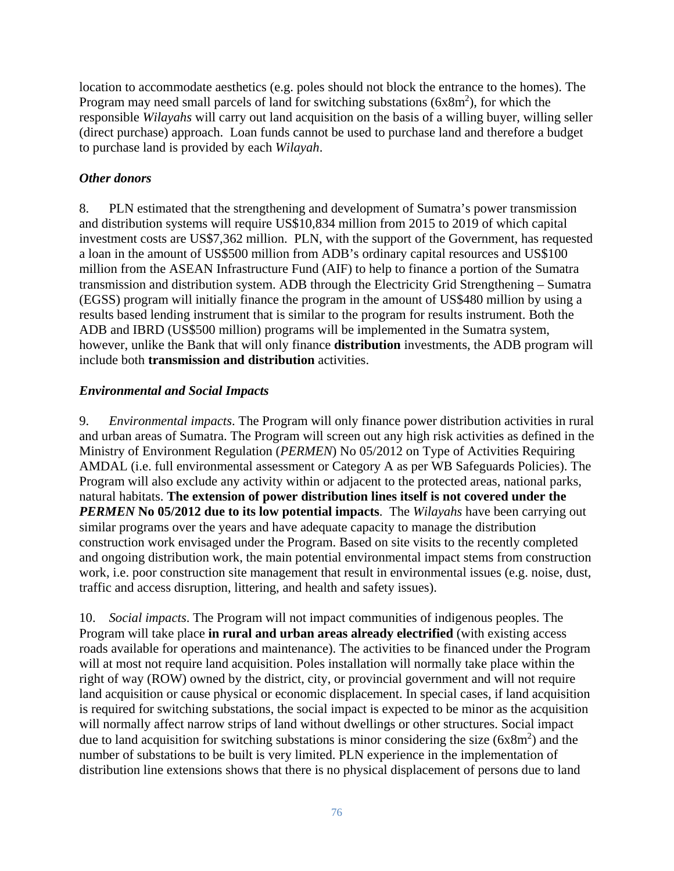location to accommodate aesthetics (e.g. poles should not block the entrance to the homes). The Program may need small parcels of land for switching substations  $(6x8m<sup>2</sup>)$ , for which the responsible *Wilayahs* will carry out land acquisition on the basis of a willing buyer, willing seller (direct purchase) approach. Loan funds cannot be used to purchase land and therefore a budget to purchase land is provided by each *Wilayah*.

## *Other donors*

8. PLN estimated that the strengthening and development of Sumatra's power transmission and distribution systems will require US\$10,834 million from 2015 to 2019 of which capital investment costs are US\$7,362 million. PLN, with the support of the Government, has requested a loan in the amount of US\$500 million from ADB's ordinary capital resources and US\$100 million from the ASEAN Infrastructure Fund (AIF) to help to finance a portion of the Sumatra transmission and distribution system. ADB through the Electricity Grid Strengthening – Sumatra (EGSS) program will initially finance the program in the amount of US\$480 million by using a results based lending instrument that is similar to the program for results instrument. Both the ADB and IBRD (US\$500 million) programs will be implemented in the Sumatra system, however, unlike the Bank that will only finance **distribution** investments, the ADB program will include both **transmission and distribution** activities.

## *Environmental and Social Impacts*

9. *Environmental impacts*. The Program will only finance power distribution activities in rural and urban areas of Sumatra. The Program will screen out any high risk activities as defined in the Ministry of Environment Regulation (*PERMEN*) No 05/2012 on Type of Activities Requiring AMDAL (i.e. full environmental assessment or Category A as per WB Safeguards Policies). The Program will also exclude any activity within or adjacent to the protected areas, national parks, natural habitats. **The extension of power distribution lines itself is not covered under the**  *PERMEN* No 05/2012 due to its low potential impacts. The *Wilayahs* have been carrying out similar programs over the years and have adequate capacity to manage the distribution construction work envisaged under the Program. Based on site visits to the recently completed and ongoing distribution work, the main potential environmental impact stems from construction work, i.e. poor construction site management that result in environmental issues (e.g. noise, dust, traffic and access disruption, littering, and health and safety issues).

10. *Social impacts*. The Program will not impact communities of indigenous peoples. The Program will take place **in rural and urban areas already electrified** (with existing access roads available for operations and maintenance). The activities to be financed under the Program will at most not require land acquisition. Poles installation will normally take place within the right of way (ROW) owned by the district, city, or provincial government and will not require land acquisition or cause physical or economic displacement. In special cases, if land acquisition is required for switching substations, the social impact is expected to be minor as the acquisition will normally affect narrow strips of land without dwellings or other structures. Social impact due to land acquisition for switching substations is minor considering the size  $(6x8m<sup>2</sup>)$  and the number of substations to be built is very limited. PLN experience in the implementation of distribution line extensions shows that there is no physical displacement of persons due to land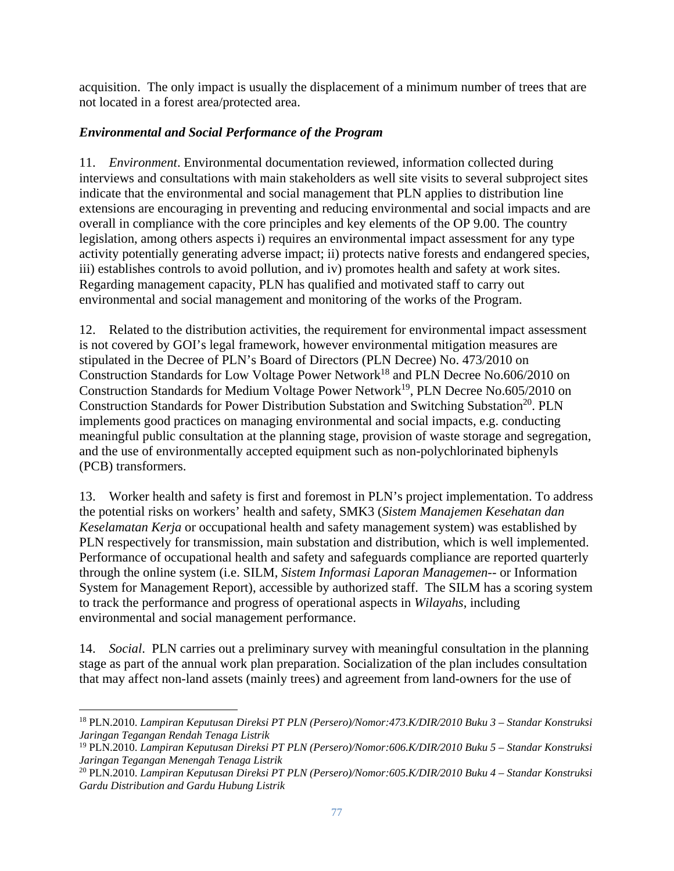acquisition. The only impact is usually the displacement of a minimum number of trees that are not located in a forest area/protected area.

# *Environmental and Social Performance of the Program*

11. *Environment*. Environmental documentation reviewed, information collected during interviews and consultations with main stakeholders as well site visits to several subproject sites indicate that the environmental and social management that PLN applies to distribution line extensions are encouraging in preventing and reducing environmental and social impacts and are overall in compliance with the core principles and key elements of the OP 9.00. The country legislation, among others aspects i) requires an environmental impact assessment for any type activity potentially generating adverse impact; ii) protects native forests and endangered species, iii) establishes controls to avoid pollution, and iv) promotes health and safety at work sites. Regarding management capacity, PLN has qualified and motivated staff to carry out environmental and social management and monitoring of the works of the Program.

12. Related to the distribution activities, the requirement for environmental impact assessment is not covered by GOI's legal framework, however environmental mitigation measures are stipulated in the Decree of PLN's Board of Directors (PLN Decree) No. 473/2010 on Construction Standards for Low Voltage Power Network<sup>18</sup> and PLN Decree No.606/2010 on Construction Standards for Medium Voltage Power Network<sup>19</sup>, PLN Decree No.605/2010 on Construction Standards for Power Distribution Substation and Switching Substation<sup>20</sup>. PLN implements good practices on managing environmental and social impacts, e.g. conducting meaningful public consultation at the planning stage, provision of waste storage and segregation, and the use of environmentally accepted equipment such as non-polychlorinated biphenyls (PCB) transformers.

13. Worker health and safety is first and foremost in PLN's project implementation. To address the potential risks on workers' health and safety, SMK3 (*Sistem Manajemen Kesehatan dan Keselamatan Kerja* or occupational health and safety management system) was established by PLN respectively for transmission, main substation and distribution, which is well implemented. Performance of occupational health and safety and safeguards compliance are reported quarterly through the online system (i.e. SILM, *Sistem Informasi Laporan Managemen*-- or Information System for Management Report), accessible by authorized staff. The SILM has a scoring system to track the performance and progress of operational aspects in *Wilayahs*, including environmental and social management performance.

14. *Social*.PLN carries out a preliminary survey with meaningful consultation in the planning stage as part of the annual work plan preparation. Socialization of the plan includes consultation that may affect non-land assets (mainly trees) and agreement from land-owners for the use of

 18 PLN.2010. *Lampiran Keputusan Direksi PT PLN (Persero)/Nomor:473.K/DIR/2010 Buku 3 – Standar Konstruksi Jaringan Tegangan Rendah Tenaga Listrik*

<sup>19</sup> PLN.2010. *Lampiran Keputusan Direksi PT PLN (Persero)/Nomor:606.K/DIR/2010 Buku 5 – Standar Konstruksi Jaringan Tegangan Menengah Tenaga Listrik*

<sup>20</sup> PLN.2010. *Lampiran Keputusan Direksi PT PLN (Persero)/Nomor:605.K/DIR/2010 Buku 4 – Standar Konstruksi Gardu Distribution and Gardu Hubung Listrik*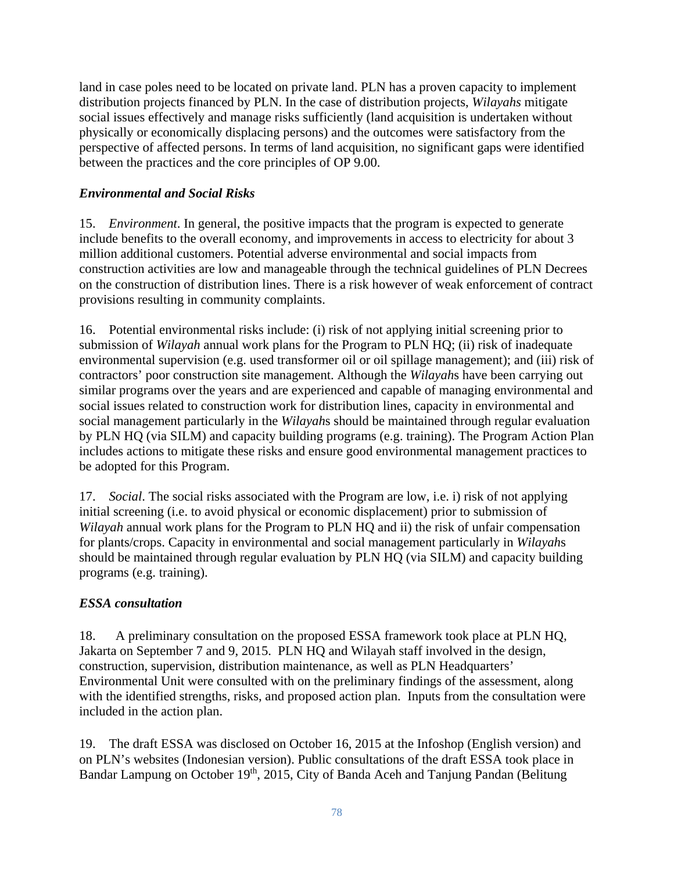land in case poles need to be located on private land. PLN has a proven capacity to implement distribution projects financed by PLN. In the case of distribution projects, *Wilayahs* mitigate social issues effectively and manage risks sufficiently (land acquisition is undertaken without physically or economically displacing persons) and the outcomes were satisfactory from the perspective of affected persons. In terms of land acquisition, no significant gaps were identified between the practices and the core principles of OP 9.00.

# *Environmental and Social Risks*

15. *Environment*. In general, the positive impacts that the program is expected to generate include benefits to the overall economy, and improvements in access to electricity for about 3 million additional customers. Potential adverse environmental and social impacts from construction activities are low and manageable through the technical guidelines of PLN Decrees on the construction of distribution lines. There is a risk however of weak enforcement of contract provisions resulting in community complaints.

16. Potential environmental risks include: (i) risk of not applying initial screening prior to submission of *Wilayah* annual work plans for the Program to PLN HQ; (ii) risk of inadequate environmental supervision (e.g. used transformer oil or oil spillage management); and (iii) risk of contractors' poor construction site management. Although the *Wilayah*s have been carrying out similar programs over the years and are experienced and capable of managing environmental and social issues related to construction work for distribution lines, capacity in environmental and social management particularly in the *Wilayah*s should be maintained through regular evaluation by PLN HQ (via SILM) and capacity building programs (e.g. training). The Program Action Plan includes actions to mitigate these risks and ensure good environmental management practices to be adopted for this Program.

17. *Social*. The social risks associated with the Program are low, i.e. i) risk of not applying initial screening (i.e. to avoid physical or economic displacement) prior to submission of *Wilayah* annual work plans for the Program to PLN HQ and ii) the risk of unfair compensation for plants/crops. Capacity in environmental and social management particularly in *Wilayah*s should be maintained through regular evaluation by PLN HQ (via SILM) and capacity building programs (e.g. training).

# *ESSA consultation*

18.A preliminary consultation on the proposed ESSA framework took place at PLN HQ, Jakarta on September 7 and 9, 2015. PLN HQ and Wilayah staff involved in the design, construction, supervision, distribution maintenance, as well as PLN Headquarters' Environmental Unit were consulted with on the preliminary findings of the assessment, along with the identified strengths, risks, and proposed action plan. Inputs from the consultation were included in the action plan.

19. The draft ESSA was disclosed on October 16, 2015 at the Infoshop (English version) and on PLN's websites (Indonesian version). Public consultations of the draft ESSA took place in Bandar Lampung on October 19<sup>th</sup>, 2015, City of Banda Aceh and Tanjung Pandan (Belitung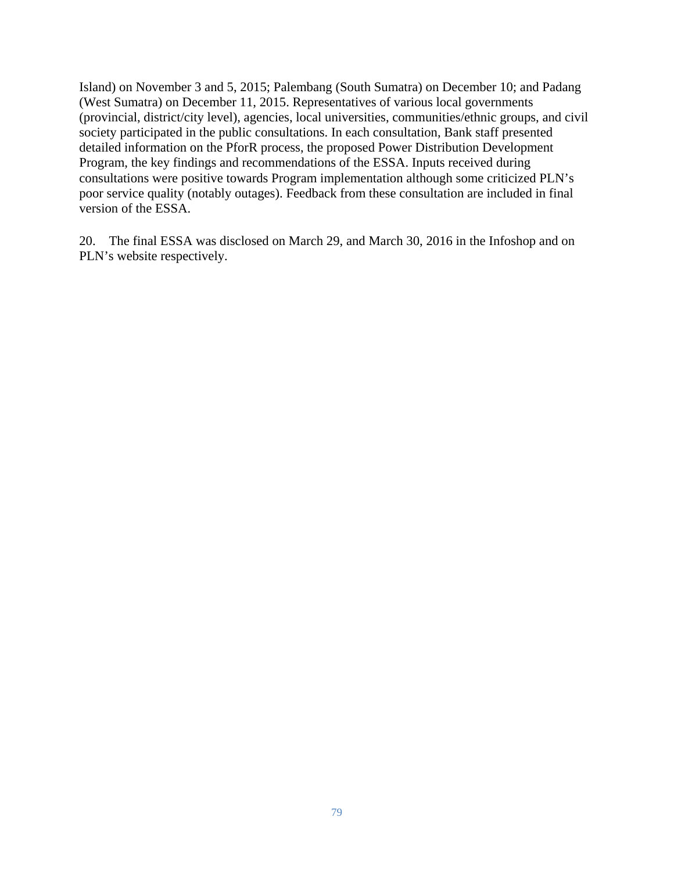Island) on November 3 and 5, 2015; Palembang (South Sumatra) on December 10; and Padang (West Sumatra) on December 11, 2015. Representatives of various local governments (provincial, district/city level), agencies, local universities, communities/ethnic groups, and civil society participated in the public consultations. In each consultation, Bank staff presented detailed information on the PforR process, the proposed Power Distribution Development Program, the key findings and recommendations of the ESSA. Inputs received during consultations were positive towards Program implementation although some criticized PLN's poor service quality (notably outages). Feedback from these consultation are included in final version of the ESSA.

20. The final ESSA was disclosed on March 29, and March 30, 2016 in the Infoshop and on PLN's website respectively.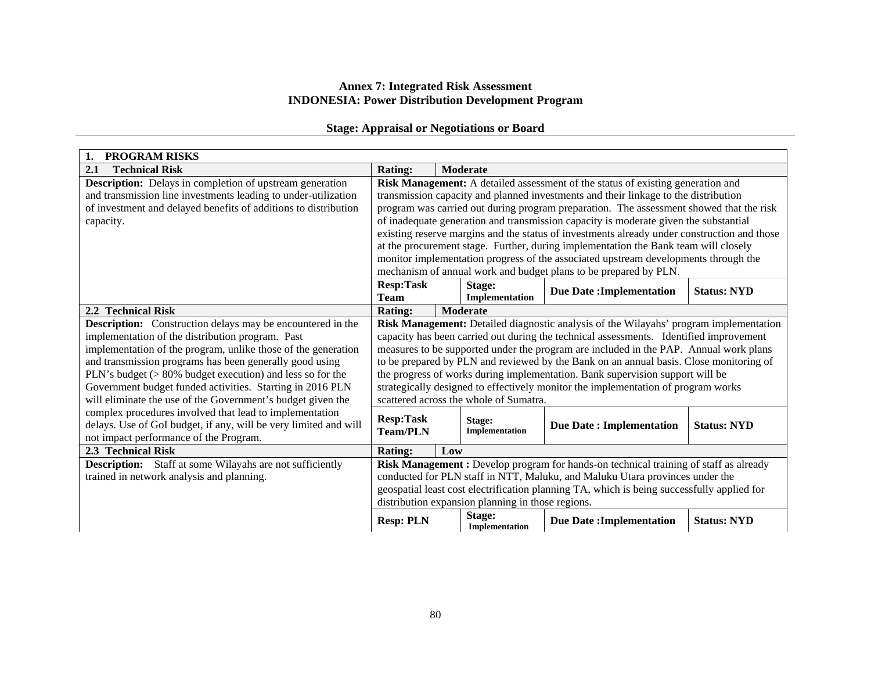#### **Annex 7: Integrated Risk Assessment INDONESIA: Power Distribution Development Program**

## **Stage: Appraisal or Negotiations or Board**

| <b>PROGRAM RISKS</b><br>1.                                                                                             |                                                                                 |     |                                                   |                                                                                             |                    |
|------------------------------------------------------------------------------------------------------------------------|---------------------------------------------------------------------------------|-----|---------------------------------------------------|---------------------------------------------------------------------------------------------|--------------------|
| <b>Technical Risk</b><br>2.1                                                                                           | <b>Rating:</b>                                                                  |     | Moderate                                          |                                                                                             |                    |
| <b>Description:</b> Delays in completion of upstream generation                                                        | Risk Management: A detailed assessment of the status of existing generation and |     |                                                   |                                                                                             |                    |
| and transmission line investments leading to under-utilization                                                         |                                                                                 |     |                                                   | transmission capacity and planned investments and their linkage to the distribution         |                    |
| of investment and delayed benefits of additions to distribution                                                        |                                                                                 |     |                                                   | program was carried out during program preparation. The assessment showed that the risk     |                    |
| capacity.                                                                                                              |                                                                                 |     |                                                   | of inadequate generation and transmission capacity is moderate given the substantial        |                    |
|                                                                                                                        |                                                                                 |     |                                                   | existing reserve margins and the status of investments already under construction and those |                    |
|                                                                                                                        |                                                                                 |     |                                                   | at the procurement stage. Further, during implementation the Bank team will closely         |                    |
|                                                                                                                        |                                                                                 |     |                                                   | monitor implementation progress of the associated upstream developments through the         |                    |
|                                                                                                                        |                                                                                 |     |                                                   | mechanism of annual work and budget plans to be prepared by PLN.                            |                    |
|                                                                                                                        | <b>Resp:Task</b>                                                                |     | Stage:                                            | <b>Due Date: Implementation</b>                                                             | <b>Status: NYD</b> |
|                                                                                                                        | <b>Team</b>                                                                     |     | Implementation                                    |                                                                                             |                    |
| 2.2 Technical Risk                                                                                                     | <b>Rating:</b>                                                                  |     | Moderate                                          |                                                                                             |                    |
| <b>Description:</b> Construction delays may be encountered in the                                                      |                                                                                 |     |                                                   | Risk Management: Detailed diagnostic analysis of the Wilayahs' program implementation       |                    |
| implementation of the distribution program. Past                                                                       |                                                                                 |     |                                                   | capacity has been carried out during the technical assessments. Identified improvement      |                    |
| implementation of the program, unlike those of the generation                                                          |                                                                                 |     |                                                   | measures to be supported under the program are included in the PAP. Annual work plans       |                    |
| and transmission programs has been generally good using                                                                |                                                                                 |     |                                                   | to be prepared by PLN and reviewed by the Bank on an annual basis. Close monitoring of      |                    |
| PLN's budget $($ > 80% budget execution) and less so for the                                                           |                                                                                 |     |                                                   | the progress of works during implementation. Bank supervision support will be               |                    |
| Government budget funded activities. Starting in 2016 PLN                                                              |                                                                                 |     | scattered across the whole of Sumatra.            | strategically designed to effectively monitor the implementation of program works           |                    |
| will eliminate the use of the Government's budget given the<br>complex procedures involved that lead to implementation |                                                                                 |     |                                                   |                                                                                             |                    |
| delays. Use of GoI budget, if any, will be very limited and will                                                       | <b>Resp:Task</b>                                                                |     | Stage:                                            |                                                                                             | <b>Status: NYD</b> |
| not impact performance of the Program.                                                                                 | <b>Team/PLN</b>                                                                 |     | Implementation                                    | <b>Due Date: Implementation</b>                                                             |                    |
| 2.3 Technical Risk                                                                                                     | <b>Rating:</b>                                                                  | Low |                                                   |                                                                                             |                    |
| <b>Description:</b> Staff at some Wilayahs are not sufficiently                                                        |                                                                                 |     |                                                   | Risk Management : Develop program for hands-on technical training of staff as already       |                    |
| trained in network analysis and planning.                                                                              |                                                                                 |     |                                                   | conducted for PLN staff in NTT, Maluku, and Maluku Utara provinces under the                |                    |
|                                                                                                                        |                                                                                 |     |                                                   | geospatial least cost electrification planning TA, which is being successfully applied for  |                    |
|                                                                                                                        |                                                                                 |     | distribution expansion planning in those regions. |                                                                                             |                    |
|                                                                                                                        | <b>Resp: PLN</b>                                                                |     | Stage:<br>Implementation                          | <b>Due Date: Implementation</b>                                                             | <b>Status: NYD</b> |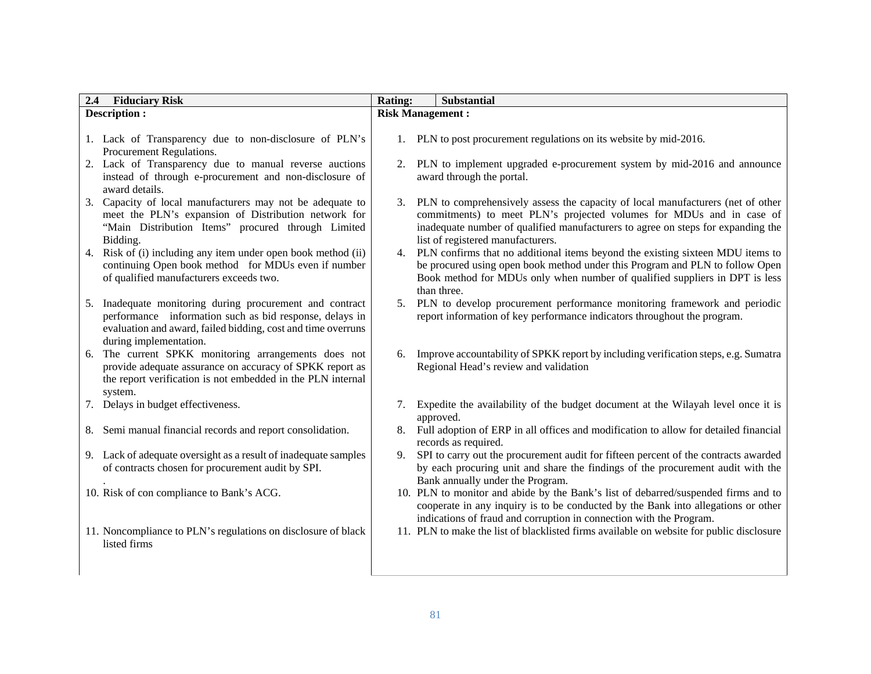| 2.4 | <b>Fiduciary Risk</b>                                                                                                                                                                                      | <b>Rating:</b>          | Substantial                                                                                                                                                                                                                                                                      |
|-----|------------------------------------------------------------------------------------------------------------------------------------------------------------------------------------------------------------|-------------------------|----------------------------------------------------------------------------------------------------------------------------------------------------------------------------------------------------------------------------------------------------------------------------------|
|     | <b>Description:</b>                                                                                                                                                                                        | <b>Risk Management:</b> |                                                                                                                                                                                                                                                                                  |
|     | 1. Lack of Transparency due to non-disclosure of PLN's<br>Procurement Regulations.                                                                                                                         |                         | 1. PLN to post procurement regulations on its website by mid-2016.                                                                                                                                                                                                               |
|     | Lack of Transparency due to manual reverse auctions<br>instead of through e-procurement and non-disclosure of<br>award details.                                                                            | 2.                      | PLN to implement upgraded e-procurement system by mid-2016 and announce<br>award through the portal.                                                                                                                                                                             |
|     | 3. Capacity of local manufacturers may not be adequate to<br>meet the PLN's expansion of Distribution network for<br>"Main Distribution Items" procured through Limited<br>Bidding.                        | 3.                      | PLN to comprehensively assess the capacity of local manufacturers (net of other<br>commitments) to meet PLN's projected volumes for MDUs and in case of<br>inadequate number of qualified manufacturers to agree on steps for expanding the<br>list of registered manufacturers. |
|     | 4. Risk of (i) including any item under open book method (ii)<br>continuing Open book method for MDUs even if number<br>of qualified manufacturers exceeds two.                                            | 4.                      | PLN confirms that no additional items beyond the existing sixteen MDU items to<br>be procured using open book method under this Program and PLN to follow Open<br>Book method for MDUs only when number of qualified suppliers in DPT is less<br>than three.                     |
| 5.  | Inadequate monitoring during procurement and contract<br>performance information such as bid response, delays in<br>evaluation and award, failed bidding, cost and time overruns<br>during implementation. | 5.                      | PLN to develop procurement performance monitoring framework and periodic<br>report information of key performance indicators throughout the program.                                                                                                                             |
| 6.  | The current SPKK monitoring arrangements does not<br>provide adequate assurance on accuracy of SPKK report as<br>the report verification is not embedded in the PLN internal<br>system.                    | 6.                      | Improve accountability of SPKK report by including verification steps, e.g. Sumatra<br>Regional Head's review and validation                                                                                                                                                     |
|     | 7. Delays in budget effectiveness.                                                                                                                                                                         | 7.                      | Expedite the availability of the budget document at the Wilayah level once it is<br>approved.                                                                                                                                                                                    |
|     | 8. Semi manual financial records and report consolidation.                                                                                                                                                 | 8.                      | Full adoption of ERP in all offices and modification to allow for detailed financial<br>records as required.                                                                                                                                                                     |
|     | 9. Lack of adequate oversight as a result of inadequate samples<br>of contracts chosen for procurement audit by SPI.                                                                                       | 9.                      | SPI to carry out the procurement audit for fifteen percent of the contracts awarded<br>by each procuring unit and share the findings of the procurement audit with the<br>Bank annually under the Program.                                                                       |
|     | 10. Risk of con compliance to Bank's ACG.                                                                                                                                                                  |                         | 10. PLN to monitor and abide by the Bank's list of debarred/suspended firms and to<br>cooperate in any inquiry is to be conducted by the Bank into allegations or other<br>indications of fraud and corruption in connection with the Program.                                   |
|     | 11. Noncompliance to PLN's regulations on disclosure of black<br>listed firms                                                                                                                              |                         | 11. PLN to make the list of blacklisted firms available on website for public disclosure                                                                                                                                                                                         |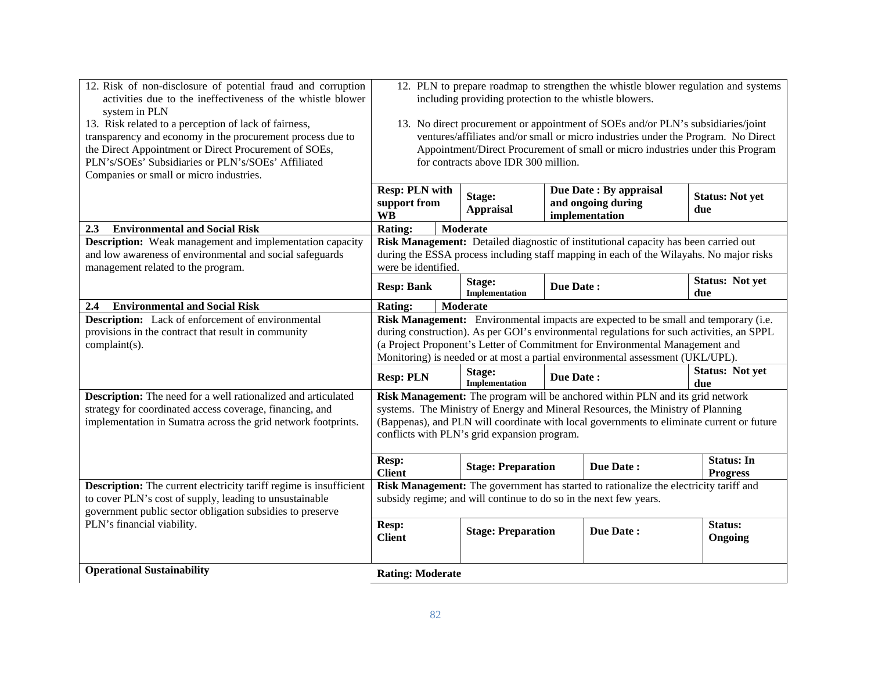| 12. Risk of non-disclosure of potential fraud and corruption              |                                                                                  |                                      |                  | 12. PLN to prepare roadmap to strengthen the whistle blower regulation and systems        |                               |
|---------------------------------------------------------------------------|----------------------------------------------------------------------------------|--------------------------------------|------------------|-------------------------------------------------------------------------------------------|-------------------------------|
| activities due to the ineffectiveness of the whistle blower               | including providing protection to the whistle blowers.                           |                                      |                  |                                                                                           |                               |
| system in PLN                                                             |                                                                                  |                                      |                  |                                                                                           |                               |
| 13. Risk related to a perception of lack of fairness,                     | 13. No direct procurement or appointment of SOEs and/or PLN's subsidiaries/joint |                                      |                  |                                                                                           |                               |
| transparency and economy in the procurement process due to                |                                                                                  |                                      |                  | ventures/affiliates and/or small or micro industries under the Program. No Direct         |                               |
| the Direct Appointment or Direct Procurement of SOEs,                     |                                                                                  |                                      |                  | Appointment/Direct Procurement of small or micro industries under this Program            |                               |
| PLN's/SOEs' Subsidiaries or PLN's/SOEs' Affiliated                        |                                                                                  | for contracts above IDR 300 million. |                  |                                                                                           |                               |
| Companies or small or micro industries.                                   |                                                                                  |                                      |                  |                                                                                           |                               |
|                                                                           | <b>Resp: PLN with</b>                                                            | Stage:                               |                  | Due Date: By appraisal                                                                    | <b>Status: Not yet</b>        |
|                                                                           | support from<br><b>WB</b>                                                        | <b>Appraisal</b>                     |                  | and ongoing during<br>implementation                                                      | due                           |
| <b>Environmental and Social Risk</b><br>2.3                               | <b>Rating:</b>                                                                   | Moderate                             |                  |                                                                                           |                               |
| <b>Description:</b> Weak management and implementation capacity           |                                                                                  |                                      |                  | Risk Management: Detailed diagnostic of institutional capacity has been carried out       |                               |
| and low awareness of environmental and social safeguards                  |                                                                                  |                                      |                  | during the ESSA process including staff mapping in each of the Wilayahs. No major risks   |                               |
| management related to the program.                                        | were be identified.                                                              |                                      |                  |                                                                                           |                               |
|                                                                           | <b>Resp: Bank</b>                                                                | Stage:<br>Implementation             | <b>Due Date:</b> |                                                                                           | <b>Status: Not yet</b><br>due |
| <b>Environmental and Social Risk</b><br>2,4                               | <b>Rating:</b>                                                                   | <b>Moderate</b>                      |                  |                                                                                           |                               |
| <b>Description:</b> Lack of enforcement of environmental                  |                                                                                  |                                      |                  | Risk Management: Environmental impacts are expected to be small and temporary (i.e.       |                               |
| provisions in the contract that result in community                       |                                                                                  |                                      |                  | during construction). As per GOI's environmental regulations for such activities, an SPPL |                               |
| complaint(s).                                                             |                                                                                  |                                      |                  | (a Project Proponent's Letter of Commitment for Environmental Management and              |                               |
|                                                                           |                                                                                  |                                      |                  | Monitoring) is needed or at most a partial environmental assessment (UKL/UPL).            |                               |
|                                                                           | <b>Resp: PLN</b>                                                                 | Stage:<br>Implementation             | Due Date:        |                                                                                           | <b>Status: Not yet</b><br>due |
| Description: The need for a well rationalized and articulated             |                                                                                  |                                      |                  | Risk Management: The program will be anchored within PLN and its grid network             |                               |
| strategy for coordinated access coverage, financing, and                  |                                                                                  |                                      |                  | systems. The Ministry of Energy and Mineral Resources, the Ministry of Planning           |                               |
| implementation in Sumatra across the grid network footprints.             |                                                                                  |                                      |                  | (Bappenas), and PLN will coordinate with local governments to eliminate current or future |                               |
|                                                                           | conflicts with PLN's grid expansion program.                                     |                                      |                  |                                                                                           |                               |
|                                                                           | <b>Resp:</b>                                                                     |                                      |                  |                                                                                           | <b>Status: In</b>             |
|                                                                           | <b>Client</b>                                                                    | <b>Stage: Preparation</b>            |                  | <b>Due Date:</b>                                                                          | <b>Progress</b>               |
| <b>Description:</b> The current electricity tariff regime is insufficient |                                                                                  |                                      |                  | Risk Management: The government has started to rationalize the electricity tariff and     |                               |
| to cover PLN's cost of supply, leading to unsustainable                   | subsidy regime; and will continue to do so in the next few years.                |                                      |                  |                                                                                           |                               |
| government public sector obligation subsidies to preserve                 |                                                                                  |                                      |                  |                                                                                           |                               |
| PLN's financial viability.                                                | Resp:                                                                            | <b>Stage: Preparation</b>            |                  | Due Date:                                                                                 | Status:                       |
|                                                                           | <b>Client</b>                                                                    |                                      |                  |                                                                                           | Ongoing                       |
|                                                                           |                                                                                  |                                      |                  |                                                                                           |                               |
| <b>Operational Sustainability</b>                                         | <b>Rating: Moderate</b>                                                          |                                      |                  |                                                                                           |                               |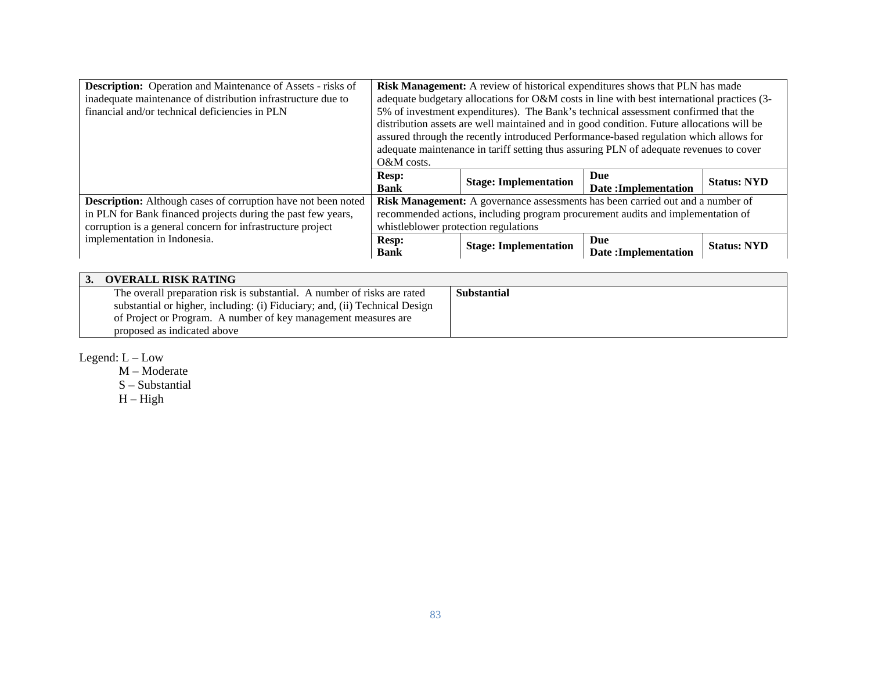| <b>Description:</b> Operation and Maintenance of Assets - risks of   | Risk Management: A review of historical expenditures shows that PLN has made |                                                                                            |                            |                    |  |
|----------------------------------------------------------------------|------------------------------------------------------------------------------|--------------------------------------------------------------------------------------------|----------------------------|--------------------|--|
| inadequate maintenance of distribution infrastructure due to         |                                                                              | adequate budgetary allocations for O&M costs in line with best international practices (3- |                            |                    |  |
| financial and/or technical deficiencies in PLN                       |                                                                              | 5% of investment expenditures). The Bank's technical assessment confirmed that the         |                            |                    |  |
|                                                                      |                                                                              | distribution assets are well maintained and in good condition. Future allocations will be  |                            |                    |  |
|                                                                      |                                                                              | assured through the recently introduced Performance-based regulation which allows for      |                            |                    |  |
|                                                                      |                                                                              | adequate maintenance in tariff setting thus assuring PLN of adequate revenues to cover     |                            |                    |  |
|                                                                      | $O\&M$ costs.                                                                |                                                                                            |                            |                    |  |
|                                                                      | <b>Resp:</b>                                                                 |                                                                                            | Due                        | <b>Status: NYD</b> |  |
|                                                                      | <b>Bank</b>                                                                  | <b>Stage: Implementation</b>                                                               | <b>Date:Implementation</b> |                    |  |
| <b>Description:</b> Although cases of corruption have not been noted |                                                                              | Risk Management: A governance assessments has been carried out and a number of             |                            |                    |  |
| in PLN for Bank financed projects during the past few years,         |                                                                              | recommended actions, including program procurement audits and implementation of            |                            |                    |  |
| corruption is a general concern for infrastructure project           | whistleblower protection regulations                                         |                                                                                            |                            |                    |  |
| implementation in Indonesia.                                         | <b>Resp:</b>                                                                 |                                                                                            | Due                        |                    |  |
|                                                                      | <b>Bank</b>                                                                  | <b>Stage: Implementation</b>                                                               | Date:Implementation        | <b>Status: NYD</b> |  |

| <b>OVERALL RISK RATING</b>                                                  |                    |
|-----------------------------------------------------------------------------|--------------------|
| The overall preparation risk is substantial. A number of risks are rated    | <b>Substantial</b> |
| substantial or higher, including: (i) Fiduciary; and, (ii) Technical Design |                    |
| of Project or Program. A number of key management measures are              |                    |
| proposed as indicated above                                                 |                    |

Legend: L – Low

 M – Moderate S – Substantial  $H - High$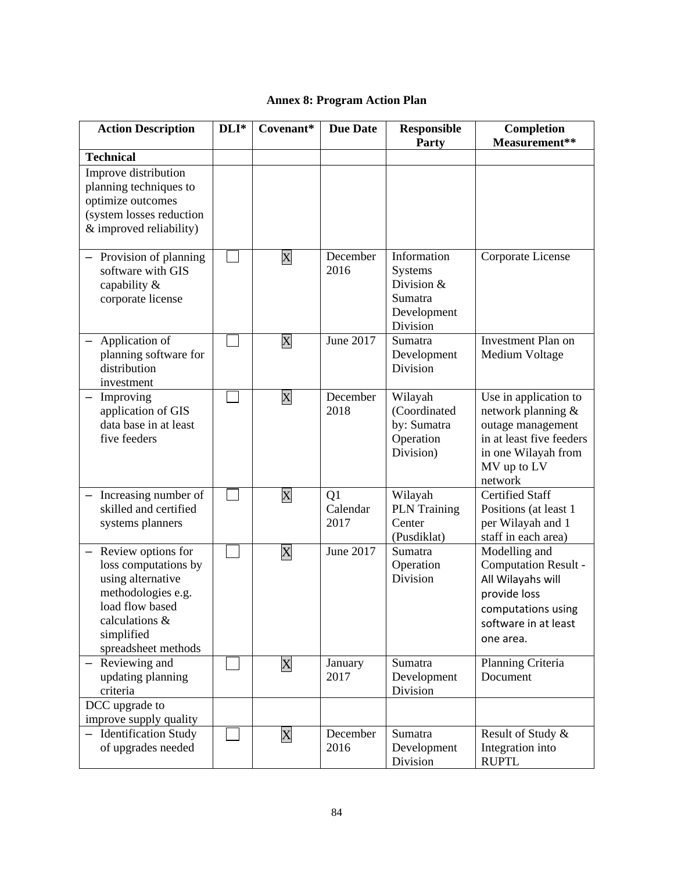# **Annex 8: Program Action Plan**

| <b>Action Description</b>                                                                                                                                         | DLI* | Covenant*                 | <b>Due Date</b>        | <b>Responsible</b><br>Party                                                       | Completion<br>Measurement**                                                                                                                   |
|-------------------------------------------------------------------------------------------------------------------------------------------------------------------|------|---------------------------|------------------------|-----------------------------------------------------------------------------------|-----------------------------------------------------------------------------------------------------------------------------------------------|
| <b>Technical</b>                                                                                                                                                  |      |                           |                        |                                                                                   |                                                                                                                                               |
| Improve distribution<br>planning techniques to<br>optimize outcomes<br>(system losses reduction<br>& improved reliability)                                        |      |                           |                        |                                                                                   |                                                                                                                                               |
| - Provision of planning<br>software with GIS<br>capability &<br>corporate license                                                                                 |      | $\mathbf X$               | December<br>2016       | Information<br><b>Systems</b><br>Division &<br>Sumatra<br>Development<br>Division | Corporate License                                                                                                                             |
| Application of<br>planning software for<br>distribution<br>investment                                                                                             |      | X                         | June 2017              | Sumatra<br>Development<br>Division                                                | <b>Investment Plan on</b><br>Medium Voltage                                                                                                   |
| Improving<br>$\overline{\phantom{0}}$<br>application of GIS<br>data base in at least<br>five feeders                                                              |      | $\mathbf X$               | December<br>2018       | Wilayah<br>(Coordinated<br>by: Sumatra<br>Operation<br>Division)                  | Use in application to<br>network planning &<br>outage management<br>in at least five feeders<br>in one Wilayah from<br>MV up to LV<br>network |
| Increasing number of<br>skilled and certified<br>systems planners                                                                                                 |      | X                         | Q1<br>Calendar<br>2017 | Wilayah<br><b>PLN</b> Training<br>Center<br>(Pusdiklat)                           | <b>Certified Staff</b><br>Positions (at least 1<br>per Wilayah and 1<br>staff in each area)                                                   |
| - Review options for<br>loss computations by<br>using alternative<br>methodologies e.g.<br>load flow based<br>calculations &<br>simplified<br>spreadsheet methods |      | $\boldsymbol{\mathrm{X}}$ | June 2017              | Sumatra<br>Operation<br>Division                                                  | Modelling and<br>Computation Result -<br>All Wilayahs will<br>provide loss<br>computations using<br>software in at least<br>one area.         |
| - Reviewing and<br>updating planning<br>criteria                                                                                                                  |      | $\mathbf X$               | January<br>2017        | Sumatra<br>Development<br>Division                                                | Planning Criteria<br>Document                                                                                                                 |
| DCC upgrade to                                                                                                                                                    |      |                           |                        |                                                                                   |                                                                                                                                               |
| improve supply quality<br>- Identification Study<br>of upgrades needed                                                                                            |      | $\overline{\text{X}}$     | December<br>2016       | Sumatra<br>Development<br>Division                                                | Result of Study &<br>Integration into<br><b>RUPTL</b>                                                                                         |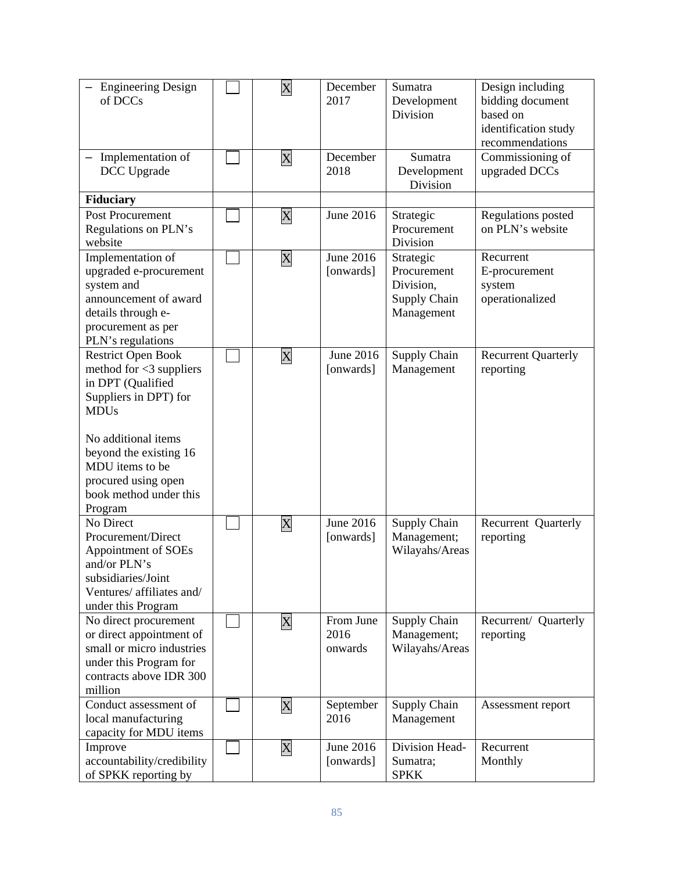| <b>Engineering Design</b><br>of DCCs                                                                                                                                                                                                                 | $\boldsymbol{\mathrm{X}}$ | December<br>2017             | Sumatra<br>Development<br>Division                                         | Design including<br>bidding document<br>based on<br>identification study<br>recommendations |
|------------------------------------------------------------------------------------------------------------------------------------------------------------------------------------------------------------------------------------------------------|---------------------------|------------------------------|----------------------------------------------------------------------------|---------------------------------------------------------------------------------------------|
| Implementation of<br>DCC Upgrade                                                                                                                                                                                                                     | X                         | December<br>2018             | Sumatra<br>Development<br>Division                                         | Commissioning of<br>upgraded DCCs                                                           |
| Fiduciary                                                                                                                                                                                                                                            |                           |                              |                                                                            |                                                                                             |
| Post Procurement<br>Regulations on PLN's<br>website                                                                                                                                                                                                  | $\mathbf X$               | June 2016                    | Strategic<br>Procurement<br>Division                                       | Regulations posted<br>on PLN's website                                                      |
| Implementation of<br>upgraded e-procurement<br>system and<br>announcement of award<br>details through e-<br>procurement as per<br>PLN's regulations                                                                                                  | X                         | June 2016<br>[onwards]       | Strategic<br>Procurement<br>Division,<br><b>Supply Chain</b><br>Management | Recurrent<br>E-procurement<br>system<br>operationalized                                     |
| <b>Restrict Open Book</b><br>method for $<$ 3 suppliers<br>in DPT (Qualified<br>Suppliers in DPT) for<br><b>MDUs</b><br>No additional items<br>beyond the existing 16<br>MDU items to be<br>procured using open<br>book method under this<br>Program | $\boldsymbol{\mathrm{X}}$ | June 2016<br>[onwards]       | Supply Chain<br>Management                                                 | <b>Recurrent Quarterly</b><br>reporting                                                     |
| No Direct<br>Procurement/Direct<br>Appointment of SOEs<br>and/or PLN's<br>subsidiaries/Joint<br>Ventures/ affiliates and/<br>under this Program                                                                                                      | $\mathbf X$               | June 2016<br>[onwards]       | Supply Chain<br>Management;<br>Wilayahs/Areas                              | Recurrent Quarterly<br>reporting                                                            |
| No direct procurement<br>or direct appointment of<br>small or micro industries<br>under this Program for<br>contracts above IDR 300<br>million                                                                                                       | X                         | From June<br>2016<br>onwards | Supply Chain<br>Management;<br>Wilayahs/Areas                              | Recurrent/ Quarterly<br>reporting                                                           |
| Conduct assessment of<br>local manufacturing<br>capacity for MDU items                                                                                                                                                                               | $\boldsymbol{\mathrm{X}}$ | September<br>2016            | Supply Chain<br>Management                                                 | Assessment report                                                                           |
| Improve<br>accountability/credibility<br>of SPKK reporting by                                                                                                                                                                                        | $\boldsymbol{\mathrm{X}}$ | June 2016<br>[onwards]       | Division Head-<br>Sumatra;<br><b>SPKK</b>                                  | Recurrent<br>Monthly                                                                        |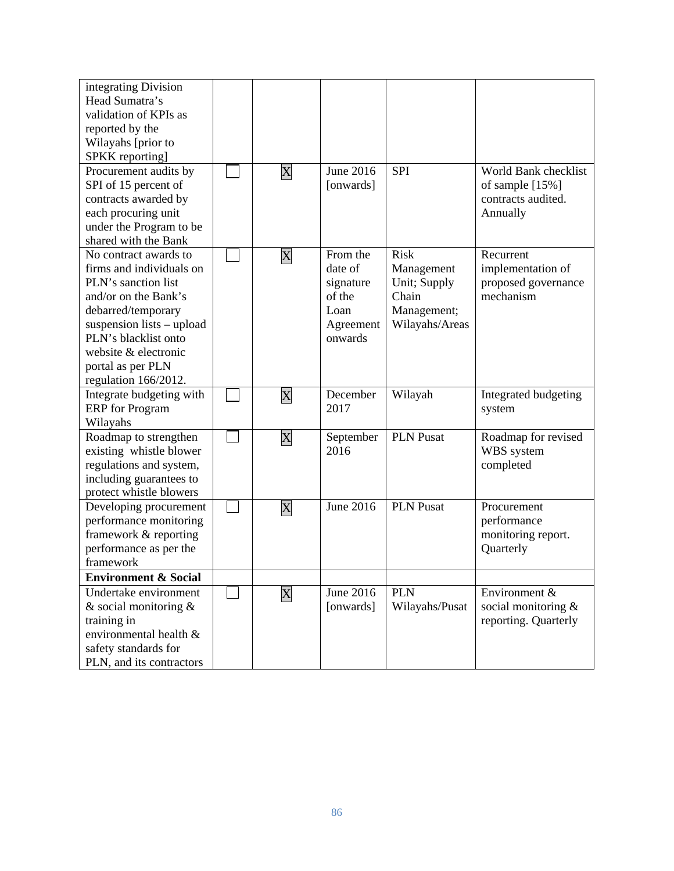| integrating Division<br>Head Sumatra's<br>validation of KPIs as<br>reported by the<br>Wilayahs [prior to<br>SPKK reporting]<br>Procurement audits by<br>SPI of 15 percent of<br>contracts awarded by<br>each procuring unit<br>under the Program to be<br>shared with the Bank | $\boldsymbol{\mathrm{X}}$ | <b>June 2016</b><br>[onwards]                                              | <b>SPI</b>                                                                          | World Bank checklist<br>of sample [15%]<br>contracts audited.<br>Annually |
|--------------------------------------------------------------------------------------------------------------------------------------------------------------------------------------------------------------------------------------------------------------------------------|---------------------------|----------------------------------------------------------------------------|-------------------------------------------------------------------------------------|---------------------------------------------------------------------------|
| No contract awards to<br>firms and individuals on<br>PLN's sanction list<br>and/or on the Bank's<br>debarred/temporary<br>suspension lists – upload<br>PLN's blacklist onto<br>website & electronic<br>portal as per PLN<br>regulation 166/2012.                               | $\boldsymbol{\mathrm{X}}$ | From the<br>date of<br>signature<br>of the<br>Loan<br>Agreement<br>onwards | <b>Risk</b><br>Management<br>Unit; Supply<br>Chain<br>Management;<br>Wilayahs/Areas | Recurrent<br>implementation of<br>proposed governance<br>mechanism        |
| Integrate budgeting with<br><b>ERP</b> for Program<br>Wilayahs                                                                                                                                                                                                                 | $\rm\overline{X}$         | December<br>2017                                                           | Wilayah                                                                             | Integrated budgeting<br>system                                            |
| Roadmap to strengthen<br>existing whistle blower<br>regulations and system,<br>including guarantees to<br>protect whistle blowers                                                                                                                                              | $\rm\overline{X}$         | September<br>2016                                                          | <b>PLN Pusat</b>                                                                    | Roadmap for revised<br>WBS system<br>completed                            |
| Developing procurement<br>performance monitoring<br>framework & reporting<br>performance as per the<br>framework                                                                                                                                                               | $\mathbf X$               | <b>June 2016</b>                                                           | <b>PLN Pusat</b>                                                                    | Procurement<br>performance<br>monitoring report.<br>Quarterly             |
| <b>Environment &amp; Social</b>                                                                                                                                                                                                                                                |                           |                                                                            |                                                                                     |                                                                           |
| Undertake environment<br>& social monitoring $&$<br>training in<br>environmental health &<br>safety standards for<br>PLN, and its contractors                                                                                                                                  | $\mathbf X$               | June 2016<br>[onwards]                                                     | <b>PLN</b><br>Wilayahs/Pusat                                                        | Environment &<br>social monitoring &<br>reporting. Quarterly              |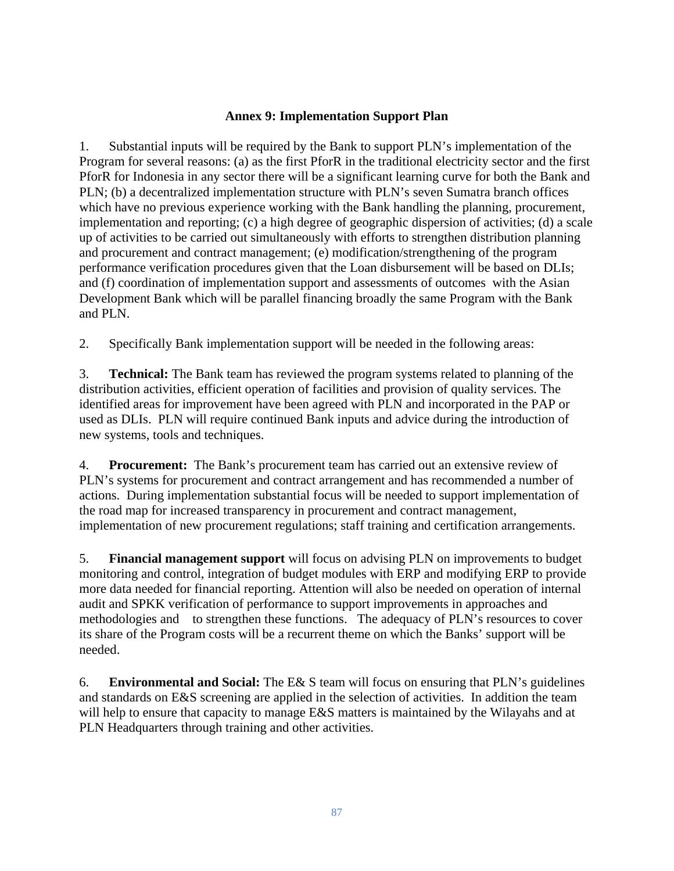## **Annex 9: Implementation Support Plan**

1. Substantial inputs will be required by the Bank to support PLN's implementation of the Program for several reasons: (a) as the first PforR in the traditional electricity sector and the first PforR for Indonesia in any sector there will be a significant learning curve for both the Bank and PLN; (b) a decentralized implementation structure with PLN's seven Sumatra branch offices which have no previous experience working with the Bank handling the planning, procurement, implementation and reporting; (c) a high degree of geographic dispersion of activities; (d) a scale up of activities to be carried out simultaneously with efforts to strengthen distribution planning and procurement and contract management; (e) modification/strengthening of the program performance verification procedures given that the Loan disbursement will be based on DLIs; and (f) coordination of implementation support and assessments of outcomes with the Asian Development Bank which will be parallel financing broadly the same Program with the Bank and PLN.

2. Specifically Bank implementation support will be needed in the following areas:

3. **Technical:** The Bank team has reviewed the program systems related to planning of the distribution activities, efficient operation of facilities and provision of quality services. The identified areas for improvement have been agreed with PLN and incorporated in the PAP or used as DLIs. PLN will require continued Bank inputs and advice during the introduction of new systems, tools and techniques.

4. **Procurement:** The Bank's procurement team has carried out an extensive review of PLN's systems for procurement and contract arrangement and has recommended a number of actions. During implementation substantial focus will be needed to support implementation of the road map for increased transparency in procurement and contract management, implementation of new procurement regulations; staff training and certification arrangements.

5. **Financial management support** will focus on advising PLN on improvements to budget monitoring and control, integration of budget modules with ERP and modifying ERP to provide more data needed for financial reporting. Attention will also be needed on operation of internal audit and SPKK verification of performance to support improvements in approaches and methodologies and to strengthen these functions. The adequacy of PLN's resources to cover its share of the Program costs will be a recurrent theme on which the Banks' support will be needed.

6. **Environmental and Social:** The E& S team will focus on ensuring that PLN's guidelines and standards on E&S screening are applied in the selection of activities. In addition the team will help to ensure that capacity to manage E&S matters is maintained by the Wilayahs and at PLN Headquarters through training and other activities.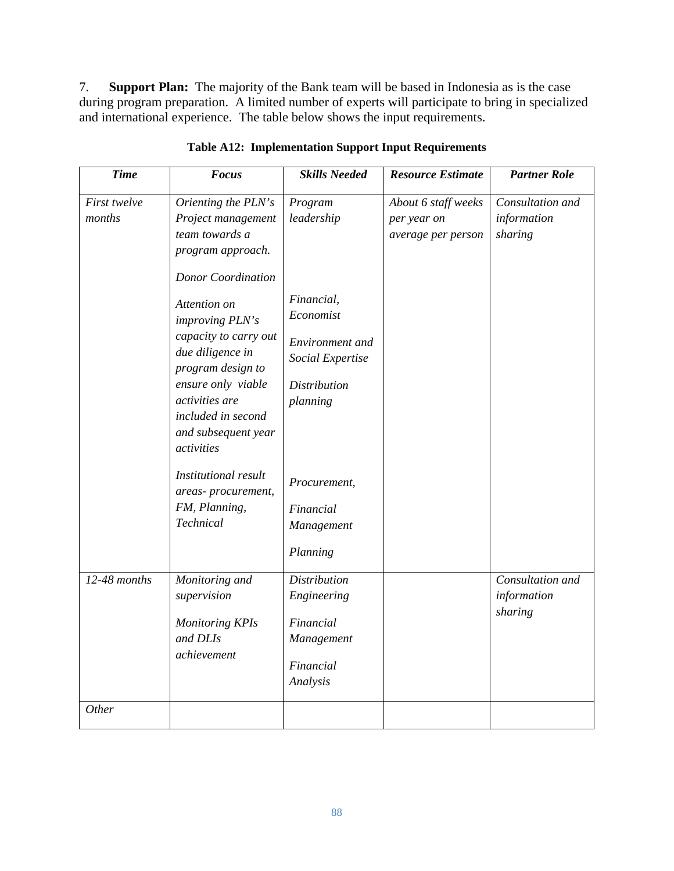7. **Support Plan:** The majority of the Bank team will be based in Indonesia as is the case during program preparation. A limited number of experts will participate to bring in specialized and international experience. The table below shows the input requirements.

| <b>Time</b>            | <b>Focus</b>                                                                                                                                                                                                                                                                                                                                  | <b>Skills Needed</b>                                                                                                                       | <b>Resource Estimate</b>                                 | <b>Partner Role</b>                        |
|------------------------|-----------------------------------------------------------------------------------------------------------------------------------------------------------------------------------------------------------------------------------------------------------------------------------------------------------------------------------------------|--------------------------------------------------------------------------------------------------------------------------------------------|----------------------------------------------------------|--------------------------------------------|
| First twelve<br>months | Orienting the PLN's<br>Project management<br>team towards a<br>program approach.<br><b>Donor Coordination</b><br>Attention on<br>improving PLN's<br>capacity to carry out<br>due diligence in<br>program design to<br>ensure only viable<br>activities are<br>included in second<br>and subsequent year<br>activities<br>Institutional result | Program<br>leadership<br>Financial,<br>Economist<br>Environment and<br>Social Expertise<br><b>Distribution</b><br>planning<br>Procurement, | About 6 staff weeks<br>per year on<br>average per person | Consultation and<br>information<br>sharing |
|                        | areas-procurement,<br>FM, Planning,<br>Technical                                                                                                                                                                                                                                                                                              | Financial<br>Management<br>Planning                                                                                                        |                                                          |                                            |
| 12-48 months           | Monitoring and<br>supervision<br><b>Monitoring KPIs</b><br>and DLIs<br>achievement                                                                                                                                                                                                                                                            | <b>Distribution</b><br>Engineering<br>Financial<br>Management<br>Financial<br>Analysis                                                     |                                                          | Consultation and<br>information<br>sharing |
| Other                  |                                                                                                                                                                                                                                                                                                                                               |                                                                                                                                            |                                                          |                                            |

**Table A12: Implementation Support Input Requirements**